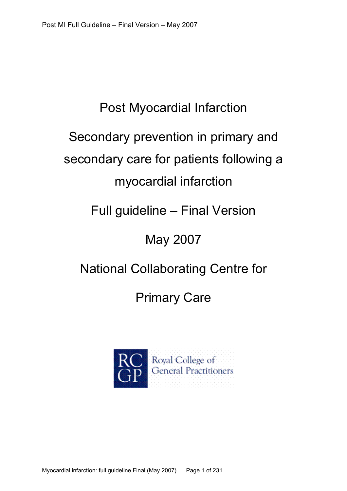# Post Myocardial Infarction Secondary prevention in primary and secondary care for patients following a myocardial infarction Full guideline – Final Version

## May 2007

## National Collaborating Centre for

## Primary Care

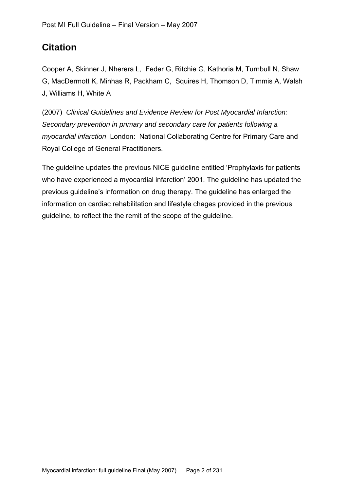## <span id="page-1-0"></span>**Citation**

Cooper A, Skinner J, Nherera L, Feder G, Ritchie G, Kathoria M, Turnbull N, Shaw G, MacDermott K, Minhas R, Packham C, Squires H, Thomson D, Timmis A, Walsh J, Williams H, White A

(2007) *Clinical Guidelines and Evidence Review for Post Myocardial Infarction: Secondary prevention in primary and secondary care for patients following a myocardial infarction* London: National Collaborating Centre for Primary Care and Royal College of General Practitioners.

The guideline updates the previous NICE guideline entitled 'Prophylaxis for patients who have experienced a myocardial infarction' 2001. The guideline has updated the previous guideline's information on drug therapy. The guideline has enlarged the information on cardiac rehabilitation and lifestyle chages provided in the previous guideline, to reflect the the remit of the scope of the guideline.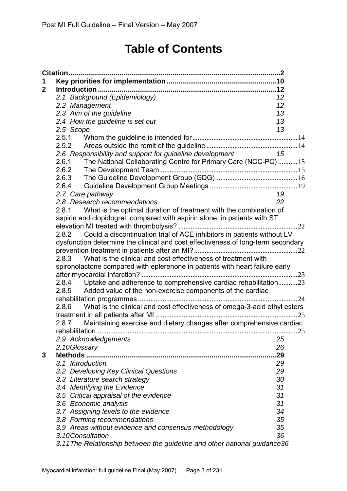## **Table of Contents**

| 1           |                                                                                   |     |
|-------------|-----------------------------------------------------------------------------------|-----|
| $\mathbf 2$ |                                                                                   |     |
|             | 2.1 Background (Epidemiology)                                                     | 12  |
|             | 2.2 Management                                                                    | 12  |
|             | 2.3 Aim of the guideline                                                          | 13  |
|             | 2.4 How the guideline is set out                                                  | 13  |
|             | 2.5 Scope                                                                         | 13  |
|             | 2.5.1                                                                             |     |
|             | 2.5.2                                                                             |     |
|             | 2.6 Responsibility and support for guideline development                          | 15  |
|             | The National Collaborating Centre for Primary Care (NCC-PC)  15<br>2.6.1          |     |
|             | 2.6.2                                                                             |     |
|             | 2.6.3                                                                             |     |
|             | 2.6.4                                                                             |     |
|             | 2.7 Care pathway                                                                  | 19  |
|             | 2.8 Research recommendations                                                      | 22  |
|             | What is the optimal duration of treatment with the combination of<br>2.8.1        |     |
|             | aspirin and clopidogrel, compared with aspirin alone, in patients with ST         |     |
|             |                                                                                   |     |
|             | Could a discontinuation trial of ACE inhibitors in patients without LV<br>2.8.2   |     |
|             | dysfunction determine the clinical and cost effectiveness of long-term secondary  |     |
|             |                                                                                   |     |
|             | What is the clinical and cost effectiveness of treatment with<br>2.8.3            |     |
|             | spironolactone compared with eplerenone in patients with heart failure early      |     |
|             |                                                                                   |     |
|             | Uptake and adherence to comprehensive cardiac rehabilitation23<br>2.8.4           |     |
|             | 2.8.5 Added value of the non-exercise components of the cardiac                   |     |
|             |                                                                                   |     |
|             | What is the clinical and cost effectiveness of omega-3-acid ethyl esters<br>2.8.6 |     |
|             |                                                                                   |     |
|             | Maintaining exercise and dietary changes after comprehensive cardiac<br>2.8.7     |     |
|             |                                                                                   | .25 |
|             | 2.9 Acknowledgements                                                              | 25  |
|             | 2.10Glossary                                                                      | 26  |
| 3           | Methods                                                                           | 29  |
|             | 3.1 Introduction                                                                  | 29  |
|             | 3.2 Developing Key Clinical Questions                                             | 29  |
|             | 3.3 Literature search strategy                                                    | 30  |
|             | 3.4 Identifying the Evidence                                                      | 31  |
|             | 3.5 Critical appraisal of the evidence                                            | 31  |
|             | 3.6 Economic analysis                                                             | 31  |
|             | 3.7 Assigning levels to the evidence                                              | 34  |
|             | 3.8 Forming recommendations                                                       | 35  |
|             | 3.9 Areas without evidence and consensus methodology                              | 35  |
|             | 3.10Consultation                                                                  | 36  |
|             | 3.11 The Relationship between the guideline and other national guidance 36        |     |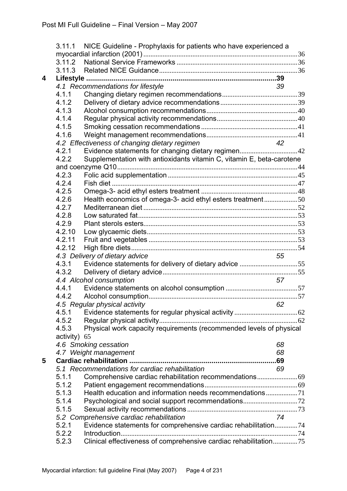|   | 3.11.1       | NICE Guideline - Prophylaxis for patients who have experienced a                                                                                                                                                               |     |  |
|---|--------------|--------------------------------------------------------------------------------------------------------------------------------------------------------------------------------------------------------------------------------|-----|--|
|   |              |                                                                                                                                                                                                                                |     |  |
|   | 3.11.2       |                                                                                                                                                                                                                                |     |  |
|   | 3.11.3       |                                                                                                                                                                                                                                |     |  |
| 4 |              |                                                                                                                                                                                                                                |     |  |
|   |              | 4.1 Recommendations for lifestyle                                                                                                                                                                                              | 39  |  |
|   | 4.1.1        |                                                                                                                                                                                                                                |     |  |
|   | 4.1.2        |                                                                                                                                                                                                                                |     |  |
|   | 4.1.3        |                                                                                                                                                                                                                                |     |  |
|   | 4.1.4        |                                                                                                                                                                                                                                |     |  |
|   | 4.1.5        |                                                                                                                                                                                                                                |     |  |
|   | 4.1.6        |                                                                                                                                                                                                                                |     |  |
|   |              | 4.2 Effectiveness of changing dietary regimen                                                                                                                                                                                  | 42  |  |
|   | 4.2.1        | Evidence statements for changing dietary regimen 42                                                                                                                                                                            |     |  |
|   | 4.2.2        | Supplementation with antioxidants vitamin C, vitamin E, beta-carotene                                                                                                                                                          |     |  |
|   |              |                                                                                                                                                                                                                                |     |  |
|   | 4.2.3        |                                                                                                                                                                                                                                |     |  |
|   | 4.2.4        |                                                                                                                                                                                                                                |     |  |
|   | 4.2.5        |                                                                                                                                                                                                                                |     |  |
|   | 4.2.6        |                                                                                                                                                                                                                                |     |  |
|   | 4.2.7        | Health economics of omega-3- acid ethyl esters treatment50                                                                                                                                                                     |     |  |
|   |              |                                                                                                                                                                                                                                |     |  |
|   | 4.2.8        |                                                                                                                                                                                                                                |     |  |
|   | 4.2.9        |                                                                                                                                                                                                                                |     |  |
|   | 4.2.10       |                                                                                                                                                                                                                                |     |  |
|   | 4.2.11       |                                                                                                                                                                                                                                |     |  |
|   | 4.2.12       |                                                                                                                                                                                                                                |     |  |
|   |              | 4.3 Delivery of dietary advice                                                                                                                                                                                                 | 55  |  |
|   | 4.3.1        | Evidence statements for delivery of dietary advice 55                                                                                                                                                                          |     |  |
|   | 4.3.2        |                                                                                                                                                                                                                                |     |  |
|   |              | 4.4 Alcohol consumption                                                                                                                                                                                                        | 57  |  |
|   | 4.4.1        |                                                                                                                                                                                                                                |     |  |
|   | 4.4.2        |                                                                                                                                                                                                                                |     |  |
|   |              | 4.5 Regular physical activity and the set of the set of the set of the set of the set of the set of the set of the set of the set of the set of the set of the set of the set of the set of the set of the set of the set of t |     |  |
|   | 4.5.1        |                                                                                                                                                                                                                                |     |  |
|   | 4.5.2        |                                                                                                                                                                                                                                |     |  |
|   | 4.5.3        | Physical work capacity requirements (recommended levels of physical                                                                                                                                                            |     |  |
|   | activity) 65 |                                                                                                                                                                                                                                |     |  |
|   |              | 4.6 Smoking cessation                                                                                                                                                                                                          | 68  |  |
|   |              | 4.7 Weight management                                                                                                                                                                                                          | 68  |  |
| 5 |              |                                                                                                                                                                                                                                | .69 |  |
|   |              | 5.1 Recommendations for cardiac rehabilitation                                                                                                                                                                                 | 69  |  |
|   | 5.1.1        | Comprehensive cardiac rehabilitation recommendations 69                                                                                                                                                                        |     |  |
|   | 5.1.2        |                                                                                                                                                                                                                                |     |  |
|   | 5.1.3        | Health education and information needs recommendations                                                                                                                                                                         |     |  |
|   | 5.1.4        |                                                                                                                                                                                                                                |     |  |
|   | 5.1.5        |                                                                                                                                                                                                                                |     |  |
|   |              | 5.2 Comprehensive cardiac rehabilitation                                                                                                                                                                                       | 74  |  |
|   | 5.2.1        | Evidence statements for comprehensive cardiac rehabilitation74                                                                                                                                                                 |     |  |
|   | 5.2.2        |                                                                                                                                                                                                                                |     |  |
|   | 5.2.3        | Clinical effectiveness of comprehensive cardiac rehabilitation75                                                                                                                                                               |     |  |
|   |              |                                                                                                                                                                                                                                |     |  |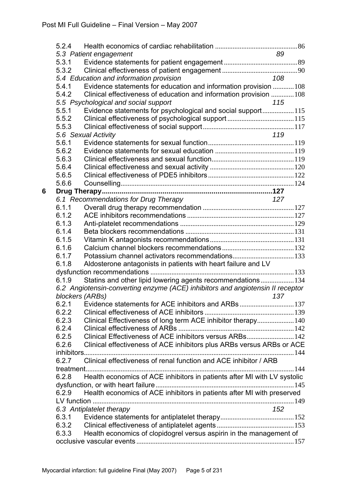|   | 5.2.4 |                                                                                |     |  |
|---|-------|--------------------------------------------------------------------------------|-----|--|
|   |       | 5.3 Patient engagement                                                         | 89  |  |
|   | 5.3.1 |                                                                                |     |  |
|   | 5.3.2 |                                                                                |     |  |
|   |       | 5.4 Education and information provision                                        | 108 |  |
|   | 5.4.1 | Evidence statements for education and information provision  108               |     |  |
|   | 5.4.2 | Clinical effectiveness of education and information provision 108              |     |  |
|   |       | 5.5 Psychological and social support                                           | 115 |  |
|   | 5.5.1 | Evidence statements for psychological and social support115                    |     |  |
|   | 5.5.2 |                                                                                |     |  |
|   | 5.5.3 |                                                                                |     |  |
|   |       | 5.6 Sexual Activity                                                            | 119 |  |
|   | 5.6.1 |                                                                                |     |  |
|   | 5.6.2 |                                                                                |     |  |
|   | 5.6.3 |                                                                                |     |  |
|   | 5.6.4 |                                                                                |     |  |
|   | 5.6.5 |                                                                                |     |  |
|   | 5.6.6 |                                                                                |     |  |
| 6 |       |                                                                                |     |  |
|   |       | 6.1 Recommendations for Drug Therapy                                           | 127 |  |
|   | 6.1.1 |                                                                                |     |  |
|   | 6.1.2 |                                                                                |     |  |
|   | 6.1.3 |                                                                                |     |  |
|   | 6.1.4 |                                                                                |     |  |
|   | 6.1.5 |                                                                                |     |  |
|   | 6.1.6 |                                                                                |     |  |
|   | 6.1.7 |                                                                                |     |  |
|   | 6.1.8 |                                                                                |     |  |
|   |       | Aldosterone antagonists in patients with heart failure and LV                  |     |  |
|   | 6.1.9 | Statins and other lipid lowering agents recommendations134                     |     |  |
|   |       |                                                                                |     |  |
|   |       | 6.2 Angiotensin-converting enzyme (ACE) inhibitors and angiotensin II receptor |     |  |
|   |       | blockers (ARBs)                                                                | 137 |  |
|   |       | 6.2.1 Evidence statements for ACE inhibitors and ARBs 137                      |     |  |
|   | 6.2.2 |                                                                                |     |  |
|   | 6.2.3 | Clinical Effectiveness of long term ACE inhibitor therapy 140                  |     |  |
|   | 6.2.4 |                                                                                |     |  |
|   | 6.2.5 | Clinical Effectiveness of ACE inhibitors versus ARBs 142                       |     |  |
|   | 6.2.6 | Clinical effectiveness of ACE inhibitors plus ARBs versus ARBs or ACE          |     |  |
|   |       |                                                                                |     |  |
|   | 6.2.7 | Clinical effectiveness of renal function and ACE inhibitor / ARB               |     |  |
|   |       |                                                                                |     |  |
|   | 6.2.8 | Health economics of ACE inhibitors in patients after MI with LV systolic       |     |  |
|   |       |                                                                                |     |  |
|   | 6.2.9 | Health economics of ACE inhibitors in patients after MI with preserved         |     |  |
|   |       |                                                                                |     |  |
|   |       | 6.3 Antiplatelet therapy                                                       | 152 |  |
|   | 6.3.1 |                                                                                |     |  |
|   | 6.3.2 |                                                                                |     |  |
|   | 6.3.3 | Health economics of clopidogrel versus aspirin in the management of            |     |  |
|   |       |                                                                                |     |  |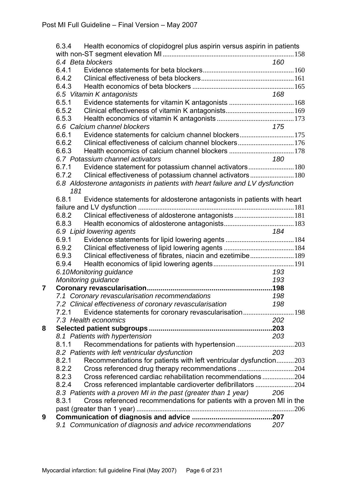|   | 6.3.4 | Health economics of clopidogrel plus aspirin versus aspirin in patients       |     |     |
|---|-------|-------------------------------------------------------------------------------|-----|-----|
|   |       | 6.4 Beta blockers                                                             | 160 |     |
|   | 6.4.1 |                                                                               |     |     |
|   | 6.4.2 |                                                                               |     |     |
|   |       |                                                                               |     |     |
|   | 6.4.3 |                                                                               |     |     |
|   |       | 6.5 Vitamin K antagonists                                                     | 168 |     |
|   | 6.5.1 |                                                                               |     |     |
|   | 6.5.2 |                                                                               |     |     |
|   | 6.5.3 |                                                                               |     |     |
|   |       | 6.6 Calcium channel blockers                                                  | 175 |     |
|   | 6.6.1 | Evidence statements for calcium channel blockers 175                          |     |     |
|   | 6.6.2 | Clinical effectiveness of calcium channel blockers 176                        |     |     |
|   | 6.6.3 |                                                                               |     |     |
|   |       | 6.7 Potassium channel activators                                              | 180 |     |
|   | 6.7.1 | Evidence statement for potassium channel activators 180                       |     |     |
|   | 6.7.2 | Clinical effectiveness of potassium channel activators 180                    |     |     |
|   |       | 6.8 Aldosterone antagonists in patients with heart failure and LV dysfunction |     |     |
|   | 181   |                                                                               |     |     |
|   | 6.8.1 | Evidence statements for aldosterone antagonists in patients with heart        |     |     |
|   |       |                                                                               |     |     |
|   | 6.8.2 |                                                                               |     |     |
|   | 6.8.3 |                                                                               |     |     |
|   |       | 6.9 Lipid lowering agents                                                     | 184 |     |
|   | 6.9.1 |                                                                               |     |     |
|   | 6.9.2 |                                                                               |     |     |
|   | 6.9.3 | Clinical effectiveness of fibrates, niacin and ezetimibe 189                  |     |     |
|   | 6.9.4 |                                                                               |     |     |
|   |       | 6.10Monitoring guidance                                                       | 193 |     |
|   |       | Monitoring guidance                                                           | 193 |     |
| 7 |       |                                                                               |     |     |
|   |       | 7.1 Coronary revascularisation recommendations                                | 198 |     |
|   |       | 7.2 Clinical effectiveness of coronary revascularisation                      | 198 |     |
|   | 7.2.1 | Evidence statements for coronary revascularisation                            |     | 198 |
|   |       | 7.3 Health economics                                                          | 202 |     |
| 8 |       |                                                                               |     |     |
|   |       | 8.1 Patients with hypertension                                                | 203 |     |
|   | 8.1.1 | Recommendations for patients with hypertension                                |     | 203 |
|   |       | 8.2 Patients with left ventricular dysfunction                                | 203 |     |
|   | 8.2.1 | Recommendations for patients with left ventricular dysfunction203             |     |     |
|   | 8.2.2 |                                                                               |     |     |
|   | 8.2.3 | Cross referenced cardiac rehabilitation recommendations204                    |     |     |
|   | 8.2.4 | Cross referenced implantable cardioverter defibrillators 204                  |     |     |
|   |       | 8.3 Patients with a proven MI in the past (greater than 1 year)               | 206 |     |
|   | 8.3.1 | Cross referenced recommendations for patients with a proven MI in the         |     |     |
|   |       |                                                                               |     |     |
| 9 |       |                                                                               |     |     |
|   |       | 9.1 Communication of diagnosis and advice recommendations                     | 207 |     |
|   |       |                                                                               |     |     |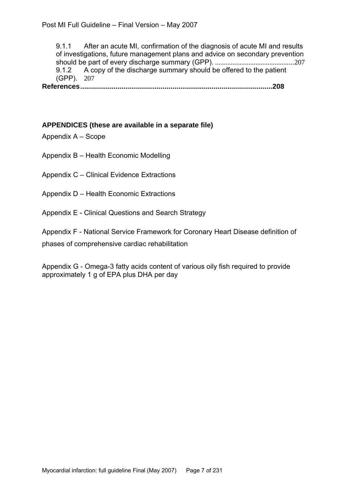9.1.1 [After an acute MI, confirmation of the diagnosis of acute MI and results](#page-206-0)  [of investigations, future management plans and advice on secondary prevention](#page-206-0)  [should be part of every discharge summary \(GPP\).](#page-206-0) .............................................207 9.1.2 [A copy of the discharge summary should be offered to the patient](#page-206-0)  [\(GPP\).](#page-206-0) 207

**[References..................................................................................................208](#page-207-0)**

#### **APPENDICES (these are available in a separate file)**

Appendix A – Scope

Appendix B – Health Economic Modelling

Appendix C – Clinical Evidence Extractions

Appendix D – Health Economic Extractions

Appendix E - Clinical Questions and Search Strategy

Appendix F - National Service Framework for Coronary Heart Disease definition of phases of comprehensive cardiac rehabilitation

Appendix G - Omega-3 fatty acids content of various oily fish required to provide approximately 1 g of EPA plus DHA per day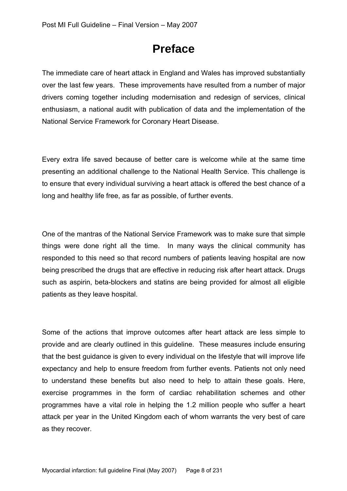## **Preface**

The immediate care of heart attack in England and Wales has improved substantially over the last few years. These improvements have resulted from a number of major drivers coming together including modernisation and redesign of services, clinical enthusiasm, a national audit with publication of data and the implementation of the National Service Framework for Coronary Heart Disease.

Every extra life saved because of better care is welcome while at the same time presenting an additional challenge to the National Health Service. This challenge is to ensure that every individual surviving a heart attack is offered the best chance of a long and healthy life free, as far as possible, of further events.

One of the mantras of the National Service Framework was to make sure that simple things were done right all the time. In many ways the clinical community has responded to this need so that record numbers of patients leaving hospital are now being prescribed the drugs that are effective in reducing risk after heart attack. Drugs such as aspirin, beta-blockers and statins are being provided for almost all eligible patients as they leave hospital.

Some of the actions that improve outcomes after heart attack are less simple to provide and are clearly outlined in this guideline. These measures include ensuring that the best guidance is given to every individual on the lifestyle that will improve life expectancy and help to ensure freedom from further events. Patients not only need to understand these benefits but also need to help to attain these goals. Here, exercise programmes in the form of cardiac rehabilitation schemes and other programmes have a vital role in helping the 1.2 million people who suffer a heart attack per year in the United Kingdom each of whom warrants the very best of care as they recover.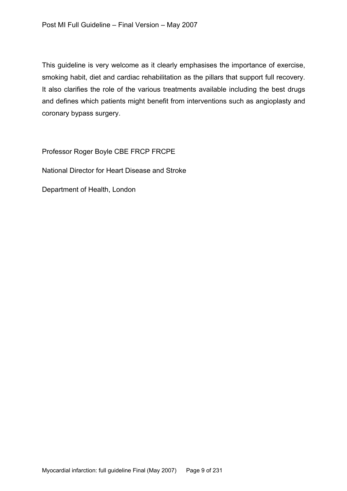This guideline is very welcome as it clearly emphasises the importance of exercise, smoking habit, diet and cardiac rehabilitation as the pillars that support full recovery. It also clarifies the role of the various treatments available including the best drugs and defines which patients might benefit from interventions such as angioplasty and coronary bypass surgery.

Professor Roger Boyle CBE FRCP FRCPE

National Director for Heart Disease and Stroke

Department of Health, London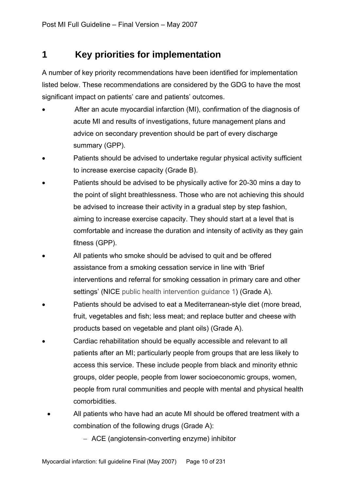## <span id="page-9-0"></span>**1 Key priorities for implementation**

A number of key priority recommendations have been identified for implementation listed below. These recommendations are considered by the GDG to have the most significant impact on patients' care and patients' outcomes.

- After an acute myocardial infarction (MI), confirmation of the diagnosis of acute MI and results of investigations, future management plans and advice on secondary prevention should be part of every discharge summary (GPP).
- Patients should be advised to undertake regular physical activity sufficient to increase exercise capacity (Grade B).
- Patients should be advised to be physically active for 20-30 mins a day to the point of slight breathlessness. Those who are not achieving this should be advised to increase their activity in a gradual step by step fashion, aiming to increase exercise capacity. They should start at a level that is comfortable and increase the duration and intensity of activity as they gain fitness (GPP).
- All patients who smoke should be advised to quit and be offered assistance from a smoking cessation service in line with 'Brief interventions and referral for smoking cessation in primary care and other settings' (NICE public health intervention guidance 1) (Grade A).
- Patients should be advised to eat a Mediterranean-style diet (more bread, fruit, vegetables and fish; less meat; and replace butter and cheese with products based on vegetable and plant oils) (Grade A).
- Cardiac rehabilitation should be equally accessible and relevant to all patients after an MI; particularly people from groups that are less likely to access this service. These include people from black and minority ethnic groups, older people, people from lower socioeconomic groups, women, people from rural communities and people with mental and physical health comorbidities.
	- All patients who have had an acute MI should be offered treatment with a combination of the following drugs (Grade A):
		- − ACE (angiotensin-converting enzyme) inhibitor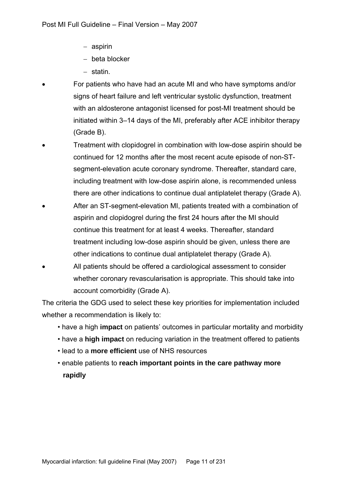- − aspirin
- − beta blocker
- − statin.
- For patients who have had an acute MI and who have symptoms and/or signs of heart failure and left ventricular systolic dysfunction, treatment with an aldosterone antagonist licensed for post-MI treatment should be initiated within 3–14 days of the MI, preferably after ACE inhibitor therapy (Grade B).
- Treatment with clopidogrel in combination with low-dose aspirin should be continued for 12 months after the most recent acute episode of non-STsegment-elevation acute coronary syndrome. Thereafter, standard care, including treatment with low-dose aspirin alone, is recommended unless there are other indications to continue dual antiplatelet therapy (Grade A). • After an ST-segment-elevation MI, patients treated with a combination of aspirin and clopidogrel during the first 24 hours after the MI should continue this treatment for at least 4 weeks. Thereafter, standard
	- treatment including low-dose aspirin should be given, unless there are other indications to continue dual antiplatelet therapy (Grade A).
- All patients should be offered a cardiological assessment to consider whether coronary revascularisation is appropriate. This should take into account comorbidity (Grade A).

The criteria the GDG used to select these key priorities for implementation included whether a recommendation is likely to:

- have a high **impact** on patients' outcomes in particular mortality and morbidity
- have a **high impact** on reducing variation in the treatment offered to patients
- lead to a **more efficient** use of NHS resources
- enable patients to **reach important points in the care pathway more rapidly**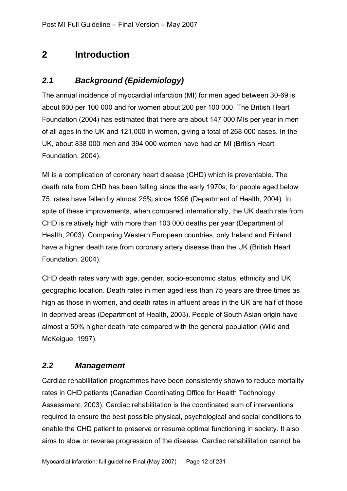## <span id="page-11-0"></span>**2 Introduction**

## *2.1 Background (Epidemiology)*

The annual incidence of myocardial infarction (MI) for men aged between 30-69 is about 600 per 100 000 and for women about 200 per 100 000. The British Heart Foundation (2004) has estimated that there are about 147 000 MIs per year in men of all ages in the UK and 121,000 in women, giving a total of 268 000 cases. In the UK, about 838 000 men and 394 000 women have had an MI (British Heart Foundation, 2004).

MI is a complication of coronary heart disease (CHD) which is preventable. The death rate from CHD has been falling since the early 1970s; for people aged below 75, rates have fallen by almost 25% since 1996 (Department of Health, 2004). In spite of these improvements, when compared internationally, the UK death rate from CHD is relatively high with more than 103 000 deaths per year (Department of Health, 2003). Comparing Western European countries, only Ireland and Finland have a higher death rate from coronary artery disease than the UK (British Heart Foundation, 2004).

CHD death rates vary with age, gender, socio-economic status, ethnicity and UK geographic location. Death rates in men aged less than 75 years are three times as high as those in women, and death rates in affluent areas in the UK are half of those in deprived areas (Department of Health, 2003). People of South Asian origin have almost a 50% higher death rate compared with the general population (Wild and McKeigue, 1997).

## *2.2 Management*

Cardiac rehabilitation programmes have been consistently shown to reduce mortality rates in CHD patients (Canadian Coordinating Office for Health Technology Assessment, 2003). Cardiac rehabilitation is the coordinated sum of interventions required to ensure the best possible physical, psychological and social conditions to enable the CHD patient to preserve or resume optimal functioning in society. It also aims to slow or reverse progression of the disease. Cardiac rehabilitation cannot be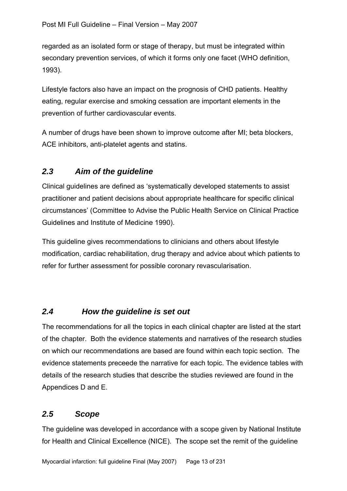<span id="page-12-0"></span>regarded as an isolated form or stage of therapy, but must be integrated within secondary prevention services, of which it forms only one facet (WHO definition, 1993).

Lifestyle factors also have an impact on the prognosis of CHD patients. Healthy eating, regular exercise and smoking cessation are important elements in the prevention of further cardiovascular events.

A number of drugs have been shown to improve outcome after MI; beta blockers, ACE inhibitors, anti-platelet agents and statins.

## *2.3 Aim of the guideline*

Clinical guidelines are defined as 'systematically developed statements to assist practitioner and patient decisions about appropriate healthcare for specific clinical circumstances' (Committee to Advise the Public Health Service on Clinical Practice Guidelines and Institute of Medicine 1990).

This guideline gives recommendations to clinicians and others about lifestyle modification, cardiac rehabilitation, drug therapy and advice about which patients to refer for further assessment for possible coronary revascularisation.

## *2.4 How the guideline is set out*

The recommendations for all the topics in each clinical chapter are listed at the start of the chapter. Both the evidence statements and narratives of the research studies on which our recommendations are based are found within each topic section. The evidence statements preceede the narrative for each topic. The evidence tables with details of the research studies that describe the studies reviewed are found in the Appendices D and E.

## *2.5 Scope*

The guideline was developed in accordance with a scope given by National Institute for Health and Clinical Excellence (NICE). The scope set the remit of the guideline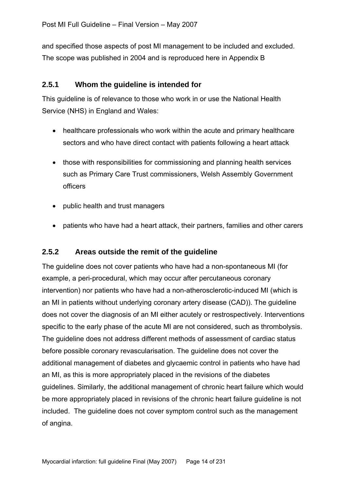<span id="page-13-0"></span>and specified those aspects of post MI management to be included and excluded. The scope was published in 2004 and is reproduced here in Appendix B

#### **2.5.1 Whom the guideline is intended for**

This guideline is of relevance to those who work in or use the National Health Service (NHS) in England and Wales:

- healthcare professionals who work within the acute and primary healthcare sectors and who have direct contact with patients following a heart attack
- those with responsibilities for commissioning and planning health services such as Primary Care Trust commissioners, Welsh Assembly Government officers
- public health and trust managers
- patients who have had a heart attack, their partners, families and other carers

#### **2.5.2 Areas outside the remit of the guideline**

The guideline does not cover patients who have had a non-spontaneous MI (for example, a peri-procedural, which may occur after percutaneous coronary intervention) nor patients who have had a non-atherosclerotic-induced MI (which is an MI in patients without underlying coronary artery disease (CAD)). The guideline does not cover the diagnosis of an MI either acutely or restrospectively. Interventions specific to the early phase of the acute MI are not considered, such as thrombolysis. The guideline does not address different methods of assessment of cardiac status before possible coronary revascularisation. The guideline does not cover the additional management of diabetes and glycaemic control in patients who have had an MI, as this is more appropriately placed in the revisions of the diabetes guidelines. Similarly, the additional management of chronic heart failure which would be more appropriately placed in revisions of the chronic heart failure guideline is not included. The guideline does not cover symptom control such as the management of angina.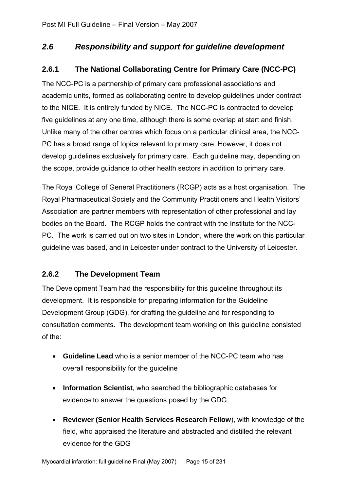#### <span id="page-14-0"></span>*2.6 Responsibility and support for guideline development*

#### **2.6.1 The National Collaborating Centre for Primary Care (NCC-PC)**

The NCC-PC is a partnership of primary care professional associations and academic units, formed as collaborating centre to develop guidelines under contract to the NICE. It is entirely funded by NICE. The NCC-PC is contracted to develop five guidelines at any one time, although there is some overlap at start and finish. Unlike many of the other centres which focus on a particular clinical area, the NCC-PC has a broad range of topics relevant to primary care. However, it does not develop guidelines exclusively for primary care. Each guideline may, depending on the scope, provide guidance to other health sectors in addition to primary care.

The Royal College of General Practitioners (RCGP) acts as a host organisation. The Royal Pharmaceutical Society and the Community Practitioners and Health Visitors' Association are partner members with representation of other professional and lay bodies on the Board. The RCGP holds the contract with the Institute for the NCC-PC. The work is carried out on two sites in London, where the work on this particular guideline was based, and in Leicester under contract to the University of Leicester.

#### **2.6.2 The Development Team**

The Development Team had the responsibility for this guideline throughout its development. It is responsible for preparing information for the Guideline Development Group (GDG), for drafting the guideline and for responding to consultation comments. The development team working on this guideline consisted of the:

- **Guideline Lead** who is a senior member of the NCC-PC team who has overall responsibility for the guideline
- **Information Scientist**, who searched the bibliographic databases for evidence to answer the questions posed by the GDG
- **Reviewer (Senior Health Services Research Fellow**), with knowledge of the field, who appraised the literature and abstracted and distilled the relevant evidence for the GDG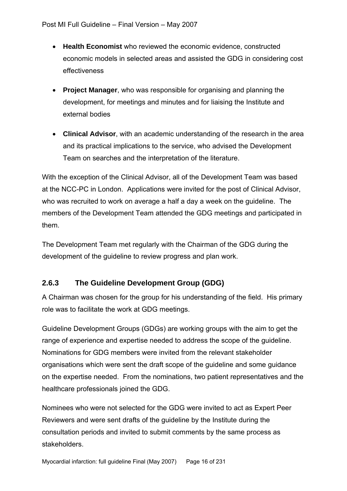- <span id="page-15-0"></span>• **Health Economist** who reviewed the economic evidence, constructed economic models in selected areas and assisted the GDG in considering cost effectiveness
- **Project Manager**, who was responsible for organising and planning the development, for meetings and minutes and for liaising the Institute and external bodies
- **Clinical Advisor**, with an academic understanding of the research in the area and its practical implications to the service, who advised the Development Team on searches and the interpretation of the literature.

With the exception of the Clinical Advisor, all of the Development Team was based at the NCC-PC in London. Applications were invited for the post of Clinical Advisor, who was recruited to work on average a half a day a week on the guideline. The members of the Development Team attended the GDG meetings and participated in them.

The Development Team met regularly with the Chairman of the GDG during the development of the guideline to review progress and plan work.

## **2.6.3 The Guideline Development Group (GDG)**

A Chairman was chosen for the group for his understanding of the field. His primary role was to facilitate the work at GDG meetings.

Guideline Development Groups (GDGs) are working groups with the aim to get the range of experience and expertise needed to address the scope of the guideline. Nominations for GDG members were invited from the relevant stakeholder organisations which were sent the draft scope of the guideline and some guidance on the expertise needed. From the nominations, two patient representatives and the healthcare professionals joined the GDG.

Nominees who were not selected for the GDG were invited to act as Expert Peer Reviewers and were sent drafts of the guideline by the Institute during the consultation periods and invited to submit comments by the same process as stakeholders.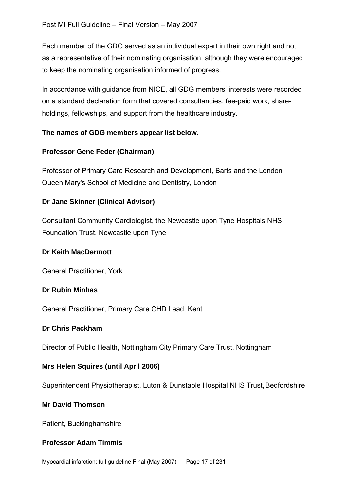Each member of the GDG served as an individual expert in their own right and not as a representative of their nominating organisation, although they were encouraged to keep the nominating organisation informed of progress.

In accordance with guidance from NICE, all GDG members' interests were recorded on a standard declaration form that covered consultancies, fee-paid work, shareholdings, fellowships, and support from the healthcare industry.

#### **The names of GDG members appear list below.**

#### **Professor Gene Feder (Chairman)**

Professor of Primary Care Research and Development, Barts and the London Queen Mary's School of Medicine and Dentistry, London

#### **Dr Jane Skinner (Clinical Advisor)**

Consultant Community Cardiologist, the Newcastle upon Tyne Hospitals NHS Foundation Trust, Newcastle upon Tyne

#### **Dr Keith MacDermott**

General Practitioner, York

#### **Dr Rubin Minhas**

General Practitioner, Primary Care CHD Lead, Kent

#### **Dr Chris Packham**

Director of Public Health, Nottingham City Primary Care Trust, Nottingham

#### **Mrs Helen Squires (until April 2006)**

Superintendent Physiotherapist, Luton & Dunstable Hospital NHS Trust, Bedfordshire

#### **Mr David Thomson**

Patient, Buckinghamshire

#### **Professor Adam Timmis**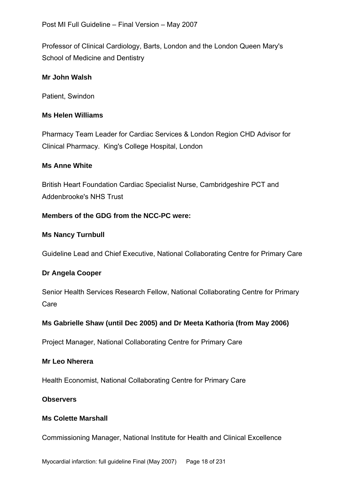Professor of Clinical Cardiology, Barts, London and the London Queen Mary's School of Medicine and Dentistry

#### **Mr John Walsh**

Patient, Swindon

#### **Ms Helen Williams**

Pharmacy Team Leader for Cardiac Services & London Region CHD Advisor for Clinical Pharmacy. King's College Hospital, London

#### **Ms Anne White**

British Heart Foundation Cardiac Specialist Nurse, Cambridgeshire PCT and Addenbrooke's NHS Trust

#### **Members of the GDG from the NCC-PC were:**

#### **Ms Nancy Turnbull**

Guideline Lead and Chief Executive, National Collaborating Centre for Primary Care

#### **Dr Angela Cooper**

Senior Health Services Research Fellow, National Collaborating Centre for Primary Care

#### **Ms Gabrielle Shaw (until Dec 2005) and Dr Meeta Kathoria (from May 2006)**

Project Manager, National Collaborating Centre for Primary Care

#### **Mr Leo Nherera**

Health Economist, National Collaborating Centre for Primary Care

#### **Observers**

#### **Ms Colette Marshall**

Commissioning Manager, National Institute for Health and Clinical Excellence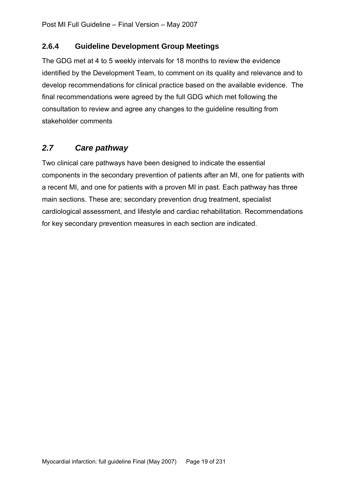#### <span id="page-18-0"></span>**2.6.4 Guideline Development Group Meetings**

The GDG met at 4 to 5 weekly intervals for 18 months to review the evidence identified by the Development Team, to comment on its quality and relevance and to develop recommendations for clinical practice based on the available evidence. The final recommendations were agreed by the full GDG which met following the consultation to review and agree any changes to the guideline resulting from stakeholder comments

## *2.7 Care pathway*

Two clinical care pathways have been designed to indicate the essential components in the secondary prevention of patients after an MI, one for patients with a recent MI, and one for patients with a proven MI in past. Each pathway has three main sections. These are; secondary prevention drug treatment, specialist cardiological assessment, and lifestyle and cardiac rehabilitation. Recommendations for key secondary prevention measures in each section are indicated.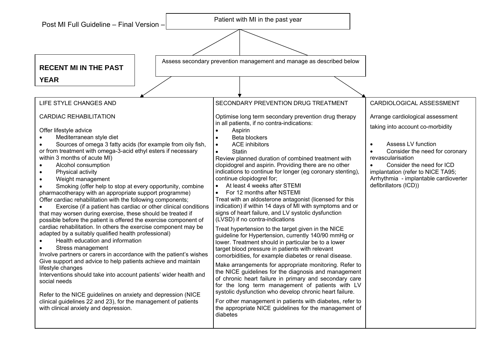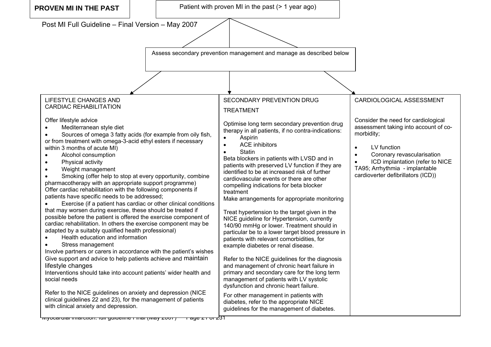

 $\,$  Myocaruial infarction: full guideline Final (May 2007)  $\,$  Page 21 of 2 $31$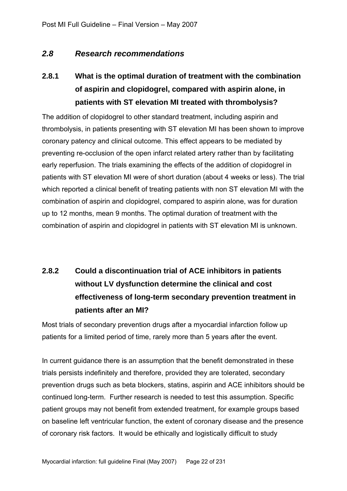#### <span id="page-21-0"></span>*2.8 Research recommendations*

## **2.8.1 What is the optimal duration of treatment with the combination of aspirin and clopidogrel, compared with aspirin alone, in patients with ST elevation MI treated with thrombolysis?**

The addition of clopidogrel to other standard treatment, including aspirin and thrombolysis, in patients presenting with ST elevation MI has been shown to improve coronary patency and clinical outcome. This effect appears to be mediated by preventing re-occlusion of the open infarct related artery rather than by facilitating early reperfusion. The trials examining the effects of the addition of clopidogrel in patients with ST elevation MI were of short duration (about 4 weeks or less). The trial which reported a clinical benefit of treating patients with non ST elevation MI with the combination of aspirin and clopidogrel, compared to aspirin alone, was for duration up to 12 months, mean 9 months. The optimal duration of treatment with the combination of aspirin and clopidogrel in patients with ST elevation MI is unknown.

## **2.8.2 Could a discontinuation trial of ACE inhibitors in patients without LV dysfunction determine the clinical and cost effectiveness of long-term secondary prevention treatment in patients after an MI?**

Most trials of secondary prevention drugs after a myocardial infarction follow up patients for a limited period of time, rarely more than 5 years after the event.

In current guidance there is an assumption that the benefit demonstrated in these trials persists indefinitely and therefore, provided they are tolerated, secondary prevention drugs such as beta blockers, statins, aspirin and ACE inhibitors should be continued long-term. Further research is needed to test this assumption. Specific patient groups may not benefit from extended treatment, for example groups based on baseline left ventricular function, the extent of coronary disease and the presence of coronary risk factors. It would be ethically and logistically difficult to study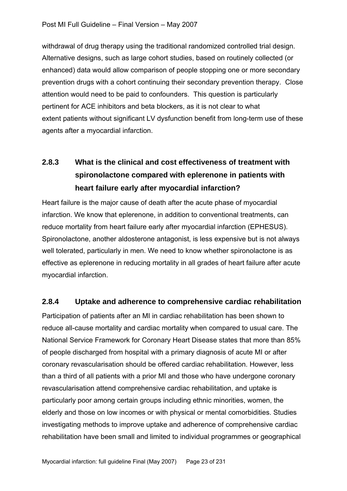<span id="page-22-0"></span>withdrawal of drug therapy using the traditional randomized controlled trial design. Alternative designs, such as large cohort studies, based on routinely collected (or enhanced) data would allow comparison of people stopping one or more secondary prevention drugs with a cohort continuing their secondary prevention therapy. Close attention would need to be paid to confounders. This question is particularly pertinent for ACE inhibitors and beta blockers, as it is not clear to what extent patients without significant LV dysfunction benefit from long-term use of these agents after a myocardial infarction.

## **2.8.3 What is the clinical and cost effectiveness of treatment with spironolactone compared with eplerenone in patients with heart failure early after myocardial infarction?**

Heart failure is the major cause of death after the acute phase of myocardial infarction. We know that eplerenone, in addition to conventional treatments, can reduce mortality from heart failure early after myocardial infarction (EPHESUS). Spironolactone, another aldosterone antagonist, is less expensive but is not always well tolerated, particularly in men. We need to know whether spironolactone is as effective as eplerenone in reducing mortality in all grades of heart failure after acute myocardial infarction.

#### **2.8.4 Uptake and adherence to comprehensive cardiac rehabilitation**

Participation of patients after an MI in cardiac rehabilitation has been shown to reduce all-cause mortality and cardiac mortality when compared to usual care. The National Service Framework for Coronary Heart Disease states that more than 85% of people discharged from hospital with a primary diagnosis of acute MI or after coronary revascularisation should be offered cardiac rehabilitation. However, less than a third of all patients with a prior MI and those who have undergone coronary revascularisation attend comprehensive cardiac rehabilitation, and uptake is particularly poor among certain groups including ethnic minorities, women, the elderly and those on low incomes or with physical or mental comorbidities. Studies investigating methods to improve uptake and adherence of comprehensive cardiac rehabilitation have been small and limited to individual programmes or geographical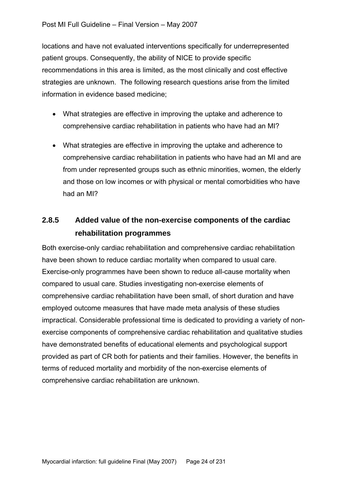<span id="page-23-0"></span>locations and have not evaluated interventions specifically for underrepresented patient groups. Consequently, the ability of NICE to provide specific recommendations in this area is limited, as the most clinically and cost effective strategies are unknown. The following research questions arise from the limited information in evidence based medicine;

- What strategies are effective in improving the uptake and adherence to comprehensive cardiac rehabilitation in patients who have had an MI?
- What strategies are effective in improving the uptake and adherence to comprehensive cardiac rehabilitation in patients who have had an MI and are from under represented groups such as ethnic minorities, women, the elderly and those on low incomes or with physical or mental comorbidities who have had an MI?

## **2.8.5 Added value of the non-exercise components of the cardiac rehabilitation programmes**

Both exercise-only cardiac rehabilitation and comprehensive cardiac rehabilitation have been shown to reduce cardiac mortality when compared to usual care. Exercise-only programmes have been shown to reduce all-cause mortality when compared to usual care. Studies investigating non-exercise elements of comprehensive cardiac rehabilitation have been small, of short duration and have employed outcome measures that have made meta analysis of these studies impractical. Considerable professional time is dedicated to providing a variety of nonexercise components of comprehensive cardiac rehabilitation and qualitative studies have demonstrated benefits of educational elements and psychological support provided as part of CR both for patients and their families. However, the benefits in terms of reduced mortality and morbidity of the non-exercise elements of comprehensive cardiac rehabilitation are unknown.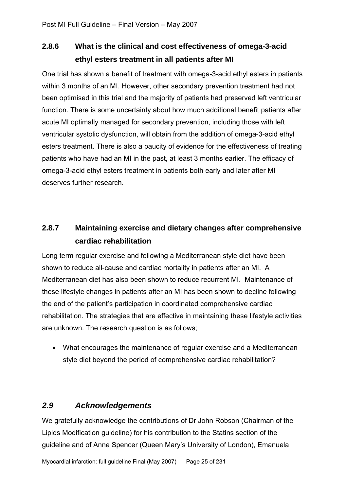## <span id="page-24-0"></span>**2.8.6 What is the clinical and cost effectiveness of omega-3-acid ethyl esters treatment in all patients after MI**

One trial has shown a benefit of treatment with omega-3-acid ethyl esters in patients within 3 months of an MI. However, other secondary prevention treatment had not been optimised in this trial and the majority of patients had preserved left ventricular function. There is some uncertainty about how much additional benefit patients after acute MI optimally managed for secondary prevention, including those with left ventricular systolic dysfunction, will obtain from the addition of omega-3-acid ethyl esters treatment. There is also a paucity of evidence for the effectiveness of treating patients who have had an MI in the past, at least 3 months earlier. The efficacy of omega-3-acid ethyl esters treatment in patients both early and later after MI deserves further research.

## **2.8.7 Maintaining exercise and dietary changes after comprehensive cardiac rehabilitation**

Long term regular exercise and following a Mediterranean style diet have been shown to reduce all-cause and cardiac mortality in patients after an MI. A Mediterranean diet has also been shown to reduce recurrent MI. Maintenance of these lifestyle changes in patients after an MI has been shown to decline following the end of the patient's participation in coordinated comprehensive cardiac rehabilitation. The strategies that are effective in maintaining these lifestyle activities are unknown. The research question is as follows;

• What encourages the maintenance of regular exercise and a Mediterranean style diet beyond the period of comprehensive cardiac rehabilitation?

## *2.9 Acknowledgements*

We gratefully acknowledge the contributions of Dr John Robson (Chairman of the Lipids Modification guideline) for his contribution to the Statins section of the guideline and of Anne Spencer (Queen Mary's University of London), Emanuela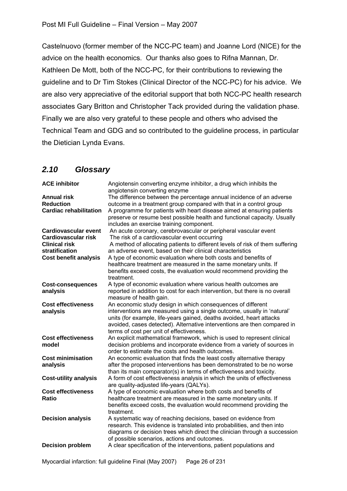<span id="page-25-0"></span>Castelnuovo (former member of the NCC-PC team) and Joanne Lord (NICE) for the advice on the health economics. Our thanks also goes to Rifna Mannan, Dr. Kathleen De Mott, both of the NCC-PC, for their contributions to reviewing the guideline and to Dr Tim Stokes (Clinical Director of the NCC-PC) for his advice. We are also very appreciative of the editorial support that both NCC-PC health research associates Gary Britton and Christopher Tack provided during the validation phase. Finally we are also very grateful to these people and others who advised the Technical Team and GDG and so contributed to the guideline process, in particular the Dietician Lynda Evans.

#### *2.10 Glossary*

| <b>ACE inhibitor</b>          | Angiotensin converting enzyme inhibitor, a drug which inhibits the<br>angiotensin converting enzyme |
|-------------------------------|-----------------------------------------------------------------------------------------------------|
| <b>Annual risk</b>            | The difference between the percentage annual incidence of an adverse                                |
| <b>Reduction</b>              | outcome in a treatment group compared with that in a control group                                  |
| <b>Cardiac rehabilitation</b> | A programme for patients with heart disease aimed at ensuring patients                              |
|                               | preserve or resume best possible health and functional capacity. Usually                            |
|                               | includes an exercise training component.                                                            |
| <b>Cardiovascular event</b>   | An acute coronary, cerebrovascular or peripheral vascular event                                     |
| <b>Cardiovascular risk</b>    | The risk of a cardiovascular event occurring                                                        |
| <b>Clinical risk</b>          | A method of allocating patients to different levels of risk of them suffering                       |
| stratification                | an adverse event, based on their clinical characteristics                                           |
|                               |                                                                                                     |
| <b>Cost benefit analysis</b>  | A type of economic evaluation where both costs and benefits of                                      |
|                               | healthcare treatment are measured in the same monetary units. If                                    |
|                               | benefits exceed costs, the evaluation would recommend providing the                                 |
|                               | treatment.                                                                                          |
| <b>Cost-consequences</b>      | A type of economic evaluation where various health outcomes are                                     |
| analysis                      | reported in addition to cost for each intervention, but there is no overall                         |
|                               | measure of health gain.                                                                             |
| <b>Cost effectiveness</b>     | An economic study design in which consequences of different                                         |
| analysis                      | interventions are measured using a single outcome, usually in 'natural'                             |
|                               | units (for example, life-years gained, deaths avoided, heart attacks                                |
|                               | avoided, cases detected). Alternative interventions are then compared in                            |
|                               | terms of cost per unit of effectiveness.                                                            |
| <b>Cost effectiveness</b>     | An explicit mathematical framework, which is used to represent clinical                             |
| model                         | decision problems and incorporate evidence from a variety of sources in                             |
|                               | order to estimate the costs and health outcomes.                                                    |
| <b>Cost minimisation</b>      | An economic evaluation that finds the least costly alternative therapy                              |
| analysis                      | after the proposed interventions has been demonstrated to be no worse                               |
|                               | than its main comparator(s) in terms of effectiveness and toxicity.                                 |
| <b>Cost-utility analysis</b>  | A form of cost effectiveness analysis in which the units of effectiveness                           |
|                               | are quality-adjusted life-years (QALYs).                                                            |
| <b>Cost effectiveness</b>     | A type of economic evaluation where both costs and benefits of                                      |
| <b>Ratio</b>                  | healthcare treatment are measured in the same monetary units. If                                    |
|                               | benefits exceed costs, the evaluation would recommend providing the                                 |
|                               | treatment.                                                                                          |
| <b>Decision analysis</b>      | A systematic way of reaching decisions, based on evidence from                                      |
|                               | research. This evidence is translated into probabilities, and then into                             |
|                               | diagrams or decision trees which direct the clinician through a succession                          |
|                               | of possible scenarios, actions and outcomes.                                                        |
| <b>Decision problem</b>       | A clear specification of the interventions, patient populations and                                 |
|                               |                                                                                                     |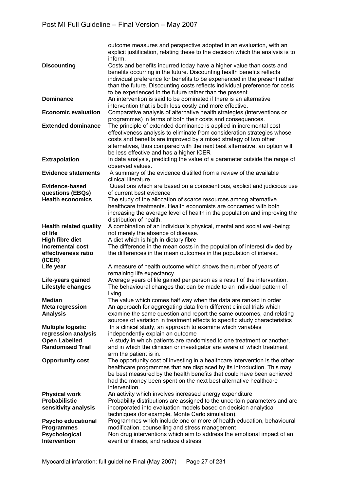| outcome measures and perspective adopted in an evaluation, with an<br>explicit justification, relating these to the decision which the analysis is to<br>inform.                                                                                                                                                                                                        |
|-------------------------------------------------------------------------------------------------------------------------------------------------------------------------------------------------------------------------------------------------------------------------------------------------------------------------------------------------------------------------|
| Costs and benefits incurred today have a higher value than costs and<br>benefits occurring in the future. Discounting health benefits reflects<br>individual preference for benefits to be experienced in the present rather<br>than the future. Discounting costs reflects individual preference for costs<br>to be experienced in the future rather than the present. |
| An intervention is said to be dominated if there is an alternative<br>intervention that is both less costly and more effective.                                                                                                                                                                                                                                         |
| Comparative analysis of alternative health strategies (interventions or                                                                                                                                                                                                                                                                                                 |
| programmes) in terms of both their costs and consequences.<br>The principle of extended dominance is applied in incremental cost<br>effectiveness analysis to eliminate from consideration strategies whose<br>costs and benefits are improved by a mixed strategy of two other                                                                                         |
| alternatives, thus compared with the next best alternative, an option will<br>be less effective and has a higher ICER                                                                                                                                                                                                                                                   |
| In data analysis, predicting the value of a parameter outside the range of<br>observed values.                                                                                                                                                                                                                                                                          |
| A summary of the evidence distilled from a review of the available<br>clinical literature                                                                                                                                                                                                                                                                               |
| Questions which are based on a conscientious, explicit and judicious use<br>of current best evidence                                                                                                                                                                                                                                                                    |
| The study of the allocation of scarce resources among alternative                                                                                                                                                                                                                                                                                                       |
| healthcare treatments. Health economists are concerned with both<br>increasing the average level of health in the population and improving the<br>distribution of health.                                                                                                                                                                                               |
| A combination of an individual's physical, mental and social well-being;                                                                                                                                                                                                                                                                                                |
| not merely the absence of disease.                                                                                                                                                                                                                                                                                                                                      |
| A diet which is high in dietary fibre                                                                                                                                                                                                                                                                                                                                   |
| The difference in the mean costs in the population of interest divided by<br>the differences in the mean outcomes in the population of interest.                                                                                                                                                                                                                        |
| A measure of health outcome which shows the number of years of<br>remaining life expectancy.                                                                                                                                                                                                                                                                            |
| Average years of life gained per person as a result of the intervention.<br>The behavioural changes that can be made to an individual pattern of<br>living                                                                                                                                                                                                              |
| The value which comes half way when the data are ranked in order                                                                                                                                                                                                                                                                                                        |
| An approach for aggregating data from different clinical trials which                                                                                                                                                                                                                                                                                                   |
| examine the same question and report the same outcomes, and relating<br>sources of variation in treatment effects to specific study characteristics<br>In a clinical study, an approach to examine which variables                                                                                                                                                      |
| independently explain an outcome                                                                                                                                                                                                                                                                                                                                        |
| A study in which patients are randomised to one treatment or another,                                                                                                                                                                                                                                                                                                   |
| and in which the clinician or investigator are aware of which treatment                                                                                                                                                                                                                                                                                                 |
| arm the patient is in.<br>The opportunity cost of investing in a healthcare intervention is the other                                                                                                                                                                                                                                                                   |
| healthcare programmes that are displaced by its introduction. This may<br>be best measured by the health benefits that could have been achieved<br>had the money been spent on the next best alternative healthcare<br>intervention.                                                                                                                                    |
| An activity which involves increased energy expenditure                                                                                                                                                                                                                                                                                                                 |
| Probability distributions are assigned to the uncertain parameters and are<br>incorporated into evaluation models based on decision analytical                                                                                                                                                                                                                          |
| techniques (for example, Monte Carlo simulation).<br>Programmes which include one or more of health education, behavioural                                                                                                                                                                                                                                              |
| modification, counselling and stress management                                                                                                                                                                                                                                                                                                                         |
| Non drug interventions which aim to address the emotional impact of an<br>event or illness, and reduce distress                                                                                                                                                                                                                                                         |
|                                                                                                                                                                                                                                                                                                                                                                         |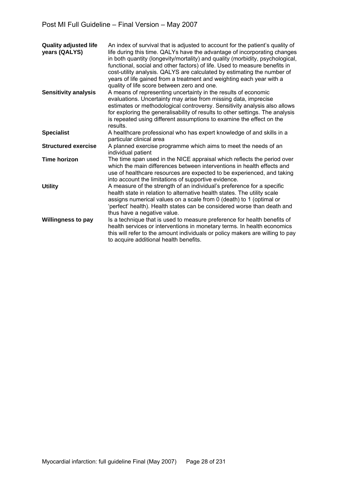| <b>Quality adjusted life</b><br>years (QALYS) | An index of survival that is adjusted to account for the patient's quality of<br>life during this time. QALYs have the advantage of incorporating changes<br>in both quantity (longevity/mortality) and quality (morbidity, psychological,<br>functional, social and other factors) of life. Used to measure benefits in<br>cost-utility analysis. QALYS are calculated by estimating the number of<br>years of life gained from a treatment and weighting each year with a<br>quality of life score between zero and one. |
|-----------------------------------------------|----------------------------------------------------------------------------------------------------------------------------------------------------------------------------------------------------------------------------------------------------------------------------------------------------------------------------------------------------------------------------------------------------------------------------------------------------------------------------------------------------------------------------|
| <b>Sensitivity analysis</b>                   | A means of representing uncertainty in the results of economic<br>evaluations. Uncertainty may arise from missing data, imprecise<br>estimates or methodological controversy. Sensitivity analysis also allows<br>for exploring the generalisability of results to other settings. The analysis<br>is repeated using different assumptions to examine the effect on the<br>results.                                                                                                                                        |
| <b>Specialist</b>                             | A healthcare professional who has expert knowledge of and skills in a<br>particular clinical area                                                                                                                                                                                                                                                                                                                                                                                                                          |
| <b>Structured exercise</b>                    | A planned exercise programme which aims to meet the needs of an<br>individual patient                                                                                                                                                                                                                                                                                                                                                                                                                                      |
| <b>Time horizon</b>                           | The time span used in the NICE appraisal which reflects the period over<br>which the main differences between interventions in health effects and<br>use of healthcare resources are expected to be experienced, and taking<br>into account the limitations of supportive evidence.                                                                                                                                                                                                                                        |
| <b>Utility</b>                                | A measure of the strength of an individual's preference for a specific<br>health state in relation to alternative health states. The utility scale<br>assigns numerical values on a scale from 0 (death) to 1 (optimal or<br>'perfect' health). Health states can be considered worse than death and<br>thus have a negative value.                                                                                                                                                                                        |
| <b>Willingness to pay</b>                     | Is a technique that is used to measure preference for health benefits of<br>health services or interventions in monetary terms. In health economics<br>this will refer to the amount individuals or policy makers are willing to pay<br>to acquire additional health benefits.                                                                                                                                                                                                                                             |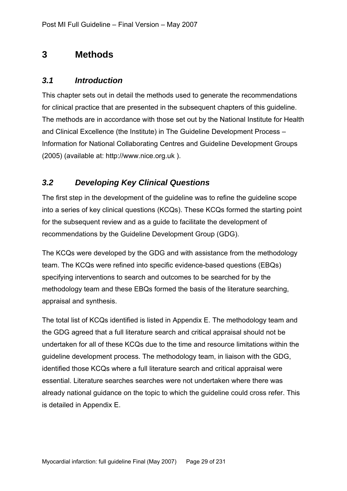## <span id="page-28-0"></span>**3 Methods**

#### *3.1 Introduction*

This chapter sets out in detail the methods used to generate the recommendations for clinical practice that are presented in the subsequent chapters of this guideline. The methods are in accordance with those set out by the National Institute for Health and Clinical Excellence (the Institute) in The Guideline Development Process – Information for National Collaborating Centres and Guideline Development Groups (2005) (available at: http://www.nice.org.uk ).

#### *3.2 Developing Key Clinical Questions*

The first step in the development of the guideline was to refine the guideline scope into a series of key clinical questions (KCQs). These KCQs formed the starting point for the subsequent review and as a guide to facilitate the development of recommendations by the Guideline Development Group (GDG).

The KCQs were developed by the GDG and with assistance from the methodology team. The KCQs were refined into specific evidence-based questions (EBQs) specifying interventions to search and outcomes to be searched for by the methodology team and these EBQs formed the basis of the literature searching, appraisal and synthesis.

The total list of KCQs identified is listed in Appendix E. The methodology team and the GDG agreed that a full literature search and critical appraisal should not be undertaken for all of these KCQs due to the time and resource limitations within the guideline development process. The methodology team, in liaison with the GDG, identified those KCQs where a full literature search and critical appraisal were essential. Literature searches searches were not undertaken where there was already national guidance on the topic to which the guideline could cross refer. This is detailed in Appendix E.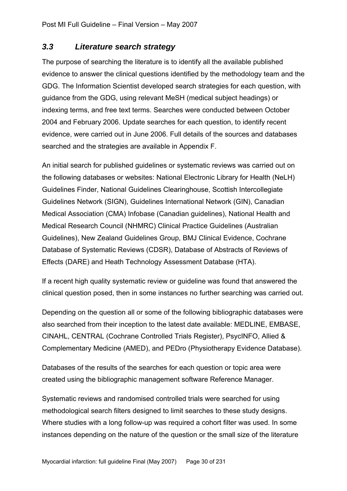#### <span id="page-29-0"></span>*3.3 Literature search strategy*

The purpose of searching the literature is to identify all the available published evidence to answer the clinical questions identified by the methodology team and the GDG. The Information Scientist developed search strategies for each question, with guidance from the GDG, using relevant MeSH (medical subject headings) or indexing terms, and free text terms. Searches were conducted between October 2004 and February 2006. Update searches for each question, to identify recent evidence, were carried out in June 2006. Full details of the sources and databases searched and the strategies are available in Appendix F.

An initial search for published guidelines or systematic reviews was carried out on the following databases or websites: National Electronic Library for Health (NeLH) Guidelines Finder, National Guidelines Clearinghouse, Scottish Intercollegiate Guidelines Network (SIGN), Guidelines International Network (GIN), Canadian Medical Association (CMA) Infobase (Canadian guidelines), National Health and Medical Research Council (NHMRC) Clinical Practice Guidelines (Australian Guidelines), New Zealand Guidelines Group, BMJ Clinical Evidence, Cochrane Database of Systematic Reviews (CDSR), Database of Abstracts of Reviews of Effects (DARE) and Heath Technology Assessment Database (HTA).

If a recent high quality systematic review or guideline was found that answered the clinical question posed, then in some instances no further searching was carried out.

Depending on the question all or some of the following bibliographic databases were also searched from their inception to the latest date available: MEDLINE, EMBASE, CINAHL, CENTRAL (Cochrane Controlled Trials Register), PsycINFO, Allied & Complementary Medicine (AMED), and PEDro (Physiotherapy Evidence Database).

Databases of the results of the searches for each question or topic area were created using the bibliographic management software Reference Manager.

Systematic reviews and randomised controlled trials were searched for using methodological search filters designed to limit searches to these study designs. Where studies with a long follow-up was required a cohort filter was used. In some instances depending on the nature of the question or the small size of the literature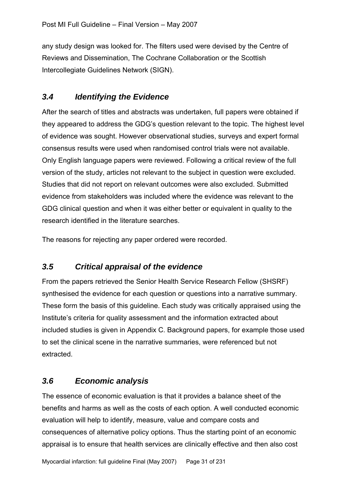<span id="page-30-0"></span>any study design was looked for. The filters used were devised by the Centre of Reviews and Dissemination, The Cochrane Collaboration or the Scottish Intercollegiate Guidelines Network (SIGN).

## *3.4 Identifying the Evidence*

After the search of titles and abstracts was undertaken, full papers were obtained if they appeared to address the GDG's question relevant to the topic. The highest level of evidence was sought. However observational studies, surveys and expert formal consensus results were used when randomised control trials were not available. Only English language papers were reviewed. Following a critical review of the full version of the study, articles not relevant to the subject in question were excluded. Studies that did not report on relevant outcomes were also excluded. Submitted evidence from stakeholders was included where the evidence was relevant to the GDG clinical question and when it was either better or equivalent in quality to the research identified in the literature searches.

The reasons for rejecting any paper ordered were recorded.

## *3.5 Critical appraisal of the evidence*

From the papers retrieved the Senior Health Service Research Fellow (SHSRF) synthesised the evidence for each question or questions into a narrative summary. These form the basis of this guideline. Each study was critically appraised using the Institute's criteria for quality assessment and the information extracted about included studies is given in Appendix C. Background papers, for example those used to set the clinical scene in the narrative summaries, were referenced but not extracted.

## *3.6 Economic analysis*

The essence of economic evaluation is that it provides a balance sheet of the benefits and harms as well as the costs of each option. A well conducted economic evaluation will help to identify, measure, value and compare costs and consequences of alternative policy options. Thus the starting point of an economic appraisal is to ensure that health services are clinically effective and then also cost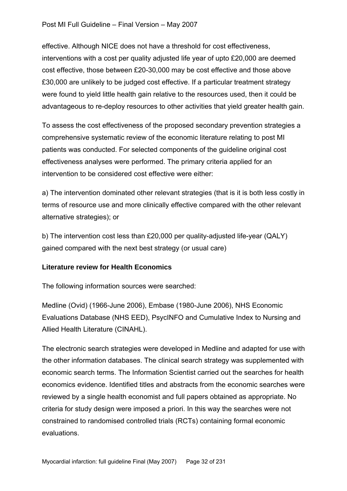effective. Although NICE does not have a threshold for cost effectiveness, interventions with a cost per quality adjusted life year of upto £20,000 are deemed cost effective, those between £20-30,000 may be cost effective and those above £30,000 are unlikely to be judged cost effective. If a particular treatment strategy were found to yield little health gain relative to the resources used, then it could be advantageous to re-deploy resources to other activities that yield greater health gain.

To assess the cost effectiveness of the proposed secondary prevention strategies a comprehensive systematic review of the economic literature relating to post MI patients was conducted. For selected components of the guideline original cost effectiveness analyses were performed. The primary criteria applied for an intervention to be considered cost effective were either:

a) The intervention dominated other relevant strategies (that is it is both less costly in terms of resource use and more clinically effective compared with the other relevant alternative strategies); or

b) The intervention cost less than £20,000 per quality-adjusted life-year (QALY) gained compared with the next best strategy (or usual care)

#### **Literature review for Health Economics**

The following information sources were searched:

Medline (Ovid) (1966-June 2006), Embase (1980-June 2006), NHS Economic Evaluations Database (NHS EED), PsycINFO and Cumulative Index to Nursing and Allied Health Literature (CINAHL).

The electronic search strategies were developed in Medline and adapted for use with the other information databases. The clinical search strategy was supplemented with economic search terms. The Information Scientist carried out the searches for health economics evidence. Identified titles and abstracts from the economic searches were reviewed by a single health economist and full papers obtained as appropriate. No criteria for study design were imposed a priori. In this way the searches were not constrained to randomised controlled trials (RCTs) containing formal economic evaluations.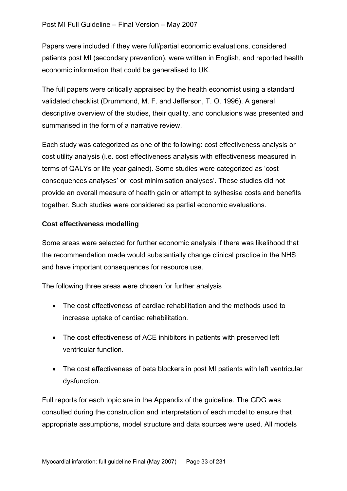Papers were included if they were full/partial economic evaluations, considered patients post MI (secondary prevention), were written in English, and reported health economic information that could be generalised to UK.

The full papers were critically appraised by the health economist using a standard validated checklist (Drummond, M. F. and Jefferson, T. O. 1996). A general descriptive overview of the studies, their quality, and conclusions was presented and summarised in the form of a narrative review.

Each study was categorized as one of the following: cost effectiveness analysis or cost utility analysis (i.e. cost effectiveness analysis with effectiveness measured in terms of QALYs or life year gained). Some studies were categorized as 'cost consequences analyses' or 'cost minimisation analyses'. These studies did not provide an overall measure of health gain or attempt to sythesise costs and benefits together. Such studies were considered as partial economic evaluations.

#### **Cost effectiveness modelling**

Some areas were selected for further economic analysis if there was likelihood that the recommendation made would substantially change clinical practice in the NHS and have important consequences for resource use.

The following three areas were chosen for further analysis

- The cost effectiveness of cardiac rehabilitation and the methods used to increase uptake of cardiac rehabilitation.
- The cost effectiveness of ACE inhibitors in patients with preserved left ventricular function.
- The cost effectiveness of beta blockers in post MI patients with left ventricular dysfunction.

Full reports for each topic are in the Appendix of the guideline. The GDG was consulted during the construction and interpretation of each model to ensure that appropriate assumptions, model structure and data sources were used. All models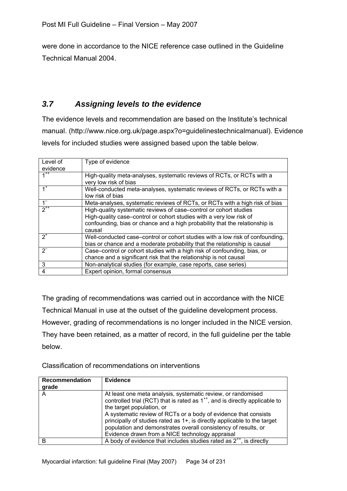<span id="page-33-0"></span>were done in accordance to the NICE reference case outlined in the Guideline Technical Manual 2004.

## *3.7 Assigning levels to the evidence*

The evidence levels and recommendation are based on the Institute's technical manual. (http://www.nice.org.uk/page.aspx?o=guidelinestechnicalmanual). Evidence levels for included studies were assigned based upon the table below.

| Level of<br>evidence | Type of evidence                                                                                                                                                                                                                  |
|----------------------|-----------------------------------------------------------------------------------------------------------------------------------------------------------------------------------------------------------------------------------|
| $1^{++}$             | High-quality meta-analyses, systematic reviews of RCTs, or RCTs with a<br>very low risk of bias                                                                                                                                   |
| $1^+$                | Well-conducted meta-analyses, systematic reviews of RCTs, or RCTs with a<br>low risk of bias                                                                                                                                      |
| $1^{-}$              | Meta-analyses, systematic reviews of RCTs, or RCTs with a high risk of bias                                                                                                                                                       |
| $2^{++}$             | High-quality systematic reviews of case-control or cohort studies<br>High-quality case-control or cohort studies with a very low risk of<br>confounding, bias or chance and a high probability that the relationship is<br>causal |
| $2^+$                | Well-conducted case-control or cohort studies with a low risk of confounding,<br>bias or chance and a moderate probability that the relationship is causal                                                                        |
| $2^{-}$              | Case-control or cohort studies with a high risk of confounding, bias, or<br>chance and a significant risk that the relationship is not causal                                                                                     |
| 3                    | Non-analytical studies (for example, case reports, case series)                                                                                                                                                                   |
| $\overline{4}$       | Expert opinion, formal consensus                                                                                                                                                                                                  |

The grading of recommendations was carried out in accordance with the NICE Technical Manual in use at the outset of the guideline development process. However, grading of recommendations is no longer included in the NICE version. They have been retained, as a matter of record, in the full guideline per the table below.

Classification of recommendations on interventions

| Recommendation<br>grade | <b>Evidence</b>                                                                                                                                                                                                                                                                                                                                                                                                                                          |
|-------------------------|----------------------------------------------------------------------------------------------------------------------------------------------------------------------------------------------------------------------------------------------------------------------------------------------------------------------------------------------------------------------------------------------------------------------------------------------------------|
| A                       | At least one meta analysis, systematic review, or randomised<br>controlled trial (RCT) that is rated as 1 <sup>++</sup> , and is directly applicable to<br>the target population, or<br>A systematic review of RCTs or a body of evidence that consists<br>principally of studies rated as 1+, is directly applicable to the target<br>population and demonstrates overall consistency of results, or<br>Evidence drawn from a NICE technology appraisal |
| B                       | A body of evidence that includes studies rated as $2^{++}$ , is directly                                                                                                                                                                                                                                                                                                                                                                                 |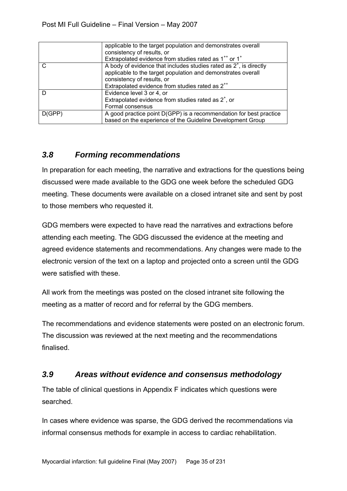<span id="page-34-0"></span>

|        | applicable to the target population and demonstrates overall<br>consistency of results, or                                       |
|--------|----------------------------------------------------------------------------------------------------------------------------------|
|        | Extrapolated evidence from studies rated as 1 <sup>++</sup> or 1 <sup>+</sup>                                                    |
|        | A body of evidence that includes studies rated as $2^+$ , is directly                                                            |
|        | applicable to the target population and demonstrates overall                                                                     |
|        | consistency of results, or                                                                                                       |
|        | Extrapolated evidence from studies rated as 2 <sup>++</sup>                                                                      |
|        | Evidence level 3 or 4, or                                                                                                        |
|        | Extrapolated evidence from studies rated as 2 <sup>+</sup> , or                                                                  |
|        | Formal consensus                                                                                                                 |
| D(GPP) | A good practice point D(GPP) is a recommendation for best practice<br>based on the experience of the Guideline Development Group |

## *3.8 Forming recommendations*

In preparation for each meeting, the narrative and extractions for the questions being discussed were made available to the GDG one week before the scheduled GDG meeting. These documents were available on a closed intranet site and sent by post to those members who requested it.

GDG members were expected to have read the narratives and extractions before attending each meeting. The GDG discussed the evidence at the meeting and agreed evidence statements and recommendations. Any changes were made to the electronic version of the text on a laptop and projected onto a screen until the GDG were satisfied with these.

All work from the meetings was posted on the closed intranet site following the meeting as a matter of record and for referral by the GDG members.

The recommendations and evidence statements were posted on an electronic forum. The discussion was reviewed at the next meeting and the recommendations finalised.

## *3.9 Areas without evidence and consensus methodology*

The table of clinical questions in Appendix F indicates which questions were searched.

In cases where evidence was sparse, the GDG derived the recommendations via informal consensus methods for example in access to cardiac rehabilitation.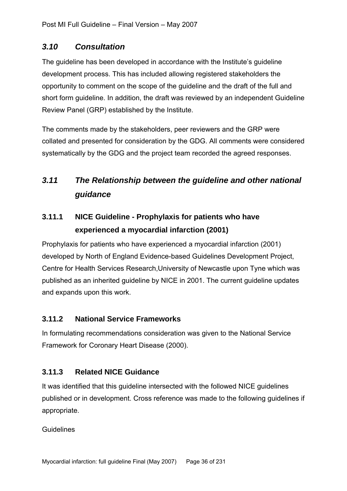## <span id="page-35-0"></span>*3.10 Consultation*

The guideline has been developed in accordance with the Institute's guideline development process. This has included allowing registered stakeholders the opportunity to comment on the scope of the guideline and the draft of the full and short form guideline. In addition, the draft was reviewed by an independent Guideline Review Panel (GRP) established by the Institute.

The comments made by the stakeholders, peer reviewers and the GRP were collated and presented for consideration by the GDG. All comments were considered systematically by the GDG and the project team recorded the agreed responses.

## *3.11 The Relationship between the guideline and other national guidance*

## **3.11.1 NICE Guideline - Prophylaxis for patients who have experienced a myocardial infarction (2001)**

Prophylaxis for patients who have experienced a myocardial infarction (2001) developed by North of England Evidence-based Guidelines Development Project, Centre for Health Services Research,University of Newcastle upon Tyne which was published as an inherited guideline by NICE in 2001. The current guideline updates and expands upon this work.

## **3.11.2 National Service Frameworks**

In formulating recommendations consideration was given to the National Service Framework for Coronary Heart Disease (2000).

#### **3.11.3 Related NICE Guidance**

It was identified that this guideline intersected with the followed NICE guidelines published or in development. Cross reference was made to the following guidelines if appropriate.

**Guidelines**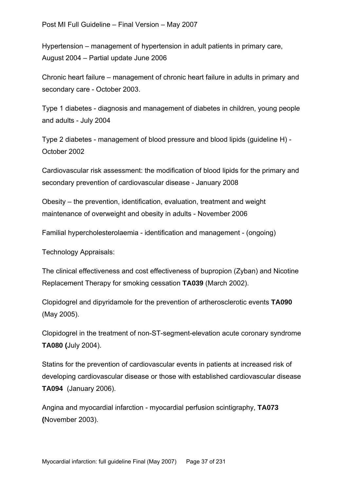Hypertension – management of hypertension in adult patients in primary care, August 2004 – Partial update June 2006

Chronic heart failure – management of chronic heart failure in adults in primary and secondary care - October 2003.

Type 1 diabetes - diagnosis and management of diabetes in children, young people and adults - July 2004

Type 2 diabetes - management of blood pressure and blood lipids (guideline H) - October 2002

Cardiovascular risk assessment: the modification of blood lipids for the primary and secondary prevention of cardiovascular disease - January 2008

Obesity – the prevention, identification, evaluation, treatment and weight maintenance of overweight and obesity in adults - November 2006

Familial hypercholesterolaemia - identification and management - (ongoing)

Technology Appraisals:

The clinical effectiveness and cost effectiveness of bupropion (Zyban) and Nicotine Replacement Therapy for smoking cessation **TA039** (March 2002).

Clopidogrel and dipyridamole for the prevention of artherosclerotic events **TA090**  (May 2005).

Clopidogrel in the treatment of non-ST-segment-elevation acute coronary syndrome **TA080 (**July 2004).

Statins for the prevention of cardiovascular events in patients at increased risk of developing cardiovascular disease or those with established cardiovascular disease **TA094** (January 2006).

Angina and myocardial infarction - myocardial perfusion scintigraphy, **TA073 (**November 2003).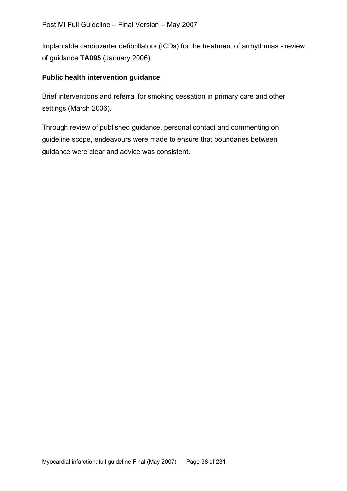Implantable cardioverter defibrillators (ICDs) for the treatment of arrhythmias - review of guidance **TA095** (January 2006).

### **Public health intervention guidance**

Brief interventions and referral for smoking cessation in primary care and other settings (March 2006).

Through review of published guidance, personal contact and commenting on guideline scope, endeavours were made to ensure that boundaries between guidance were clear and advice was consistent.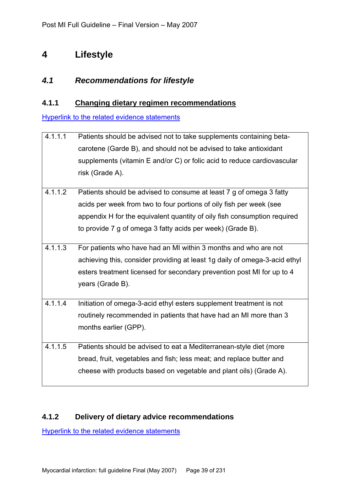# <span id="page-38-0"></span>**4 Lifestyle**

## *4.1 Recommendations for lifestyle*

## **4.1.1 Changing dietary regimen recommendations**

[Hyperlink to the related evidence statements](#page-41-0)

| 4.1.1.1 | Patients should be advised not to take supplements containing beta-        |
|---------|----------------------------------------------------------------------------|
|         | carotene (Garde B), and should not be advised to take antioxidant          |
|         | supplements (vitamin E and/or C) or folic acid to reduce cardiovascular    |
|         | risk (Grade A).                                                            |
|         |                                                                            |
| 4.1.1.2 | Patients should be advised to consume at least 7 g of omega 3 fatty        |
|         | acids per week from two to four portions of oily fish per week (see        |
|         | appendix H for the equivalent quantity of oily fish consumption required   |
|         | to provide 7 g of omega 3 fatty acids per week) (Grade B).                 |
|         |                                                                            |
| 4.1.1.3 | For patients who have had an MI within 3 months and who are not            |
|         | achieving this, consider providing at least 1g daily of omega-3-acid ethyl |
|         | esters treatment licensed for secondary prevention post MI for up to 4     |
|         | years (Grade B).                                                           |
|         |                                                                            |
| 4.1.1.4 | Initiation of omega-3-acid ethyl esters supplement treatment is not        |
|         | routinely recommended in patients that have had an MI more than 3          |
|         | months earlier (GPP).                                                      |
|         |                                                                            |
| 4.1.1.5 | Patients should be advised to eat a Mediterranean-style diet (more         |
|         | bread, fruit, vegetables and fish; less meat; and replace butter and       |
|         | cheese with products based on vegetable and plant oils) (Grade A).         |
|         |                                                                            |

# **4.1.2 Delivery of dietary advice recommendations**

[Hyperlink to the related evidence statements](#page-54-0)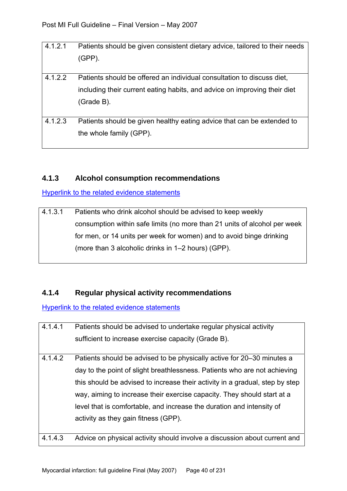- <span id="page-39-0"></span>4.1.2.1 Patients should be given consistent dietary advice, tailored to their needs (GPP).
- 4.1.2.2 Patients should be offered an individual consultation to discuss diet, including their current eating habits, and advice on improving their diet (Grade B).
- 4.1.2.3 Patients should be given healthy eating advice that can be extended to the whole family (GPP).

## **4.1.3 Alcohol consumption recommendations**

[Hyperlink to the related evidence statements](#page-56-0)

4.1.3.1 Patients who drink alcohol should be advised to keep weekly consumption within safe limits (no more than 21 units of alcohol per week for men, or 14 units per week for women) and to avoid binge drinking (more than 3 alcoholic drinks in 1–2 hours) (GPP).

### **4.1.4 Regular physical activity recommendations**

[Hyperlink to the related evidence statements](#page-61-0)

| 4.1.4.1                                 | Patients should be advised to undertake regular physical activity                                              |
|-----------------------------------------|----------------------------------------------------------------------------------------------------------------|
|                                         | sufficient to increase exercise capacity (Grade B).                                                            |
|                                         |                                                                                                                |
| 4.1.4.2                                 | Patients should be advised to be physically active for 20–30 minutes a                                         |
|                                         | day to the point of slight breathlessness. Patients who are not achieving                                      |
|                                         | this should be advised to increase their activity in a gradual, step by step                                   |
|                                         | way, aiming to increase their exercise capacity. They should start at a                                        |
|                                         | level that is comfortable, and increase the duration and intensity of                                          |
|                                         | activity as they gain fitness (GPP).                                                                           |
|                                         |                                                                                                                |
| $\lambda$ $\lambda$ $\lambda$ $\lambda$ | والمستور المتحسنين والمنتج والمستحقق والمتحال والتحاري والمتحول والمنازل والمتحال والمتحاسب والمستحدث والمتاري |

4.1.4.3 Advice on physical activity should involve a discussion about current and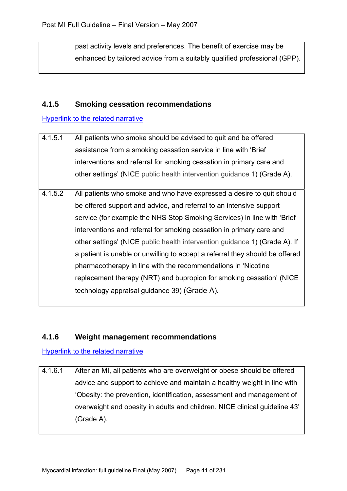<span id="page-40-0"></span>past activity levels and preferences. The benefit of exercise may be enhanced by tailored advice from a suitably qualified professional (GPP).

#### **4.1.5 Smoking cessation recommendations**

#### [Hyperlink to the related narrative](#page-66-0)

| 4.1.5.1 | All patients who smoke should be advised to quit and be offered              |
|---------|------------------------------------------------------------------------------|
|         | assistance from a smoking cessation service in line with 'Brief'             |
|         | interventions and referral for smoking cessation in primary care and         |
|         | other settings' (NICE public health intervention guidance 1) (Grade A).      |
|         |                                                                              |
| 4.1.5.2 | All patients who smoke and who have expressed a desire to quit should        |
|         | be offered support and advice, and referral to an intensive support          |
|         | service (for example the NHS Stop Smoking Services) in line with 'Brief      |
|         | interventions and referral for smoking cessation in primary care and         |
|         | other settings' (NICE public health intervention guidance 1) (Grade A). If   |
|         | a patient is unable or unwilling to accept a referral they should be offered |
|         | pharmacotherapy in line with the recommendations in 'Nicotine                |
|         | replacement therapy (NRT) and bupropion for smoking cessation' (NICE         |
|         | technology appraisal guidance 39) (Grade A).                                 |
|         |                                                                              |

## **4.1.6 Weight management recommendations**

#### [Hyperlink to the related narrative](#page-67-0)

4.1.6.1 After an MI, all patients who are overweight or obese should be offered advice and support to achieve and maintain a healthy weight in line with 'Obesity: the prevention, identification, assessment and management of overweight and obesity in adults and children. NICE clinical guideline 43' (Grade A).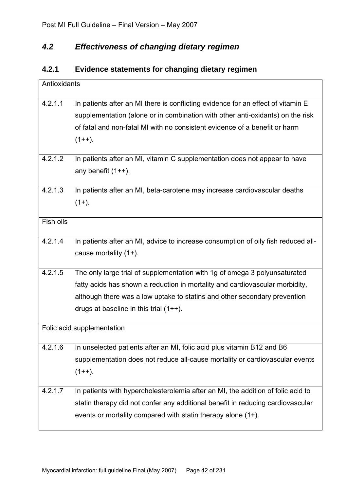# <span id="page-41-0"></span>*4.2 Effectiveness of changing dietary regimen*

# **4.2.1 Evidence statements for changing dietary regimen**

| Antioxidants |                                                                                                                                                                                                                                                                                      |
|--------------|--------------------------------------------------------------------------------------------------------------------------------------------------------------------------------------------------------------------------------------------------------------------------------------|
| 4.2.1.1      | In patients after an MI there is conflicting evidence for an effect of vitamin E<br>supplementation (alone or in combination with other anti-oxidants) on the risk<br>of fatal and non-fatal MI with no consistent evidence of a benefit or harm<br>$(1++)$ .                        |
| 4.2.1.2      | In patients after an MI, vitamin C supplementation does not appear to have<br>any benefit $(1++)$ .                                                                                                                                                                                  |
| 4.2.1.3      | In patients after an MI, beta-carotene may increase cardiovascular deaths<br>$(1+)$ .                                                                                                                                                                                                |
| Fish oils    |                                                                                                                                                                                                                                                                                      |
| 4.2.1.4      | In patients after an MI, advice to increase consumption of oily fish reduced all-<br>cause mortality $(1+)$ .                                                                                                                                                                        |
| 4.2.1.5      | The only large trial of supplementation with 1g of omega 3 polyunsaturated<br>fatty acids has shown a reduction in mortality and cardiovascular morbidity,<br>although there was a low uptake to statins and other secondary prevention<br>drugs at baseline in this trial $(1++)$ . |
|              | Folic acid supplementation                                                                                                                                                                                                                                                           |
| 4.2.1.6      | In unselected patients after an MI, folic acid plus vitamin B12 and B6<br>supplementation does not reduce all-cause mortality or cardiovascular events<br>$(1++)$ .                                                                                                                  |
| 4.2.1.7      | In patients with hypercholesterolemia after an MI, the addition of folic acid to<br>statin therapy did not confer any additional benefit in reducing cardiovascular<br>events or mortality compared with statin therapy alone (1+).                                                  |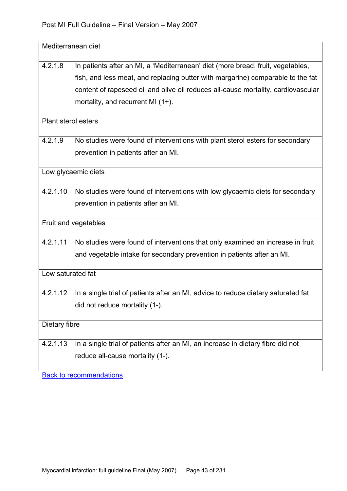[Mediterranean diet](#page-51-0)

4.2.1.8 In patients after an MI, a 'Mediterranean' diet (more bread, fruit, vegetables, fish, and less meat, and replacing butter with margarine) comparable to the fat content of rapeseed oil and olive oil reduces all-cause mortality, cardiovascular mortality, and recurrent MI (1+).

## [Plant sterol esters](#page-52-0)

4.2.1.9 No studies were found of interventions with plant sterol esters for secondary prevention in patients after an MI.

[Low glycaemic diets](#page-52-0)

4.2.1.10 No studies were found of interventions with low glycaemic diets for secondary prevention in patients after an MI.

[Fruit and vegetables](#page-52-0)

4.2.1.11 No studies were found of interventions that only examined an increase in fruit and vegetable intake for secondary prevention in patients after an MI.

#### [Low saturated fat](#page-52-0)

4.2.1.12 In a single trial of patients after an MI, advice to reduce dietary saturated fat did not reduce mortality (1-).

## [Dietary fibre](#page-53-0)

4.2.1.13 In a single trial of patients after an MI, an increase in dietary fibre did not reduce all-cause mortality (1-).

[Back to recommendations](#page-38-0)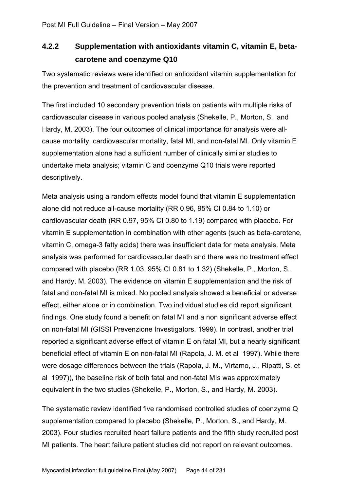# <span id="page-43-0"></span>**4.2.2 Supplementation with antioxidants vitamin C, vitamin E, betacarotene and coenzyme Q10**

Two systematic reviews were identified on antioxidant vitamin supplementation for the prevention and treatment of cardiovascular disease.

The first included 10 secondary prevention trials on patients with multiple risks of cardiovascular disease in various pooled analysis (Shekelle, P., Morton, S., and Hardy, M. 2003). The four outcomes of clinical importance for analysis were allcause mortality, cardiovascular mortality, fatal MI, and non-fatal MI. Only vitamin E supplementation alone had a sufficient number of clinically similar studies to undertake meta analysis; vitamin C and coenzyme Q10 trials were reported descriptively.

Meta analysis using a random effects model found that vitamin E supplementation alone did not reduce all-cause mortality (RR 0.96, 95% CI 0.84 to 1.10) or cardiovascular death (RR 0.97, 95% CI 0.80 to 1.19) compared with placebo. For vitamin E supplementation in combination with other agents (such as beta-carotene, vitamin C, omega-3 fatty acids) there was insufficient data for meta analysis. Meta analysis was performed for cardiovascular death and there was no treatment effect compared with placebo (RR 1.03, 95% CI 0.81 to 1.32) (Shekelle, P., Morton, S., and Hardy, M. 2003). The evidence on vitamin E supplementation and the risk of fatal and non-fatal MI is mixed. No pooled analysis showed a beneficial or adverse effect, either alone or in combination. Two individual studies did report significant findings. One study found a benefit on fatal MI and a non significant adverse effect on non-fatal MI (GISSI Prevenzione Investigators. 1999). In contrast, another trial reported a significant adverse effect of vitamin E on fatal MI, but a nearly significant beneficial effect of vitamin E on non-fatal MI (Rapola, J. M. et al 1997). While there were dosage differences between the trials (Rapola, J. M., Virtamo, J., Ripatti, S. et al 1997)), the baseline risk of both fatal and non-fatal MIs was approximately equivalent in the two studies (Shekelle, P., Morton, S., and Hardy, M. 2003).

The systematic review identified five randomised controlled studies of coenzyme Q supplementation compared to placebo (Shekelle, P., Morton, S., and Hardy, M. 2003). Four studies recruited heart failure patients and the fifth study recruited post MI patients. The heart failure patient studies did not report on relevant outcomes.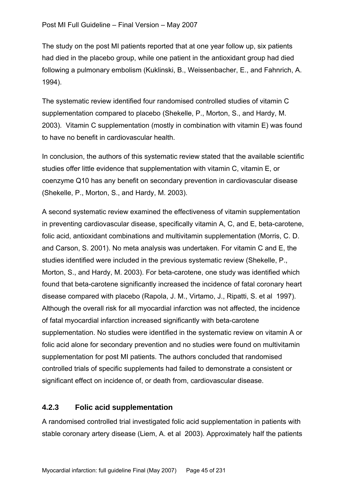<span id="page-44-0"></span>The study on the post MI patients reported that at one year follow up, six patients had died in the placebo group, while one patient in the antioxidant group had died following a pulmonary embolism (Kuklinski, B., Weissenbacher, E., and Fahnrich, A. 1994).

The systematic review identified four randomised controlled studies of vitamin C supplementation compared to placebo (Shekelle, P., Morton, S., and Hardy, M. 2003). Vitamin C supplementation (mostly in combination with vitamin E) was found to have no benefit in cardiovascular health.

In conclusion, the authors of this systematic review stated that the available scientific studies offer little evidence that supplementation with vitamin C, vitamin E, or coenzyme Q10 has any benefit on secondary prevention in cardiovascular disease (Shekelle, P., Morton, S., and Hardy, M. 2003).

A second systematic review examined the effectiveness of vitamin supplementation in preventing cardiovascular disease, specifically vitamin A, C, and E, beta-carotene, folic acid, antioxidant combinations and multivitamin supplementation (Morris, C. D. and Carson, S. 2001). No meta analysis was undertaken. For vitamin C and E, the studies identified were included in the previous systematic review (Shekelle, P., Morton, S., and Hardy, M. 2003). For beta-carotene, one study was identified which found that beta-carotene significantly increased the incidence of fatal coronary heart disease compared with placebo (Rapola, J. M., Virtamo, J., Ripatti, S. et al 1997). Although the overall risk for all myocardial infarction was not affected, the incidence of fatal myocardial infarction increased significantly with beta-carotene supplementation. No studies were identified in the systematic review on vitamin A or folic acid alone for secondary prevention and no studies were found on multivitamin supplementation for post MI patients. The authors concluded that randomised controlled trials of specific supplements had failed to demonstrate a consistent or significant effect on incidence of, or death from, cardiovascular disease.

#### **4.2.3 Folic acid supplementation**

A randomised controlled trial investigated folic acid supplementation in patients with stable coronary artery disease (Liem, A. et al 2003). Approximately half the patients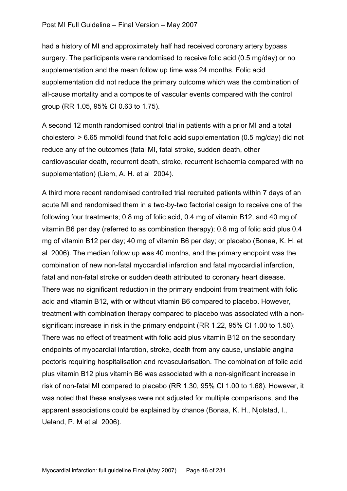had a history of MI and approximately half had received coronary artery bypass surgery. The participants were randomised to receive folic acid (0.5 mg/day) or no supplementation and the mean follow up time was 24 months. Folic acid supplementation did not reduce the primary outcome which was the combination of all-cause mortality and a composite of vascular events compared with the control group (RR 1.05, 95% CI 0.63 to 1.75).

A second 12 month randomised control trial in patients with a prior MI and a total cholesterol > 6.65 mmol/dl found that folic acid supplementation (0.5 mg/day) did not reduce any of the outcomes (fatal MI, fatal stroke, sudden death, other cardiovascular death, recurrent death, stroke, recurrent ischaemia compared with no supplementation) (Liem, A. H. et al 2004).

A third more recent randomised controlled trial recruited patients within 7 days of an acute MI and randomised them in a two-by-two factorial design to receive one of the following four treatments; 0.8 mg of folic acid, 0.4 mg of vitamin B12, and 40 mg of vitamin B6 per day (referred to as combination therapy); 0.8 mg of folic acid plus 0.4 mg of vitamin B12 per day; 40 mg of vitamin B6 per day; or placebo (Bonaa, K. H. et al 2006). The median follow up was 40 months, and the primary endpoint was the combination of new non-fatal myocardial infarction and fatal myocardial infarction, fatal and non-fatal stroke or sudden death attributed to coronary heart disease. There was no significant reduction in the primary endpoint from treatment with folic acid and vitamin B12, with or without vitamin B6 compared to placebo. However, treatment with combination therapy compared to placebo was associated with a nonsignificant increase in risk in the primary endpoint (RR 1.22, 95% CI 1.00 to 1.50). There was no effect of treatment with folic acid plus vitamin B12 on the secondary endpoints of myocardial infarction, stroke, death from any cause, unstable angina pectoris requiring hospitalisation and revascularisation. The combination of folic acid plus vitamin B12 plus vitamin B6 was associated with a non-significant increase in risk of non-fatal MI compared to placebo (RR 1.30, 95% CI 1.00 to 1.68). However, it was noted that these analyses were not adjusted for multiple comparisons, and the apparent associations could be explained by chance (Bonaa, K. H., Njolstad, I., Ueland, P. M et al 2006).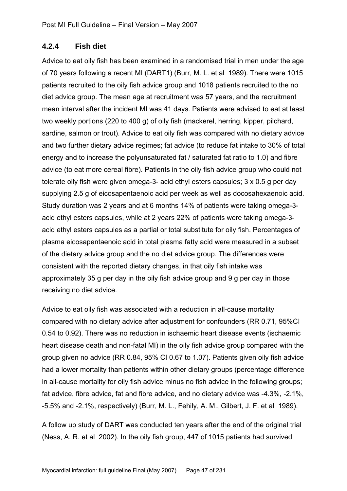#### <span id="page-46-0"></span>**4.2.4 Fish diet**

Advice to eat oily fish has been examined in a randomised trial in men under the age of 70 years following a recent MI (DART1) (Burr, M. L. et al 1989). There were 1015 patients recruited to the oily fish advice group and 1018 patients recruited to the no diet advice group. The mean age at recruitment was 57 years, and the recruitment mean interval after the incident MI was 41 days. Patients were advised to eat at least two weekly portions (220 to 400 g) of oily fish (mackerel, herring, kipper, pilchard, sardine, salmon or trout). Advice to eat oily fish was compared with no dietary advice and two further dietary advice regimes; fat advice (to reduce fat intake to 30% of total energy and to increase the polyunsaturated fat / saturated fat ratio to 1.0) and fibre advice (to eat more cereal fibre). Patients in the oily fish advice group who could not tolerate oily fish were given omega-3- acid ethyl esters capsules; 3 x 0.5 g per day supplying 2.5 g of eicosapentaenoic acid per week as well as docosahexaenoic acid. Study duration was 2 years and at 6 months 14% of patients were taking omega-3 acid ethyl esters capsules, while at 2 years 22% of patients were taking omega-3 acid ethyl esters capsules as a partial or total substitute for oily fish. Percentages of plasma eicosapentaenoic acid in total plasma fatty acid were measured in a subset of the dietary advice group and the no diet advice group. The differences were consistent with the reported dietary changes, in that oily fish intake was approximately 35 g per day in the oily fish advice group and 9 g per day in those receiving no diet advice.

Advice to eat oily fish was associated with a reduction in all-cause mortality compared with no dietary advice after adjustment for confounders (RR 0.71, 95%CI 0.54 to 0.92). There was no reduction in ischaemic heart disease events (ischaemic heart disease death and non-fatal MI) in the oily fish advice group compared with the group given no advice (RR 0.84, 95% CI 0.67 to 1.07). Patients given oily fish advice had a lower mortality than patients within other dietary groups (percentage difference in all-cause mortality for oily fish advice minus no fish advice in the following groups; fat advice, fibre advice, fat and fibre advice, and no dietary advice was -4.3%, -2.1%, -5.5% and -2.1%, respectively) (Burr, M. L., Fehily, A. M., Gilbert, J. F. et al 1989).

A follow up study of DART was conducted ten years after the end of the original trial (Ness, A. R. et al 2002). In the oily fish group, 447 of 1015 patients had survived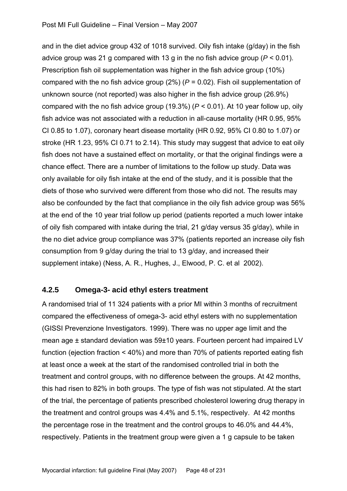and in the diet advice group 432 of 1018 survived. Oily fish intake (g/day) in the fish advice group was 21 g compared with 13 g in the no fish advice group (*P* < 0.01). Prescription fish oil supplementation was higher in the fish advice group (10%) compared with the no fish advice group (2%) (*P* = 0.02). Fish oil supplementation of unknown source (not reported) was also higher in the fish advice group (26.9%) compared with the no fish advice group (19.3%) (*P* < 0.01). At 10 year follow up, oily fish advice was not associated with a reduction in all-cause mortality (HR 0.95, 95% CI 0.85 to 1.07), coronary heart disease mortality (HR 0.92, 95% CI 0.80 to 1.07) or stroke (HR 1.23, 95% CI 0.71 to 2.14). This study may suggest that advice to eat oily fish does not have a sustained effect on mortality, or that the original findings were a chance effect. There are a number of limitations to the follow up study. Data was only available for oily fish intake at the end of the study, and it is possible that the diets of those who survived were different from those who did not. The results may also be confounded by the fact that compliance in the oily fish advice group was 56% at the end of the 10 year trial follow up period (patients reported a much lower intake of oily fish compared with intake during the trial, 21 g/day versus 35 g/day), while in the no diet advice group compliance was 37% (patients reported an increase oily fish consumption from 9 g/day during the trial to 13 g/day, and increased their supplement intake) (Ness, A. R., Hughes, J., Elwood, P. C. et al 2002).

## **4.2.5 Omega-3- acid ethyl esters treatment**

A randomised trial of 11 324 patients with a prior MI within 3 months of recruitment compared the effectiveness of omega-3- acid ethyl esters with no supplementation (GISSI Prevenzione Investigators. 1999). There was no upper age limit and the mean age ± standard deviation was 59±10 years. Fourteen percent had impaired LV function (ejection fraction < 40%) and more than 70% of patients reported eating fish at least once a week at the start of the randomised controlled trial in both the treatment and control groups, with no difference between the groups. At 42 months, this had risen to 82% in both groups. The type of fish was not stipulated. At the start of the trial, the percentage of patients prescribed cholesterol lowering drug therapy in the treatment and control groups was 4.4% and 5.1%, respectively. At 42 months the percentage rose in the treatment and the control groups to 46.0% and 44.4%, respectively. Patients in the treatment group were given a 1 g capsule to be taken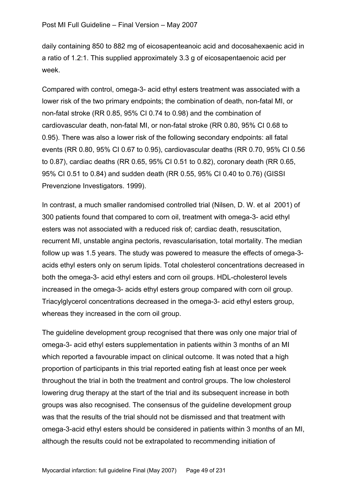daily containing 850 to 882 mg of eicosapenteanoic acid and docosahexaenic acid in a ratio of 1.2:1. This supplied approximately 3.3 g of eicosapentaenoic acid per week.

Compared with control, omega-3- acid ethyl esters treatment was associated with a lower risk of the two primary endpoints; the combination of death, non-fatal MI, or non-fatal stroke (RR 0.85, 95% CI 0.74 to 0.98) and the combination of cardiovascular death, non-fatal MI, or non-fatal stroke (RR 0.80, 95% CI 0.68 to 0.95). There was also a lower risk of the following secondary endpoints: all fatal events (RR 0.80, 95% CI 0.67 to 0.95), cardiovascular deaths (RR 0.70, 95% CI 0.56 to 0.87), cardiac deaths (RR 0.65, 95% CI 0.51 to 0.82), coronary death (RR 0.65, 95% CI 0.51 to 0.84) and sudden death (RR 0.55, 95% CI 0.40 to 0.76) (GISSI Prevenzione Investigators. 1999).

In contrast, a much smaller randomised controlled trial (Nilsen, D. W. et al 2001) of 300 patients found that compared to corn oil, treatment with omega-3- acid ethyl esters was not associated with a reduced risk of; cardiac death, resuscitation, recurrent MI, unstable angina pectoris, revascularisation, total mortality. The median follow up was 1.5 years. The study was powered to measure the effects of omega-3 acids ethyl esters only on serum lipids. Total cholesterol concentrations decreased in both the omega-3- acid ethyl esters and corn oil groups. HDL-cholesterol levels increased in the omega-3- acids ethyl esters group compared with corn oil group. Triacylglycerol concentrations decreased in the omega-3- acid ethyl esters group, whereas they increased in the corn oil group.

The guideline development group recognised that there was only one major trial of omega-3- acid ethyl esters supplementation in patients within 3 months of an MI which reported a favourable impact on clinical outcome. It was noted that a high proportion of participants in this trial reported eating fish at least once per week throughout the trial in both the treatment and control groups. The low cholesterol lowering drug therapy at the start of the trial and its subsequent increase in both groups was also recognised. The consensus of the guideline development group was that the results of the trial should not be dismissed and that treatment with omega-3-acid ethyl esters should be considered in patients within 3 months of an MI, although the results could not be extrapolated to recommending initiation of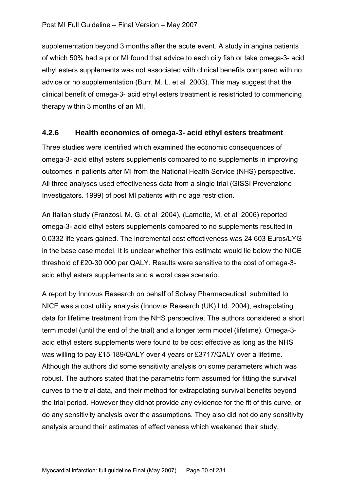supplementation beyond 3 months after the acute event. A study in angina patients of which 50% had a prior MI found that advice to each oily fish or take omega-3- acid ethyl esters supplements was not associated with clinical benefits compared with no advice or no supplementation (Burr, M. L. et al 2003). This may suggest that the clinical benefit of omega-3- acid ethyl esters treatment is resistricted to commencing therapy within 3 months of an MI.

#### **4.2.6 Health economics of omega-3- acid ethyl esters treatment**

Three studies were identified which examined the economic consequences of omega-3- acid ethyl esters supplements compared to no supplements in improving outcomes in patients after MI from the National Health Service (NHS) perspective. All three analyses used effectiveness data from a single trial (GISSI Prevenzione Investigators. 1999) of post MI patients with no age restriction.

An Italian study (Franzosi, M. G. et al 2004), (Lamotte, M. et al 2006) reported omega-3- acid ethyl esters supplements compared to no supplements resulted in 0.0332 life years gained. The incremental cost effectiveness was 24 603 Euros/LYG in the base case model. It is unclear whether this estimate would lie below the NICE threshold of £20-30 000 per QALY. Results were sensitive to the cost of omega-3 acid ethyl esters supplements and a worst case scenario.

A report by Innovus Research on behalf of Solvay Pharmaceutical submitted to NICE was a cost utility analysis (Innovus Research (UK) Ltd. 2004), extrapolating data for lifetime treatment from the NHS perspective. The authors considered a short term model (until the end of the trial) and a longer term model (lifetime). Omega-3 acid ethyl esters supplements were found to be cost effective as long as the NHS was willing to pay £15 189/QALY over 4 years or £3717/QALY over a lifetime. Although the authors did some sensitivity analysis on some parameters which was robust. The authors stated that the parametric form assumed for fitting the survival curves to the trial data, and their method for extrapolating survival benefits beyond the trial period. However they didnot provide any evidence for the fit of this curve, or do any sensitivity analysis over the assumptions. They also did not do any sensitivity analysis around their estimates of effectiveness which weakened their study.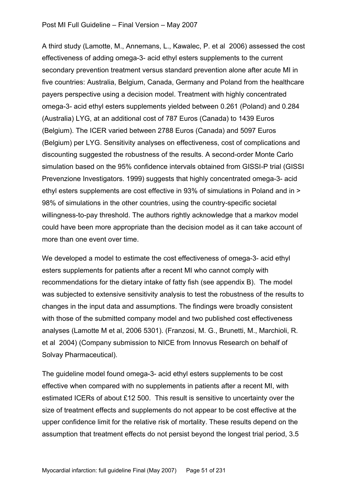A third study (Lamotte, M., Annemans, L., Kawalec, P. et al 2006) assessed the cost effectiveness of adding omega-3- acid ethyl esters supplements to the current secondary prevention treatment versus standard prevention alone after acute MI in five countries: Australia, Belgium, Canada, Germany and Poland from the healthcare payers perspective using a decision model. Treatment with highly concentrated omega-3- acid ethyl esters supplements yielded between 0.261 (Poland) and 0.284 (Australia) LYG, at an additional cost of 787 Euros (Canada) to 1439 Euros (Belgium). The ICER varied between 2788 Euros (Canada) and 5097 Euros (Belgium) per LYG. Sensitivity analyses on effectiveness, cost of complications and discounting suggested the robustness of the results. A second-order Monte Carlo simulation based on the 95% confidence intervals obtained from GISSI-P trial (GISSI Prevenzione Investigators. 1999) suggests that highly concentrated omega-3- acid ethyl esters supplements are cost effective in 93% of simulations in Poland and in > 98% of simulations in the other countries, using the country-specific societal willingness-to-pay threshold. The authors rightly acknowledge that a markov model could have been more appropriate than the decision model as it can take account of more than one event over time.

We developed a model to estimate the cost effectiveness of omega-3- acid ethyl esters supplements for patients after a recent MI who cannot comply with recommendations for the dietary intake of fatty fish (see appendix B). The model was subjected to extensive sensitivity analysis to test the robustness of the results to changes in the input data and assumptions. The findings were broadly consistent with those of the submitted company model and two published cost effectiveness analyses (Lamotte M et al, 2006 5301). (Franzosi, M. G., Brunetti, M., Marchioli, R. et al 2004) (Company submission to NICE from Innovus Research on behalf of Solvay Pharmaceutical).

The guideline model found omega-3- acid ethyl esters supplements to be cost effective when compared with no supplements in patients after a recent MI, with estimated ICERs of about £12 500. This result is sensitive to uncertainty over the size of treatment effects and supplements do not appear to be cost effective at the upper confidence limit for the relative risk of mortality. These results depend on the assumption that treatment effects do not persist beyond the longest trial period, 3.5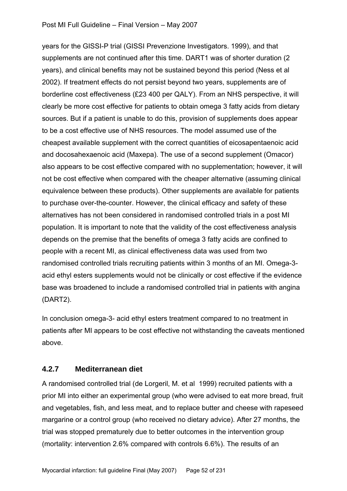<span id="page-51-0"></span>years for the GISSI-P trial (GISSI Prevenzione Investigators. 1999), and that supplements are not continued after this time. DART1 was of shorter duration (2 years), and clinical benefits may not be sustained beyond this period (Ness et al 2002). If treatment effects do not persist beyond two years, supplements are of borderline cost effectiveness (£23 400 per QALY). From an NHS perspective, it will clearly be more cost effective for patients to obtain omega 3 fatty acids from dietary sources. But if a patient is unable to do this, provision of supplements does appear to be a cost effective use of NHS resources. The model assumed use of the cheapest available supplement with the correct quantities of eicosapentaenoic acid and docosahexaenoic acid (Maxepa). The use of a second supplement (Omacor) also appears to be cost effective compared with no supplementation; however, it will not be cost effective when compared with the cheaper alternative (assuming clinical equivalence between these products). Other supplements are available for patients to purchase over-the-counter. However, the clinical efficacy and safety of these alternatives has not been considered in randomised controlled trials in a post MI population. It is important to note that the validity of the cost effectiveness analysis depends on the premise that the benefits of omega 3 fatty acids are confined to people with a recent MI, as clinical effectiveness data was used from two randomised controlled trials recruiting patients within 3 months of an MI. Omega-3 acid ethyl esters supplements would not be clinically or cost effective if the evidence base was broadened to include a randomised controlled trial in patients with angina (DART2).

In conclusion omega-3- acid ethyl esters treatment compared to no treatment in patients after MI appears to be cost effective not withstanding the caveats mentioned above.

## **4.2.7 Mediterranean diet**

A randomised controlled trial (de Lorgeril, M. et al 1999) recruited patients with a prior MI into either an experimental group (who were advised to eat more bread, fruit and vegetables, fish, and less meat, and to replace butter and cheese with rapeseed margarine or a control group (who received no dietary advice). After 27 months, the trial was stopped prematurely due to better outcomes in the intervention group (mortality: intervention 2.6% compared with controls 6.6%). The results of an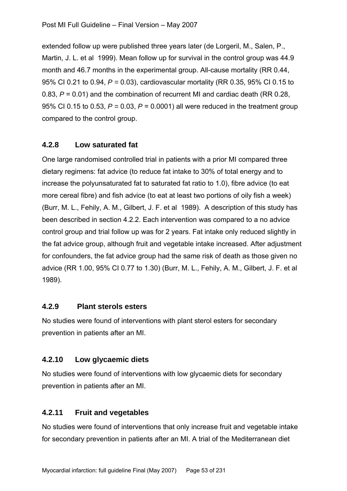<span id="page-52-0"></span>extended follow up were published three years later (de Lorgeril, M., Salen, P., Martin, J. L. et al 1999). Mean follow up for survival in the control group was 44.9 month and 46.7 months in the experimental group. All-cause mortality (RR 0.44, 95% CI 0.21 to 0.94, *P =* 0.03), cardiovascular mortality (RR 0.35, 95% CI 0.15 to 0.83, *P* = 0.01) and the combination of recurrent MI and cardiac death (RR 0.28, 95% CI 0.15 to 0.53,  $P = 0.03$ ,  $P = 0.0001$ ) all were reduced in the treatment group compared to the control group.

## **4.2.8 Low saturated fat**

One large randomised controlled trial in patients with a prior MI compared three dietary regimens: fat advice (to reduce fat intake to 30% of total energy and to increase the polyunsaturated fat to saturated fat ratio to 1.0), fibre advice (to eat more cereal fibre) and fish advice (to eat at least two portions of oily fish a week) (Burr, M. L., Fehily, A. M., Gilbert, J. F. et al 1989). A description of this study has been described in section 4.2.2. Each intervention was compared to a no advice control group and trial follow up was for 2 years. Fat intake only reduced slightly in the fat advice group, although fruit and vegetable intake increased. After adjustment for confounders, the fat advice group had the same risk of death as those given no advice (RR 1.00, 95% CI 0.77 to 1.30) (Burr, M. L., Fehily, A. M., Gilbert, J. F. et al 1989).

#### **4.2.9 Plant sterols esters**

No studies were found of interventions with plant sterol esters for secondary prevention in patients after an MI.

## **4.2.10 Low glycaemic diets**

No studies were found of interventions with low glycaemic diets for secondary prevention in patients after an MI.

## **4.2.11 Fruit and vegetables**

No studies were found of interventions that only increase fruit and vegetable intake for secondary prevention in patients after an MI. A trial of the Mediterranean diet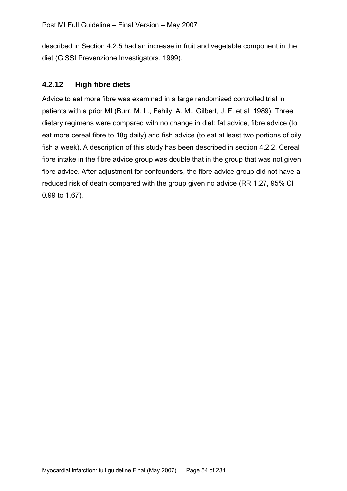<span id="page-53-0"></span>described in Section 4.2.5 had an increase in fruit and vegetable component in the diet (GISSI Prevenzione Investigators. 1999).

## **4.2.12 High fibre diets**

Advice to eat more fibre was examined in a large randomised controlled trial in patients with a prior MI (Burr, M. L., Fehily, A. M., Gilbert, J. F. et al 1989). Three dietary regimens were compared with no change in diet: fat advice, fibre advice (to eat more cereal fibre to 18g daily) and fish advice (to eat at least two portions of oily fish a week). A description of this study has been described in section 4.2.2. Cereal fibre intake in the fibre advice group was double that in the group that was not given fibre advice. After adjustment for confounders, the fibre advice group did not have a reduced risk of death compared with the group given no advice (RR 1.27, 95% CI 0.99 to 1.67).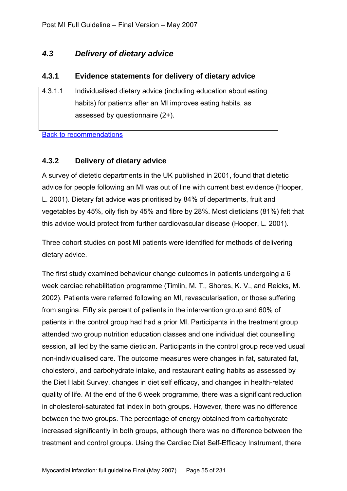## <span id="page-54-0"></span>*4.3 Delivery of dietary advice*

#### **4.3.1 Evidence statements for delivery of dietary advice**

4.3.1.1 Individualised dietary advice (including education about eating habits) for patients after an MI improves eating habits, as assessed by questionnaire (2+).

Back to [recommendations](#page-0-0)

#### **4.3.2 Delivery of dietary advice**

A survey of dietetic departments in the UK published in 2001, found that dietetic advice for people following an MI was out of line with current best evidence (Hooper, L. 2001). Dietary fat advice was prioritised by 84% of departments, fruit and vegetables by 45%, oily fish by 45% and fibre by 28%. Most dieticians (81%) felt that this advice would protect from further cardiovascular disease (Hooper, L. 2001).

Three cohort studies on post MI patients were identified for methods of delivering dietary advice.

The first study examined behaviour change outcomes in patients undergoing a 6 week cardiac rehabilitation programme (Timlin, M. T., Shores, K. V., and Reicks, M. 2002). Patients were referred following an MI, revascularisation, or those suffering from angina. Fifty six percent of patients in the intervention group and 60% of patients in the control group had had a prior MI. Participants in the treatment group attended two group nutrition education classes and one individual diet counselling session, all led by the same dietician. Participants in the control group received usual non-individualised care. The outcome measures were changes in fat, saturated fat, cholesterol, and carbohydrate intake, and restaurant eating habits as assessed by the Diet Habit Survey, changes in diet self efficacy, and changes in health-related quality of life. At the end of the 6 week programme, there was a significant reduction in cholesterol-saturated fat index in both groups. However, there was no difference between the two groups. The percentage of energy obtained from carbohydrate increased significantly in both groups, although there was no difference between the treatment and control groups. Using the Cardiac Diet Self-Efficacy Instrument, there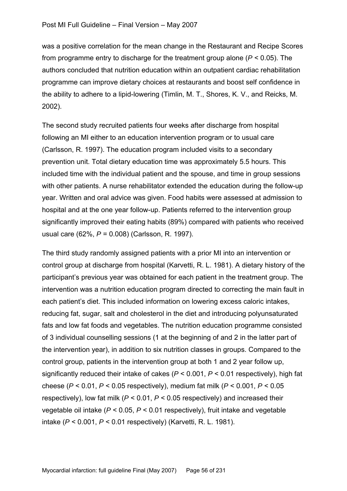was a positive correlation for the mean change in the Restaurant and Recipe Scores from programme entry to discharge for the treatment group alone (*P* < 0.05). The authors concluded that nutrition education within an outpatient cardiac rehabilitation programme can improve dietary choices at restaurants and boost self confidence in the ability to adhere to a lipid-lowering (Timlin, M. T., Shores, K. V., and Reicks, M. 2002).

The second study recruited patients four weeks after discharge from hospital following an MI either to an education intervention program or to usual care (Carlsson, R. 1997). The education program included visits to a secondary prevention unit. Total dietary education time was approximately 5.5 hours. This included time with the individual patient and the spouse, and time in group sessions with other patients. A nurse rehabilitator extended the education during the follow-up year. Written and oral advice was given. Food habits were assessed at admission to hospital and at the one year follow-up. Patients referred to the intervention group significantly improved their eating habits (89%) compared with patients who received usual care (62%, *P* = 0.008) (Carlsson, R. 1997).

The third study randomly assigned patients with a prior MI into an intervention or control group at discharge from hospital (Karvetti, R. L. 1981). A dietary history of the participant's previous year was obtained for each patient in the treatment group. The intervention was a nutrition education program directed to correcting the main fault in each patient's diet. This included information on lowering excess caloric intakes, reducing fat, sugar, salt and cholesterol in the diet and introducing polyunsaturated fats and low fat foods and vegetables. The nutrition education programme consisted of 3 individual counselling sessions (1 at the beginning of and 2 in the latter part of the intervention year), in addition to six nutrition classes in groups. Compared to the control group, patients in the intervention group at both 1 and 2 year follow up, significantly reduced their intake of cakes (*P* < 0.001, *P* < 0.01 respectively), high fat cheese (*P* < 0.01, *P* < 0.05 respectively), medium fat milk (*P* < 0.001, *P* < 0.05 respectively), low fat milk (*P* < 0.01, *P* < 0.05 respectively) and increased their vegetable oil intake (*P* < 0.05, *P* < 0.01 respectively), fruit intake and vegetable intake (*P* < 0.001, *P* < 0.01 respectively) (Karvetti, R. L. 1981).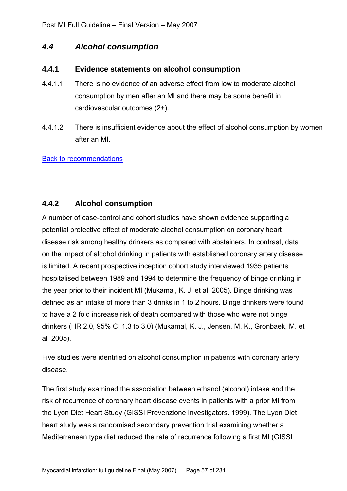## <span id="page-56-0"></span>*4.4 Alcohol consumption*

#### **4.4.1 Evidence statements on alcohol consumption**

- 4.4.1.1 There is no evidence of an adverse effect from low to moderate alcohol consumption by men after an MI and there may be some benefit in cardiovascular outcomes (2+).
- 4.4.1.2 There is insufficient evidence about the effect of alcohol consumption by women after an MI.

[Back to recommendations](#page-39-0)

#### **4.4.2 Alcohol consumption**

A number of case-control and cohort studies have shown evidence supporting a potential protective effect of moderate alcohol consumption on coronary heart disease risk among healthy drinkers as compared with abstainers. In contrast, data on the impact of alcohol drinking in patients with established coronary artery disease is limited. A recent prospective inception cohort study interviewed 1935 patients hospitalised between 1989 and 1994 to determine the frequency of binge drinking in the year prior to their incident MI (Mukamal, K. J. et al 2005). Binge drinking was defined as an intake of more than 3 drinks in 1 to 2 hours. Binge drinkers were found to have a 2 fold increase risk of death compared with those who were not binge drinkers (HR 2.0, 95% CI 1.3 to 3.0) (Mukamal, K. J., Jensen, M. K., Gronbaek, M. et al 2005).

Five studies were identified on alcohol consumption in patients with coronary artery disease.

The first study examined the association between ethanol (alcohol) intake and the risk of recurrence of coronary heart disease events in patients with a prior MI from the Lyon Diet Heart Study (GISSI Prevenzione Investigators. 1999). The Lyon Diet heart study was a randomised secondary prevention trial examining whether a Mediterranean type diet reduced the rate of recurrence following a first MI (GISSI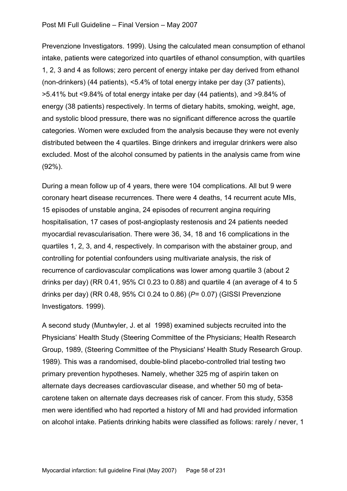Prevenzione Investigators. 1999). Using the calculated mean consumption of ethanol intake, patients were categorized into quartiles of ethanol consumption, with quartiles 1, 2, 3 and 4 as follows; zero percent of energy intake per day derived from ethanol (non-drinkers) (44 patients), <5.4% of total energy intake per day (37 patients), >5.41% but <9.84% of total energy intake per day (44 patients), and >9.84% of energy (38 patients) respectively. In terms of dietary habits, smoking, weight, age, and systolic blood pressure, there was no significant difference across the quartile categories. Women were excluded from the analysis because they were not evenly distributed between the 4 quartiles. Binge drinkers and irregular drinkers were also excluded. Most of the alcohol consumed by patients in the analysis came from wine (92%).

During a mean follow up of 4 years, there were 104 complications. All but 9 were coronary heart disease recurrences. There were 4 deaths, 14 recurrent acute MIs, 15 episodes of unstable angina, 24 episodes of recurrent angina requiring hospitalisation, 17 cases of post-angioplasty restenosis and 24 patients needed myocardial revascularisation. There were 36, 34, 18 and 16 complications in the quartiles 1, 2, 3, and 4, respectively. In comparison with the abstainer group, and controlling for potential confounders using multivariate analysis, the risk of recurrence of cardiovascular complications was lower among quartile 3 (about 2 drinks per day) (RR 0.41, 95% CI 0.23 to 0.88) and quartile 4 (an average of 4 to 5 drinks per day) (RR 0.48, 95% CI 0.24 to 0.86) (*P*= 0.07) (GISSI Prevenzione Investigators. 1999).

A second study (Muntwyler, J. et al 1998) examined subjects recruited into the Physicians' Health Study (Steering Committee of the Physicians; Health Research Group, 1989, (Steering Committee of the Physicians' Health Study Research Group. 1989). This was a randomised, double-blind placebo-controlled trial testing two primary prevention hypotheses. Namely, whether 325 mg of aspirin taken on alternate days decreases cardiovascular disease, and whether 50 mg of betacarotene taken on alternate days decreases risk of cancer. From this study, 5358 men were identified who had reported a history of MI and had provided information on alcohol intake. Patients drinking habits were classified as follows: rarely / never, 1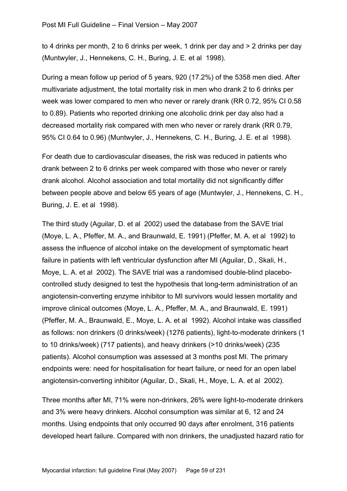to 4 drinks per month, 2 to 6 drinks per week, 1 drink per day and > 2 drinks per day (Muntwyler, J., Hennekens, C. H., Buring, J. E. et al 1998).

During a mean follow up period of 5 years, 920 (17.2%) of the 5358 men died. After multivariate adjustment, the total mortality risk in men who drank 2 to 6 drinks per week was lower compared to men who never or rarely drank (RR 0.72, 95% CI 0.58 to 0.89). Patients who reported drinking one alcoholic drink per day also had a decreased mortality risk compared with men who never or rarely drank (RR 0.79, 95% CI 0.64 to 0.96) (Muntwyler, J., Hennekens, C. H., Buring, J. E. et al 1998).

For death due to cardiovascular diseases, the risk was reduced in patients who drank between 2 to 6 drinks per week compared with those who never or rarely drank alcohol. Alcohol association and total mortality did not significantly differ between people above and below 65 years of age (Muntwyler, J., Hennekens, C. H., Buring, J. E. et al 1998).

The third study (Aguilar, D. et al 2002) used the database from the SAVE trial (Moye, L. A., Pfeffer, M. A., and Braunwald, E. 1991) (Pfeffer, M. A. et al 1992) to assess the influence of alcohol intake on the development of symptomatic heart failure in patients with left ventricular dysfunction after MI (Aguilar, D., Skali, H., Moye, L. A. et al 2002). The SAVE trial was a randomised double-blind placebocontrolled study designed to test the hypothesis that long-term administration of an angiotensin-converting enzyme inhibitor to MI survivors would lessen mortality and improve clinical outcomes (Moye, L. A., Pfeffer, M. A., and Braunwald, E. 1991) (Pfeffer, M. A., Braunwald, E., Moye, L. A. et al 1992). Alcohol intake was classified as follows: non drinkers (0 drinks/week) (1276 patients), light-to-moderate drinkers (1 to 10 drinks/week) (717 patients), and heavy drinkers (>10 drinks/week) (235 patients). Alcohol consumption was assessed at 3 months post MI. The primary endpoints were: need for hospitalisation for heart failure, or need for an open label angiotensin-converting inhibitor (Aguilar, D., Skali, H., Moye, L. A. et al 2002).

Three months after MI, 71% were non-drinkers, 26% were light-to-moderate drinkers and 3% were heavy drinkers. Alcohol consumption was similar at 6, 12 and 24 months. Using endpoints that only occurred 90 days after enrolment, 316 patients developed heart failure. Compared with non drinkers, the unadjusted hazard ratio for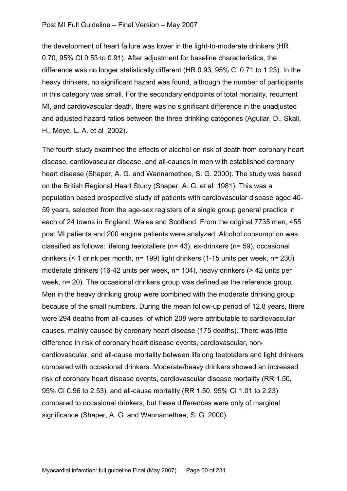the development of heart failure was lower in the light-to-moderate drinkers (HR 0.70, 95% CI 0.53 to 0.91). After adjustment for baseline characteristics, the difference was no longer statistically different (HR 0.93, 95% CI 0.71 to 1.23). In the heavy drinkers, no significant hazard was found, although the number of participants in this category was small. For the secondary endpoints of total mortality, recurrent MI, and cardiovascular death, there was no significant difference in the unadjusted and adjusted hazard ratios between the three drinking categories (Aguilar, D., Skali, H., Moye, L. A. et al 2002).

The fourth study examined the effects of alcohol on risk of death from coronary heart disease, cardiovascular disease, and all-causes in men with established coronary heart disease (Shaper, A. G. and Wannamethee, S. G. 2000). The study was based on the British Regional Heart Study (Shaper, A. G. et al 1981). This was a population based prospective study of patients with cardiovascular disease aged 40- 59 years, selected from the age-sex registers of a single group general practice in each of 24 towns in England, Wales and Scotland. From the original 7735 men, 455 post MI patients and 200 angina patients were analyzed. Alcohol consumption was classified as follows: lifelong teetotallers (n= 43), ex-drinkers (n= 59), occasional drinkers (< 1 drink per month, n= 199) light drinkers (1-15 units per week, n= 230) moderate drinkers (16-42 units per week, n= 104), heavy drinkers (> 42 units per week, n= 20). The occasional drinkers group was defined as the reference group. Men in the heavy drinking group were combined with the moderate drinking group because of the small numbers. During the mean follow-up period of 12.8 years, there were 294 deaths from all-causes, of which 208 were attributable to cardiovascular causes, mainly caused by coronary heart disease (175 deaths). There was little difference in risk of coronary heart disease events, cardiovascular, noncardiovascular, and all-cause mortality between lifelong teetotalers and light drinkers compared with occasional drinkers. Moderate/heavy drinkers showed an increased risk of coronary heart disease events, cardiovascular disease mortality (RR 1.50, 95% CI 0.96 to 2.53), and all-cause mortality (RR 1.50, 95% CI 1.01 to 2.23) compared to occasional drinkers, but these differences were only of marginal significance (Shaper, A. G. and Wannamethee, S. G. 2000).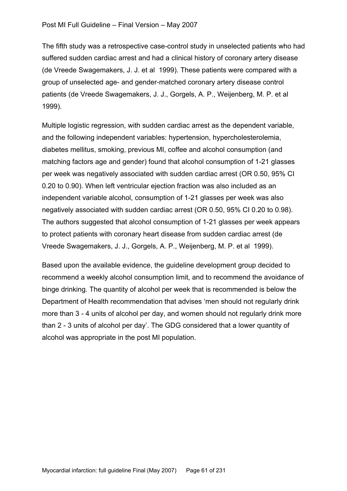The fifth study was a retrospective case-control study in unselected patients who had suffered sudden cardiac arrest and had a clinical history of coronary artery disease (de Vreede Swagemakers, J. J. et al 1999). These patients were compared with a group of unselected age- and gender-matched coronary artery disease control patients (de Vreede Swagemakers, J. J., Gorgels, A. P., Weijenberg, M. P. et al 1999).

Multiple logistic regression, with sudden cardiac arrest as the dependent variable, and the following independent variables: hypertension, hypercholesterolemia, diabetes mellitus, smoking, previous MI, coffee and alcohol consumption (and matching factors age and gender) found that alcohol consumption of 1-21 glasses per week was negatively associated with sudden cardiac arrest (OR 0.50, 95% CI 0.20 to 0.90). When left ventricular ejection fraction was also included as an independent variable alcohol, consumption of 1-21 glasses per week was also negatively associated with sudden cardiac arrest (OR 0.50, 95% CI 0.20 to 0.98). The authors suggested that alcohol consumption of 1-21 glasses per week appears to protect patients with coronary heart disease from sudden cardiac arrest (de Vreede Swagemakers, J. J., Gorgels, A. P., Weijenberg, M. P. et al 1999).

Based upon the available evidence, the guideline development group decided to recommend a weekly alcohol consumption limit, and to recommend the avoidance of binge drinking. The quantity of alcohol per week that is recommended is below the Department of Health recommendation that advises 'men should not regularly drink more than 3 - 4 units of alcohol per day, and women should not regularly drink more than 2 - 3 units of alcohol per day'. The GDG considered that a lower quantity of alcohol was appropriate in the post MI population.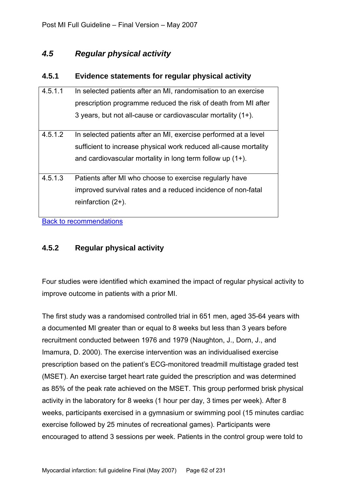# <span id="page-61-0"></span>*4.5 Regular physical activity*

### **4.5.1 Evidence statements for regular physical activity**

- 4.5.1.1 In selected patients after an MI, randomisation to an exercise prescription programme reduced the risk of death from MI after 3 years, but not all-cause or cardiovascular mortality (1+).
- 4.5.1.2 In selected patients after an MI, exercise performed at a level sufficient to increase physical work reduced all-cause mortality and cardiovascular mortality in long term follow up (1+).
- 4.5.1.3 Patients after MI who choose to exercise regularly have improved survival rates and a reduced incidence of non-fatal reinfarction (2+).

[Back to recommendations](#page-39-0)

## **4.5.2 Regular physical activity**

Four studies were identified which examined the impact of regular physical activity to improve outcome in patients with a prior MI.

The first study was a randomised controlled trial in 651 men, aged 35-64 years with a documented MI greater than or equal to 8 weeks but less than 3 years before recruitment conducted between 1976 and 1979 (Naughton, J., Dorn, J., and Imamura, D. 2000). The exercise intervention was an individualised exercise prescription based on the patient's ECG-monitored treadmill multistage graded test (MSET). An exercise target heart rate guided the prescription and was determined as 85% of the peak rate achieved on the MSET. This group performed brisk physical activity in the laboratory for 8 weeks (1 hour per day, 3 times per week). After 8 weeks, participants exercised in a gymnasium or swimming pool (15 minutes cardiac exercise followed by 25 minutes of recreational games). Participants were encouraged to attend 3 sessions per week. Patients in the control group were told to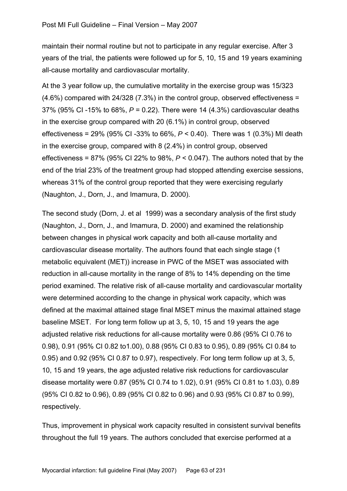maintain their normal routine but not to participate in any regular exercise. After 3 years of the trial, the patients were followed up for 5, 10, 15 and 19 years examining all-cause mortality and cardiovascular mortality.

At the 3 year follow up, the cumulative mortality in the exercise group was 15/323 (4.6%) compared with 24/328 (7.3%) in the control group, observed effectiveness = 37% (95% CI -15% to 68%, *P* = 0.22). There were 14 (4.3%) cardiovascular deaths in the exercise group compared with 20 (6.1%) in control group, observed effectiveness = 29% (95% CI -33% to 66%, *P* < 0.40). There was 1 (0.3%) MI death in the exercise group, compared with 8 (2.4%) in control group, observed effectiveness = 87% (95% CI 22% to 98%, *P* < 0.047). The authors noted that by the end of the trial 23% of the treatment group had stopped attending exercise sessions, whereas 31% of the control group reported that they were exercising regularly (Naughton, J., Dorn, J., and Imamura, D. 2000).

The second study (Dorn, J. et al 1999) was a secondary analysis of the first study (Naughton, J., Dorn, J., and Imamura, D. 2000) and examined the relationship between changes in physical work capacity and both all-cause mortality and cardiovascular disease mortality. The authors found that each single stage (1 metabolic equivalent (MET)) increase in PWC of the MSET was associated with reduction in all-cause mortality in the range of 8% to 14% depending on the time period examined. The relative risk of all-cause mortality and cardiovascular mortality were determined according to the change in physical work capacity, which was defined at the maximal attained stage final MSET minus the maximal attained stage baseline MSET. For long term follow up at 3, 5, 10, 15 and 19 years the age adjusted relative risk reductions for all-cause mortality were 0.86 (95% CI 0.76 to 0.98), 0.91 (95% CI 0.82 to1.00), 0.88 (95% CI 0.83 to 0.95), 0.89 (95% CI 0.84 to 0.95) and 0.92 (95% CI 0.87 to 0.97), respectively. For long term follow up at 3, 5, 10, 15 and 19 years, the age adjusted relative risk reductions for cardiovascular disease mortality were 0.87 (95% CI 0.74 to 1.02), 0.91 (95% CI 0.81 to 1.03), 0.89 (95% CI 0.82 to 0.96), 0.89 (95% CI 0.82 to 0.96) and 0.93 (95% CI 0.87 to 0.99), respectively.

Thus, improvement in physical work capacity resulted in consistent survival benefits throughout the full 19 years. The authors concluded that exercise performed at a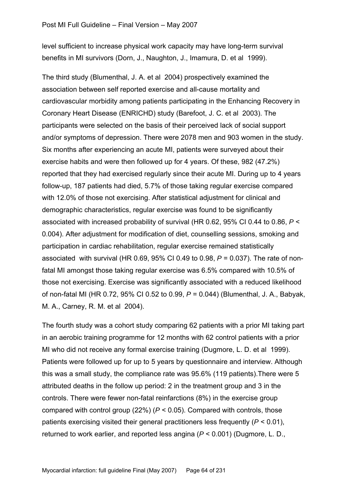level sufficient to increase physical work capacity may have long-term survival benefits in MI survivors (Dorn, J., Naughton, J., Imamura, D. et al 1999).

The third study (Blumenthal, J. A. et al 2004) prospectively examined the association between self reported exercise and all-cause mortality and cardiovascular morbidity among patients participating in the Enhancing Recovery in Coronary Heart Disease (ENRICHD) study (Barefoot, J. C. et al 2003). The participants were selected on the basis of their perceived lack of social support and/or symptoms of depression. There were 2078 men and 903 women in the study. Six months after experiencing an acute MI, patients were surveyed about their exercise habits and were then followed up for 4 years. Of these, 982 (47.2%) reported that they had exercised regularly since their acute MI. During up to 4 years follow-up, 187 patients had died, 5.7% of those taking regular exercise compared with 12.0% of those not exercising. After statistical adjustment for clinical and demographic characteristics, regular exercise was found to be significantly associated with increased probability of survival (HR 0.62, 95% CI 0.44 to 0.86, *P* < 0.004). After adjustment for modification of diet, counselling sessions, smoking and participation in cardiac rehabilitation, regular exercise remained statistically associated with survival (HR 0.69, 95% CI 0.49 to 0.98, *P* = 0.037). The rate of nonfatal MI amongst those taking regular exercise was 6.5% compared with 10.5% of those not exercising. Exercise was significantly associated with a reduced likelihood of non-fatal MI (HR 0.72, 95% CI 0.52 to 0.99, *P* = 0.044) (Blumenthal, J. A., Babyak, M. A., Carney, R. M. et al 2004).

The fourth study was a cohort study comparing 62 patients with a prior MI taking part in an aerobic training programme for 12 months with 62 control patients with a prior MI who did not receive any formal exercise training (Dugmore, L. D. et al 1999). Patients were followed up for up to 5 years by questionnaire and interview. Although this was a small study, the compliance rate was 95.6% (119 patients).There were 5 attributed deaths in the follow up period: 2 in the treatment group and 3 in the controls. There were fewer non-fatal reinfarctions (8%) in the exercise group compared with control group (22%) (*P* < 0.05). Compared with controls, those patients exercising visited their general practitioners less frequently (*P* < 0.01), returned to work earlier, and reported less angina (*P* < 0.001) (Dugmore, L. D.,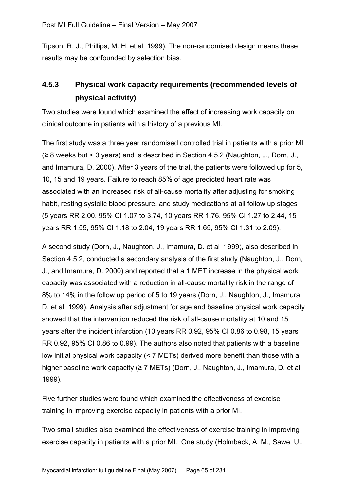Tipson, R. J., Phillips, M. H. et al 1999). The non-randomised design means these results may be confounded by selection bias.

# **4.5.3 Physical work capacity requirements (recommended levels of physical activity)**

Two studies were found which examined the effect of increasing work capacity on clinical outcome in patients with a history of a previous MI.

The first study was a three year randomised controlled trial in patients with a prior MI (≥ 8 weeks but < 3 years) and is described in Section 4.5.2 (Naughton, J., Dorn, J., and Imamura, D. 2000). After 3 years of the trial, the patients were followed up for 5, 10, 15 and 19 years. Failure to reach 85% of age predicted heart rate was associated with an increased risk of all-cause mortality after adjusting for smoking habit, resting systolic blood pressure, and study medications at all follow up stages (5 years RR 2.00, 95% CI 1.07 to 3.74, 10 years RR 1.76, 95% CI 1.27 to 2.44, 15 years RR 1.55, 95% CI 1.18 to 2.04, 19 years RR 1.65, 95% CI 1.31 to 2.09).

A second study (Dorn, J., Naughton, J., Imamura, D. et al 1999), also described in Section 4.5.2, conducted a secondary analysis of the first study (Naughton, J., Dorn, J., and Imamura, D. 2000) and reported that a 1 MET increase in the physical work capacity was associated with a reduction in all-cause mortality risk in the range of 8% to 14% in the follow up period of 5 to 19 years (Dorn, J., Naughton, J., Imamura, D. et al 1999). Analysis after adjustment for age and baseline physical work capacity showed that the intervention reduced the risk of all-cause mortality at 10 and 15 years after the incident infarction (10 years RR 0.92, 95% CI 0.86 to 0.98, 15 years RR 0.92, 95% CI 0.86 to 0.99). The authors also noted that patients with a baseline low initial physical work capacity (< 7 METs) derived more benefit than those with a higher baseline work capacity (≥ 7 METs) (Dorn, J., Naughton, J., Imamura, D. et al 1999).

Five further studies were found which examined the effectiveness of exercise training in improving exercise capacity in patients with a prior MI.

Two small studies also examined the effectiveness of exercise training in improving exercise capacity in patients with a prior MI. One study (Holmback, A. M., Sawe, U.,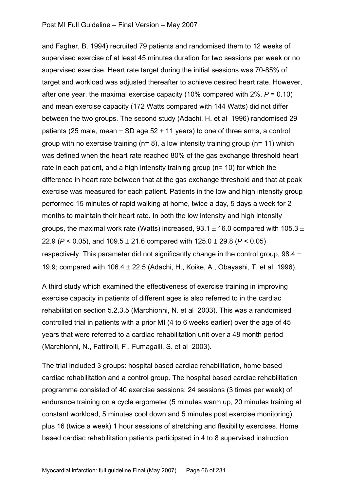and Fagher, B. 1994) recruited 79 patients and randomised them to 12 weeks of supervised exercise of at least 45 minutes duration for two sessions per week or no supervised exercise. Heart rate target during the initial sessions was 70-85% of target and workload was adjusted thereafter to achieve desired heart rate. However, after one year, the maximal exercise capacity (10% compared with 2%, *P* = 0.10) and mean exercise capacity (172 Watts compared with 144 Watts) did not differ between the two groups. The second study (Adachi, H. et al 1996) randomised 29 patients (25 male, mean  $\pm$  SD age 52  $\pm$  11 years) to one of three arms, a control group with no exercise training ( $n= 8$ ), a low intensity training group ( $n= 11$ ) which was defined when the heart rate reached 80% of the gas exchange threshold heart rate in each patient, and a high intensity training group (n= 10) for which the difference in heart rate between that at the gas exchange threshold and that at peak exercise was measured for each patient. Patients in the low and high intensity group performed 15 minutes of rapid walking at home, twice a day, 5 days a week for 2 months to maintain their heart rate. In both the low intensity and high intensity groups, the maximal work rate (Watts) increased,  $93.1 \pm 16.0$  compared with  $105.3 \pm 10$ 22.9 (*P* < 0.05), and 109.5 ± 21.6 compared with 125.0 ± 29.8 (*P* < 0.05) respectively. This parameter did not significantly change in the control group, 98.4  $\pm$ 19.9; compared with  $106.4 \pm 22.5$  (Adachi, H., Koike, A., Obayashi, T. et al 1996).

A third study which examined the effectiveness of exercise training in improving exercise capacity in patients of different ages is also referred to in the cardiac rehabilitation section 5.2.3.5 (Marchionni, N. et al 2003). This was a randomised controlled trial in patients with a prior MI (4 to 6 weeks earlier) over the age of 45 years that were referred to a cardiac rehabilitation unit over a 48 month period (Marchionni, N., Fattirolli, F., Fumagalli, S. et al 2003).

The trial included 3 groups: hospital based cardiac rehabilitation, home based cardiac rehabilitation and a control group. The hospital based cardiac rehabilitation programme consisted of 40 exercise sessions; 24 sessions (3 times per week) of endurance training on a cycle ergometer (5 minutes warm up, 20 minutes training at constant workload, 5 minutes cool down and 5 minutes post exercise monitoring) plus 16 (twice a week) 1 hour sessions of stretching and flexibility exercises. Home based cardiac rehabilitation patients participated in 4 to 8 supervised instruction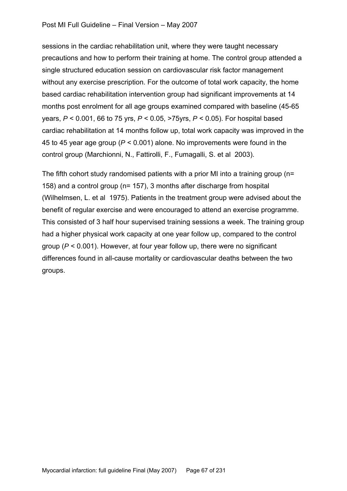<span id="page-66-0"></span>sessions in the cardiac rehabilitation unit, where they were taught necessary precautions and how to perform their training at home. The control group attended a single structured education session on cardiovascular risk factor management without any exercise prescription. For the outcome of total work capacity, the home based cardiac rehabilitation intervention group had significant improvements at 14 months post enrolment for all age groups examined compared with baseline (45-65 years, *P* < 0.001, 66 to 75 yrs, *P* < 0.05, >75yrs, *P* < 0.05). For hospital based cardiac rehabilitation at 14 months follow up, total work capacity was improved in the 45 to 45 year age group (*P* < 0.001) alone. No improvements were found in the control group (Marchionni, N., Fattirolli, F., Fumagalli, S. et al 2003).

The fifth cohort study randomised patients with a prior MI into a training group (n= 158) and a control group (n= 157), 3 months after discharge from hospital (Wilhelmsen, L. et al 1975). Patients in the treatment group were advised about the benefit of regular exercise and were encouraged to attend an exercise programme. This consisted of 3 half hour supervised training sessions a week. The training group had a higher physical work capacity at one year follow up, compared to the control group (*P* < 0.001). However, at four year follow up, there were no significant differences found in all-cause mortality or cardiovascular deaths between the two groups.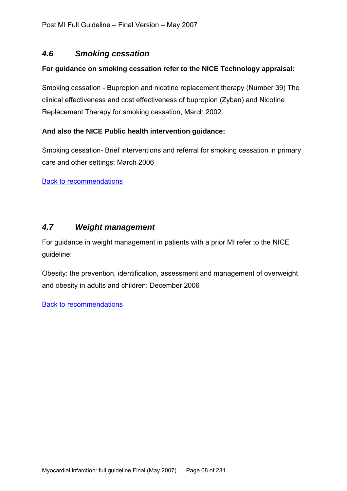## <span id="page-67-0"></span>*4.6 Smoking cessation*

#### **For guidance on smoking cessation refer to the NICE Technology appraisal:**

Smoking cessation - Bupropion and nicotine replacement therapy (Number 39) The clinical effectiveness and cost effectiveness of bupropion (Zyban) and Nicotine Replacement Therapy for smoking cessation, March 2002.

#### **And also the NICE Public health intervention guidance:**

Smoking cessation- Brief interventions and referral for smoking cessation in primary care and other settings: March 2006

[Back to recommendations](#page-40-0)

# *4.7 Weight management*

For guidance in weight management in patients with a prior MI refer to the NICE guideline:

Obesity: the prevention, identification, assessment and management of overweight and obesity in adults and children: December 2006

[Back to recommendations](#page-40-0)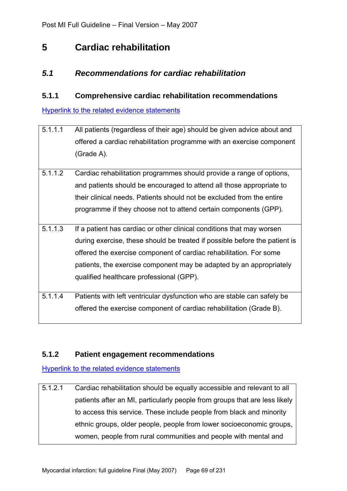# **5 Cardiac rehabilitation**

## *5.1 Recommendations for cardiac rehabilitation*

### **5.1.1 Comprehensive cardiac rehabilitation recommendations**

[Hyperlink to the related evidence statements](#page-73-0)

- 5.1.1.1 All patients (regardless of their age) should be given advice about and offered a cardiac rehabilitation programme with an exercise component (Grade A). 5.1.1.2 Cardiac rehabilitation programmes should provide a range of options, and patients should be encouraged to attend all those appropriate to their clinical needs. Patients should not be excluded from the entire programme if they choose not to attend certain components (GPP). 5.1.1.3 If a patient has cardiac or other clinical conditions that may worsen during exercise, these should be treated if possible before the patient is offered the exercise component of cardiac rehabilitation. For some
	- patients, the exercise component may be adapted by an appropriately qualified healthcare professional (GPP).
- 5.1.1.4 Patients with left ventricular dysfunction who are stable can safely be offered the exercise component of cardiac rehabilitation (Grade B).

## **5.1.2 Patient engagement recommendations**

[Hyperlink to the related evidence statements](#page-88-0) 

5.1.2.1 Cardiac rehabilitation should be equally accessible and relevant to all patients after an MI, particularly people from groups that are less likely to access this service. These include people from black and minority ethnic groups, older people, people from lower socioeconomic groups, women, people from rural communities and people with mental and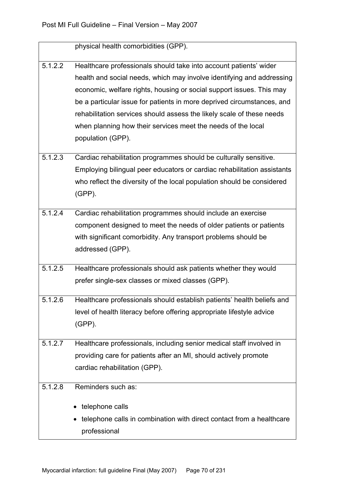|         | physical health comorbidities (GPP).                                           |
|---------|--------------------------------------------------------------------------------|
| 5.1.2.2 | Healthcare professionals should take into account patients' wider              |
|         | health and social needs, which may involve identifying and addressing          |
|         | economic, welfare rights, housing or social support issues. This may           |
|         | be a particular issue for patients in more deprived circumstances, and         |
|         | rehabilitation services should assess the likely scale of these needs          |
|         | when planning how their services meet the needs of the local                   |
|         | population (GPP).                                                              |
| 5.1.2.3 | Cardiac rehabilitation programmes should be culturally sensitive.              |
|         | Employing bilingual peer educators or cardiac rehabilitation assistants        |
|         | who reflect the diversity of the local population should be considered         |
|         | $(GPP)$ .                                                                      |
|         |                                                                                |
| 5.1.2.4 | Cardiac rehabilitation programmes should include an exercise                   |
|         | component designed to meet the needs of older patients or patients             |
|         | with significant comorbidity. Any transport problems should be                 |
|         | addressed (GPP).                                                               |
| 5.1.2.5 | Healthcare professionals should ask patients whether they would                |
|         | prefer single-sex classes or mixed classes (GPP).                              |
|         | 5.1.2.6 Healthcare professionals should establish patients' health beliefs and |
|         | level of health literacy before offering appropriate lifestyle advice          |
|         | $(GPP)$ .                                                                      |
| 5.1.2.7 | Healthcare professionals, including senior medical staff involved in           |
|         | providing care for patients after an MI, should actively promote               |
|         | cardiac rehabilitation (GPP).                                                  |
|         |                                                                                |
| 5.1.2.8 | Reminders such as:                                                             |
|         | telephone calls                                                                |
|         | telephone calls in combination with direct contact from a healthcare           |
|         | professional                                                                   |
|         |                                                                                |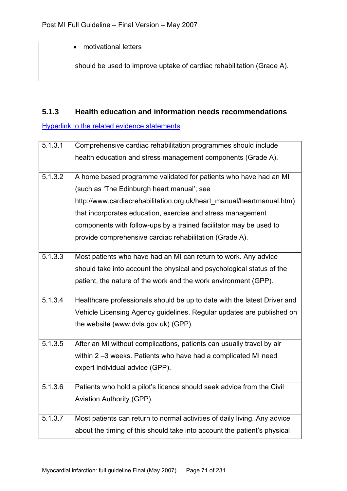• motivational letters

should be used to improve uptake of cardiac rehabilitation (Grade A).

# **5.1.3 Health education and information needs recommendations**

[Hyperlink to the related evidence statements](#page-107-0)

| 5.1.3.1 | Comprehensive cardiac rehabilitation programmes should include            |
|---------|---------------------------------------------------------------------------|
|         | health education and stress management components (Grade A).              |
| 5.1.3.2 | A home based programme validated for patients who have had an MI          |
|         | (such as 'The Edinburgh heart manual'; see                                |
|         | http://www.cardiacrehabilitation.org.uk/heart manual/heartmanual.htm)     |
|         | that incorporates education, exercise and stress management               |
|         | components with follow-ups by a trained facilitator may be used to        |
|         | provide comprehensive cardiac rehabilitation (Grade A).                   |
| 5.1.3.3 | Most patients who have had an MI can return to work. Any advice           |
|         | should take into account the physical and psychological status of the     |
|         | patient, the nature of the work and the work environment (GPP).           |
|         |                                                                           |
| 5.1.3.4 | Healthcare professionals should be up to date with the latest Driver and  |
|         | Vehicle Licensing Agency guidelines. Regular updates are published on     |
|         | the website (www.dvla.gov.uk) (GPP).                                      |
| 5.1.3.5 | After an MI without complications, patients can usually travel by air     |
|         | within 2-3 weeks. Patients who have had a complicated MI need             |
|         | expert individual advice (GPP).                                           |
| 5.1.3.6 | Patients who hold a pilot's licence should seek advice from the Civil     |
|         |                                                                           |
|         | Aviation Authority (GPP).                                                 |
| 5.1.3.7 | Most patients can return to normal activities of daily living. Any advice |
|         | about the timing of this should take into account the patient's physical  |
|         |                                                                           |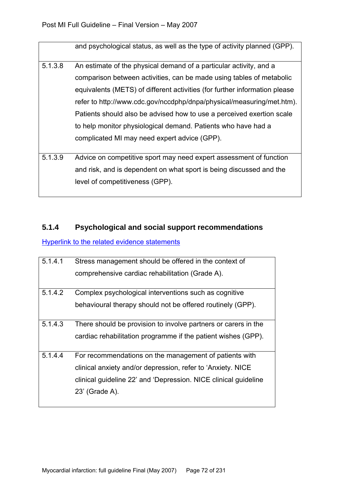and psychological status, as well as the type of activity planned (GPP). 5.1.3.8 An estimate of the physical demand of a particular activity, and a comparison between activities, can be made using tables of metabolic equivalents (METS) of different activities (for further information please refer to http://www.cdc.gov/nccdphp/dnpa/physical/measuring/met.htm). Patients should also be advised how to use a perceived exertion scale to help monitor physiological demand. Patients who have had a complicated MI may need expert advice (GPP). 5.1.3.9 Advice on competitive sport may need expert assessment of function

and risk, and is dependent on what sport is being discussed and the level of competitiveness (GPP).

# **5.1.4 Psychological and social support recommendations**

[Hyperlink to the related evidence statements](#page-114-0)

| 5.1.4.1 | Stress management should be offered in the context of           |
|---------|-----------------------------------------------------------------|
|         | comprehensive cardiac rehabilitation (Grade A).                 |
|         |                                                                 |
| 5.1.4.2 | Complex psychological interventions such as cognitive           |
|         | behavioural therapy should not be offered routinely (GPP).      |
|         |                                                                 |
| 5.1.4.3 | There should be provision to involve partners or carers in the  |
|         | cardiac rehabilitation programme if the patient wishes (GPP).   |
|         |                                                                 |
| 5.1.4.4 | For recommendations on the management of patients with          |
|         | clinical anxiety and/or depression, refer to 'Anxiety. NICE     |
|         | clinical guideline 22' and 'Depression. NICE clinical guideline |
|         | 23' (Grade A).                                                  |
|         |                                                                 |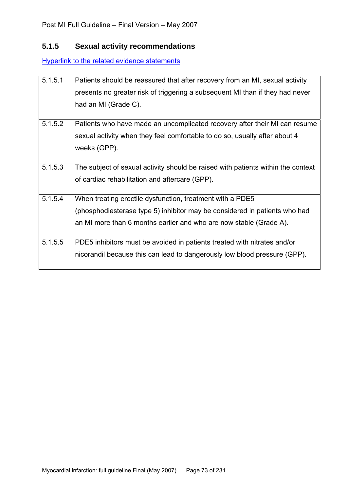Post MI Full Guideline – Final Version – May 2007

# **5.1.5 Sexual activity recommendations**

[Hyperlink to the related evidence statements](#page-118-0)

| 5.1.5.1 | Patients should be reassured that after recovery from an MI, sexual activity     |
|---------|----------------------------------------------------------------------------------|
|         | presents no greater risk of triggering a subsequent MI than if they had never    |
|         | had an MI (Grade C).                                                             |
|         |                                                                                  |
| 5.1.5.2 | Patients who have made an uncomplicated recovery after their MI can resume       |
|         | sexual activity when they feel comfortable to do so, usually after about 4       |
|         | weeks (GPP).                                                                     |
|         |                                                                                  |
| 5.1.5.3 | The subject of sexual activity should be raised with patients within the context |
|         | of cardiac rehabilitation and aftercare (GPP).                                   |
|         |                                                                                  |
| 5.1.5.4 | When treating erectile dysfunction, treatment with a PDE5                        |
|         | (phosphodiesterase type 5) inhibitor may be considered in patients who had       |
|         | an MI more than 6 months earlier and who are now stable (Grade A).               |
|         |                                                                                  |
| 5.1.5.5 | PDE5 inhibitors must be avoided in patients treated with nitrates and/or         |
|         | nicorandil because this can lead to dangerously low blood pressure (GPP).        |
|         |                                                                                  |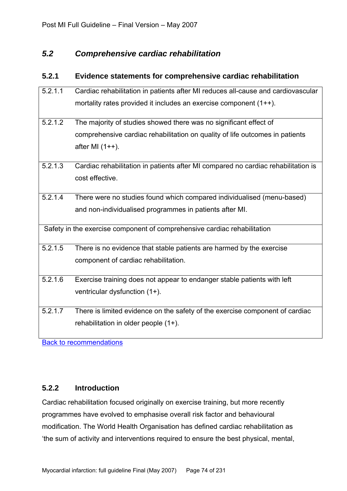## *5.2 Comprehensive cardiac rehabilitation*

## **5.2.1 Evidence statements for comprehensive cardiac rehabilitation**

- 5.2.1.1 Cardiac rehabilitation in patients after MI reduces all-cause and cardiovascular mortality rates provided it includes an exercise component (1++).
- 5.2.1.2 The majority of studies showed there was no significant effect of comprehensive cardiac rehabilitation on quality of life outcomes in patients after MI $(1++)$ .
- 5.2.1.3 Cardiac rehabilitation in patients after MI compared no cardiac rehabilitation is cost effective.
- 5.2.1.4 There were no studies found which compared individualised (menu-based) and non-individualised programmes in patients after MI.

Safety in the exercise component of comprehensive cardiac rehabilitation

- 5.2.1.5 There is no evidence that stable patients are harmed by the exercise component of cardiac rehabilitation.
- 5.2.1.6 Exercise training does not appear to endanger stable patients with left ventricular dysfunction (1+).
- 5.2.1.7 There is limited evidence on the safety of the exercise component of cardiac rehabilitation in older people (1+).

[Back to recommendations](#page-68-0)

## **5.2.2 Introduction**

Cardiac rehabilitation focused originally on exercise training, but more recently programmes have evolved to emphasise overall risk factor and behavioural modification. The World Health Organisation has defined cardiac rehabilitation as 'the sum of activity and interventions required to ensure the best physical, mental,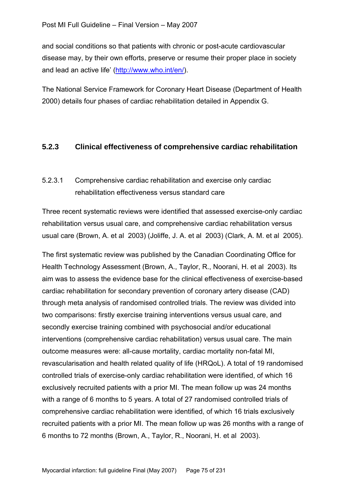and social conditions so that patients with chronic or post-acute cardiovascular disease may, by their own efforts, preserve or resume their proper place in society and lead an active life' [\(http://www.who.int/en/](http://www.who.int/en/)).

The National Service Framework for Coronary Heart Disease (Department of Health 2000) details four phases of cardiac rehabilitation detailed in Appendix G.

## **5.2.3 Clinical effectiveness of comprehensive cardiac rehabilitation**

# 5.2.3.1 Comprehensive cardiac rehabilitation and exercise only cardiac rehabilitation effectiveness versus standard care

Three recent systematic reviews were identified that assessed exercise-only cardiac rehabilitation versus usual care, and comprehensive cardiac rehabilitation versus usual care (Brown, A. et al 2003) (Joliffe, J. A. et al 2003) (Clark, A. M. et al 2005).

The first systematic review was published by the Canadian Coordinating Office for Health Technology Assessment (Brown, A., Taylor, R., Noorani, H. et al 2003). Its aim was to assess the evidence base for the clinical effectiveness of exercise-based cardiac rehabilitation for secondary prevention of coronary artery disease (CAD) through meta analysis of randomised controlled trials. The review was divided into two comparisons: firstly exercise training interventions versus usual care, and secondly exercise training combined with psychosocial and/or educational interventions (comprehensive cardiac rehabilitation) versus usual care. The main outcome measures were: all-cause mortality, cardiac mortality non-fatal MI, revascularisation and health related quality of life (HRQoL). A total of 19 randomised controlled trials of exercise-only cardiac rehabilitation were identified, of which 16 exclusively recruited patients with a prior MI. The mean follow up was 24 months with a range of 6 months to 5 years. A total of 27 randomised controlled trials of comprehensive cardiac rehabilitation were identified, of which 16 trials exclusively recruited patients with a prior MI. The mean follow up was 26 months with a range of 6 months to 72 months (Brown, A., Taylor, R., Noorani, H. et al 2003).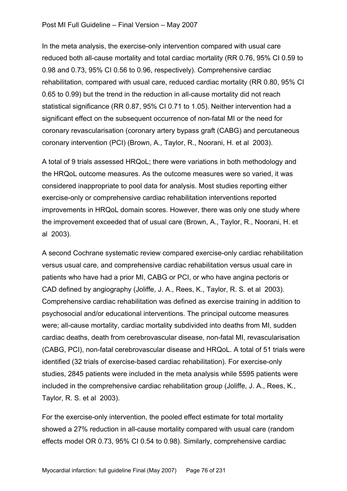In the meta analysis, the exercise-only intervention compared with usual care reduced both all-cause mortality and total cardiac mortality (RR 0.76, 95% CI 0.59 to 0.98 and 0.73, 95% CI 0.56 to 0.96, respectively). Comprehensive cardiac rehabilitation, compared with usual care, reduced cardiac mortality (RR 0.80, 95% CI 0.65 to 0.99) but the trend in the reduction in all-cause mortality did not reach statistical significance (RR 0.87, 95% CI 0.71 to 1.05). Neither intervention had a significant effect on the subsequent occurrence of non-fatal MI or the need for coronary revascularisation (coronary artery bypass graft (CABG) and percutaneous coronary intervention (PCI) (Brown, A., Taylor, R., Noorani, H. et al 2003).

A total of 9 trials assessed HRQoL; there were variations in both methodology and the HRQoL outcome measures. As the outcome measures were so varied, it was considered inappropriate to pool data for analysis. Most studies reporting either exercise-only or comprehensive cardiac rehabilitation interventions reported improvements in HRQoL domain scores. However, there was only one study where the improvement exceeded that of usual care (Brown, A., Taylor, R., Noorani, H. et al 2003).

A second Cochrane systematic review compared exercise-only cardiac rehabilitation versus usual care, and comprehensive cardiac rehabilitation versus usual care in patients who have had a prior MI, CABG or PCI, or who have angina pectoris or CAD defined by angiography (Joliffe, J. A., Rees, K., Taylor, R. S. et al 2003). Comprehensive cardiac rehabilitation was defined as exercise training in addition to psychosocial and/or educational interventions. The principal outcome measures were; all-cause mortality, cardiac mortality subdivided into deaths from MI, sudden cardiac deaths, death from cerebrovascular disease, non-fatal MI, revascularisation (CABG, PCI), non-fatal cerebrovascular disease and HRQoL. A total of 51 trials were identified (32 trials of exercise-based cardiac rehabilitation). For exercise-only studies, 2845 patients were included in the meta analysis while 5595 patients were included in the comprehensive cardiac rehabilitation group (Joliffe, J. A., Rees, K., Taylor, R. S. et al 2003).

For the exercise-only intervention, the pooled effect estimate for total mortality showed a 27% reduction in all-cause mortality compared with usual care (random effects model OR 0.73, 95% CI 0.54 to 0.98). Similarly, comprehensive cardiac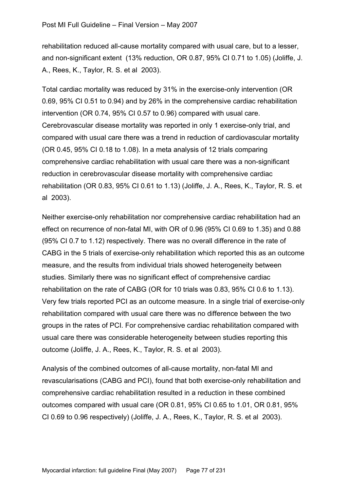rehabilitation reduced all-cause mortality compared with usual care, but to a lesser, and non-significant extent (13% reduction, OR 0.87, 95% CI 0.71 to 1.05) (Joliffe, J. A., Rees, K., Taylor, R. S. et al 2003).

Total cardiac mortality was reduced by 31% in the exercise-only intervention (OR 0.69, 95% CI 0.51 to 0.94) and by 26% in the comprehensive cardiac rehabilitation intervention (OR 0.74, 95% CI 0.57 to 0.96) compared with usual care. Cerebrovascular disease mortality was reported in only 1 exercise-only trial, and compared with usual care there was a trend in reduction of cardiovascular mortality (OR 0.45, 95% CI 0.18 to 1.08). In a meta analysis of 12 trials comparing comprehensive cardiac rehabilitation with usual care there was a non-significant reduction in cerebrovascular disease mortality with comprehensive cardiac rehabilitation (OR 0.83, 95% CI 0.61 to 1.13) (Joliffe, J. A., Rees, K., Taylor, R. S. et al 2003).

Neither exercise-only rehabilitation nor comprehensive cardiac rehabilitation had an effect on recurrence of non-fatal MI, with OR of 0.96 (95% CI 0.69 to 1.35) and 0.88 (95% CI 0.7 to 1.12) respectively. There was no overall difference in the rate of CABG in the 5 trials of exercise-only rehabilitation which reported this as an outcome measure, and the results from individual trials showed heterogeneity between studies. Similarly there was no significant effect of comprehensive cardiac rehabilitation on the rate of CABG (OR for 10 trials was 0.83, 95% CI 0.6 to 1.13). Very few trials reported PCI as an outcome measure. In a single trial of exercise-only rehabilitation compared with usual care there was no difference between the two groups in the rates of PCI. For comprehensive cardiac rehabilitation compared with usual care there was considerable heterogeneity between studies reporting this outcome (Joliffe, J. A., Rees, K., Taylor, R. S. et al 2003).

Analysis of the combined outcomes of all-cause mortality, non-fatal MI and revascularisations (CABG and PCI), found that both exercise-only rehabilitation and comprehensive cardiac rehabilitation resulted in a reduction in these combined outcomes compared with usual care (OR 0.81, 95% CI 0.65 to 1.01, OR 0.81, 95% CI 0.69 to 0.96 respectively) (Joliffe, J. A., Rees, K., Taylor, R. S. et al 2003).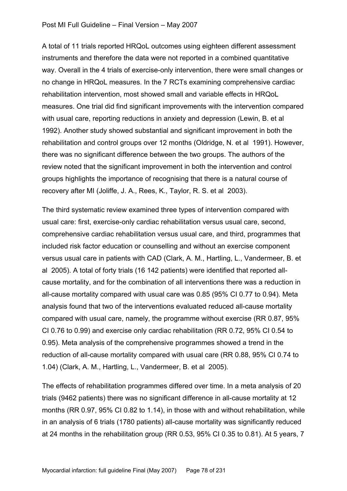A total of 11 trials reported HRQoL outcomes using eighteen different assessment instruments and therefore the data were not reported in a combined quantitative way. Overall in the 4 trials of exercise-only intervention, there were small changes or no change in HRQoL measures. In the 7 RCTs examining comprehensive cardiac rehabilitation intervention, most showed small and variable effects in HRQoL measures. One trial did find significant improvements with the intervention compared with usual care, reporting reductions in anxiety and depression (Lewin, B. et al 1992). Another study showed substantial and significant improvement in both the rehabilitation and control groups over 12 months (Oldridge, N. et al 1991). However, there was no significant difference between the two groups. The authors of the review noted that the significant improvement in both the intervention and control groups highlights the importance of recognising that there is a natural course of recovery after MI (Joliffe, J. A., Rees, K., Taylor, R. S. et al 2003).

The third systematic review examined three types of intervention compared with usual care: first, exercise-only cardiac rehabilitation versus usual care, second, comprehensive cardiac rehabilitation versus usual care, and third, programmes that included risk factor education or counselling and without an exercise component versus usual care in patients with CAD (Clark, A. M., Hartling, L., Vandermeer, B. et al 2005). A total of forty trials (16 142 patients) were identified that reported allcause mortality, and for the combination of all interventions there was a reduction in all-cause mortality compared with usual care was 0.85 (95% CI 0.77 to 0.94). Meta analysis found that two of the interventions evaluated reduced all-cause mortality compared with usual care, namely, the programme without exercise (RR 0.87, 95% CI 0.76 to 0.99) and exercise only cardiac rehabilitation (RR 0.72, 95% CI 0.54 to 0.95). Meta analysis of the comprehensive programmes showed a trend in the reduction of all-cause mortality compared with usual care (RR 0.88, 95% CI 0.74 to 1.04) (Clark, A. M., Hartling, L., Vandermeer, B. et al 2005).

The effects of rehabilitation programmes differed over time. In a meta analysis of 20 trials (9462 patients) there was no significant difference in all-cause mortality at 12 months (RR 0.97, 95% CI 0.82 to 1.14), in those with and without rehabilitation, while in an analysis of 6 trials (1780 patients) all-cause mortality was significantly reduced at 24 months in the rehabilitation group (RR 0.53, 95% CI 0.35 to 0.81). At 5 years, 7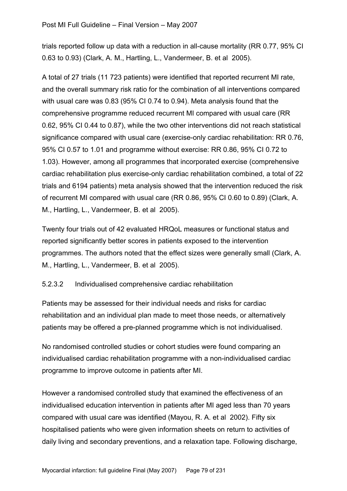trials reported follow up data with a reduction in all-cause mortality (RR 0.77, 95% CI 0.63 to 0.93) (Clark, A. M., Hartling, L., Vandermeer, B. et al 2005).

A total of 27 trials (11 723 patients) were identified that reported recurrent MI rate, and the overall summary risk ratio for the combination of all interventions compared with usual care was 0.83 (95% CI 0.74 to 0.94). Meta analysis found that the comprehensive programme reduced recurrent MI compared with usual care (RR 0.62, 95% CI 0.44 to 0.87), while the two other interventions did not reach statistical significance compared with usual care (exercise-only cardiac rehabilitation: RR 0.76, 95% CI 0.57 to 1.01 and programme without exercise: RR 0.86, 95% CI 0.72 to 1.03). However, among all programmes that incorporated exercise (comprehensive cardiac rehabilitation plus exercise-only cardiac rehabilitation combined, a total of 22 trials and 6194 patients) meta analysis showed that the intervention reduced the risk of recurrent MI compared with usual care (RR 0.86, 95% CI 0.60 to 0.89) (Clark, A. M., Hartling, L., Vandermeer, B. et al 2005).

Twenty four trials out of 42 evaluated HRQoL measures or functional status and reported significantly better scores in patients exposed to the intervention programmes. The authors noted that the effect sizes were generally small (Clark, A. M., Hartling, L., Vandermeer, B. et al 2005).

## 5.2.3.2 Individualised comprehensive cardiac rehabilitation

Patients may be assessed for their individual needs and risks for cardiac rehabilitation and an individual plan made to meet those needs, or alternatively patients may be offered a pre-planned programme which is not individualised.

No randomised controlled studies or cohort studies were found comparing an individualised cardiac rehabilitation programme with a non-individualised cardiac programme to improve outcome in patients after MI.

However a randomised controlled study that examined the effectiveness of an individualised education intervention in patients after MI aged less than 70 years compared with usual care was identified (Mayou, R. A. et al 2002). Fifty six hospitalised patients who were given information sheets on return to activities of daily living and secondary preventions, and a relaxation tape. Following discharge,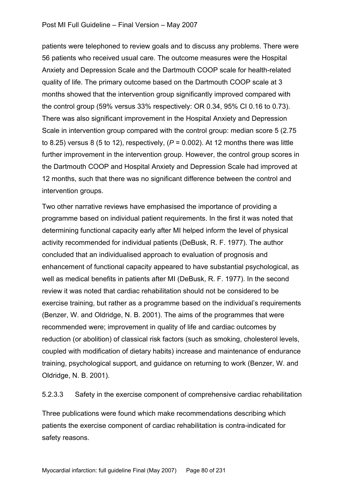patients were telephoned to review goals and to discuss any problems. There were 56 patients who received usual care. The outcome measures were the Hospital Anxiety and Depression Scale and the Dartmouth COOP scale for health-related quality of life. The primary outcome based on the Dartmouth COOP scale at 3 months showed that the intervention group significantly improved compared with the control group (59% versus 33% respectively: OR 0.34, 95% CI 0.16 to 0.73). There was also significant improvement in the Hospital Anxiety and Depression Scale in intervention group compared with the control group: median score 5 (2.75 to 8.25) versus 8 (5 to 12), respectively,  $(P = 0.002)$ . At 12 months there was little further improvement in the intervention group. However, the control group scores in the Dartmouth COOP and Hospital Anxiety and Depression Scale had improved at 12 months, such that there was no significant difference between the control and intervention groups.

Two other narrative reviews have emphasised the importance of providing a programme based on individual patient requirements. In the first it was noted that determining functional capacity early after MI helped inform the level of physical activity recommended for individual patients (DeBusk, R. F. 1977). The author concluded that an individualised approach to evaluation of prognosis and enhancement of functional capacity appeared to have substantial psychological, as well as medical benefits in patients after MI (DeBusk, R. F. 1977). In the second review it was noted that cardiac rehabilitation should not be considered to be exercise training, but rather as a programme based on the individual's requirements (Benzer, W. and Oldridge, N. B. 2001). The aims of the programmes that were recommended were; improvement in quality of life and cardiac outcomes by reduction (or abolition) of classical risk factors (such as smoking, cholesterol levels, coupled with modification of dietary habits) increase and maintenance of endurance training, psychological support, and guidance on returning to work (Benzer, W. and Oldridge, N. B. 2001).

5.2.3.3 Safety in the exercise component of comprehensive cardiac rehabilitation

Three publications were found which make recommendations describing which patients the exercise component of cardiac rehabilitation is contra-indicated for safety reasons.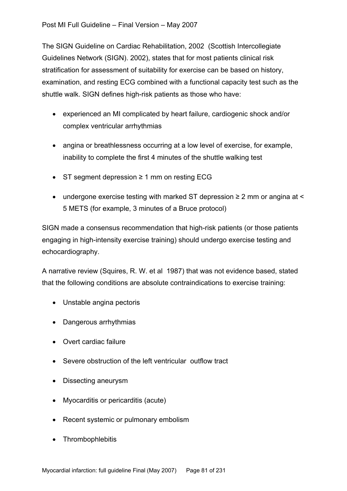The SIGN Guideline on Cardiac Rehabilitation, 2002 (Scottish Intercollegiate Guidelines Network (SIGN). 2002), states that for most patients clinical risk stratification for assessment of suitability for exercise can be based on history, examination, and resting ECG combined with a functional capacity test such as the shuttle walk. SIGN defines high-risk patients as those who have:

- experienced an MI complicated by heart failure, cardiogenic shock and/or complex ventricular arrhythmias
- angina or breathlessness occurring at a low level of exercise, for example, inability to complete the first 4 minutes of the shuttle walking test
- ST segment depression ≥ 1 mm on resting ECG
- undergone exercise testing with marked ST depression ≥ 2 mm or angina at < 5 METS (for example, 3 minutes of a Bruce protocol)

SIGN made a consensus recommendation that high-risk patients (or those patients engaging in high-intensity exercise training) should undergo exercise testing and echocardiography.

A narrative review (Squires, R. W. et al 1987) that was not evidence based, stated that the following conditions are absolute contraindications to exercise training:

- Unstable angina pectoris
- Dangerous arrhythmias
- Overt cardiac failure
- Severe obstruction of the left ventricular outflow tract
- Dissecting aneurysm
- Myocarditis or pericarditis (acute)
- Recent systemic or pulmonary embolism
- Thrombophlebitis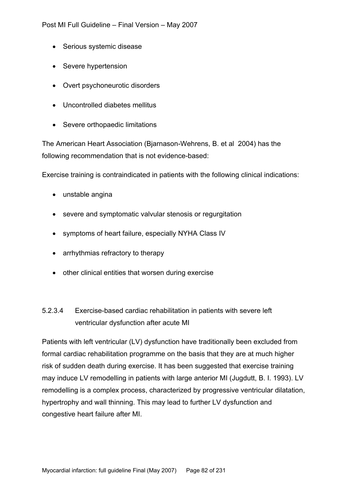- Serious systemic disease
- Severe hypertension
- Overt psychoneurotic disorders
- Uncontrolled diabetes mellitus
- Severe orthopaedic limitations

The American Heart Association (Bjarnason-Wehrens, B. et al 2004) has the following recommendation that is not evidence-based:

Exercise training is contraindicated in patients with the following clinical indications:

- unstable angina
- severe and symptomatic valvular stenosis or regurgitation
- symptoms of heart failure, especially NYHA Class IV
- arrhythmias refractory to therapy
- other clinical entities that worsen during exercise

# 5.2.3.4 Exercise-based cardiac rehabilitation in patients with severe left ventricular dysfunction after acute MI

Patients with left ventricular (LV) dysfunction have traditionally been excluded from formal cardiac rehabilitation programme on the basis that they are at much higher risk of sudden death during exercise. It has been suggested that exercise training may induce LV remodelling in patients with large anterior MI (Jugdutt, B. I. 1993). LV remodelling is a complex process, characterized by progressive ventricular dilatation, hypertrophy and wall thinning. This may lead to further LV dysfunction and congestive heart failure after MI.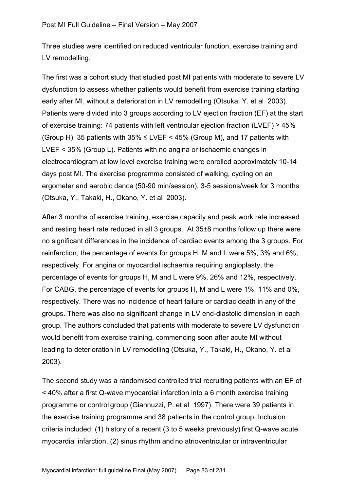Three studies were identified on reduced ventricular function, exercise training and LV remodelling.

The first was a cohort study that studied post MI patients with moderate to severe LV dysfunction to assess whether patients would benefit from exercise training starting early after MI, without a deterioration in LV remodelling (Otsuka, Y. et al 2003). Patients were divided into 3 groups according to LV ejection fraction (EF) at the start of exercise training: 74 patients with left ventricular ejection fraction (LVEF)  $\geq 45\%$ (Group H), 35 patients with  $35\% \leq LVEF \leq 45\%$  (Group M), and 17 patients with LVEF < 35% (Group L). Patients with no angina or ischaemic changes in electrocardiogram at low level exercise training were enrolled approximately 10-14 days post MI. The exercise programme consisted of walking, cycling on an ergometer and aerobic dance (50-90 min/session), 3-5 sessions/week for 3 months (Otsuka, Y., Takaki, H., Okano, Y. et al 2003).

After 3 months of exercise training, exercise capacity and peak work rate increased and resting heart rate reduced in all 3 groups. At 35±8 months follow up there were no significant differences in the incidence of cardiac events among the 3 groups. For reinfarction, the percentage of events for groups H, M and L were 5%, 3% and 6%, respectively. For angina or myocardial ischaemia requiring angioplasty, the percentage of events for groups H, M and L were 9%, 26% and 12%, respectively. For CABG, the percentage of events for groups H, M and L were 1%, 11% and 0%, respectively. There was no incidence of heart failure or cardiac death in any of the groups. There was also no significant change in LV end-diastolic dimension in each group. The authors concluded that patients with moderate to severe LV dysfunction would benefit from exercise training, commencing soon after acute MI without leading to deterioration in LV remodelling (Otsuka, Y., Takaki, H., Okano, Y. et al 2003).

The second study was a randomised controlled trial recruiting patients with an EF of < 40% after a first Q-wave myocardial infarction into a 6 month exercise training programme or control group (Giannuzzi, P. et al 1997). There were 39 patients in the exercise training programme and 38 patients in the control group. Inclusion criteria included: (1) history of a recent (3 to 5 weeks previously) first Q-wave acute myocardial infarction, (2) sinus rhythm and no atrioventricular or intraventricular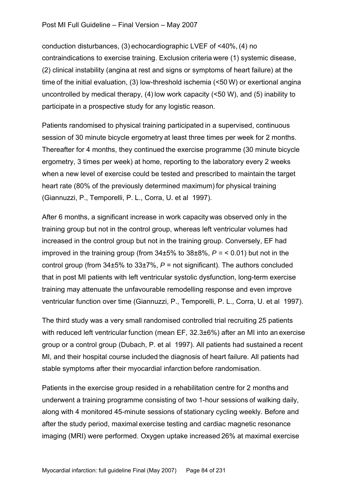conduction disturbances, (3) echocardiographic LVEF of <40%, (4) no contraindications to exercise training. Exclusion criteria were (1) systemic disease, (2) clinical instability (angina at rest and signs or symptoms of heart failure) at the time of the initial evaluation, (3) low-threshold ischemia (<50 W) or exertional angina uncontrolled by medical therapy, (4) low work capacity (<50 W), and (5) inability to participate in a prospective study for any logistic reason.

Patients randomised to physical training participated in a supervised, continuous session of 30 minute bicycle ergometry at least three times per week for 2 months. Thereafter for 4 months, they continued the exercise programme (30 minute bicycle ergometry, 3 times per week) at home, reporting to the laboratory every 2 weeks when a new level of exercise could be tested and prescribed to maintain the target heart rate (80% of the previously determined maximum) for physical training (Giannuzzi, P., Temporelli, P. L., Corra, U. et al 1997).

After 6 months, a significant increase in work capacity was observed only in the training group but not in the control group, whereas left ventricular volumes had increased in the control group but not in the training group. Conversely, EF had improved in the training group (from  $34\pm5\%$  to  $38\pm8\%$ ,  $P = 0.01$ ) but not in the control group (from  $34\pm5\%$  to  $33\pm7\%$ ,  $P =$  not significant). The authors concluded that in post MI patients with left ventricular systolic dysfunction, long-term exercise training may attenuate the unfavourable remodelling response and even improve ventricular function over time (Giannuzzi, P., Temporelli, P. L., Corra, U. et al 1997).

The third study was a very small randomised controlled trial recruiting 25 patients with reduced left ventricular function (mean EF, 32.3±6%) after an MI into an exercise group or a control group (Dubach, P. et al 1997). All patients had sustained a recent MI, and their hospital course included the diagnosis of heart failure. All patients had stable symptoms after their myocardial infarction before randomisation.

Patients in the exercise group resided in a rehabilitation centre for 2 months and underwent a training programme consisting of two 1-hour sessions of walking daily, along with 4 monitored 45-minute sessions of stationary cycling weekly. Before and after the study period, maximal exercise testing and cardiac magnetic resonance imaging (MRI) were performed. Oxygen uptake increased 26% at maximal exercise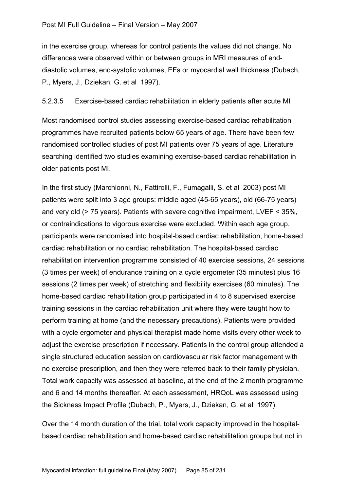in the exercise group, whereas for control patients the values did not change. No differences were observed within or between groups in MRI measures of enddiastolic volumes, end-systolic volumes, EFs or myocardial wall thickness (Dubach, P., Myers, J., Dziekan, G. et al 1997).

5.2.3.5 Exercise-based cardiac rehabilitation in elderly patients after acute MI

Most randomised control studies assessing exercise-based cardiac rehabilitation programmes have recruited patients below 65 years of age. There have been few randomised controlled studies of post MI patients over 75 years of age. Literature searching identified two studies examining exercise-based cardiac rehabilitation in older patients post MI.

In the first study (Marchionni, N., Fattirolli, F., Fumagalli, S. et al 2003) post MI patients were split into 3 age groups: middle aged (45-65 years), old (66-75 years) and very old (> 75 years). Patients with severe cognitive impairment, LVEF < 35%, or contraindications to vigorous exercise were excluded. Within each age group, participants were randomised into hospital-based cardiac rehabilitation, home-based cardiac rehabilitation or no cardiac rehabilitation. The hospital-based cardiac rehabilitation intervention programme consisted of 40 exercise sessions, 24 sessions (3 times per week) of endurance training on a cycle ergometer (35 minutes) plus 16 sessions (2 times per week) of stretching and flexibility exercises (60 minutes). The home-based cardiac rehabilitation group participated in 4 to 8 supervised exercise training sessions in the cardiac rehabilitation unit where they were taught how to perform training at home (and the necessary precautions). Patients were provided with a cycle ergometer and physical therapist made home visits every other week to adjust the exercise prescription if necessary. Patients in the control group attended a single structured education session on cardiovascular risk factor management with no exercise prescription, and then they were referred back to their family physician. Total work capacity was assessed at baseline, at the end of the 2 month programme and 6 and 14 months thereafter. At each assessment, HRQoL was assessed using the Sickness Impact Profile (Dubach, P., Myers, J., Dziekan, G. et al 1997).

Over the 14 month duration of the trial, total work capacity improved in the hospitalbased cardiac rehabilitation and home-based cardiac rehabilitation groups but not in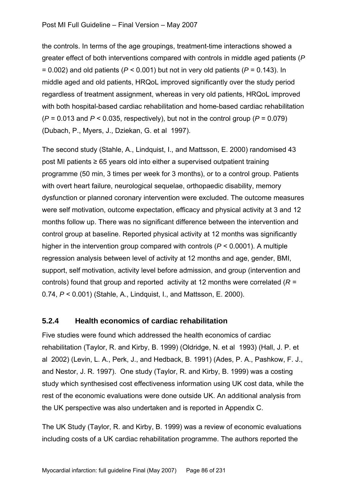the controls. In terms of the age groupings, treatment-time interactions showed a greater effect of both interventions compared with controls in middle aged patients (*P*  = 0.002) and old patients (*P* < 0.001) but not in very old patients (*P* = 0.143). In middle aged and old patients, HRQoL improved significantly over the study period regardless of treatment assignment, whereas in very old patients, HRQoL improved with both hospital-based cardiac rehabilitation and home-based cardiac rehabilitation  $(P = 0.013$  and  $P < 0.035$ , respectively), but not in the control group  $(P = 0.079)$ (Dubach, P., Myers, J., Dziekan, G. et al 1997).

The second study (Stahle, A., Lindquist, I., and Mattsson, E. 2000) randomised 43 post MI patients ≥ 65 years old into either a supervised outpatient training programme (50 min, 3 times per week for 3 months), or to a control group. Patients with overt heart failure, neurological sequelae, orthopaedic disability, memory dysfunction or planned coronary intervention were excluded. The outcome measures were self motivation, outcome expectation, efficacy and physical activity at 3 and 12 months follow up. There was no significant difference between the intervention and control group at baseline. Reported physical activity at 12 months was significantly higher in the intervention group compared with controls (*P* < 0.0001). A multiple regression analysis between level of activity at 12 months and age, gender, BMI, support, self motivation, activity level before admission, and group (intervention and controls) found that group and reported activity at 12 months were correlated (*R* = 0.74, *P* < 0.001) (Stahle, A., Lindquist, I., and Mattsson, E. 2000).

## **5.2.4 Health economics of cardiac rehabilitation**

Five studies were found which addressed the health economics of cardiac rehabilitation (Taylor, R. and Kirby, B. 1999) (Oldridge, N. et al 1993) (Hall, J. P. et al 2002) (Levin, L. A., Perk, J., and Hedback, B. 1991) (Ades, P. A., Pashkow, F. J., and Nestor, J. R. 1997). One study (Taylor, R. and Kirby, B. 1999) was a costing study which synthesised cost effectiveness information using UK cost data, while the rest of the economic evaluations were done outside UK. An additional analysis from the UK perspective was also undertaken and is reported in Appendix C.

The UK Study (Taylor, R. and Kirby, B. 1999) was a review of economic evaluations including costs of a UK cardiac rehabilitation programme. The authors reported the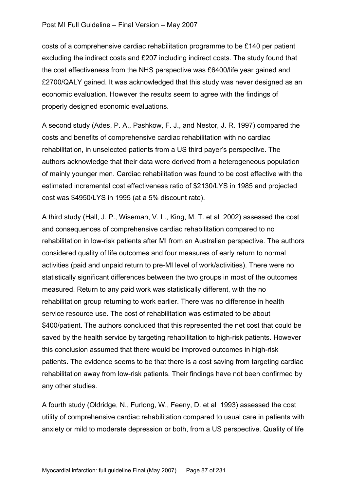costs of a comprehensive cardiac rehabilitation programme to be £140 per patient excluding the indirect costs and £207 including indirect costs. The study found that the cost effectiveness from the NHS perspective was £6400/life year gained and £2700/QALY gained. It was acknowledged that this study was never designed as an economic evaluation. However the results seem to agree with the findings of properly designed economic evaluations.

A second study (Ades, P. A., Pashkow, F. J., and Nestor, J. R. 1997) compared the costs and benefits of comprehensive cardiac rehabilitation with no cardiac rehabilitation, in unselected patients from a US third payer's perspective. The authors acknowledge that their data were derived from a heterogeneous population of mainly younger men. Cardiac rehabilitation was found to be cost effective with the estimated incremental cost effectiveness ratio of \$2130/LYS in 1985 and projected cost was \$4950/LYS in 1995 (at a 5% discount rate).

A third study (Hall, J. P., Wiseman, V. L., King, M. T. et al 2002) assessed the cost and consequences of comprehensive cardiac rehabilitation compared to no rehabilitation in low-risk patients after MI from an Australian perspective. The authors considered quality of life outcomes and four measures of early return to normal activities (paid and unpaid return to pre-MI level of work/activities). There were no statistically significant differences between the two groups in most of the outcomes measured. Return to any paid work was statistically different, with the no rehabilitation group returning to work earlier. There was no difference in health service resource use. The cost of rehabilitation was estimated to be about \$400/patient. The authors concluded that this represented the net cost that could be saved by the health service by targeting rehabilitation to high-risk patients. However this conclusion assumed that there would be improved outcomes in high-risk patients. The evidence seems to be that there is a cost saving from targeting cardiac rehabilitation away from low-risk patients. Their findings have not been confirmed by any other studies.

A fourth study (Oldridge, N., Furlong, W., Feeny, D. et al 1993) assessed the cost utility of comprehensive cardiac rehabilitation compared to usual care in patients with anxiety or mild to moderate depression or both, from a US perspective. Quality of life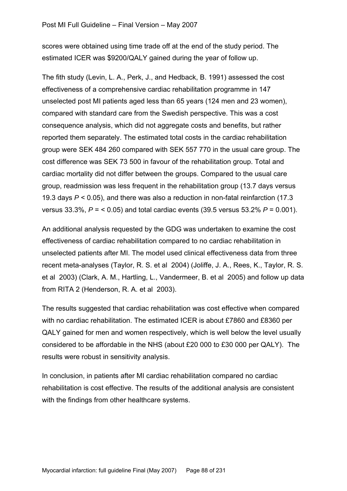scores were obtained using time trade off at the end of the study period. The estimated ICER was \$9200/QALY gained during the year of follow up.

The fith study (Levin, L. A., Perk, J., and Hedback, B. 1991) assessed the cost effectiveness of a comprehensive cardiac rehabilitation programme in 147 unselected post MI patients aged less than 65 years (124 men and 23 women), compared with standard care from the Swedish perspective. This was a cost consequence analysis, which did not aggregate costs and benefits, but rather reported them separately. The estimated total costs in the cardiac rehabilitation group were SEK 484 260 compared with SEK 557 770 in the usual care group. The cost difference was SEK 73 500 in favour of the rehabilitation group. Total and cardiac mortality did not differ between the groups. Compared to the usual care group, readmission was less frequent in the rehabilitation group (13.7 days versus 19.3 days *P* < 0.05), and there was also a reduction in non-fatal reinfarction (17.3 versus 33.3%, *P* = < 0.05) and total cardiac events (39.5 versus 53.2% *P* = 0.001).

An additional analysis requested by the GDG was undertaken to examine the cost effectiveness of cardiac rehabilitation compared to no cardiac rehabilitation in unselected patients after MI. The model used clinical effectiveness data from three recent meta-analyses (Taylor, R. S. et al 2004) (Joliffe, J. A., Rees, K., Taylor, R. S. et al 2003) (Clark, A. M., Hartling, L., Vandermeer, B. et al 2005) and follow up data from RITA 2 (Henderson, R. A. et al 2003).

The results suggested that cardiac rehabilitation was cost effective when compared with no cardiac rehabilitation. The estimated ICER is about £7860 and £8360 per QALY gained for men and women respectively, which is well below the level usually considered to be affordable in the NHS (about £20 000 to £30 000 per QALY). The results were robust in sensitivity analysis.

In conclusion, in patients after MI cardiac rehabilitation compared no cardiac rehabilitation is cost effective. The results of the additional analysis are consistent with the findings from other healthcare systems.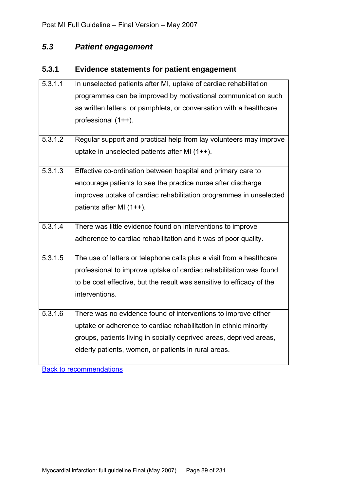## *5.3 Patient engagement*

## **5.3.1 Evidence statements for patient engagement**

- 5.3.1.1 In unselected patients after MI, uptake of cardiac rehabilitation programmes can be improved by motivational communication such as written letters, or pamphlets, or conversation with a healthcare professional (1++).
- 5.3.1.2 Regular support and practical help from lay volunteers may improve uptake in unselected patients after MI (1++).
- 5.3.1.3 Effective co-ordination between hospital and primary care to encourage patients to see the practice nurse after discharge improves uptake of cardiac rehabilitation programmes in unselected patients after MI (1++).
- 5.3.1.4 There was little evidence found on interventions to improve adherence to cardiac rehabilitation and it was of poor quality.
- 5.3.1.5 The use of letters or telephone calls plus a visit from a healthcare professional to improve uptake of cardiac rehabilitation was found to be cost effective, but the result was sensitive to efficacy of the interventions.
- 5.3.1.6 There was no evidence found of interventions to improve either uptake or adherence to cardiac rehabilitation in ethnic minority groups, patients living in socially deprived areas, deprived areas, elderly patients, women, or patients in rural areas.

[Back to recommendations](#page-68-0)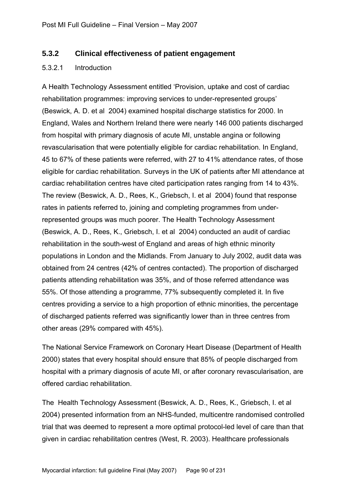### **5.3.2 Clinical effectiveness of patient engagement**

### 5.3.2.1 Introduction

A Health Technology Assessment entitled 'Provision, uptake and cost of cardiac rehabilitation programmes: improving services to under-represented groups' (Beswick, A. D. et al 2004) examined hospital discharge statistics for 2000. In England, Wales and Northern Ireland there were nearly 146 000 patients discharged from hospital with primary diagnosis of acute MI, unstable angina or following revascularisation that were potentially eligible for cardiac rehabilitation. In England, 45 to 67% of these patients were referred, with 27 to 41% attendance rates, of those eligible for cardiac rehabilitation. Surveys in the UK of patients after MI attendance at cardiac rehabilitation centres have cited participation rates ranging from 14 to 43%. The review (Beswick, A. D., Rees, K., Griebsch, I. et al 2004) found that response rates in patients referred to, joining and completing programmes from underrepresented groups was much poorer. The Health Technology Assessment (Beswick, A. D., Rees, K., Griebsch, I. et al 2004) conducted an audit of cardiac rehabilitation in the south-west of England and areas of high ethnic minority populations in London and the Midlands. From January to July 2002, audit data was obtained from 24 centres (42% of centres contacted). The proportion of discharged patients attending rehabilitation was 35%, and of those referred attendance was 55%. Of those attending a programme, 77% subsequently completed it. In five centres providing a service to a high proportion of ethnic minorities, the percentage of discharged patients referred was significantly lower than in three centres from other areas (29% compared with 45%).

The National Service Framework on Coronary Heart Disease (Department of Health 2000) states that every hospital should ensure that 85% of people discharged from hospital with a primary diagnosis of acute MI, or after coronary revascularisation, are offered cardiac rehabilitation.

The Health Technology Assessment (Beswick, A. D., Rees, K., Griebsch, I. et al 2004) presented information from an NHS-funded, multicentre randomised controlled trial that was deemed to represent a more optimal protocol-led level of care than that given in cardiac rehabilitation centres (West, R. 2003). Healthcare professionals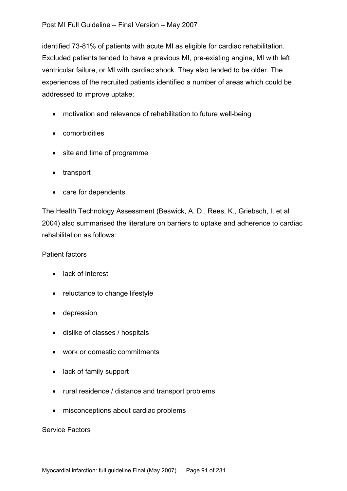identified 73-81% of patients with acute MI as eligible for cardiac rehabilitation. Excluded patients tended to have a previous MI, pre-existing angina, MI with left ventricular failure, or MI with cardiac shock. They also tended to be older. The experiences of the recruited patients identified a number of areas which could be addressed to improve uptake;

- motivation and relevance of rehabilitation to future well-being
- comorbidities
- site and time of programme
- transport
- care for dependents

The Health Technology Assessment (Beswick, A. D., Rees, K., Griebsch, I. et al 2004) also summarised the literature on barriers to uptake and adherence to cardiac rehabilitation as follows:

### Patient factors

- lack of interest
- reluctance to change lifestyle
- depression
- dislike of classes / hospitals
- work or domestic commitments
- lack of family support
- rural residence / distance and transport problems
- misconceptions about cardiac problems

Service Factors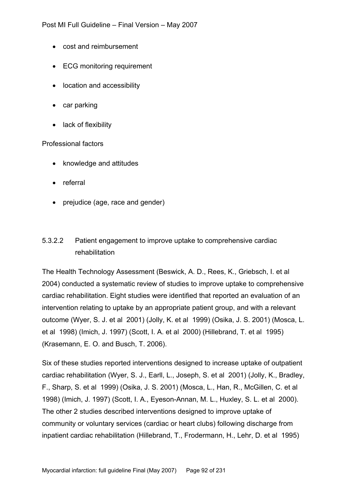- cost and reimbursement
- ECG monitoring requirement
- location and accessibility
- car parking
- lack of flexibility

## Professional factors

- knowledge and attitudes
- referral
- prejudice (age, race and gender)

## 5.3.2.2 Patient engagement to improve uptake to comprehensive cardiac rehabilitation

The Health Technology Assessment (Beswick, A. D., Rees, K., Griebsch, I. et al 2004) conducted a systematic review of studies to improve uptake to comprehensive cardiac rehabilitation. Eight studies were identified that reported an evaluation of an intervention relating to uptake by an appropriate patient group, and with a relevant outcome (Wyer, S. J. et al 2001) (Jolly, K. et al 1999) (Osika, J. S. 2001) (Mosca, L. et al 1998) (Imich, J. 1997) (Scott, I. A. et al 2000) (Hillebrand, T. et al 1995) (Krasemann, E. O. and Busch, T. 2006).

Six of these studies reported interventions designed to increase uptake of outpatient cardiac rehabilitation (Wyer, S. J., Earll, L., Joseph, S. et al 2001) (Jolly, K., Bradley, F., Sharp, S. et al 1999) (Osika, J. S. 2001) (Mosca, L., Han, R., McGillen, C. et al 1998) (Imich, J. 1997) (Scott, I. A., Eyeson-Annan, M. L., Huxley, S. L. et al 2000). The other 2 studies described interventions designed to improve uptake of community or voluntary services (cardiac or heart clubs) following discharge from inpatient cardiac rehabilitation (Hillebrand, T., Frodermann, H., Lehr, D. et al 1995)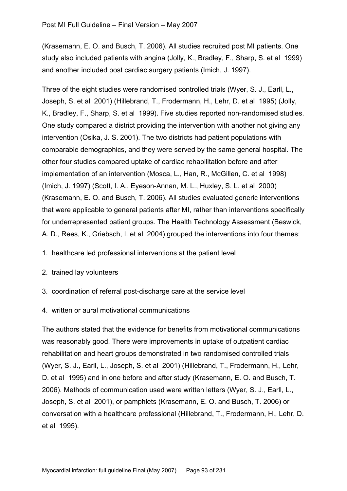(Krasemann, E. O. and Busch, T. 2006). All studies recruited post MI patients. One study also included patients with angina (Jolly, K., Bradley, F., Sharp, S. et al 1999) and another included post cardiac surgery patients (Imich, J. 1997).

Three of the eight studies were randomised controlled trials (Wyer, S. J., Earll, L., Joseph, S. et al 2001) (Hillebrand, T., Frodermann, H., Lehr, D. et al 1995) (Jolly, K., Bradley, F., Sharp, S. et al 1999). Five studies reported non-randomised studies. One study compared a district providing the intervention with another not giving any intervention (Osika, J. S. 2001). The two districts had patient populations with comparable demographics, and they were served by the same general hospital. The other four studies compared uptake of cardiac rehabilitation before and after implementation of an intervention (Mosca, L., Han, R., McGillen, C. et al 1998) (Imich, J. 1997) (Scott, I. A., Eyeson-Annan, M. L., Huxley, S. L. et al 2000) (Krasemann, E. O. and Busch, T. 2006). All studies evaluated generic interventions that were applicable to general patients after MI, rather than interventions specifically for underrepresented patient groups. The Health Technology Assessment (Beswick, A. D., Rees, K., Griebsch, I. et al 2004) grouped the interventions into four themes:

1. healthcare led professional interventions at the patient level

- 2. trained lay volunteers
- 3. coordination of referral post-discharge care at the service level
- 4. written or aural motivational communications

The authors stated that the evidence for benefits from motivational communications was reasonably good. There were improvements in uptake of outpatient cardiac rehabilitation and heart groups demonstrated in two randomised controlled trials (Wyer, S. J., Earll, L., Joseph, S. et al 2001) (Hillebrand, T., Frodermann, H., Lehr, D. et al 1995) and in one before and after study (Krasemann, E. O. and Busch, T. 2006). Methods of communication used were written letters (Wyer, S. J., Earll, L., Joseph, S. et al 2001), or pamphlets (Krasemann, E. O. and Busch, T. 2006) or conversation with a healthcare professional (Hillebrand, T., Frodermann, H., Lehr, D. et al 1995).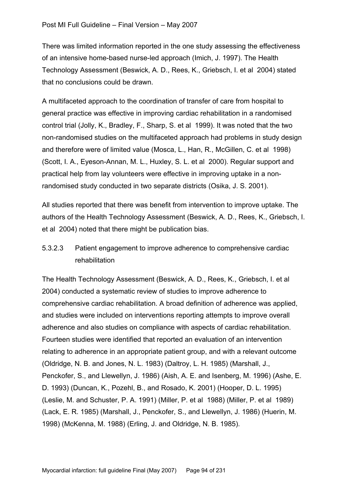There was limited information reported in the one study assessing the effectiveness of an intensive home-based nurse-led approach (Imich, J. 1997). The Health Technology Assessment (Beswick, A. D., Rees, K., Griebsch, I. et al 2004) stated that no conclusions could be drawn.

A multifaceted approach to the coordination of transfer of care from hospital to general practice was effective in improving cardiac rehabilitation in a randomised control trial (Jolly, K., Bradley, F., Sharp, S. et al 1999). It was noted that the two non-randomised studies on the multifaceted approach had problems in study design and therefore were of limited value (Mosca, L., Han, R., McGillen, C. et al 1998) (Scott, I. A., Eyeson-Annan, M. L., Huxley, S. L. et al 2000). Regular support and practical help from lay volunteers were effective in improving uptake in a nonrandomised study conducted in two separate districts (Osika, J. S. 2001).

All studies reported that there was benefit from intervention to improve uptake. The authors of the Health Technology Assessment (Beswick, A. D., Rees, K., Griebsch, I. et al 2004) noted that there might be publication bias.

## 5.3.2.3 Patient engagement to improve adherence to comprehensive cardiac rehabilitation

The Health Technology Assessment (Beswick, A. D., Rees, K., Griebsch, I. et al 2004) conducted a systematic review of studies to improve adherence to comprehensive cardiac rehabilitation. A broad definition of adherence was applied, and studies were included on interventions reporting attempts to improve overall adherence and also studies on compliance with aspects of cardiac rehabilitation. Fourteen studies were identified that reported an evaluation of an intervention relating to adherence in an appropriate patient group, and with a relevant outcome (Oldridge, N. B. and Jones, N. L. 1983) (Daltroy, L. H. 1985) (Marshall, J., Penckofer, S., and Llewellyn, J. 1986) (Aish, A. E. and Isenberg, M. 1996) (Ashe, E. D. 1993) (Duncan, K., Pozehl, B., and Rosado, K. 2001) (Hooper, D. L. 1995) (Leslie, M. and Schuster, P. A. 1991) (Miller, P. et al 1988) (Miller, P. et al 1989) (Lack, E. R. 1985) (Marshall, J., Penckofer, S., and Llewellyn, J. 1986) (Huerin, M. 1998) (McKenna, M. 1988) (Erling, J. and Oldridge, N. B. 1985).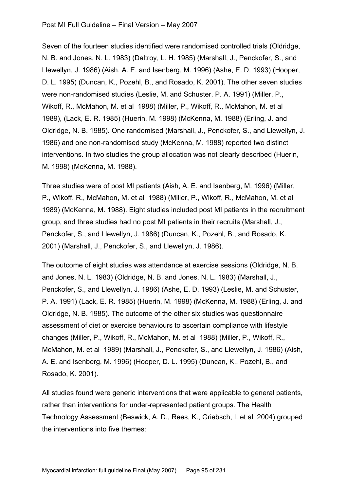Seven of the fourteen studies identified were randomised controlled trials (Oldridge, N. B. and Jones, N. L. 1983) (Daltroy, L. H. 1985) (Marshall, J., Penckofer, S., and Llewellyn, J. 1986) (Aish, A. E. and Isenberg, M. 1996) (Ashe, E. D. 1993) (Hooper, D. L. 1995) (Duncan, K., Pozehl, B., and Rosado, K. 2001). The other seven studies were non-randomised studies (Leslie, M. and Schuster, P. A. 1991) (Miller, P., Wikoff, R., McMahon, M. et al 1988) (Miller, P., Wikoff, R., McMahon, M. et al 1989), (Lack, E. R. 1985) (Huerin, M. 1998) (McKenna, M. 1988) (Erling, J. and Oldridge, N. B. 1985). One randomised (Marshall, J., Penckofer, S., and Llewellyn, J. 1986) and one non-randomised study (McKenna, M. 1988) reported two distinct interventions. In two studies the group allocation was not clearly described (Huerin, M. 1998) (McKenna, M. 1988).

Three studies were of post MI patients (Aish, A. E. and Isenberg, M. 1996) (Miller, P., Wikoff, R., McMahon, M. et al 1988) (Miller, P., Wikoff, R., McMahon, M. et al 1989) (McKenna, M. 1988). Eight studies included post MI patients in the recruitment group, and three studies had no post MI patients in their recruits (Marshall, J., Penckofer, S., and Llewellyn, J. 1986) (Duncan, K., Pozehl, B., and Rosado, K. 2001) (Marshall, J., Penckofer, S., and Llewellyn, J. 1986).

The outcome of eight studies was attendance at exercise sessions (Oldridge, N. B. and Jones, N. L. 1983) (Oldridge, N. B. and Jones, N. L. 1983) (Marshall, J., Penckofer, S., and Llewellyn, J. 1986) (Ashe, E. D. 1993) (Leslie, M. and Schuster, P. A. 1991) (Lack, E. R. 1985) (Huerin, M. 1998) (McKenna, M. 1988) (Erling, J. and Oldridge, N. B. 1985). The outcome of the other six studies was questionnaire assessment of diet or exercise behaviours to ascertain compliance with lifestyle changes (Miller, P., Wikoff, R., McMahon, M. et al 1988) (Miller, P., Wikoff, R., McMahon, M. et al 1989) (Marshall, J., Penckofer, S., and Llewellyn, J. 1986) (Aish, A. E. and Isenberg, M. 1996) (Hooper, D. L. 1995) (Duncan, K., Pozehl, B., and Rosado, K. 2001).

All studies found were generic interventions that were applicable to general patients, rather than interventions for under-represented patient groups. The Health Technology Assessment (Beswick, A. D., Rees, K., Griebsch, I. et al 2004) grouped the interventions into five themes: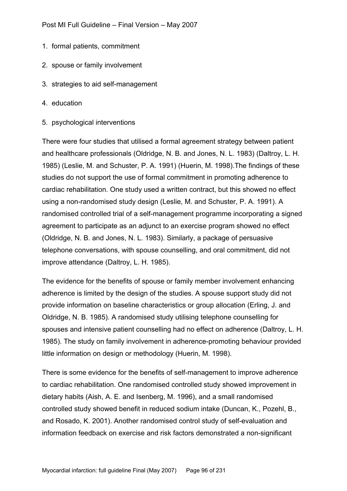- 1. formal patients, commitment
- 2. spouse or family involvement
- 3. strategies to aid self-management
- 4. education
- 5. psychological interventions

There were four studies that utilised a formal agreement strategy between patient and healthcare professionals (Oldridge, N. B. and Jones, N. L. 1983) (Daltroy, L. H. 1985) (Leslie, M. and Schuster, P. A. 1991) (Huerin, M. 1998).The findings of these studies do not support the use of formal commitment in promoting adherence to cardiac rehabilitation. One study used a written contract, but this showed no effect using a non-randomised study design (Leslie, M. and Schuster, P. A. 1991). A randomised controlled trial of a self-management programme incorporating a signed agreement to participate as an adjunct to an exercise program showed no effect (Oldridge, N. B. and Jones, N. L. 1983). Similarly, a package of persuasive telephone conversations, with spouse counselling, and oral commitment, did not improve attendance (Daltroy, L. H. 1985).

The evidence for the benefits of spouse or family member involvement enhancing adherence is limited by the design of the studies. A spouse support study did not provide information on baseline characteristics or group allocation (Erling, J. and Oldridge, N. B. 1985). A randomised study utilising telephone counselling for spouses and intensive patient counselling had no effect on adherence (Daltroy, L. H. 1985). The study on family involvement in adherence-promoting behaviour provided little information on design or methodology (Huerin, M. 1998).

There is some evidence for the benefits of self-management to improve adherence to cardiac rehabilitation. One randomised controlled study showed improvement in dietary habits (Aish, A. E. and Isenberg, M. 1996), and a small randomised controlled study showed benefit in reduced sodium intake (Duncan, K., Pozehl, B., and Rosado, K. 2001). Another randomised control study of self-evaluation and information feedback on exercise and risk factors demonstrated a non-significant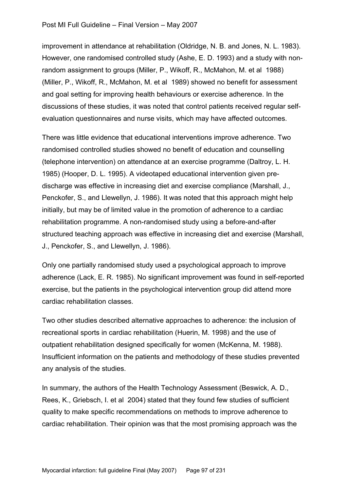improvement in attendance at rehabilitation (Oldridge, N. B. and Jones, N. L. 1983). However, one randomised controlled study (Ashe, E. D. 1993) and a study with nonrandom assignment to groups (Miller, P., Wikoff, R., McMahon, M. et al 1988) (Miller, P., Wikoff, R., McMahon, M. et al 1989) showed no benefit for assessment and goal setting for improving health behaviours or exercise adherence. In the discussions of these studies, it was noted that control patients received regular selfevaluation questionnaires and nurse visits, which may have affected outcomes.

There was little evidence that educational interventions improve adherence. Two randomised controlled studies showed no benefit of education and counselling (telephone intervention) on attendance at an exercise programme (Daltroy, L. H. 1985) (Hooper, D. L. 1995). A videotaped educational intervention given predischarge was effective in increasing diet and exercise compliance (Marshall, J., Penckofer, S., and Llewellyn, J. 1986). It was noted that this approach might help initially, but may be of limited value in the promotion of adherence to a cardiac rehabilitation programme. A non-randomised study using a before-and-after structured teaching approach was effective in increasing diet and exercise (Marshall, J., Penckofer, S., and Llewellyn, J. 1986).

Only one partially randomised study used a psychological approach to improve adherence (Lack, E. R. 1985). No significant improvement was found in self-reported exercise, but the patients in the psychological intervention group did attend more cardiac rehabilitation classes.

Two other studies described alternative approaches to adherence: the inclusion of recreational sports in cardiac rehabilitation (Huerin, M. 1998) and the use of outpatient rehabilitation designed specifically for women (McKenna, M. 1988). Insufficient information on the patients and methodology of these studies prevented any analysis of the studies.

In summary, the authors of the Health Technology Assessment (Beswick, A. D., Rees, K., Griebsch, I. et al 2004) stated that they found few studies of sufficient quality to make specific recommendations on methods to improve adherence to cardiac rehabilitation. Their opinion was that the most promising approach was the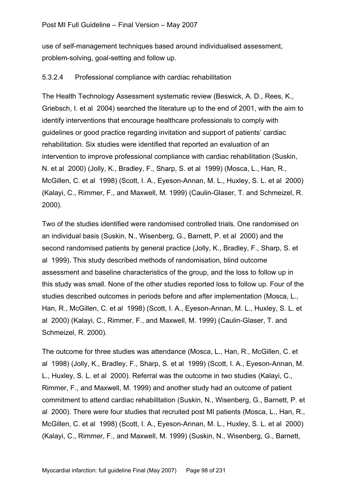use of self-management techniques based around individualised assessment, problem-solving, goal-setting and follow up.

### 5.3.2.4 Professional compliance with cardiac rehabilitation

The Health Technology Assessment systematic review (Beswick, A. D., Rees, K., Griebsch, I. et al 2004) searched the literature up to the end of 2001, with the aim to identify interventions that encourage healthcare professionals to comply with guidelines or good practice regarding invitation and support of patients' cardiac rehabilitation. Six studies were identified that reported an evaluation of an intervention to improve professional compliance with cardiac rehabilitation (Suskin, N. et al 2000) (Jolly, K., Bradley, F., Sharp, S. et al 1999) (Mosca, L., Han, R., McGillen, C. et al 1998) (Scott, I. A., Eyeson-Annan, M. L., Huxley, S. L. et al 2000) (Kalayi, C., Rimmer, F., and Maxwell, M. 1999) (Caulin-Glaser, T. and Schmeizel, R. 2000).

Two of the studies identified were randomised controlled trials. One randomised on an individual basis (Suskin, N., Wisenberg, G., Barnett, P. et al 2000) and the second randomised patients by general practice (Jolly, K., Bradley, F., Sharp, S. et al 1999). This study described methods of randomisation, blind outcome assessment and baseline characteristics of the group, and the loss to follow up in this study was small. None of the other studies reported loss to follow up. Four of the studies described outcomes in periods before and after implementation (Mosca, L., Han, R., McGillen, C. et al 1998) (Scott, I. A., Eyeson-Annan, M. L., Huxley, S. L. et al 2000) (Kalayi, C., Rimmer, F., and Maxwell, M. 1999) (Caulin-Glaser, T. and Schmeizel, R. 2000).

The outcome for three studies was attendance (Mosca, L., Han, R., McGillen, C. et al 1998) (Jolly, K., Bradley, F., Sharp, S. et al 1999) (Scott, I. A., Eyeson-Annan, M. L., Huxley, S. L. et al 2000). Referral was the outcome in two studies (Kalayi, C., Rimmer, F., and Maxwell, M. 1999) and another study had an outcome of patient commitment to attend cardiac rehabilitation (Suskin, N., Wisenberg, G., Barnett, P. et al 2000). There were four studies that recruited post MI patients (Mosca, L., Han, R., McGillen, C. et al 1998) (Scott, I. A., Eyeson-Annan, M. L., Huxley, S. L. et al 2000) (Kalayi, C., Rimmer, F., and Maxwell, M. 1999) (Suskin, N., Wisenberg, G., Barnett,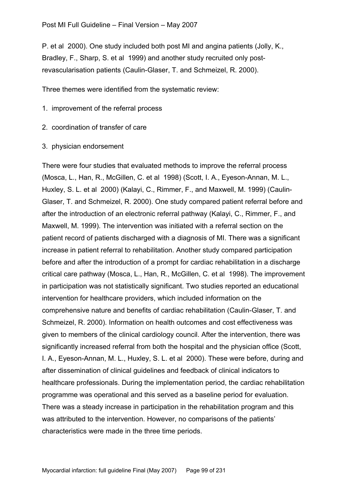P. et al 2000). One study included both post MI and angina patients (Jolly, K., Bradley, F., Sharp, S. et al 1999) and another study recruited only postrevascularisation patients (Caulin-Glaser, T. and Schmeizel, R. 2000).

Three themes were identified from the systematic review:

- 1. improvement of the referral process
- 2. coordination of transfer of care
- 3. physician endorsement

There were four studies that evaluated methods to improve the referral process (Mosca, L., Han, R., McGillen, C. et al 1998) (Scott, I. A., Eyeson-Annan, M. L., Huxley, S. L. et al 2000) (Kalayi, C., Rimmer, F., and Maxwell, M. 1999) (Caulin-Glaser, T. and Schmeizel, R. 2000). One study compared patient referral before and after the introduction of an electronic referral pathway (Kalayi, C., Rimmer, F., and Maxwell, M. 1999). The intervention was initiated with a referral section on the patient record of patients discharged with a diagnosis of MI. There was a significant increase in patient referral to rehabilitation. Another study compared participation before and after the introduction of a prompt for cardiac rehabilitation in a discharge critical care pathway (Mosca, L., Han, R., McGillen, C. et al 1998). The improvement in participation was not statistically significant. Two studies reported an educational intervention for healthcare providers, which included information on the comprehensive nature and benefits of cardiac rehabilitation (Caulin-Glaser, T. and Schmeizel, R. 2000). Information on health outcomes and cost effectiveness was given to members of the clinical cardiology council. After the intervention, there was significantly increased referral from both the hospital and the physician office (Scott, I. A., Eyeson-Annan, M. L., Huxley, S. L. et al 2000). These were before, during and after dissemination of clinical guidelines and feedback of clinical indicators to healthcare professionals. During the implementation period, the cardiac rehabilitation programme was operational and this served as a baseline period for evaluation. There was a steady increase in participation in the rehabilitation program and this was attributed to the intervention. However, no comparisons of the patients' characteristics were made in the three time periods.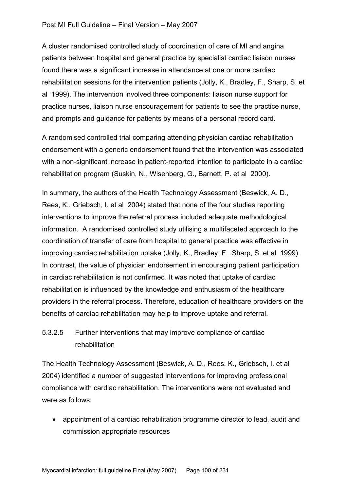A cluster randomised controlled study of coordination of care of MI and angina patients between hospital and general practice by specialist cardiac liaison nurses found there was a significant increase in attendance at one or more cardiac rehabilitation sessions for the intervention patients (Jolly, K., Bradley, F., Sharp, S. et al 1999). The intervention involved three components: liaison nurse support for practice nurses, liaison nurse encouragement for patients to see the practice nurse, and prompts and guidance for patients by means of a personal record card.

A randomised controlled trial comparing attending physician cardiac rehabilitation endorsement with a generic endorsement found that the intervention was associated with a non-significant increase in patient-reported intention to participate in a cardiac rehabilitation program (Suskin, N., Wisenberg, G., Barnett, P. et al 2000).

In summary, the authors of the Health Technology Assessment (Beswick, A. D., Rees, K., Griebsch, I. et al 2004) stated that none of the four studies reporting interventions to improve the referral process included adequate methodological information. A randomised controlled study utilising a multifaceted approach to the coordination of transfer of care from hospital to general practice was effective in improving cardiac rehabilitation uptake (Jolly, K., Bradley, F., Sharp, S. et al 1999). In contrast, the value of physician endorsement in encouraging patient participation in cardiac rehabilitation is not confirmed. It was noted that uptake of cardiac rehabilitation is influenced by the knowledge and enthusiasm of the healthcare providers in the referral process. Therefore, education of healthcare providers on the benefits of cardiac rehabilitation may help to improve uptake and referral.

5.3.2.5 Further interventions that may improve compliance of cardiac rehabilitation

The Health Technology Assessment (Beswick, A. D., Rees, K., Griebsch, I. et al 2004) identified a number of suggested interventions for improving professional compliance with cardiac rehabilitation. The interventions were not evaluated and were as follows:

• appointment of a cardiac rehabilitation programme director to lead, audit and commission appropriate resources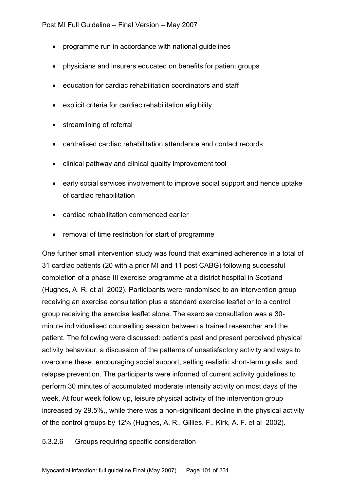- programme run in accordance with national guidelines
- physicians and insurers educated on benefits for patient groups
- education for cardiac rehabilitation coordinators and staff
- explicit criteria for cardiac rehabilitation eligibility
- streamlining of referral
- centralised cardiac rehabilitation attendance and contact records
- clinical pathway and clinical quality improvement tool
- early social services involvement to improve social support and hence uptake of cardiac rehabilitation
- cardiac rehabilitation commenced earlier
- removal of time restriction for start of programme

One further small intervention study was found that examined adherence in a total of 31 cardiac patients (20 with a prior MI and 11 post CABG) following successful completion of a phase III exercise programme at a district hospital in Scotland (Hughes, A. R. et al 2002). Participants were randomised to an intervention group receiving an exercise consultation plus a standard exercise leaflet or to a control group receiving the exercise leaflet alone. The exercise consultation was a 30 minute individualised counselling session between a trained researcher and the patient. The following were discussed: patient's past and present perceived physical activity behaviour, a discussion of the patterns of unsatisfactory activity and ways to overcome these, encouraging social support, setting realistic short-term goals, and relapse prevention. The participants were informed of current activity guidelines to perform 30 minutes of accumulated moderate intensity activity on most days of the week. At four week follow up, leisure physical activity of the intervention group increased by 29.5%,, while there was a non-significant decline in the physical activity of the control groups by 12% (Hughes, A. R., Gillies, F., Kirk, A. F. et al 2002).

## 5.3.2.6 Groups requiring specific consideration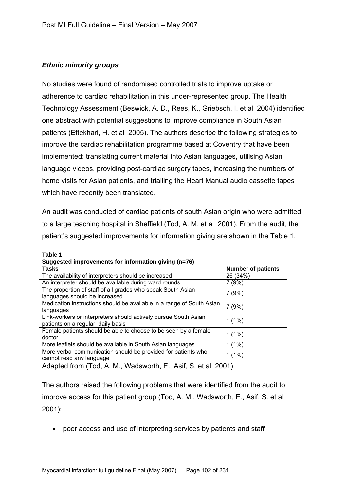## *Ethnic minority groups*

No studies were found of randomised controlled trials to improve uptake or adherence to cardiac rehabilitation in this under-represented group. The Health Technology Assessment (Beswick, A. D., Rees, K., Griebsch, I. et al 2004) identified one abstract with potential suggestions to improve compliance in South Asian patients (Eftekhari, H. et al 2005). The authors describe the following strategies to improve the cardiac rehabilitation programme based at Coventry that have been implemented: translating current material into Asian languages, utilising Asian language videos, providing post-cardiac surgery tapes, increasing the numbers of home visits for Asian patients, and trialling the Heart Manual audio cassette tapes which have recently been translated.

An audit was conducted of cardiac patients of south Asian origin who were admitted to a large teaching hospital in Sheffield (Tod, A. M. et al 2001). From the audit, the patient's suggested improvements for information giving are shown in the Table 1.

| Table 1                                                               |                           |  |  |
|-----------------------------------------------------------------------|---------------------------|--|--|
| Suggested improvements for information giving (n=76)                  |                           |  |  |
| <b>Tasks</b>                                                          | <b>Number of patients</b> |  |  |
| The availability of interpreters should be increased                  | 26 (34%)                  |  |  |
| An interpreter should be available during ward rounds                 | 7 (9%)                    |  |  |
| The proportion of staff of all grades who speak South Asian<br>7(9%)  |                           |  |  |
| languages should be increased                                         |                           |  |  |
| Medication instructions should be available in a range of South Asian | 7(9%)                     |  |  |
| languages                                                             |                           |  |  |
| Link-workers or interpreters should actively pursue South Asian       | $1(1\%)$                  |  |  |
| patients on a regular, daily basis                                    |                           |  |  |
| Female patients should be able to choose to be seen by a female       | $1(1\%)$                  |  |  |
| doctor                                                                |                           |  |  |
| More leaflets should be available in South Asian languages            | $1(1\%)$                  |  |  |
| More verbal communication should be provided for patients who         | $1(1\%)$                  |  |  |
| cannot read any language                                              |                           |  |  |

Adapted from (Tod, A. M., Wadsworth, E., Asif, S. et al 2001)

The authors raised the following problems that were identified from the audit to improve access for this patient group (Tod, A. M., Wadsworth, E., Asif, S. et al 2001);

• poor access and use of interpreting services by patients and staff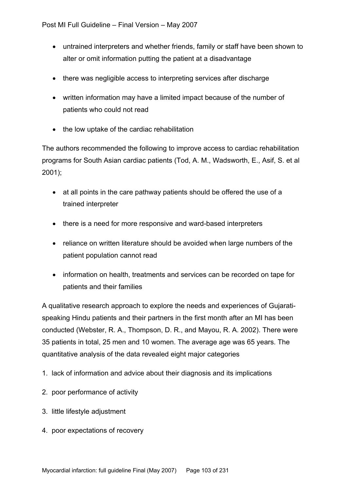- untrained interpreters and whether friends, family or staff have been shown to alter or omit information putting the patient at a disadvantage
- there was negligible access to interpreting services after discharge
- written information may have a limited impact because of the number of patients who could not read
- the low uptake of the cardiac rehabilitation

The authors recommended the following to improve access to cardiac rehabilitation programs for South Asian cardiac patients (Tod, A. M., Wadsworth, E., Asif, S. et al 2001);

- at all points in the care pathway patients should be offered the use of a trained interpreter
- there is a need for more responsive and ward-based interpreters
- reliance on written literature should be avoided when large numbers of the patient population cannot read
- information on health, treatments and services can be recorded on tape for patients and their families

A qualitative research approach to explore the needs and experiences of Gujaratispeaking Hindu patients and their partners in the first month after an MI has been conducted (Webster, R. A., Thompson, D. R., and Mayou, R. A. 2002). There were 35 patients in total, 25 men and 10 women. The average age was 65 years. The quantitative analysis of the data revealed eight major categories

- 1. lack of information and advice about their diagnosis and its implications
- 2. poor performance of activity
- 3. little lifestyle adjustment
- 4. poor expectations of recovery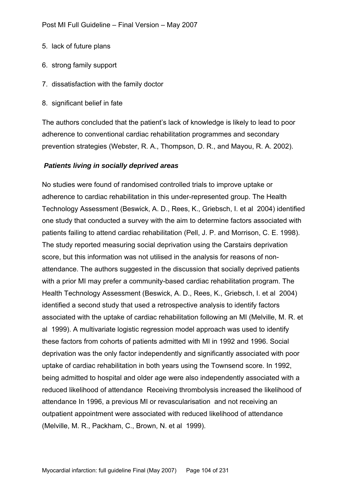- 5. lack of future plans
- 6. strong family support
- 7. dissatisfaction with the family doctor
- 8. significant belief in fate

The authors concluded that the patient's lack of knowledge is likely to lead to poor adherence to conventional cardiac rehabilitation programmes and secondary prevention strategies (Webster, R. A., Thompson, D. R., and Mayou, R. A. 2002).

### *Patients living in socially deprived areas*

No studies were found of randomised controlled trials to improve uptake or adherence to cardiac rehabilitation in this under-represented group. The Health Technology Assessment (Beswick, A. D., Rees, K., Griebsch, I. et al 2004) identified one study that conducted a survey with the aim to determine factors associated with patients failing to attend cardiac rehabilitation (Pell, J. P. and Morrison, C. E. 1998). The study reported measuring social deprivation using the Carstairs deprivation score, but this information was not utilised in the analysis for reasons of nonattendance. The authors suggested in the discussion that socially deprived patients with a prior MI may prefer a community-based cardiac rehabilitation program. The Health Technology Assessment (Beswick, A. D., Rees, K., Griebsch, I. et al 2004) identified a second study that used a retrospective analysis to identify factors associated with the uptake of cardiac rehabilitation following an MI (Melville, M. R. et al 1999). A multivariate logistic regression model approach was used to identify these factors from cohorts of patients admitted with MI in 1992 and 1996. Social deprivation was the only factor independently and significantly associated with poor uptake of cardiac rehabilitation in both years using the Townsend score. In 1992, being admitted to hospital and older age were also independently associated with a reduced likelihood of attendance Receiving thrombolysis increased the likelihood of attendance In 1996, a previous MI or revascularisation and not receiving an outpatient appointment were associated with reduced likelihood of attendance (Melville, M. R., Packham, C., Brown, N. et al 1999).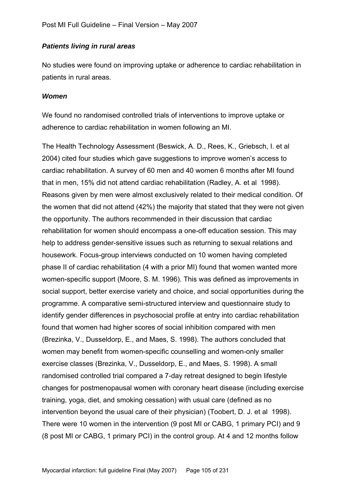#### *Patients living in rural areas*

No studies were found on improving uptake or adherence to cardiac rehabilitation in patients in rural areas.

#### *Women*

We found no randomised controlled trials of interventions to improve uptake or adherence to cardiac rehabilitation in women following an MI.

The Health Technology Assessment (Beswick, A. D., Rees, K., Griebsch, I. et al 2004) cited four studies which gave suggestions to improve women's access to cardiac rehabilitation. A survey of 60 men and 40 women 6 months after MI found that in men, 15% did not attend cardiac rehabilitation (Radley, A. et al 1998). Reasons given by men were almost exclusively related to their medical condition. Of the women that did not attend (42%) the majority that stated that they were not given the opportunity. The authors recommended in their discussion that cardiac rehabilitation for women should encompass a one-off education session. This may help to address gender-sensitive issues such as returning to sexual relations and housework. Focus-group interviews conducted on 10 women having completed phase II of cardiac rehabilitation (4 with a prior MI) found that women wanted more women-specific support (Moore, S. M. 1996). This was defined as improvements in social support, better exercise variety and choice, and social opportunities during the programme. A comparative semi-structured interview and questionnaire study to identify gender differences in psychosocial profile at entry into cardiac rehabilitation found that women had higher scores of social inhibition compared with men (Brezinka, V., Dusseldorp, E., and Maes, S. 1998). The authors concluded that women may benefit from women-specific counselling and women-only smaller exercise classes (Brezinka, V., Dusseldorp, E., and Maes, S. 1998). A small randomised controlled trial compared a 7-day retreat designed to begin lifestyle changes for postmenopausal women with coronary heart disease (including exercise training, yoga, diet, and smoking cessation) with usual care (defined as no intervention beyond the usual care of their physician) (Toobert, D. J. et al 1998). There were 10 women in the intervention (9 post MI or CABG, 1 primary PCI) and 9 (8 post MI or CABG, 1 primary PCI) in the control group. At 4 and 12 months follow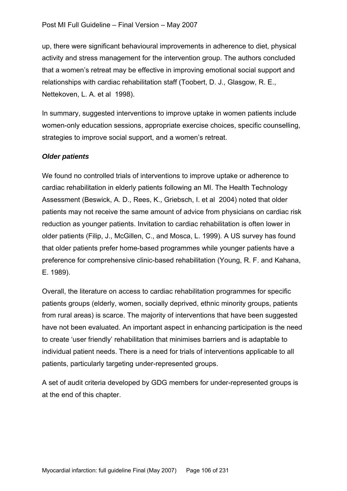up, there were significant behavioural improvements in adherence to diet, physical activity and stress management for the intervention group. The authors concluded that a women's retreat may be effective in improving emotional social support and relationships with cardiac rehabilitation staff (Toobert, D. J., Glasgow, R. E., Nettekoven, L. A. et al 1998).

In summary, suggested interventions to improve uptake in women patients include women-only education sessions, appropriate exercise choices, specific counselling, strategies to improve social support, and a women's retreat.

### *Older patients*

We found no controlled trials of interventions to improve uptake or adherence to cardiac rehabilitation in elderly patients following an MI. The Health Technology Assessment (Beswick, A. D., Rees, K., Griebsch, I. et al 2004) noted that older patients may not receive the same amount of advice from physicians on cardiac risk reduction as younger patients. Invitation to cardiac rehabilitation is often lower in older patients (Filip, J., McGillen, C., and Mosca, L. 1999). A US survey has found that older patients prefer home-based programmes while younger patients have a preference for comprehensive clinic-based rehabilitation (Young, R. F. and Kahana, E. 1989).

Overall, the literature on access to cardiac rehabilitation programmes for specific patients groups (elderly, women, socially deprived, ethnic minority groups, patients from rural areas) is scarce. The majority of interventions that have been suggested have not been evaluated. An important aspect in enhancing participation is the need to create 'user friendly' rehabilitation that minimises barriers and is adaptable to individual patient needs. There is a need for trials of interventions applicable to all patients, particularly targeting under-represented groups.

A set of audit criteria developed by GDG members for under-represented groups is at the end of this chapter.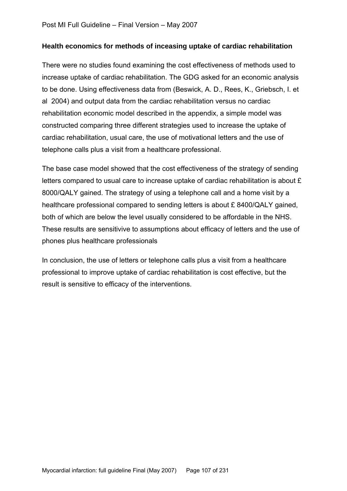### **Health economics for methods of inceasing uptake of cardiac rehabilitation**

There were no studies found examining the cost effectiveness of methods used to increase uptake of cardiac rehabilitation. The GDG asked for an economic analysis to be done. Using effectiveness data from (Beswick, A. D., Rees, K., Griebsch, I. et al 2004) and output data from the cardiac rehabilitation versus no cardiac rehabilitation economic model described in the appendix, a simple model was constructed comparing three different strategies used to increase the uptake of cardiac rehabilitation, usual care, the use of motivational letters and the use of telephone calls plus a visit from a healthcare professional.

The base case model showed that the cost effectiveness of the strategy of sending letters compared to usual care to increase uptake of cardiac rehabilitation is about £ 8000/QALY gained. The strategy of using a telephone call and a home visit by a healthcare professional compared to sending letters is about £ 8400/QALY gained, both of which are below the level usually considered to be affordable in the NHS. These results are sensitivive to assumptions about efficacy of letters and the use of phones plus healthcare professionals

In conclusion, the use of letters or telephone calls plus a visit from a healthcare professional to improve uptake of cardiac rehabilitation is cost effective, but the result is sensitive to efficacy of the interventions.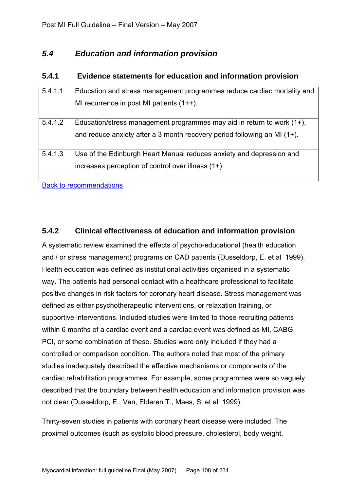## *5.4 Education and information provision*

## **5.4.1 Evidence statements for education and information provision**

| 5.4.1.1 | Education and stress management programmes reduce cardiac mortality and     |
|---------|-----------------------------------------------------------------------------|
|         | MI recurrence in post MI patients $(1++)$ .                                 |
|         |                                                                             |
| 5.4.1.2 | Education/stress management programmes may aid in return to work (1+),      |
|         | and reduce anxiety after a 3 month recovery period following an MI $(1+)$ . |
|         |                                                                             |
| 5.4.1.3 | Use of the Edinburgh Heart Manual reduces anxiety and depression and        |
|         | increases perception of control over illness (1+).                          |
|         |                                                                             |

[Back to recommendations](#page-70-0)

## **5.4.2 Clinical effectiveness of education and information provision**

A systematic review examined the effects of psycho-educational (health education and / or stress management) programs on CAD patients (Dusseldorp, E. et al 1999). Health education was defined as institutional activities organised in a systematic way. The patients had personal contact with a healthcare professional to facilitate positive changes in risk factors for coronary heart disease. Stress management was defined as either psychotherapeutic interventions, or relaxation training, or supportive interventions. Included studies were limited to those recruiting patients within 6 months of a cardiac event and a cardiac event was defined as MI, CABG, PCI, or some combination of these. Studies were only included if they had a controlled or comparison condition. The authors noted that most of the primary studies inadequately described the effective mechanisms or components of the cardiac rehabilitation programmes. For example, some programmes were so vaguely described that the boundary between health education and information provision was not clear (Dusseldorp, E., Van, Elderen T., Maes, S. et al 1999).

Thirty-seven studies in patients with coronary heart disease were included. The proximal outcomes (such as systolic blood pressure, cholesterol, body weight,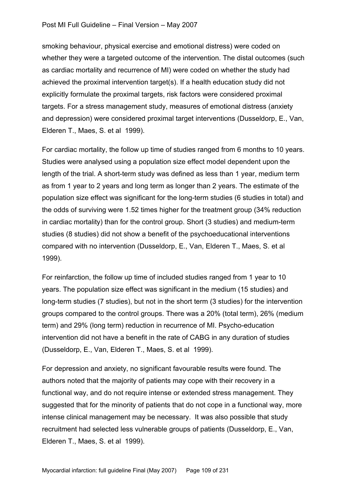smoking behaviour, physical exercise and emotional distress) were coded on whether they were a targeted outcome of the intervention. The distal outcomes (such as cardiac mortality and recurrence of MI) were coded on whether the study had achieved the proximal intervention target(s). If a health education study did not explicitly formulate the proximal targets, risk factors were considered proximal targets. For a stress management study, measures of emotional distress (anxiety and depression) were considered proximal target interventions (Dusseldorp, E., Van, Elderen T., Maes, S. et al 1999).

For cardiac mortality, the follow up time of studies ranged from 6 months to 10 years. Studies were analysed using a population size effect model dependent upon the length of the trial. A short-term study was defined as less than 1 year, medium term as from 1 year to 2 years and long term as longer than 2 years. The estimate of the population size effect was significant for the long-term studies (6 studies in total) and the odds of surviving were 1.52 times higher for the treatment group (34% reduction in cardiac mortality) than for the control group. Short (3 studies) and medium-term studies (8 studies) did not show a benefit of the psychoeducational interventions compared with no intervention (Dusseldorp, E., Van, Elderen T., Maes, S. et al 1999).

For reinfarction, the follow up time of included studies ranged from 1 year to 10 years. The population size effect was significant in the medium (15 studies) and long-term studies (7 studies), but not in the short term (3 studies) for the intervention groups compared to the control groups. There was a 20% (total term), 26% (medium term) and 29% (long term) reduction in recurrence of MI. Psycho-education intervention did not have a benefit in the rate of CABG in any duration of studies (Dusseldorp, E., Van, Elderen T., Maes, S. et al 1999).

For depression and anxiety, no significant favourable results were found. The authors noted that the majority of patients may cope with their recovery in a functional way, and do not require intense or extended stress management. They suggested that for the minority of patients that do not cope in a functional way, more intense clinical management may be necessary. It was also possible that study recruitment had selected less vulnerable groups of patients (Dusseldorp, E., Van, Elderen T., Maes, S. et al 1999).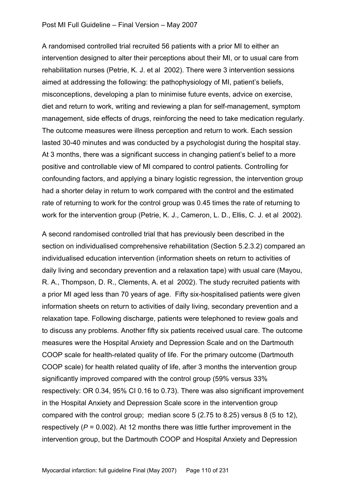A randomised controlled trial recruited 56 patients with a prior MI to either an intervention designed to alter their perceptions about their MI, or to usual care from rehabilitation nurses (Petrie, K. J. et al 2002). There were 3 intervention sessions aimed at addressing the following: the pathophysiology of MI, patient's beliefs, misconceptions, developing a plan to minimise future events, advice on exercise, diet and return to work, writing and reviewing a plan for self-management, symptom management, side effects of drugs, reinforcing the need to take medication regularly. The outcome measures were illness perception and return to work. Each session lasted 30-40 minutes and was conducted by a psychologist during the hospital stay. At 3 months, there was a significant success in changing patient's belief to a more positive and controllable view of MI compared to control patients. Controlling for confounding factors, and applying a binary logistic regression, the intervention group had a shorter delay in return to work compared with the control and the estimated rate of returning to work for the control group was 0.45 times the rate of returning to work for the intervention group (Petrie, K. J., Cameron, L. D., Ellis, C. J. et al 2002).

A second randomised controlled trial that has previously been described in the section on individualised comprehensive rehabilitation (Section 5.2.3.2) compared an individualised education intervention (information sheets on return to activities of daily living and secondary prevention and a relaxation tape) with usual care (Mayou, R. A., Thompson, D. R., Clements, A. et al 2002). The study recruited patients with a prior MI aged less than 70 years of age. Fifty six-hospitalised patients were given information sheets on return to activities of daily living, secondary prevention and a relaxation tape. Following discharge, patients were telephoned to review goals and to discuss any problems. Another fifty six patients received usual care. The outcome measures were the Hospital Anxiety and Depression Scale and on the Dartmouth COOP scale for health-related quality of life. For the primary outcome (Dartmouth COOP scale) for health related quality of life, after 3 months the intervention group significantly improved compared with the control group (59% versus 33% respectively: OR 0.34, 95% CI 0.16 to 0.73). There was also significant improvement in the Hospital Anxiety and Depression Scale score in the intervention group compared with the control group; median score 5 (2.75 to 8.25) versus 8 (5 to 12), respectively (*P* = 0.002). At 12 months there was little further improvement in the intervention group, but the Dartmouth COOP and Hospital Anxiety and Depression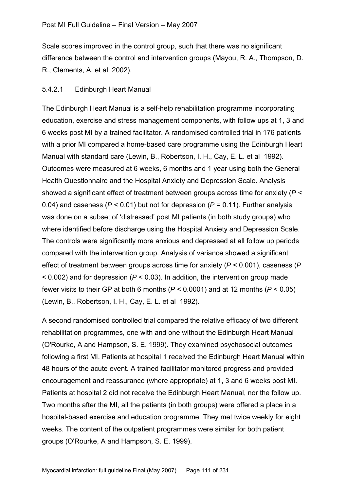Scale scores improved in the control group, such that there was no significant difference between the control and intervention groups (Mayou, R. A., Thompson, D. R., Clements, A. et al 2002).

#### 5.4.2.1 Edinburgh Heart Manual

The Edinburgh Heart Manual is a self-help rehabilitation programme incorporating education, exercise and stress management components, with follow ups at 1, 3 and 6 weeks post MI by a trained facilitator. A randomised controlled trial in 176 patients with a prior MI compared a home-based care programme using the Edinburgh Heart Manual with standard care (Lewin, B., Robertson, I. H., Cay, E. L. et al 1992). Outcomes were measured at 6 weeks, 6 months and 1 year using both the General Health Questionnaire and the Hospital Anxiety and Depression Scale. Analysis showed a significant effect of treatment between groups across time for anxiety (*P* < 0.04) and caseness (*P* < 0.01) but not for depression (*P* = 0.11). Further analysis was done on a subset of 'distressed' post MI patients (in both study groups) who where identified before discharge using the Hospital Anxiety and Depression Scale. The controls were significantly more anxious and depressed at all follow up periods compared with the intervention group. Analysis of variance showed a significant effect of treatment between groups across time for anxiety (*P* < 0.001), caseness (*P* < 0.002) and for depression (*P* < 0.03). In addition, the intervention group made fewer visits to their GP at both 6 months (*P* < 0.0001) and at 12 months (*P* < 0.05) (Lewin, B., Robertson, I. H., Cay, E. L. et al 1992).

A second randomised controlled trial compared the relative efficacy of two different rehabilitation programmes, one with and one without the Edinburgh Heart Manual (O'Rourke, A and Hampson, S. E. 1999). They examined psychosocial outcomes following a first MI. Patients at hospital 1 received the Edinburgh Heart Manual within 48 hours of the acute event. A trained facilitator monitored progress and provided encouragement and reassurance (where appropriate) at 1, 3 and 6 weeks post MI. Patients at hospital 2 did not receive the Edinburgh Heart Manual, nor the follow up. Two months after the MI, all the patients (in both groups) were offered a place in a hospital-based exercise and education programme. They met twice weekly for eight weeks. The content of the outpatient programmes were similar for both patient groups (O'Rourke, A and Hampson, S. E. 1999).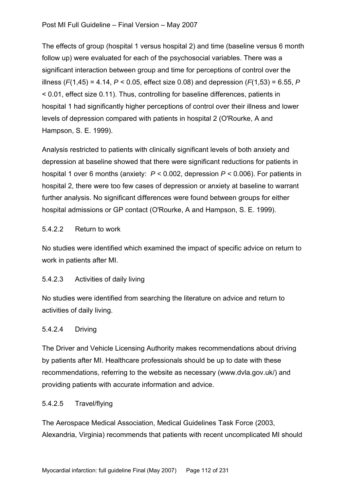The effects of group (hospital 1 versus hospital 2) and time (baseline versus 6 month follow up) were evaluated for each of the psychosocial variables. There was a significant interaction between group and time for perceptions of control over the illness (*F*(1,45) = 4.14, *P* < 0.05, effect size 0.08) and depression (*F*(1,53) = 6.55, *P* < 0.01, effect size 0.11). Thus, controlling for baseline differences, patients in hospital 1 had significantly higher perceptions of control over their illness and lower levels of depression compared with patients in hospital 2 (O'Rourke, A and Hampson, S. E. 1999).

Analysis restricted to patients with clinically significant levels of both anxiety and depression at baseline showed that there were significant reductions for patients in hospital 1 over 6 months (anxiety: *P <* 0.002, depression *P <* 0.006). For patients in hospital 2, there were too few cases of depression or anxiety at baseline to warrant further analysis. No significant differences were found between groups for either hospital admissions or GP contact (O'Rourke, A and Hampson, S. E. 1999).

#### 5.4.2.2 Return to work

No studies were identified which examined the impact of specific advice on return to work in patients after MI.

#### 5.4.2.3 Activities of daily living

No studies were identified from searching the literature on advice and return to activities of daily living.

#### 5.4.2.4 Driving

The Driver and Vehicle Licensing Authority makes recommendations about driving by patients after MI. Healthcare professionals should be up to date with these recommendations, referring to the website as necessary (www.dvla.gov.uk/) and providing patients with accurate information and advice.

#### 5.4.2.5 Travel/flying

The Aerospace Medical Association, Medical Guidelines Task Force (2003, Alexandria, Virginia) recommends that patients with recent uncomplicated MI should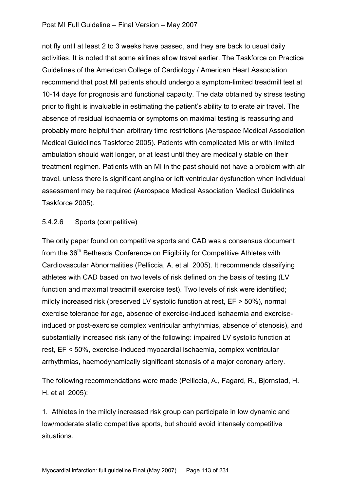not fly until at least 2 to 3 weeks have passed, and they are back to usual daily activities. It is noted that some airlines allow travel earlier. The Taskforce on Practice Guidelines of the American College of Cardiology / American Heart Association recommend that post MI patients should undergo a symptom-limited treadmill test at 10-14 days for prognosis and functional capacity. The data obtained by stress testing prior to flight is invaluable in estimating the patient's ability to tolerate air travel. The absence of residual ischaemia or symptoms on maximal testing is reassuring and probably more helpful than arbitrary time restrictions (Aerospace Medical Association Medical Guidelines Taskforce 2005). Patients with complicated MIs or with limited ambulation should wait longer, or at least until they are medically stable on their treatment regimen. Patients with an MI in the past should not have a problem with air travel, unless there is significant angina or left ventricular dysfunction when individual assessment may be required (Aerospace Medical Association Medical Guidelines Taskforce 2005).

#### 5.4.2.6 Sports (competitive)

The only paper found on competitive sports and CAD was a consensus document from the 36<sup>th</sup> Bethesda Conference on Eligibility for Competitive Athletes with Cardiovascular Abnormalities (Pelliccia, A. et al 2005). It recommends classifying athletes with CAD based on two levels of risk defined on the basis of testing (LV function and maximal treadmill exercise test). Two levels of risk were identified; mildly increased risk (preserved LV systolic function at rest, EF > 50%), normal exercise tolerance for age, absence of exercise-induced ischaemia and exerciseinduced or post-exercise complex ventricular arrhythmias, absence of stenosis), and substantially increased risk (any of the following: impaired LV systolic function at rest, EF < 50%, exercise-induced myocardial ischaemia, complex ventricular arrhythmias, haemodynamically significant stenosis of a major coronary artery.

The following recommendations were made (Pelliccia, A., Fagard, R., Bjornstad, H. H. et al 2005):

1. Athletes in the mildly increased risk group can participate in low dynamic and low/moderate static competitive sports, but should avoid intensely competitive situations.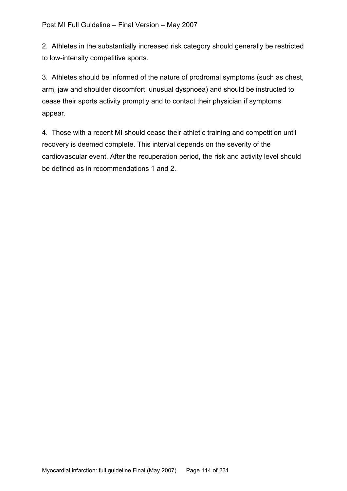2. Athletes in the substantially increased risk category should generally be restricted to low-intensity competitive sports.

3. Athletes should be informed of the nature of prodromal symptoms (such as chest, arm, jaw and shoulder discomfort, unusual dyspnoea) and should be instructed to cease their sports activity promptly and to contact their physician if symptoms appear.

4. Those with a recent MI should cease their athletic training and competition until recovery is deemed complete. This interval depends on the severity of the cardiovascular event. After the recuperation period, the risk and activity level should be defined as in recommendations 1 and 2.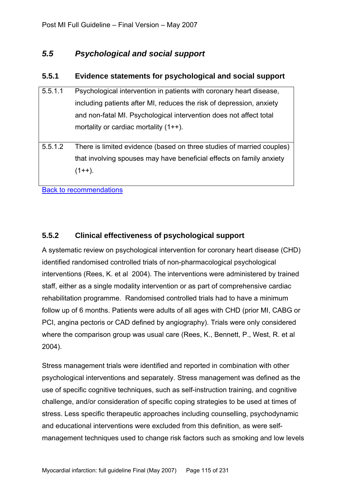# *5.5 Psychological and social support*

### **5.5.1 Evidence statements for psychological and social support**

- 5.5.1.1 Psychological intervention in patients with coronary heart disease, including patients after MI, reduces the risk of depression, anxiety and non-fatal MI. Psychological intervention does not affect total mortality or cardiac mortality (1++).
- 5.5.1.2 There is limited evidence (based on three studies of married couples) that involving spouses may have beneficial effects on family anxiety  $(1++)$ .

[Back to recommendations](#page-71-0)

# **5.5.2 Clinical effectiveness of psychological support**

A systematic review on psychological intervention for coronary heart disease (CHD) identified randomised controlled trials of non-pharmacological psychological interventions (Rees, K. et al 2004). The interventions were administered by trained staff, either as a single modality intervention or as part of comprehensive cardiac rehabilitation programme. Randomised controlled trials had to have a minimum follow up of 6 months. Patients were adults of all ages with CHD (prior MI, CABG or PCI, angina pectoris or CAD defined by angiography). Trials were only considered where the comparison group was usual care (Rees, K., Bennett, P., West, R. et al 2004).

Stress management trials were identified and reported in combination with other psychological interventions and separately. Stress management was defined as the use of specific cognitive techniques, such as self-instruction training, and cognitive challenge, and/or consideration of specific coping strategies to be used at times of stress. Less specific therapeutic approaches including counselling, psychodynamic and educational interventions were excluded from this definition, as were selfmanagement techniques used to change risk factors such as smoking and low levels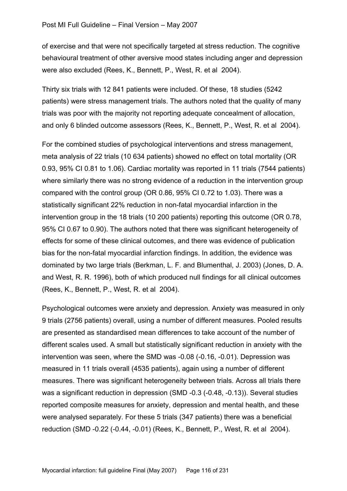of exercise and that were not specifically targeted at stress reduction. The cognitive behavioural treatment of other aversive mood states including anger and depression were also excluded (Rees, K., Bennett, P., West, R. et al 2004).

Thirty six trials with 12 841 patients were included. Of these, 18 studies (5242 patients) were stress management trials. The authors noted that the quality of many trials was poor with the majority not reporting adequate concealment of allocation, and only 6 blinded outcome assessors (Rees, K., Bennett, P., West, R. et al 2004).

For the combined studies of psychological interventions and stress management, meta analysis of 22 trials (10 634 patients) showed no effect on total mortality (OR 0.93, 95% CI 0.81 to 1.06). Cardiac mortality was reported in 11 trials (7544 patients) where similarly there was no strong evidence of a reduction in the intervention group compared with the control group (OR 0.86, 95% CI 0.72 to 1.03). There was a statistically significant 22% reduction in non-fatal myocardial infarction in the intervention group in the 18 trials (10 200 patients) reporting this outcome (OR 0.78, 95% CI 0.67 to 0.90). The authors noted that there was significant heterogeneity of effects for some of these clinical outcomes, and there was evidence of publication bias for the non-fatal myocardial infarction findings. In addition, the evidence was dominated by two large trials (Berkman, L. F. and Blumenthal, J. 2003) (Jones, D. A. and West, R. R. 1996), both of which produced null findings for all clinical outcomes (Rees, K., Bennett, P., West, R. et al 2004).

Psychological outcomes were anxiety and depression. Anxiety was measured in only 9 trials (2756 patients) overall, using a number of different measures. Pooled results are presented as standardised mean differences to take account of the number of different scales used. A small but statistically significant reduction in anxiety with the intervention was seen, where the SMD was -0.08 (-0.16, -0.01). Depression was measured in 11 trials overall (4535 patients), again using a number of different measures. There was significant heterogeneity between trials. Across all trials there was a significant reduction in depression (SMD -0.3 (-0.48, -0.13)). Several studies reported composite measures for anxiety, depression and mental health, and these were analysed separately. For these 5 trials (347 patients) there was a beneficial reduction (SMD -0.22 (-0.44, -0.01) (Rees, K., Bennett, P., West, R. et al 2004).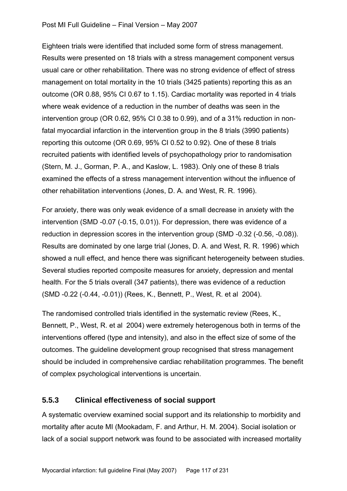Eighteen trials were identified that included some form of stress management. Results were presented on 18 trials with a stress management component versus usual care or other rehabilitation. There was no strong evidence of effect of stress management on total mortality in the 10 trials (3425 patients) reporting this as an outcome (OR 0.88, 95% CI 0.67 to 1.15). Cardiac mortality was reported in 4 trials where weak evidence of a reduction in the number of deaths was seen in the intervention group (OR 0.62, 95% CI 0.38 to 0.99), and of a 31% reduction in nonfatal myocardial infarction in the intervention group in the 8 trials (3990 patients) reporting this outcome (OR 0.69, 95% CI 0.52 to 0.92). One of these 8 trials recruited patients with identified levels of psychopathology prior to randomisation (Stern, M. J., Gorman, P. A., and Kaslow, L. 1983). Only one of these 8 trials examined the effects of a stress management intervention without the influence of other rehabilitation interventions (Jones, D. A. and West, R. R. 1996).

For anxiety, there was only weak evidence of a small decrease in anxiety with the intervention (SMD -0.07 (-0.15, 0.01)). For depression, there was evidence of a reduction in depression scores in the intervention group (SMD -0.32 (-0.56, -0.08)). Results are dominated by one large trial (Jones, D. A. and West, R. R. 1996) which showed a null effect, and hence there was significant heterogeneity between studies. Several studies reported composite measures for anxiety, depression and mental health. For the 5 trials overall (347 patients), there was evidence of a reduction (SMD -0.22 (-0.44, -0.01)) (Rees, K., Bennett, P., West, R. et al 2004).

The randomised controlled trials identified in the systematic review (Rees, K., Bennett, P., West, R. et al 2004) were extremely heterogenous both in terms of the interventions offered (type and intensity), and also in the effect size of some of the outcomes. The guideline development group recognised that stress management should be included in comprehensive cardiac rehabilitation programmes. The benefit of complex psychological interventions is uncertain.

#### **5.5.3 Clinical effectiveness of social support**

A systematic overview examined social support and its relationship to morbidity and mortality after acute MI (Mookadam, F. and Arthur, H. M. 2004). Social isolation or lack of a social support network was found to be associated with increased mortality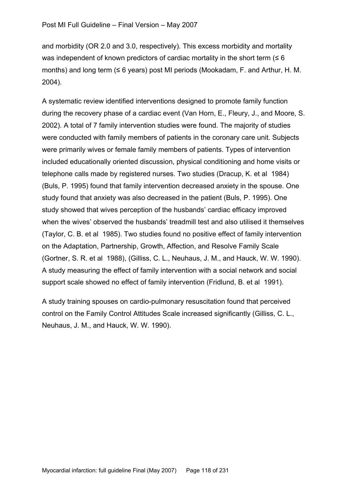and morbidity (OR 2.0 and 3.0, respectively). This excess morbidity and mortality was independent of known predictors of cardiac mortality in the short term  $(66)$ months) and long term (≤ 6 years) post MI periods (Mookadam, F. and Arthur, H. M. 2004).

A systematic review identified interventions designed to promote family function during the recovery phase of a cardiac event (Van Horn, E., Fleury, J., and Moore, S. 2002). A total of 7 family intervention studies were found. The majority of studies were conducted with family members of patients in the coronary care unit. Subjects were primarily wives or female family members of patients. Types of intervention included educationally oriented discussion, physical conditioning and home visits or telephone calls made by registered nurses. Two studies (Dracup, K. et al 1984) (Buls, P. 1995) found that family intervention decreased anxiety in the spouse. One study found that anxiety was also decreased in the patient (Buls, P. 1995). One study showed that wives perception of the husbands' cardiac efficacy improved when the wives' observed the husbands' treadmill test and also utilised it themselves (Taylor, C. B. et al 1985). Two studies found no positive effect of family intervention on the Adaptation, Partnership, Growth, Affection, and Resolve Family Scale (Gortner, S. R. et al 1988), (Gilliss, C. L., Neuhaus, J. M., and Hauck, W. W. 1990). A study measuring the effect of family intervention with a social network and social support scale showed no effect of family intervention (Fridlund, B. et al 1991).

A study training spouses on cardio-pulmonary resuscitation found that perceived control on the Family Control Attitudes Scale increased significantly (Gilliss, C. L., Neuhaus, J. M., and Hauck, W. W. 1990).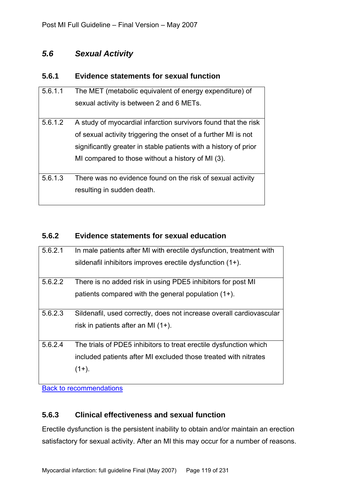# *5.6 Sexual Activity*

### **5.6.1 Evidence statements for sexual function**

| 5.6.1.1 | The MET (metabolic equivalent of energy expenditure) of<br>sexual activity is between 2 and 6 METs.                                                                                                                                                       |
|---------|-----------------------------------------------------------------------------------------------------------------------------------------------------------------------------------------------------------------------------------------------------------|
| 5.6.1.2 | A study of myocardial infarction survivors found that the risk<br>of sexual activity triggering the onset of a further MI is not<br>significantly greater in stable patients with a history of prior<br>MI compared to those without a history of MI (3). |
| 5.6.1.3 | There was no evidence found on the risk of sexual activity<br>resulting in sudden death.                                                                                                                                                                  |

### **5.6.2 Evidence statements for sexual education**

| 5.6.2.1 | In male patients after MI with erectile dysfunction, treatment with  |
|---------|----------------------------------------------------------------------|
|         | sildenafil inhibitors improves erectile dysfunction (1+).            |
|         |                                                                      |
| 5.6.2.2 | There is no added risk in using PDE5 inhibitors for post MI          |
|         | patients compared with the general population (1+).                  |
|         |                                                                      |
| 5.6.2.3 | Sildenafil, used correctly, does not increase overall cardiovascular |
|         | risk in patients after an MI $(1+)$ .                                |
|         |                                                                      |
| 5.6.2.4 | The trials of PDE5 inhibitors to treat erectile dysfunction which    |
|         | included patients after MI excluded those treated with nitrates      |
|         | $(1+)$ .                                                             |
|         |                                                                      |

[Back to recommendations](#page-72-0)

# **5.6.3 Clinical effectiveness and sexual function**

Erectile dysfunction is the persistent inability to obtain and/or maintain an erection satisfactory for sexual activity. After an MI this may occur for a number of reasons.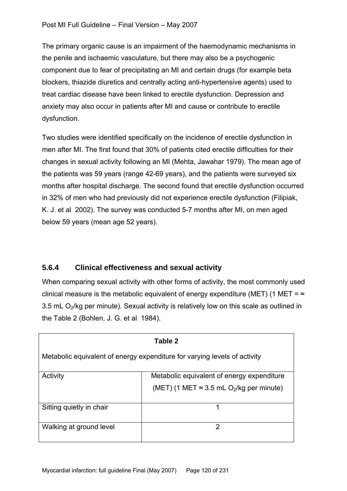The primary organic cause is an impairment of the haemodynamic mechanisms in the penile and ischaemic vasculature, but there may also be a psychogenic component due to fear of precipitating an MI and certain drugs (for example beta blockers, thiazide diuretics and centrally acting anti-hypertensive agents) used to treat cardiac disease have been linked to erectile dysfunction. Depression and anxiety may also occur in patients after MI and cause or contribute to erectile dysfunction.

Two studies were identified specifically on the incidence of erectile dysfunction in men after MI. The first found that 30% of patients cited erectile difficulties for their changes in sexual activity following an MI (Mehta, Jawahar 1979). The mean age of the patients was 59 years (range 42-69 years), and the patients were surveyed six months after hospital discharge. The second found that erectile dysfunction occurred in 32% of men who had previously did not experience erectile dysfunction (Filipiak, K. J. et al 2002). The survey was conducted 5-7 months after MI, on men aged below 59 years (mean age 52 years).

# **5.6.4 Clinical effectiveness and sexual activity**

When comparing sexual activity with other forms of activity, the most commonly used clinical measure is the metabolic equivalent of energy expenditure (MET) (1 MET =  $\approx$ 3.5 mL  $O<sub>2</sub>/kg$  per minute). Sexual activity is relatively low on this scale as outlined in the Table 2 (Bohlen, J. G. et al 1984).

|                          | Table 2                                                                   |
|--------------------------|---------------------------------------------------------------------------|
|                          | Metabolic equivalent of energy expenditure for varying levels of activity |
| Activity                 | Metabolic equivalent of energy expenditure                                |
|                          | (MET) (1 MET $\approx$ 3.5 mL O <sub>2</sub> /kg per minute)              |
| Sitting quietly in chair | 1                                                                         |
| Walking at ground level  | 2                                                                         |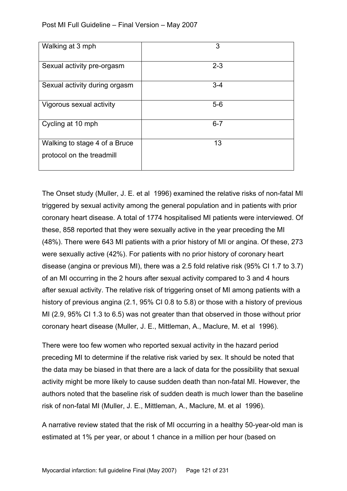| Walking at 3 mph                                           | 3       |
|------------------------------------------------------------|---------|
| Sexual activity pre-orgasm                                 | $2 - 3$ |
| Sexual activity during orgasm                              | $3 - 4$ |
| Vigorous sexual activity                                   | $5-6$   |
| Cycling at 10 mph                                          | $6 - 7$ |
| Walking to stage 4 of a Bruce<br>protocol on the treadmill | 13      |

The Onset study (Muller, J. E. et al 1996) examined the relative risks of non-fatal MI triggered by sexual activity among the general population and in patients with prior coronary heart disease. A total of 1774 hospitalised MI patients were interviewed. Of these, 858 reported that they were sexually active in the year preceding the MI (48%). There were 643 MI patients with a prior history of MI or angina. Of these, 273 were sexually active (42%). For patients with no prior history of coronary heart disease (angina or previous MI), there was a 2.5 fold relative risk (95% CI 1.7 to 3.7) of an MI occurring in the 2 hours after sexual activity compared to 3 and 4 hours after sexual activity. The relative risk of triggering onset of MI among patients with a history of previous angina (2.1, 95% CI 0.8 to 5.8) or those with a history of previous MI (2.9, 95% CI 1.3 to 6.5) was not greater than that observed in those without prior coronary heart disease (Muller, J. E., Mittleman, A., Maclure, M. et al 1996).

There were too few women who reported sexual activity in the hazard period preceding MI to determine if the relative risk varied by sex. It should be noted that the data may be biased in that there are a lack of data for the possibility that sexual activity might be more likely to cause sudden death than non-fatal MI. However, the authors noted that the baseline risk of sudden death is much lower than the baseline risk of non-fatal MI (Muller, J. E., Mittleman, A., Maclure, M. et al 1996).

A narrative review stated that the risk of MI occurring in a healthy 50-year-old man is estimated at 1% per year, or about 1 chance in a million per hour (based on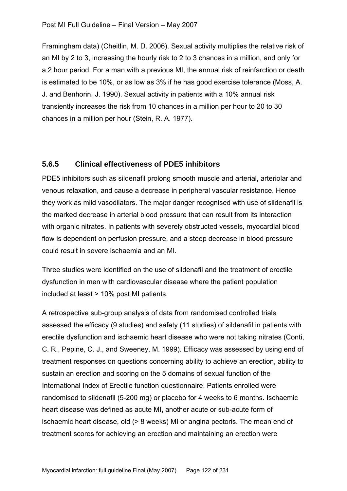Framingham data) (Cheitlin, M. D. 2006). Sexual activity multiplies the relative risk of an MI by 2 to 3, increasing the hourly risk to 2 to 3 chances in a million, and only for a 2 hour period. For a man with a previous MI, the annual risk of reinfarction or death is estimated to be 10%, or as low as 3% if he has good exercise tolerance (Moss, A. J. and Benhorin, J. 1990). Sexual activity in patients with a 10% annual risk transiently increases the risk from 10 chances in a million per hour to 20 to 30 chances in a million per hour (Stein, R. A. 1977).

### **5.6.5 Clinical effectiveness of PDE5 inhibitors**

PDE5 inhibitors such as sildenafil prolong smooth muscle and arterial, arteriolar and venous relaxation, and cause a decrease in peripheral vascular resistance. Hence they work as mild vasodilators. The major danger recognised with use of sildenafil is the marked decrease in arterial blood pressure that can result from its interaction with organic nitrates. In patients with severely obstructed vessels, myocardial blood flow is dependent on perfusion pressure, and a steep decrease in blood pressure could result in severe ischaemia and an MI.

Three studies were identified on the use of sildenafil and the treatment of erectile dysfunction in men with cardiovascular disease where the patient population included at least > 10% post MI patients.

A retrospective sub-group analysis of data from randomised controlled trials assessed the efficacy (9 studies) and safety (11 studies) of sildenafil in patients with erectile dysfunction and ischaemic heart disease who were not taking nitrates (Conti, C. R., Pepine, C. J., and Sweeney, M. 1999). Efficacy was assessed by using end of treatment responses on questions concerning ability to achieve an erection, ability to sustain an erection and scoring on the 5 domains of sexual function of the International Index of Erectile function questionnaire. Patients enrolled were randomised to sildenafil (5-200 mg) or placebo for 4 weeks to 6 months. Ischaemic heart disease was defined as acute MI**,** another acute or sub-acute form of ischaemic heart disease, old (> 8 weeks) MI or angina pectoris. The mean end of treatment scores for achieving an erection and maintaining an erection were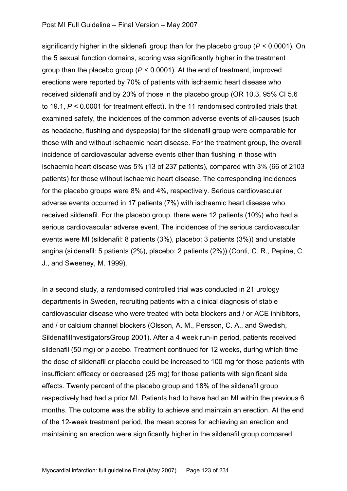significantly higher in the sildenafil group than for the placebo group (*P* < 0.0001). On the 5 sexual function domains, scoring was significantly higher in the treatment group than the placebo group (*P* < 0.0001). At the end of treatment, improved erections were reported by 70% of patients with ischaemic heart disease who received sildenafil and by 20% of those in the placebo group (OR 10.3, 95% CI 5.6 to 19.1, *P* < 0.0001 for treatment effect). In the 11 randomised controlled trials that examined safety, the incidences of the common adverse events of all-causes (such as headache, flushing and dyspepsia) for the sildenafil group were comparable for those with and without ischaemic heart disease. For the treatment group, the overall incidence of cardiovascular adverse events other than flushing in those with ischaemic heart disease was 5% (13 of 237 patients), compared with 3% (66 of 2103 patients) for those without ischaemic heart disease. The corresponding incidences for the placebo groups were 8% and 4%, respectively. Serious cardiovascular adverse events occurred in 17 patients (7%) with ischaemic heart disease who received sildenafil. For the placebo group, there were 12 patients (10%) who had a serious cardiovascular adverse event. The incidences of the serious cardiovascular events were MI (sildenafil: 8 patients (3%), placebo: 3 patients (3%)) and unstable angina (sildenafil: 5 patients (2%), placebo: 2 patients (2%)) (Conti, C. R., Pepine, C. J., and Sweeney, M. 1999).

In a second study, a randomised controlled trial was conducted in 21 urology departments in Sweden, recruiting patients with a clinical diagnosis of stable cardiovascular disease who were treated with beta blockers and / or ACE inhibitors, and / or calcium channel blockers (Olsson, A. M., Persson, C. A., and Swedish, SildenafilInvestigatorsGroup 2001). After a 4 week run-in period, patients received sildenafil (50 mg) or placebo. Treatment continued for 12 weeks, during which time the dose of sildenafil or placebo could be increased to 100 mg for those patients with insufficient efficacy or decreased (25 mg) for those patients with significant side effects. Twenty percent of the placebo group and 18% of the sildenafil group respectively had had a prior MI. Patients had to have had an MI within the previous 6 months. The outcome was the ability to achieve and maintain an erection. At the end of the 12-week treatment period, the mean scores for achieving an erection and maintaining an erection were significantly higher in the sildenafil group compared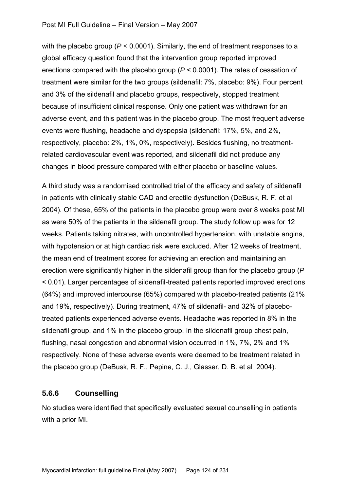with the placebo group ( $P < 0.0001$ ). Similarly, the end of treatment responses to a global efficacy question found that the intervention group reported improved erections compared with the placebo group (*P* < 0.0001). The rates of cessation of treatment were similar for the two groups (sildenafil: 7%, placebo: 9%). Four percent and 3% of the sildenafil and placebo groups, respectively, stopped treatment because of insufficient clinical response. Only one patient was withdrawn for an adverse event, and this patient was in the placebo group. The most frequent adverse events were flushing, headache and dyspepsia (sildenafil: 17%, 5%, and 2%, respectively, placebo: 2%, 1%, 0%, respectively). Besides flushing, no treatmentrelated cardiovascular event was reported, and sildenafil did not produce any changes in blood pressure compared with either placebo or baseline values.

A third study was a randomised controlled trial of the efficacy and safety of sildenafil in patients with clinically stable CAD and erectile dysfunction (DeBusk, R. F. et al 2004). Of these, 65% of the patients in the placebo group were over 8 weeks post MI as were 50% of the patients in the sildenafil group. The study follow up was for 12 weeks. Patients taking nitrates, with uncontrolled hypertension, with unstable angina, with hypotension or at high cardiac risk were excluded. After 12 weeks of treatment, the mean end of treatment scores for achieving an erection and maintaining an erection were significantly higher in the sildenafil group than for the placebo group (*P* < 0.01). Larger percentages of sildenafil-treated patients reported improved erections (64%) and improved intercourse (65%) compared with placebo-treated patients (21% and 19%, respectively). During treatment, 47% of sildenafil- and 32% of placebotreated patients experienced adverse events. Headache was reported in 8% in the sildenafil group, and 1% in the placebo group. In the sildenafil group chest pain, flushing, nasal congestion and abnormal vision occurred in 1%, 7%, 2% and 1% respectively. None of these adverse events were deemed to be treatment related in the placebo group (DeBusk, R. F., Pepine, C. J., Glasser, D. B. et al 2004).

# **5.6.6 Counselling**

No studies were identified that specifically evaluated sexual counselling in patients with a prior MI.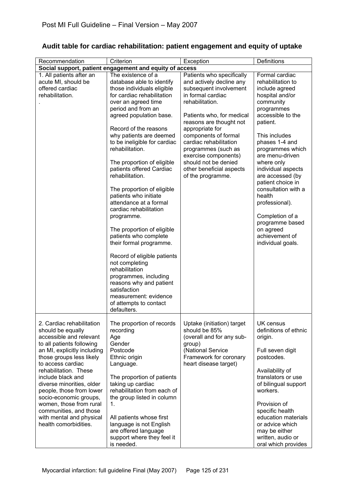| Recommendation                                          | Criterion                                           | Exception                  | Definitions                              |  |
|---------------------------------------------------------|-----------------------------------------------------|----------------------------|------------------------------------------|--|
| Social support, patient engagement and equity of access |                                                     |                            |                                          |  |
| 1. All patients after an                                | The existence of a                                  | Patients who specifically  | Formal cardiac                           |  |
| acute MI, should be                                     | database able to identify                           | and actively decline any   | rehabilitation to                        |  |
| offered cardiac                                         | those individuals eligible                          | subsequent involvement     | include agreed                           |  |
| rehabilitation.                                         | for cardiac rehabilitation                          | in formal cardiac          | hospital and/or                          |  |
|                                                         | over an agreed time                                 | rehabilitation.            | community                                |  |
|                                                         | period and from an                                  |                            | programmes                               |  |
|                                                         | agreed population base.                             | Patients who, for medical  | accessible to the                        |  |
|                                                         |                                                     | reasons are thought not    | patient.                                 |  |
|                                                         | Record of the reasons                               | appropriate for            |                                          |  |
|                                                         | why patients are deemed                             | components of formal       | This includes                            |  |
|                                                         | to be ineligible for cardiac                        | cardiac rehabilitation     | phases 1-4 and                           |  |
|                                                         | rehabilitation.                                     | programmes (such as        | programmes which                         |  |
|                                                         |                                                     | exercise components)       | are menu-driven                          |  |
|                                                         | The proportion of eligible                          | should not be denied       | where only                               |  |
|                                                         | patients offered Cardiac                            | other beneficial aspects   | individual aspects                       |  |
|                                                         | rehabilitation.                                     | of the programme.          | are accessed (by                         |  |
|                                                         |                                                     |                            | patient choice in<br>consultation with a |  |
|                                                         | The proportion of eligible<br>patients who initiate |                            | health                                   |  |
|                                                         | attendance at a formal                              |                            | professional).                           |  |
|                                                         | cardiac rehabilitation                              |                            |                                          |  |
|                                                         | programme.                                          |                            | Completion of a                          |  |
|                                                         |                                                     |                            | programme based                          |  |
|                                                         | The proportion of eligible                          |                            | on agreed                                |  |
|                                                         | patients who complete                               |                            | achievement of                           |  |
|                                                         | their formal programme.                             |                            | individual goals.                        |  |
|                                                         |                                                     |                            |                                          |  |
|                                                         | Record of eligible patients                         |                            |                                          |  |
|                                                         | not completing                                      |                            |                                          |  |
|                                                         | rehabilitation                                      |                            |                                          |  |
|                                                         | programmes, including                               |                            |                                          |  |
|                                                         | reasons why and patient                             |                            |                                          |  |
|                                                         | satisfaction                                        |                            |                                          |  |
|                                                         | measurement: evidence                               |                            |                                          |  |
|                                                         | of attempts to contact<br>defaulters.               |                            |                                          |  |
|                                                         |                                                     |                            |                                          |  |
| 2. Cardiac rehabilitation                               | The proportion of records                           | Uptake (initiation) target | UK census                                |  |
| should be equally                                       | recording                                           | should be 85%              | definitions of ethnic                    |  |
| accessible and relevant                                 | Age                                                 | (overall and for any sub-  | origin.                                  |  |
| to all patients following                               | Gender                                              | group)                     |                                          |  |
| an MI, explicitly including                             | Postcode                                            | (National Service          | Full seven digit                         |  |
| those groups less likely                                | Ethnic origin                                       | Framework for coronary     | postcodes.                               |  |
| to access cardiac                                       | Language.                                           | heart disease target)      |                                          |  |
| rehabilitation. These                                   |                                                     |                            | Availability of                          |  |
| include black and                                       | The proportion of patients                          |                            | translators or use                       |  |
| diverse minorities, older                               | taking up cardiac                                   |                            | of bilingual support                     |  |
| people, those from lower                                | rehabilitation from each of                         |                            | workers.                                 |  |
| socio-economic groups,                                  | the group listed in column                          |                            |                                          |  |
| women, those from rural                                 | 1.                                                  |                            | Provision of                             |  |
| communities, and those                                  |                                                     |                            | specific health                          |  |
| with mental and physical                                | All patients whose first                            |                            | education materials                      |  |
| health comorbidities.                                   | language is not English                             |                            | or advice which                          |  |
|                                                         | are offered language                                |                            | may be either                            |  |
|                                                         | support where they feel it                          |                            | written, audio or                        |  |
|                                                         | is needed.                                          |                            | oral which provides                      |  |

# **Audit table for cardiac rehabilitation: patient engagement and equity of uptake**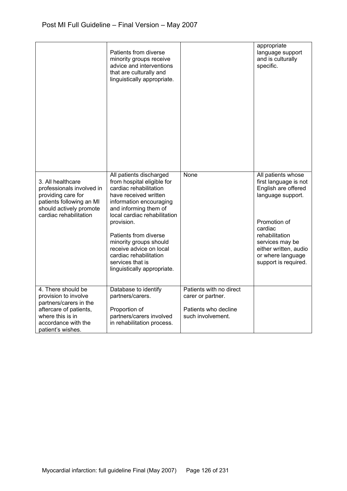|                                                                                                                                                                | Patients from diverse<br>minority groups receive<br>advice and interventions<br>that are culturally and<br>linguistically appropriate.                                                                                                                                                                                                                                |                                                                                           | appropriate<br>language support<br>and is culturally<br>specific.                                                                                                                                                             |
|----------------------------------------------------------------------------------------------------------------------------------------------------------------|-----------------------------------------------------------------------------------------------------------------------------------------------------------------------------------------------------------------------------------------------------------------------------------------------------------------------------------------------------------------------|-------------------------------------------------------------------------------------------|-------------------------------------------------------------------------------------------------------------------------------------------------------------------------------------------------------------------------------|
| 3. All healthcare<br>professionals involved in<br>providing care for<br>patients following an MI<br>should actively promote<br>cardiac rehabilitation          | All patients discharged<br>from hospital eligible for<br>cardiac rehabilitation<br>have received written<br>information encouraging<br>and informing them of<br>local cardiac rehabilitation<br>provision.<br>Patients from diverse<br>minority groups should<br>receive advice on local<br>cardiac rehabilitation<br>services that is<br>linguistically appropriate. | None                                                                                      | All patients whose<br>first language is not<br>English are offered<br>language support.<br>Promotion of<br>cardiac<br>rehabilitation<br>services may be<br>either written, audio<br>or where language<br>support is required. |
| 4. There should be<br>provision to involve<br>partners/carers in the<br>aftercare of patients,<br>where this is in<br>accordance with the<br>patient's wishes. | Database to identify<br>partners/carers.<br>Proportion of<br>partners/carers involved<br>in rehabilitation process.                                                                                                                                                                                                                                                   | Patients with no direct<br>carer or partner.<br>Patients who decline<br>such involvement. |                                                                                                                                                                                                                               |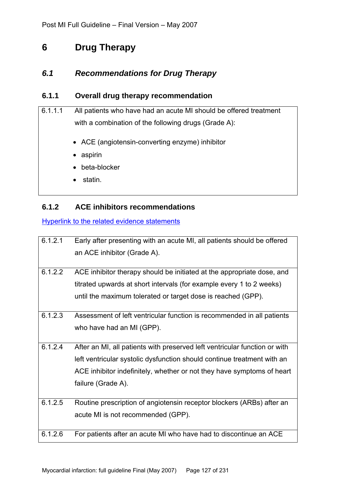# <span id="page-126-0"></span>**6 Drug Therapy**

# *6.1 Recommendations for Drug Therapy*

# **6.1.1 Overall drug therapy recommendation**

- 6.1.1.1 All patients who have had an acute MI should be offered treatment with a combination of the following drugs (Grade A):
	- ACE (angiotensin-converting enzyme) inhibitor
	- aspirin
	- beta-blocker
	- statin.

# **6.1.2 ACE inhibitors recommendations**

[Hyperlink to the related evidence statements](#page-136-0)

| 6.1.2.1 | Early after presenting with an acute MI, all patients should be offered    |
|---------|----------------------------------------------------------------------------|
|         | an ACE inhibitor (Grade A).                                                |
|         |                                                                            |
| 6.1.2.2 | ACE inhibitor therapy should be initiated at the appropriate dose, and     |
|         | titrated upwards at short intervals (for example every 1 to 2 weeks)       |
|         | until the maximum tolerated or target dose is reached (GPP).               |
|         |                                                                            |
| 6.1.2.3 | Assessment of left ventricular function is recommended in all patients     |
|         | who have had an MI (GPP).                                                  |
|         |                                                                            |
| 6.1.2.4 | After an MI, all patients with preserved left ventricular function or with |
|         | left ventricular systolic dysfunction should continue treatment with an    |
|         | ACE inhibitor indefinitely, whether or not they have symptoms of heart     |
|         | failure (Grade A).                                                         |
|         |                                                                            |
| 6.1.2.5 | Routine prescription of angiotensin receptor blockers (ARBs) after an      |
|         | acute MI is not recommended (GPP).                                         |
|         |                                                                            |
| 6.1.2.6 | For patients after an acute MI who have had to discontinue an ACE          |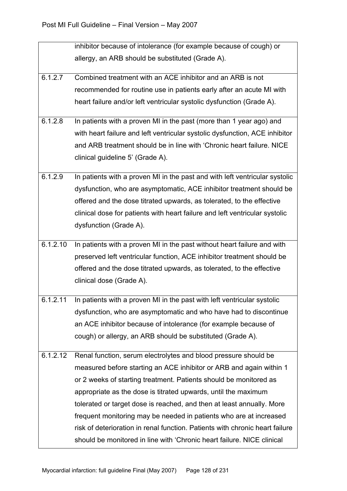inhibitor because of intolerance (for example because of cough) or allergy, an ARB should be substituted (Grade A).

- 6.1.2.7 Combined treatment with an ACE inhibitor and an ARB is not recommended for routine use in patients early after an acute MI with heart failure and/or left ventricular systolic dysfunction (Grade A).
- 6.1.2.8 In patients with a proven MI in the past (more than 1 year ago) and with heart failure and left ventricular systolic dysfunction, ACE inhibitor and ARB treatment should be in line with 'Chronic heart failure. NICE clinical guideline 5' (Grade A).
- 6.1.2.9 In patients with a proven MI in the past and with left ventricular systolic dysfunction, who are asymptomatic, ACE inhibitor treatment should be offered and the dose titrated upwards, as tolerated, to the effective clinical dose for patients with heart failure and left ventricular systolic dysfunction (Grade A).
- 6.1.2.10 In patients with a proven MI in the past without heart failure and with preserved left ventricular function, ACE inhibitor treatment should be offered and the dose titrated upwards, as tolerated, to the effective clinical dose (Grade A).
- 6.1.2.11 In patients with a proven MI in the past with left ventricular systolic dysfunction, who are asymptomatic and who have had to discontinue an ACE inhibitor because of intolerance (for example because of cough) or allergy, an ARB should be substituted (Grade A).
- 6.1.2.12 Renal function, serum electrolytes and blood pressure should be measured before starting an ACE inhibitor or ARB and again within 1 or 2 weeks of starting treatment. Patients should be monitored as appropriate as the dose is titrated upwards, until the maximum tolerated or target dose is reached, and then at least annually. More frequent monitoring may be needed in patients who are at increased risk of deterioration in renal function. Patients with chronic heart failure should be monitored in line with 'Chronic heart failure. NICE clinical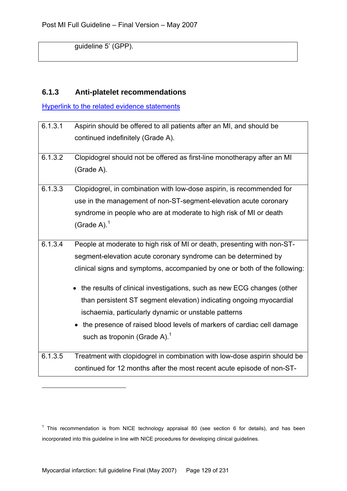<span id="page-128-0"></span>guideline 5' (GPP).

### **6.1.3 Anti-platelet recommendations**

[Hyperlink to the related evidence statements](#page-151-0)

| 6.1.3.1 | Aspirin should be offered to all patients after an MI, and should be      |
|---------|---------------------------------------------------------------------------|
|         | continued indefinitely (Grade A).                                         |
| 6.1.3.2 | Clopidogrel should not be offered as first-line monotherapy after an MI   |
|         | (Grade A).                                                                |
| 6.1.3.3 | Clopidogrel, in combination with low-dose aspirin, is recommended for     |
|         | use in the management of non-ST-segment-elevation acute coronary          |
|         | syndrome in people who are at moderate to high risk of MI or death        |
|         | (Grade A). $1$                                                            |
| 6.1.3.4 | People at moderate to high risk of MI or death, presenting with non-ST-   |
|         | segment-elevation acute coronary syndrome can be determined by            |
|         | clinical signs and symptoms, accompanied by one or both of the following: |
|         | the results of clinical investigations, such as new ECG changes (other    |
|         | than persistent ST segment elevation) indicating ongoing myocardial       |
|         | ischaemia, particularly dynamic or unstable patterns                      |
|         | the presence of raised blood levels of markers of cardiac cell damage     |
|         | such as troponin (Grade A). <sup>1</sup>                                  |
| 6.1.3.5 | Treatment with clopidogrel in combination with low-dose aspirin should be |
|         | continued for 12 months after the most recent acute episode of non-ST-    |
|         |                                                                           |

 $\overline{a}$ 

<sup>&</sup>lt;sup>1</sup> This recommendation is from NICE technology appraisal 80 (see section 6 for details), and has been incorporated into this guideline in line with NICE procedures for developing clinical guidelines.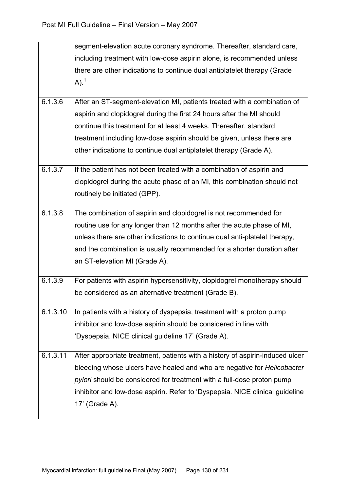segment-elevation acute coronary syndrome. Thereafter, standard care, including treatment with low-dose aspirin alone, is recommended unless there are other indications to continue dual antiplatelet therapy (Grade A). $^1$ 

- 6.1.3.6 After an ST-segment-elevation MI, patients treated with a combination of aspirin and clopidogrel during the first 24 hours after the MI should continue this treatment for at least 4 weeks. Thereafter, standard treatment including low-dose aspirin should be given, unless there are other indications to continue dual antiplatelet therapy (Grade A).
- 6.1.3.7 If the patient has not been treated with a combination of aspirin and clopidogrel during the acute phase of an MI, this combination should not routinely be initiated (GPP).
- 6.1.3.8 The combination of aspirin and clopidogrel is not recommended for routine use for any longer than 12 months after the acute phase of MI, unless there are other indications to continue dual anti-platelet therapy, and the combination is usually recommended for a shorter duration after an ST-elevation MI (Grade A).
- 6.1.3.9 For patients with aspirin hypersensitivity, clopidogrel monotherapy should be considered as an alternative treatment (Grade B).
- 6.1.3.10 In patients with a history of dyspepsia, treatment with a proton pump inhibitor and low-dose aspirin should be considered in line with 'Dyspepsia. NICE clinical guideline 17' (Grade A).
- 6.1.3.11 After appropriate treatment, patients with a history of aspirin-induced ulcer bleeding whose ulcers have healed and who are negative for *Helicobacter pylori* should be considered for treatment with a full-dose proton pump inhibitor and low-dose aspirin. Refer to 'Dyspepsia. NICE clinical guideline 17' (Grade A).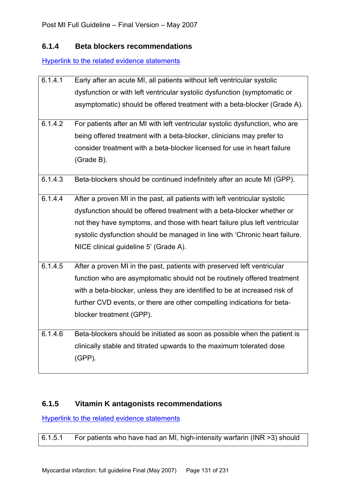Post MI Full Guideline – Final Version – May 2007

### **6.1.4 Beta blockers recommendations**

[Hyperlink to the related evidence statements](#page-158-0)

| 6.1.4.1 | Early after an acute MI, all patients without left ventricular systolic      |
|---------|------------------------------------------------------------------------------|
|         | dysfunction or with left ventricular systolic dysfunction (symptomatic or    |
|         | asymptomatic) should be offered treatment with a beta-blocker (Grade A).     |
|         |                                                                              |
| 6.1.4.2 | For patients after an MI with left ventricular systolic dysfunction, who are |
|         | being offered treatment with a beta-blocker, clinicians may prefer to        |
|         | consider treatment with a beta-blocker licensed for use in heart failure     |
|         | (Grade B).                                                                   |
| 6.1.4.3 | Beta-blockers should be continued indefinitely after an acute MI (GPP).      |
|         |                                                                              |
| 6.1.4.4 | After a proven MI in the past, all patients with left ventricular systolic   |
|         | dysfunction should be offered treatment with a beta-blocker whether or       |
|         | not they have symptoms, and those with heart failure plus left ventricular   |
|         | systolic dysfunction should be managed in line with 'Chronic heart failure.  |
|         | NICE clinical guideline 5' (Grade A).                                        |
|         |                                                                              |
| 6.1.4.5 | After a proven MI in the past, patients with preserved left ventricular      |
|         | function who are asymptomatic should not be routinely offered treatment      |
|         | with a beta-blocker, unless they are identified to be at increased risk of   |
|         | further CVD events, or there are other compelling indications for beta-      |
|         | blocker treatment (GPP).                                                     |
|         |                                                                              |
| 6.1.4.6 | Beta-blockers should be initiated as soon as possible when the patient is    |
|         | clinically stable and titrated upwards to the maximum tolerated dose         |
|         | (GPP).                                                                       |
|         |                                                                              |

# **6.1.5 Vitamin K antagonists recommendations**

Hyperlink to the related evidence statements

6.1.5.1 For patients who have had an MI, high-intensity warfarin (INR >3) should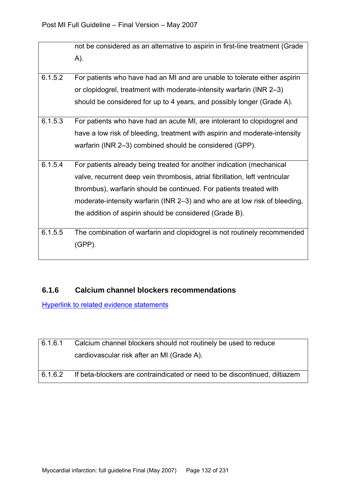not be considered as an alternative to aspirin in first-line treatment (Grade A).

- 6.1.5.2 For patients who have had an MI and are unable to tolerate either aspirin or clopidogrel, treatment with moderate-intensity warfarin (INR 2–3) should be considered for up to 4 years, and possibly longer (Grade A).
- 6.1.5.3 For patients who have had an acute MI, are intolerant to clopidogrel and have a low risk of bleeding, treatment with aspirin and moderate-intensity warfarin (INR 2–3) combined should be considered (GPP).
- 6.1.5.4 For patients already being treated for another indication (mechanical valve, recurrent deep vein thrombosis, atrial fibrillation, left ventricular thrombus), warfarin should be continued. For patients treated with moderate-intensity warfarin (INR 2–3) and who are at low risk of bleeding, the addition of aspirin should be considered (Grade B).
- 6.1.5.5 The combination of warfarin and clopidogrel is not routinely recommended (GPP).

# **6.1.6 Calcium channel blockers recommendations**

[Hyperlink to related evidence statements](#page-174-0)

| 6.1.6.1 | Calcium channel blockers should not routinely be used to reduce            |
|---------|----------------------------------------------------------------------------|
|         | cardiovascular risk after an MI (Grade A).                                 |
|         |                                                                            |
| 6.1.6.2 | If beta-blockers are contraindicated or need to be discontinued, diltiazem |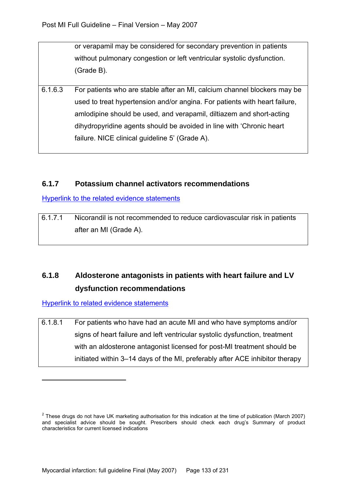<span id="page-132-0"></span>or verapamil may be considered for secondary prevention in patients without pulmonary congestion or left ventricular systolic dysfunction. (Grade B).

6.1.6.3 For patients who are stable after an MI, calcium channel blockers may be used to treat hypertension and/or angina. For patients with heart failure, amlodipine should be used, and verapamil, diltiazem and short-acting dihydropyridine agents should be avoided in line with 'Chronic heart failure. NICE clinical guideline 5' (Grade A).

#### **6.1.7 Potassium channel activators recommendations**

[Hyperlink to the related evidence statements](#page-179-0)

6.1.7.1 Nicorandil is not recommended to reduce cardiovascular risk in patients after an MI (Grade A).

# **6.1.8 Aldosterone antagonists in patients with heart failure and LV dysfunction recommendations**

[Hyperlink to related evidence statements](#page-180-0)

6.1.8.1 For patients who have had an acute MI and who have symptoms and/or signs of heart failure and left ventricular systolic dysfunction, treatment with an aldosterone antagonist licensed for post-MI treatment should be initiated within 3–14 days of the MI, preferably after ACE inhibitor therapy

<sup>&</sup>lt;sup>2</sup> These drugs do not have UK marketing authorisation for this indication at the time of publication (March 2007) and specialist advice should be sought. Prescribers should check each drug's Summary of product characteristics for current licensed indications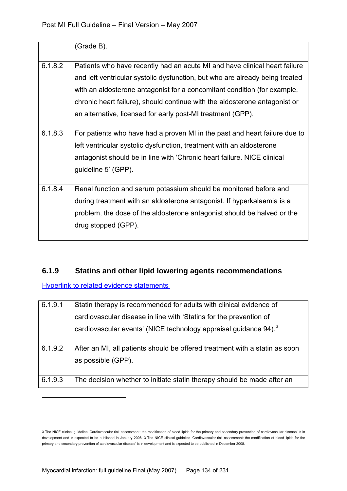(Grade B).

<span id="page-133-0"></span>

| 6.1.8.2 | Patients who have recently had an acute MI and have clinical heart failure   |
|---------|------------------------------------------------------------------------------|
|         | and left ventricular systolic dysfunction, but who are already being treated |
|         | with an aldosterone antagonist for a concomitant condition (for example,     |
|         | chronic heart failure), should continue with the aldosterone antagonist or   |
|         | an alternative, licensed for early post-MI treatment (GPP).                  |
|         |                                                                              |
| 6.1.8.3 | For patients who have had a proven MI in the past and heart failure due to   |
|         | left ventricular systolic dysfunction, treatment with an aldosterone         |
|         | antagonist should be in line with 'Chronic heart failure. NICE clinical      |
|         | quideline 5' (GPP).                                                          |
|         |                                                                              |
| 6.1.8.4 | Renal function and serum potassium should be monitored before and            |
|         | during treatment with an aldosterone antagonist. If hyperkalaemia is a       |
|         | problem, the dose of the aldosterone antagonist should be halved or the      |
|         | drug stopped (GPP).                                                          |
|         |                                                                              |

# **6.1.9 Statins and other lipid lowering agents recommendations**

[Hyperlink to related evidence statements](#page-183-0)

 $\overline{a}$ 

| 6.1.9.1 | Statin therapy is recommended for adults with clinical evidence of           |
|---------|------------------------------------------------------------------------------|
|         | cardiovascular disease in line with 'Statins for the prevention of           |
|         | cardiovascular events' (NICE technology appraisal guidance 94). <sup>3</sup> |
|         |                                                                              |
| 6.1.9.2 | After an MI, all patients should be offered treatment with a statin as soon  |
|         | as possible (GPP).                                                           |
|         |                                                                              |
| 6.1.9.3 | The decision whether to initiate statin therapy should be made after an      |
|         |                                                                              |

<sup>3</sup> The NICE clinical guideline 'Cardiovascular risk assessment: the modification of blood lipids for the primary and secondary prevention of cardiovascular disease' is in development and is expected to be published in January 2008. 3 The NICE clinical guideline 'Cardiovascular risk assessment: the modification of blood lipids for the primary and secondary prevention of cardiovascular disease' is in development and is expected to be published in December 2008.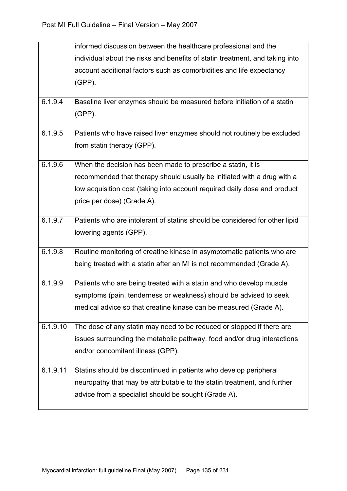informed discussion between the healthcare professional and the individual about the risks and benefits of statin treatment, and taking into account additional factors such as comorbidities and life expectancy (GPP).

- 6.1.9.4 Baseline liver enzymes should be measured before initiation of a statin (GPP).
- 6.1.9.5 Patients who have raised liver enzymes should not routinely be excluded from statin therapy (GPP).

6.1.9.6 When the decision has been made to prescribe a statin, it is recommended that therapy should usually be initiated with a drug with a low acquisition cost (taking into account required daily dose and product price per dose) (Grade A).

- 6.1.9.7 Patients who are intolerant of statins should be considered for other lipid lowering agents (GPP).
- 6.1.9.8 Routine monitoring of creatine kinase in asymptomatic patients who are being treated with a statin after an MI is not recommended (Grade A).
- 6.1.9.9 Patients who are being treated with a statin and who develop muscle symptoms (pain, tenderness or weakness) should be advised to seek medical advice so that creatine kinase can be measured (Grade A).
- 6.1.9.10 The dose of any statin may need to be reduced or stopped if there are issues surrounding the metabolic pathway, food and/or drug interactions and/or concomitant illness (GPP).
- 6.1.9.11 Statins should be discontinued in patients who develop peripheral neuropathy that may be attributable to the statin treatment, and further advice from a specialist should be sought (Grade A).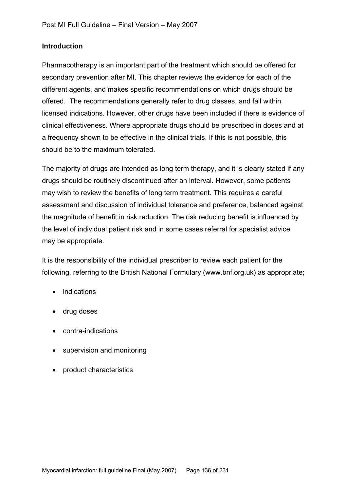#### **Introduction**

Pharmacotherapy is an important part of the treatment which should be offered for secondary prevention after MI. This chapter reviews the evidence for each of the different agents, and makes specific recommendations on which drugs should be offered. The recommendations generally refer to drug classes, and fall within licensed indications. However, other drugs have been included if there is evidence of clinical effectiveness. Where appropriate drugs should be prescribed in doses and at a frequency shown to be effective in the clinical trials. If this is not possible, this should be to the maximum tolerated.

The majority of drugs are intended as long term therapy, and it is clearly stated if any drugs should be routinely discontinued after an interval. However, some patients may wish to review the benefits of long term treatment. This requires a careful assessment and discussion of individual tolerance and preference, balanced against the magnitude of benefit in risk reduction. The risk reducing benefit is influenced by the level of individual patient risk and in some cases referral for specialist advice may be appropriate.

It is the responsibility of the individual prescriber to review each patient for the following, referring to the British National Formulary [\(www.bnf.org.uk\)](http://www.bnf.org.uk/) as appropriate;

- indications
- drug doses
- contra-indications
- supervision and monitoring
- product characteristics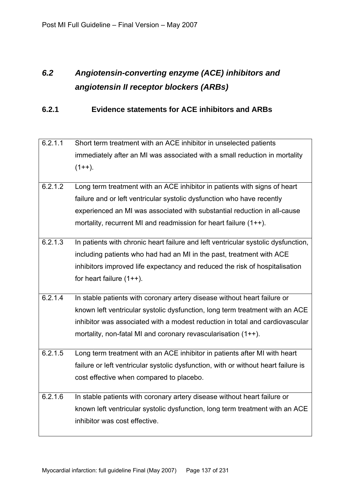# <span id="page-136-0"></span>*6.2 Angiotensin-converting enzyme (ACE) inhibitors and angiotensin II receptor blockers (ARBs)*

- **6.2.1 Evidence statements for ACE inhibitors and ARBs**
- 6.2.1.1 Short term treatment with an ACE inhibitor in unselected patients immediately after an MI was associated with a small reduction in mortality  $(1++)$ .
- 6.2.1.2 Long term treatment with an ACE inhibitor in patients with signs of heart failure and or left ventricular systolic dysfunction who have recently experienced an MI was associated with substantial reduction in all-cause mortality, recurrent MI and readmission for heart failure (1++).
- 6.2.1.3 In patients with chronic heart failure and left ventricular systolic dysfunction, including patients who had had an MI in the past, treatment with ACE inhibitors improved life expectancy and reduced the risk of hospitalisation for heart failure (1++).
- 6.2.1.4 In stable patients with coronary artery disease without heart failure or known left ventricular systolic dysfunction, long term treatment with an ACE inhibitor was associated with a modest reduction in total and cardiovascular mortality, non-fatal MI and coronary revascularisation (1++).
- 6.2.1.5 Long term treatment with an ACE inhibitor in patients after MI with heart failure or left ventricular systolic dysfunction, with or without heart failure is cost effective when compared to placebo.
- 6.2.1.6 In stable patients with coronary artery disease without heart failure or known left ventricular systolic dysfunction, long term treatment with an ACE inhibitor was cost effective.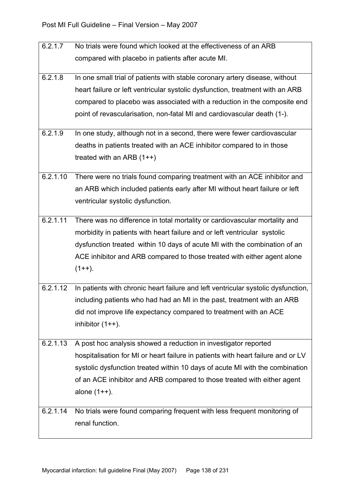- 6.2.1.7 No trials were found which looked at the effectiveness of an ARB compared with placebo in patients after acute MI.
- 6.2.1.8 In one small trial of patients with stable coronary artery disease, without heart failure or left ventricular systolic dysfunction, treatment with an ARB compared to placebo was associated with a reduction in the composite end point of revascularisation, non-fatal MI and cardiovascular death (1-).
- 6.2.1.9 In one study, although not in a second, there were fewer cardiovascular deaths in patients treated with an ACE inhibitor compared to in those treated with an ARB  $(1++)$
- 6.2.1.10 There were no trials found comparing treatment with an ACE inhibitor and an ARB which included patients early after MI without heart failure or left ventricular systolic dysfunction.
- 6.2.1.11 There was no difference in total mortality or cardiovascular mortality and morbidity in patients with heart failure and or left ventricular systolic dysfunction treated within 10 days of acute MI with the combination of an ACE inhibitor and ARB compared to those treated with either agent alone  $(1++)$ .
- 6.2.1.12 In patients with chronic heart failure and left ventricular systolic dysfunction, including patients who had had an MI in the past, treatment with an ARB did not improve life expectancy compared to treatment with an ACE inhibitor (1++).
- 6.2.1.13 A post hoc analysis showed a reduction in investigator reported hospitalisation for MI or heart failure in patients with heart failure and or LV systolic dysfunction treated within 10 days of acute MI with the combination of an ACE inhibitor and ARB compared to those treated with either agent alone  $(1++)$ .
- 6.2.1.14 No trials were found comparing frequent with less frequent monitoring of renal function.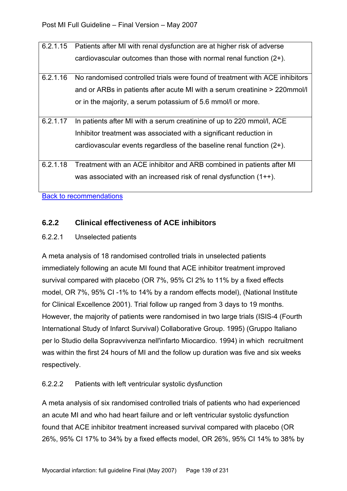- 6.2.1.15 Patients after MI with renal dysfunction are at higher risk of adverse cardiovascular outcomes than those with normal renal function (2+).
- 6.2.1.16 No randomised controlled trials were found of treatment with ACE inhibitors and or ARBs in patients after acute MI with a serum creatinine > 220mmol/l or in the majority, a serum potassium of 5.6 mmol/l or more.
- 6.2.1.17 In patients after MI with a serum creatinine of up to 220 mmol/l, ACE Inhibitor treatment was associated with a significant reduction in cardiovascular events regardless of the baseline renal function (2+).
- 6.2.1.18 Treatment with an ACE inhibitor and ARB combined in patients after MI was associated with an increased risk of renal dysfunction (1++).

[Back to recommendations](#page-126-0)

### **6.2.2 Clinical effectiveness of ACE inhibitors**

#### 6.2.2.1 Unselected patients

A meta analysis of 18 randomised controlled trials in unselected patients immediately following an acute MI found that ACE inhibitor treatment improved survival compared with placebo (OR 7%, 95% CI 2% to 11% by a fixed effects model, OR 7%, 95% CI -1% to 14% by a random effects model), (National Institute for Clinical Excellence 2001). Trial follow up ranged from 3 days to 19 months. However, the majority of patients were randomised in two large trials (ISIS-4 (Fourth International Study of Infarct Survival) Collaborative Group. 1995) (Gruppo Italiano per lo Studio della Sopravvivenza nell'infarto Miocardico. 1994) in which recruitment was within the first 24 hours of MI and the follow up duration was five and six weeks respectively.

#### 6.2.2.2 Patients with left ventricular systolic dysfunction

A meta analysis of six randomised controlled trials of patients who had experienced an acute MI and who had heart failure and or left ventricular systolic dysfunction found that ACE inhibitor treatment increased survival compared with placebo (OR 26%, 95% CI 17% to 34% by a fixed effects model, OR 26%, 95% CI 14% to 38% by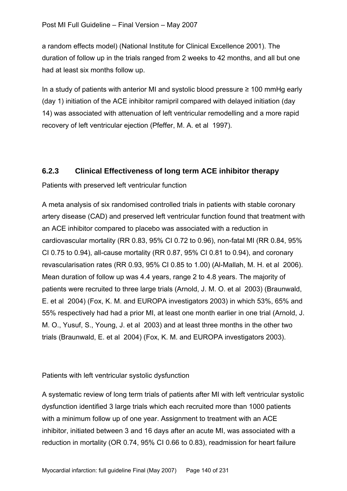a random effects model) (National Institute for Clinical Excellence 2001). The duration of follow up in the trials ranged from 2 weeks to 42 months, and all but one had at least six months follow up.

In a study of patients with anterior MI and systolic blood pressure  $\geq 100$  mmHg early (day 1) initiation of the ACE inhibitor ramipril compared with delayed initiation (day 14) was associated with attenuation of left ventricular remodelling and a more rapid recovery of left ventricular ejection (Pfeffer, M. A. et al 1997).

#### **6.2.3 Clinical Effectiveness of long term ACE inhibitor therapy**

Patients with preserved left ventricular function

A meta analysis of six randomised controlled trials in patients with stable coronary artery disease (CAD) and preserved left ventricular function found that treatment with an ACE inhibitor compared to placebo was associated with a reduction in cardiovascular mortality (RR 0.83, 95% CI 0.72 to 0.96), non-fatal MI (RR 0.84, 95% CI 0.75 to 0.94), all-cause mortality (RR 0.87, 95% CI 0.81 to 0.94), and coronary revascularisation rates (RR 0.93, 95% CI 0.85 to 1.00) (Al-Mallah, M. H. et al 2006). Mean duration of follow up was 4.4 years, range 2 to 4.8 years. The majority of patients were recruited to three large trials (Arnold, J. M. O. et al 2003) (Braunwald, E. et al 2004) (Fox, K. M. and EUROPA investigators 2003) in which 53%, 65% and 55% respectively had had a prior MI, at least one month earlier in one trial (Arnold, J. M. O., Yusuf, S., Young, J. et al 2003) and at least three months in the other two trials (Braunwald, E. et al 2004) (Fox, K. M. and EUROPA investigators 2003).

Patients with left ventricular systolic dysfunction

A systematic review of long term trials of patients after MI with left ventricular systolic dysfunction identified 3 large trials which each recruited more than 1000 patients with a minimum follow up of one year. Assignment to treatment with an ACE inhibitor, initiated between 3 and 16 days after an acute MI, was associated with a reduction in mortality (OR 0.74, 95% CI 0.66 to 0.83), readmission for heart failure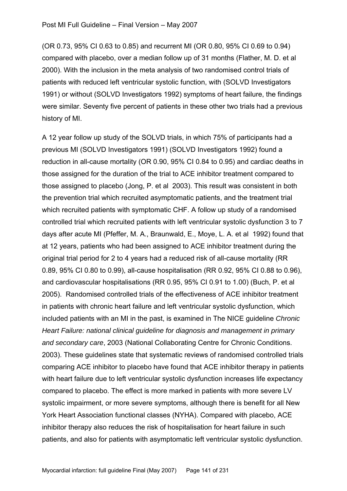(OR 0.73, 95% CI 0.63 to 0.85) and recurrent MI (OR 0.80, 95% CI 0.69 to 0.94) compared with placebo, over a median follow up of 31 months (Flather, M. D. et al 2000). With the inclusion in the meta analysis of two randomised control trials of patients with reduced left ventricular systolic function, with (SOLVD Investigators 1991) or without (SOLVD Investigators 1992) symptoms of heart failure, the findings were similar. Seventy five percent of patients in these other two trials had a previous history of MI.

A 12 year follow up study of the SOLVD trials, in which 75% of participants had a previous MI (SOLVD Investigators 1991) (SOLVD Investigators 1992) found a reduction in all-cause mortality (OR 0.90, 95% CI 0.84 to 0.95) and cardiac deaths in those assigned for the duration of the trial to ACE inhibitor treatment compared to those assigned to placebo (Jong, P. et al 2003). This result was consistent in both the prevention trial which recruited asymptomatic patients, and the treatment trial which recruited patients with symptomatic CHF. A follow up study of a randomised controlled trial which recruited patients with left ventricular systolic dysfunction 3 to 7 days after acute MI (Pfeffer, M. A., Braunwald, E., Moye, L. A. et al 1992) found that at 12 years, patients who had been assigned to ACE inhibitor treatment during the original trial period for 2 to 4 years had a reduced risk of all-cause mortality (RR 0.89, 95% CI 0.80 to 0.99), all-cause hospitalisation (RR 0.92, 95% CI 0.88 to 0.96), and cardiovascular hospitalisations (RR 0.95, 95% CI 0.91 to 1.00) (Buch, P. et al 2005). Randomised controlled trials of the effectiveness of ACE inhibitor treatment in patients with chronic heart failure and left ventricular systolic dysfunction, which included patients with an MI in the past, is examined in The NICE guideline *Chronic Heart Failure: national clinical guideline for diagnosis and management in primary and secondary care*, 2003 (National Collaborating Centre for Chronic Conditions. 2003). These guidelines state that systematic reviews of randomised controlled trials comparing ACE inhibitor to placebo have found that ACE inhibitor therapy in patients with heart failure due to left ventricular systolic dysfunction increases life expectancy compared to placebo. The effect is more marked in patients with more severe LV systolic impairment, or more severe symptoms, although there is benefit for all New York Heart Association functional classes (NYHA). Compared with placebo, ACE inhibitor therapy also reduces the risk of hospitalisation for heart failure in such patients, and also for patients with asymptomatic left ventricular systolic dysfunction.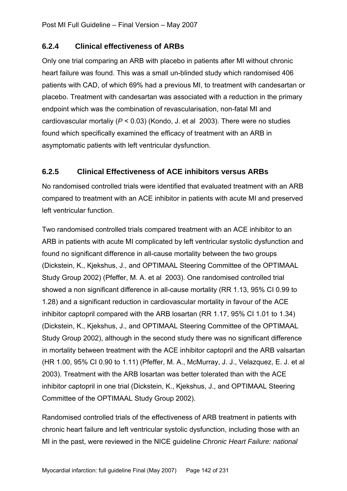# **6.2.4 Clinical effectiveness of ARBs**

Only one trial comparing an ARB with placebo in patients after MI without chronic heart failure was found. This was a small un-blinded study which randomised 406 patients with CAD, of which 69% had a previous MI, to treatment with candesartan or placebo. Treatment with candesartan was associated with a reduction in the primary endpoint which was the combination of revascularisation, non-fatal MI and cardiovascular mortaliy (*P* < 0.03) (Kondo, J. et al 2003). There were no studies found which specifically examined the efficacy of treatment with an ARB in asymptomatic patients with left ventricular dysfunction.

# **6.2.5 Clinical Effectiveness of ACE inhibitors versus ARBs**

No randomised controlled trials were identified that evaluated treatment with an ARB compared to treatment with an ACE inhibitor in patients with acute MI and preserved left ventricular function.

Two randomised controlled trials compared treatment with an ACE inhibitor to an ARB in patients with acute MI complicated by left ventricular systolic dysfunction and found no significant difference in all-cause mortality between the two groups (Dickstein, K., Kjekshus, J., and OPTIMAAL Steering Committee of the OPTIMAAL Study Group 2002) (Pfeffer, M. A. et al 2003). One randomised controlled trial showed a non significant difference in all-cause mortality (RR 1.13, 95% CI 0.99 to 1.28) and a significant reduction in cardiovascular mortality in favour of the ACE inhibitor captopril compared with the ARB losartan (RR 1.17, 95% CI 1.01 to 1.34) (Dickstein, K., Kjekshus, J., and OPTIMAAL Steering Committee of the OPTIMAAL Study Group 2002), although in the second study there was no significant difference in mortality between treatment with the ACE inhibitor captopril and the ARB valsartan (HR 1.00, 95% CI 0.90 to 1.11) (Pfeffer, M. A., McMurray, J. J., Velazquez, E. J. et al 2003). Treatment with the ARB losartan was better tolerated than with the ACE inhibitor captopril in one trial (Dickstein, K., Kjekshus, J., and OPTIMAAL Steering Committee of the OPTIMAAL Study Group 2002).

Randomised controlled trials of the effectiveness of ARB treatment in patients with chronic heart failure and left ventricular systolic dysfunction, including those with an MI in the past, were reviewed in the NICE guideline *Chronic Heart Failure: national*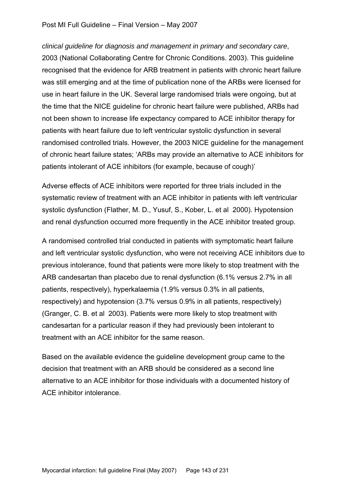*clinical guideline for diagnosis and management in primary and secondary care*, 2003 (National Collaborating Centre for Chronic Conditions. 2003). This guideline recognised that the evidence for ARB treatment in patients with chronic heart failure was still emerging and at the time of publication none of the ARBs were licensed for use in heart failure in the UK. Several large randomised trials were ongoing, but at the time that the NICE guideline for chronic heart failure were published, ARBs had not been shown to increase life expectancy compared to ACE inhibitor therapy for patients with heart failure due to left ventricular systolic dysfunction in several randomised controlled trials. However, the 2003 NICE guideline for the management of chronic heart failure states; 'ARBs may provide an alternative to ACE inhibitors for patients intolerant of ACE inhibitors (for example, because of cough)'

Adverse effects of ACE inhibitors were reported for three trials included in the systematic review of treatment with an ACE inhibitor in patients with left ventricular systolic dysfunction (Flather, M. D., Yusuf, S., Kober, L. et al 2000). Hypotension and renal dysfunction occurred more frequently in the ACE inhibitor treated group.

A randomised controlled trial conducted in patients with symptomatic heart failure and left ventricular systolic dysfunction, who were not receiving ACE inhibitors due to previous intolerance, found that patients were more likely to stop treatment with the ARB candesartan than placebo due to renal dysfunction (6.1% versus 2.7% in all patients, respectively), hyperkalaemia (1.9% versus 0.3% in all patients, respectively) and hypotension (3.7% versus 0.9% in all patients, respectively) (Granger, C. B. et al 2003). Patients were more likely to stop treatment with candesartan for a particular reason if they had previously been intolerant to treatment with an ACE inhibitor for the same reason.

Based on the available evidence the guideline development group came to the decision that treatment with an ARB should be considered as a second line alternative to an ACE inhibitor for those individuals with a documented history of ACE inhibitor intolerance.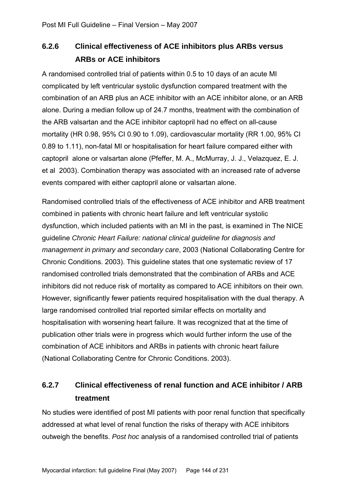# **6.2.6 Clinical effectiveness of ACE inhibitors plus ARBs versus ARBs or ACE inhibitors**

A randomised controlled trial of patients within 0.5 to 10 days of an acute MI complicated by left ventricular systolic dysfunction compared treatment with the combination of an ARB plus an ACE inhibitor with an ACE inhibitor alone, or an ARB alone. During a median follow up of 24.7 months, treatment with the combination of the ARB valsartan and the ACE inhibitor captopril had no effect on all-cause mortality (HR 0.98, 95% CI 0.90 to 1.09), cardiovascular mortality (RR 1.00, 95% CI 0.89 to 1.11), non-fatal MI or hospitalisation for heart failure compared either with captopril alone or valsartan alone (Pfeffer, M. A., McMurray, J. J., Velazquez, E. J. et al 2003). Combination therapy was associated with an increased rate of adverse events compared with either captopril alone or valsartan alone.

Randomised controlled trials of the effectiveness of ACE inhibitor and ARB treatment combined in patients with chronic heart failure and left ventricular systolic dysfunction, which included patients with an MI in the past, is examined in The NICE guideline *Chronic Heart Failure: national clinical guideline for diagnosis and management in primary and secondary care*, 2003 (National Collaborating Centre for Chronic Conditions. 2003). This guideline states that one systematic review of 17 randomised controlled trials demonstrated that the combination of ARBs and ACE inhibitors did not reduce risk of mortality as compared to ACE inhibitors on their own. However, significantly fewer patients required hospitalisation with the dual therapy. A large randomised controlled trial reported similar effects on mortality and hospitalisation with worsening heart failure. It was recognized that at the time of publication other trials were in progress which would further inform the use of the combination of ACE inhibitors and ARBs in patients with chronic heart failure (National Collaborating Centre for Chronic Conditions. 2003).

# **6.2.7 Clinical effectiveness of renal function and ACE inhibitor / ARB treatment**

No studies were identified of post MI patients with poor renal function that specifically addressed at what level of renal function the risks of therapy with ACE inhibitors outweigh the benefits. *Post hoc* analysis of a randomised controlled trial of patients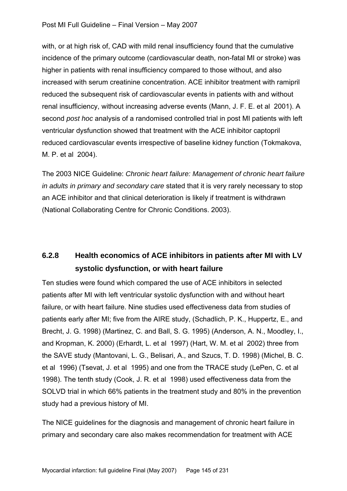with, or at high risk of, CAD with mild renal insufficiency found that the cumulative incidence of the primary outcome (cardiovascular death, non-fatal MI or stroke) was higher in patients with renal insufficiency compared to those without, and also increased with serum creatinine concentration. ACE inhibitor treatment with ramipril reduced the subsequent risk of cardiovascular events in patients with and without renal insufficiency, without increasing adverse events (Mann, J. F. E. et al 2001). A second *post hoc* analysis of a randomised controlled trial in post MI patients with left ventricular dysfunction showed that treatment with the ACE inhibitor captopril reduced cardiovascular events irrespective of baseline kidney function (Tokmakova, M. P. et al 2004).

The 2003 NICE Guideline: *Chronic heart failure: Management of chronic heart failure in adults in primary and secondary care* stated that it is very rarely necessary to stop an ACE inhibitor and that clinical deterioration is likely if treatment is withdrawn (National Collaborating Centre for Chronic Conditions. 2003).

# **6.2.8 Health economics of ACE inhibitors in patients after MI with LV systolic dysfunction, or with heart failure**

Ten studies were found which compared the use of ACE inhibitors in selected patients after MI with left ventricular systolic dysfunction with and without heart failure, or with heart failure. Nine studies used effectiveness data from studies of patients early after MI; five from the AIRE study, (Schadlich, P. K., Huppertz, E., and Brecht, J. G. 1998) (Martinez, C. and Ball, S. G. 1995) (Anderson, A. N., Moodley, I., and Kropman, K. 2000) (Erhardt, L. et al 1997) (Hart, W. M. et al 2002) three from the SAVE study (Mantovani, L. G., Belisari, A., and Szucs, T. D. 1998) (Michel, B. C. et al 1996) (Tsevat, J. et al 1995) and one from the TRACE study (LePen, C. et al 1998). The tenth study (Cook, J. R. et al 1998) used effectiveness data from the SOLVD trial in which 66% patients in the treatment study and 80% in the prevention study had a previous history of MI.

The NICE guidelines for the diagnosis and management of chronic heart failure in primary and secondary care also makes recommendation for treatment with ACE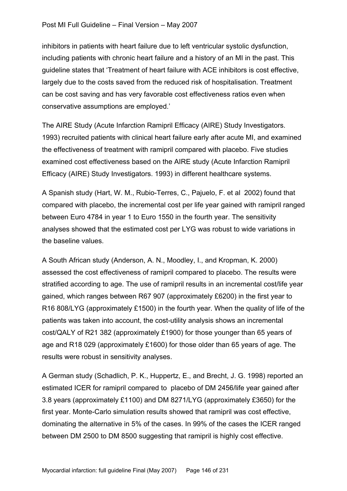inhibitors in patients with heart failure due to left ventricular systolic dysfunction, including patients with chronic heart failure and a history of an MI in the past. This guideline states that 'Treatment of heart failure with ACE inhibitors is cost effective, largely due to the costs saved from the reduced risk of hospitalisation. Treatment can be cost saving and has very favorable cost effectiveness ratios even when conservative assumptions are employed.'

The AIRE Study (Acute Infarction Ramipril Efficacy (AIRE) Study Investigators. 1993) recruited patients with clinical heart failure early after acute MI, and examined the effectiveness of treatment with ramipril compared with placebo. Five studies examined cost effectiveness based on the AIRE study (Acute Infarction Ramipril Efficacy (AIRE) Study Investigators. 1993) in different healthcare systems.

A Spanish study (Hart, W. M., Rubio-Terres, C., Pajuelo, F. et al 2002) found that compared with placebo, the incremental cost per life year gained with ramipril ranged between Euro 4784 in year 1 to Euro 1550 in the fourth year. The sensitivity analyses showed that the estimated cost per LYG was robust to wide variations in the baseline values.

A South African study (Anderson, A. N., Moodley, I., and Kropman, K. 2000) assessed the cost effectiveness of ramipril compared to placebo. The results were stratified according to age. The use of ramipril results in an incremental cost/life year gained, which ranges between R67 907 (approximately £6200) in the first year to R16 808/LYG (approximately £1500) in the fourth year. When the quality of life of the patients was taken into account, the cost-utility analysis shows an incremental cost/QALY of R21 382 (approximately £1900) for those younger than 65 years of age and R18 029 (approximately £1600) for those older than 65 years of age. The results were robust in sensitivity analyses.

A German study (Schadlich, P. K., Huppertz, E., and Brecht, J. G. 1998) reported an estimated ICER for ramipril compared to placebo of DM 2456/life year gained after 3.8 years (approximately £1100) and DM 8271/LYG (approximately £3650) for the first year. Monte-Carlo simulation results showed that ramipril was cost effective, dominating the alternative in 5% of the cases. In 99% of the cases the ICER ranged between DM 2500 to DM 8500 suggesting that ramipril is highly cost effective.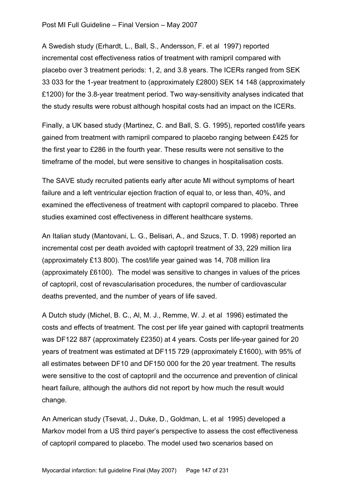A Swedish study (Erhardt, L., Ball, S., Andersson, F. et al 1997) reported incremental cost effectiveness ratios of treatment with ramipril compared with placebo over 3 treatment periods: 1, 2, and 3.8 years. The ICERs ranged from SEK 33 033 for the 1-year treatment to (approximately £2800) SEK 14 148 (approximately £1200) for the 3.8-year treatment period. Two way-sensitivity analyses indicated that the study results were robust although hospital costs had an impact on the ICERs.

Finally, a UK based study (Martinez, C. and Ball, S. G. 1995), reported cost/life years gained from treatment with ramipril compared to placebo ranging between £425 for the first year to £286 in the fourth year. These results were not sensitive to the timeframe of the model, but were sensitive to changes in hospitalisation costs.

The SAVE study recruited patients early after acute MI without symptoms of heart failure and a left ventricular ejection fraction of equal to, or less than, 40%, and examined the effectiveness of treatment with captopril compared to placebo. Three studies examined cost effectiveness in different healthcare systems.

An Italian study (Mantovani, L. G., Belisari, A., and Szucs, T. D. 1998) reported an incremental cost per death avoided with captopril treatment of 33, 229 million lira (approximately £13 800). The cost/life year gained was 14, 708 million lira (approximately £6100). The model was sensitive to changes in values of the prices of captopril, cost of revascularisation procedures, the number of cardiovascular deaths prevented, and the number of years of life saved.

A Dutch study (Michel, B. C., Al, M. J., Remme, W. J. et al 1996) estimated the costs and effects of treatment. The cost per life year gained with captopril treatments was DF122 887 (approximately £2350) at 4 years. Costs per life-year gained for 20 years of treatment was estimated at DF115 729 (approximately £1600), with 95% of all estimates between DF10 and DF150 000 for the 20 year treatment. The results were sensitive to the cost of captopril and the occurrence and prevention of clinical heart failure, although the authors did not report by how much the result would change.

An American study (Tsevat, J., Duke, D., Goldman, L. et al 1995) developed a Markov model from a US third payer's perspective to assess the cost effectiveness of captopril compared to placebo. The model used two scenarios based on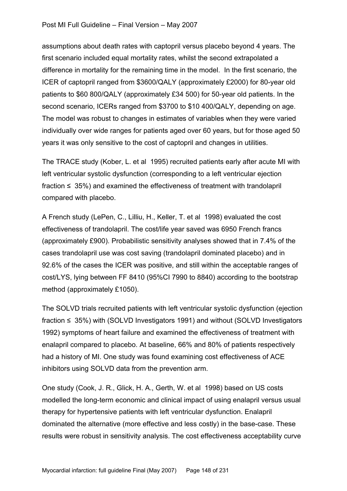assumptions about death rates with captopril versus placebo beyond 4 years. The first scenario included equal mortality rates, whilst the second extrapolated a difference in mortality for the remaining time in the model. In the first scenario, the ICER of captopril ranged from \$3600/QALY (approximately £2000) for 80-year old patients to \$60 800/QALY (approximately £34 500) for 50-year old patients. In the second scenario, ICERs ranged from \$3700 to \$10 400/QALY, depending on age. The model was robust to changes in estimates of variables when they were varied individually over wide ranges for patients aged over 60 years, but for those aged 50 years it was only sensitive to the cost of captopril and changes in utilities.

The TRACE study (Kober, L. et al 1995) recruited patients early after acute MI with left ventricular systolic dysfunction (corresponding to a left ventricular ejection fraction  $\leq$  35%) and examined the effectiveness of treatment with trandolapril compared with placebo.

A French study (LePen, C., Lilliu, H., Keller, T. et al 1998) evaluated the cost effectiveness of trandolapril. The cost/life year saved was 6950 French francs (approximately £900). Probabilistic sensitivity analyses showed that in 7.4% of the cases trandolapril use was cost saving (trandolapril dominated placebo) and in 92.6% of the cases the ICER was positive, and still within the acceptable ranges of cost/LYS, lying between FF 8410 (95%CI 7990 to 8840) according to the bootstrap method (approximately £1050).

The SOLVD trials recruited patients with left ventricular systolic dysfunction (ejection fraction ≤ 35%) with (SOLVD Investigators 1991) and without (SOLVD Investigators 1992) symptoms of heart failure and examined the effectiveness of treatment with enalapril compared to placebo. At baseline, 66% and 80% of patients respectively had a history of MI. One study was found examining cost effectiveness of ACE inhibitors using SOLVD data from the prevention arm.

One study (Cook, J. R., Glick, H. A., Gerth, W. et al 1998) based on US costs modelled the long-term economic and clinical impact of using enalapril versus usual therapy for hypertensive patients with left ventricular dysfunction. Enalapril dominated the alternative (more effective and less costly) in the base-case. These results were robust in sensitivity analysis. The cost effectiveness acceptability curve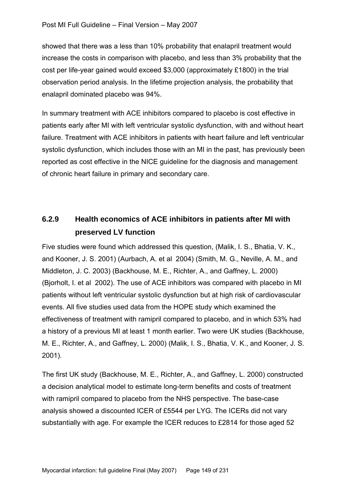showed that there was a less than 10% probability that enalapril treatment would increase the costs in comparison with placebo, and less than 3% probability that the cost per life-year gained would exceed \$3,000 (approximately £1800) in the trial observation period analysis. In the lifetime projection analysis, the probability that enalapril dominated placebo was 94%.

In summary treatment with ACE inhibitors compared to placebo is cost effective in patients early after MI with left ventricular systolic dysfunction, with and without heart failure. Treatment with ACE inhibitors in patients with heart failure and left ventricular systolic dysfunction, which includes those with an MI in the past, has previously been reported as cost effective in the NICE guideline for the diagnosis and management of chronic heart failure in primary and secondary care.

# **6.2.9 Health economics of ACE inhibitors in patients after MI with preserved LV function**

Five studies were found which addressed this question, (Malik, I. S., Bhatia, V. K., and Kooner, J. S. 2001) (Aurbach, A. et al 2004) (Smith, M. G., Neville, A. M., and Middleton, J. C. 2003) (Backhouse, M. E., Richter, A., and Gaffney, L. 2000) (Bjorholt, I. et al 2002). The use of ACE inhibitors was compared with placebo in MI patients without left ventricular systolic dysfunction but at high risk of cardiovascular events. All five studies used data from the HOPE study which examined the effectiveness of treatment with ramipril compared to placebo, and in which 53% had a history of a previous MI at least 1 month earlier. Two were UK studies (Backhouse, M. E., Richter, A., and Gaffney, L. 2000) (Malik, I. S., Bhatia, V. K., and Kooner, J. S. 2001).

The first UK study (Backhouse, M. E., Richter, A., and Gaffney, L. 2000) constructed a decision analytical model to estimate long-term benefits and costs of treatment with ramipril compared to placebo from the NHS perspective. The base-case analysis showed a discounted ICER of £5544 per LYG. The ICERs did not vary substantially with age. For example the ICER reduces to £2814 for those aged 52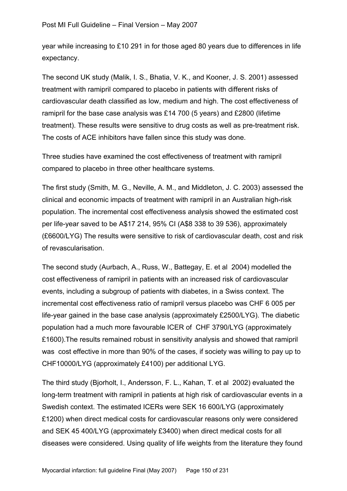year while increasing to £10 291 in for those aged 80 years due to differences in life expectancy.

The second UK study (Malik, I. S., Bhatia, V. K., and Kooner, J. S. 2001) assessed treatment with ramipril compared to placebo in patients with different risks of cardiovascular death classified as low, medium and high. The cost effectiveness of ramipril for the base case analysis was £14 700 (5 years) and £2800 (lifetime treatment). These results were sensitive to drug costs as well as pre-treatment risk. The costs of ACE inhibitors have fallen since this study was done.

Three studies have examined the cost effectiveness of treatment with ramipril compared to placebo in three other healthcare systems.

The first study (Smith, M. G., Neville, A. M., and Middleton, J. C. 2003) assessed the clinical and economic impacts of treatment with ramipril in an Australian high-risk population. The incremental cost effectiveness analysis showed the estimated cost per life-year saved to be A\$17 214, 95% CI (A\$8 338 to 39 536), approximately (£6600/LYG) The results were sensitive to risk of cardiovascular death, cost and risk of revascularisation.

The second study (Aurbach, A., Russ, W., Battegay, E. et al 2004) modelled the cost effectiveness of ramipril in patients with an increased risk of cardiovascular events, including a subgroup of patients with diabetes, in a Swiss context. The incremental cost effectiveness ratio of ramipril versus placebo was CHF 6 005 per life-year gained in the base case analysis (approximately £2500/LYG). The diabetic population had a much more favourable ICER of CHF 3790/LYG (approximately £1600).The results remained robust in sensitivity analysis and showed that ramipril was cost effective in more than 90% of the cases, if society was willing to pay up to CHF10000/LYG (approximately £4100) per additional LYG.

The third study (Bjorholt, I., Andersson, F. L., Kahan, T. et al 2002) evaluated the long-term treatment with ramipril in patients at high risk of cardiovascular events in a Swedish context. The estimated ICERs were SEK 16 600/LYG (approximately £1200) when direct medical costs for cardiovascular reasons only were considered and SEK 45 400/LYG (approximately £3400) when direct medical costs for all diseases were considered. Using quality of life weights from the literature they found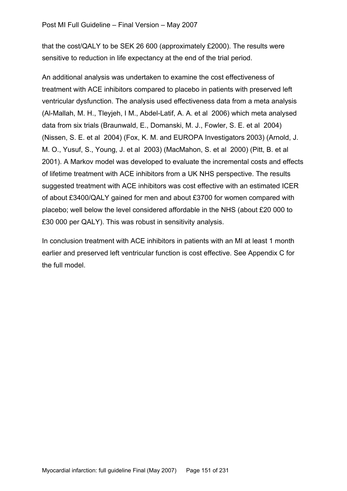that the cost/QALY to be SEK 26 600 (approximately £2000). The results were sensitive to reduction in life expectancy at the end of the trial period.

An additional analysis was undertaken to examine the cost effectiveness of treatment with ACE inhibitors compared to placebo in patients with preserved left ventricular dysfunction. The analysis used effectiveness data from a meta analysis (Al-Mallah, M. H., Tleyjeh, I M., Abdel-Latif, A. A. et al 2006) which meta analysed data from six trials (Braunwald, E., Domanski, M. J., Fowler, S. E. et al 2004) (Nissen, S. E. et al 2004) (Fox, K. M. and EUROPA Investigators 2003) (Arnold, J. M. O., Yusuf, S., Young, J. et al 2003) (MacMahon, S. et al 2000) (Pitt, B. et al 2001). A Markov model was developed to evaluate the incremental costs and effects of lifetime treatment with ACE inhibitors from a UK NHS perspective. The results suggested treatment with ACE inhibitors was cost effective with an estimated ICER of about £3400/QALY gained for men and about £3700 for women compared with placebo; well below the level considered affordable in the NHS (about £20 000 to £30 000 per QALY). This was robust in sensitivity analysis.

In conclusion treatment with ACE inhibitors in patients with an MI at least 1 month earlier and preserved left ventricular function is cost effective. See Appendix C for the full model.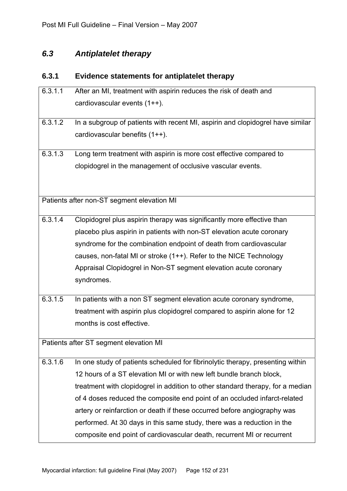# *6.3 [Antiplatelet therapy](#page-128-0)*

#### **6.3.1 Evidence statements for antiplatelet therapy**

- 6.3.1.1 After an MI, treatment with aspirin reduces the risk of death and cardiovascular events (1++).
- 6.3.1.2 In a subgroup of patients with recent MI, aspirin and clopidogrel have similar cardiovascular benefits (1++).
- 6.3.1.3 Long term treatment with aspirin is more cost effective compared to clopidogrel in the management of occlusive vascular events.

Patients after non-ST segment elevation MI

- 6.3.1.4 Clopidogrel plus aspirin therapy was significantly more effective than placebo plus aspirin in patients with non-ST elevation acute coronary syndrome for the combination endpoint of death from cardiovascular causes, non-fatal MI or stroke (1++). Refer to the NICE Technology Appraisal Clopidogrel in Non-ST segment elevation acute coronary syndromes.
- 6.3.1.5 In patients with a non ST segment elevation acute coronary syndrome, treatment with aspirin plus clopidogrel compared to aspirin alone for 12 months is cost effective.

Patients after ST segment elevation MI

6.3.1.6 In one study of patients scheduled for fibrinolytic therapy, presenting within 12 hours of a ST elevation MI or with new left bundle branch block, treatment with clopidogrel in addition to other standard therapy, for a median of 4 doses reduced the composite end point of an occluded infarct-related artery or reinfarction or death if these occurred before angiography was performed. At 30 days in this same study, there was a reduction in the composite end point of cardiovascular death, recurrent MI or recurrent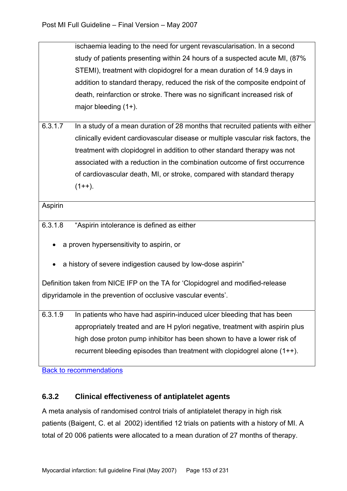ischaemia leading to the need for urgent revascularisation. In a second study of patients presenting within 24 hours of a suspected acute MI, (87% STEMI), treatment with clopidogrel for a mean duration of 14.9 days in addition to standard therapy, reduced the risk of the composite endpoint of death, reinfarction or stroke. There was no significant increased risk of major bleeding (1+).

6.3.1.7 In a study of a mean duration of 28 months that recruited patients with either clinically evident cardiovascular disease or multiple vascular risk factors, the treatment with clopidogrel in addition to other standard therapy was not associated with a reduction in the combination outcome of first occurrence of cardiovascular death, MI, or stroke, compared with standard therapy  $(1++)$ .

Aspirin

- 6.3.1.8 "Aspirin intolerance is defined as either
	- a proven hypersensitivity to aspirin, or
	- a history of severe indigestion caused by low-dose aspirin"

Definition taken from NICE IFP on the TA for 'Clopidogrel and modified-release dipyridamole in the prevention of occlusive vascular events'.

6.3.1.9 In patients who have had aspirin-induced ulcer bleeding that has been appropriately treated and are H pylori negative, treatment with aspirin plus high dose proton pump inhibitor has been shown to have a lower risk of recurrent bleeding episodes than treatment with clopidogrel alone (1++).

**[Back to recommendations](#page-128-0)** 

# **6.3.2 Clinical effectiveness of antiplatelet agents**

A meta analysis of randomised control trials of antiplatelet therapy in high risk patients (Baigent, C. et al 2002) identified 12 trials on patients with a history of MI. A total of 20 006 patients were allocated to a mean duration of 27 months of therapy.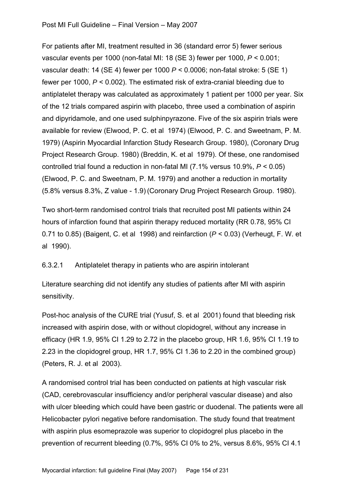For patients after MI, treatment resulted in 36 (standard error 5) fewer serious vascular events per 1000 (non-fatal MI: 18 (SE 3) fewer per 1000, *P* < 0.001; vascular death: 14 (SE 4) fewer per 1000 *P* < 0.0006; non-fatal stroke: 5 (SE 1) fewer per 1000, *P* < 0.002). The estimated risk of extra-cranial bleeding due to antiplatelet therapy was calculated as approximately 1 patient per 1000 per year. Six of the 12 trials compared aspirin with placebo, three used a combination of aspirin and dipyridamole, and one used sulphinpyrazone. Five of the six aspirin trials were available for review (Elwood, P. C. et al 1974) (Elwood, P. C. and Sweetnam, P. M. 1979) (Aspirin Myocardial Infarction Study Research Group. 1980), (Coronary Drug Project Research Group. 1980) (Breddin, K. et al 1979). Of these, one randomised controlled trial found a reduction in non-fatal MI (7.1% versus 10.9%, *P* < 0.05) (Elwood, P. C. and Sweetnam, P. M. 1979) and another a reduction in mortality (5.8% versus 8.3%, Z value - 1.9) (Coronary Drug Project Research Group. 1980).

Two short-term randomised control trials that recruited post MI patients within 24 hours of infarction found that aspirin therapy reduced mortality (RR 0.78, 95% CI 0.71 to 0.85) (Baigent, C. et al 1998) and reinfarction (*P* < 0.03) (Verheugt, F. W. et al 1990).

### 6.3.2.1 Antiplatelet therapy in patients who are aspirin intolerant

Literature searching did not identify any studies of patients after MI with aspirin sensitivity.

Post-hoc analysis of the CURE trial (Yusuf, S. et al 2001) found that bleeding risk increased with aspirin dose, with or without clopidogrel, without any increase in efficacy (HR 1.9, 95% CI 1.29 to 2.72 in the placebo group, HR 1.6, 95% CI 1.19 to 2.23 in the clopidogrel group, HR 1.7, 95% CI 1.36 to 2.20 in the combined group) (Peters, R. J. et al 2003).

A randomised control trial has been conducted on patients at high vascular risk (CAD, cerebrovascular insufficiency and/or peripheral vascular disease) and also with ulcer bleeding which could have been gastric or duodenal. The patients were all Helicobacter pylori negative before randomisation. The study found that treatment with aspirin plus esomeprazole was superior to clopidogrel plus placebo in the prevention of recurrent bleeding (0.7%, 95% CI 0% to 2%, versus 8.6%, 95% CI 4.1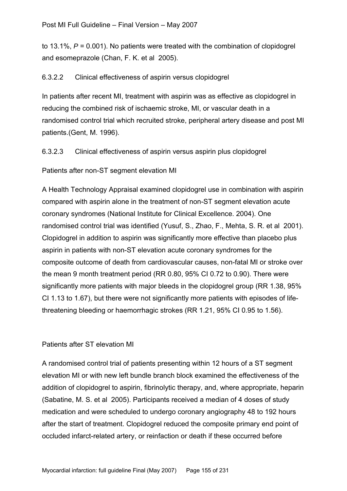to 13.1%, *P* = 0.001). No patients were treated with the combination of clopidogrel and esomeprazole (Chan, F. K. et al 2005).

#### 6.3.2.2 Clinical effectiveness of aspirin versus clopidogrel

In patients after recent MI, treatment with aspirin was as effective as clopidogrel in reducing the combined risk of ischaemic stroke, MI, or vascular death in a randomised control trial which recruited stroke, peripheral artery disease and post MI patients.(Gent, M. 1996).

6.3.2.3 Clinical effectiveness of aspirin versus aspirin plus clopidogrel

Patients after non-ST segment elevation MI

A Health Technology Appraisal examined clopidogrel use in combination with aspirin compared with aspirin alone in the treatment of non-ST segment elevation acute coronary syndromes (National Institute for Clinical Excellence. 2004). One randomised control trial was identified (Yusuf, S., Zhao, F., Mehta, S. R. et al 2001). Clopidogrel in addition to aspirin was significantly more effective than placebo plus aspirin in patients with non-ST elevation acute coronary syndromes for the composite outcome of death from cardiovascular causes, non-fatal MI or stroke over the mean 9 month treatment period (RR 0.80, 95% CI 0.72 to 0.90). There were significantly more patients with major bleeds in the clopidogrel group (RR 1.38, 95% CI 1.13 to 1.67), but there were not significantly more patients with episodes of lifethreatening bleeding or haemorrhagic strokes (RR 1.21, 95% CI 0.95 to 1.56).

### Patients after ST elevation MI

A randomised control trial of patients presenting within 12 hours of a ST segment elevation MI or with new left bundle branch block examined the effectiveness of the addition of clopidogrel to aspirin, fibrinolytic therapy, and, where appropriate, heparin (Sabatine, M. S. et al 2005). Participants received a median of 4 doses of study medication and were scheduled to undergo coronary angiography 48 to 192 hours after the start of treatment. Clopidogrel reduced the composite primary end point of occluded infarct-related artery, or reinfaction or death if these occurred before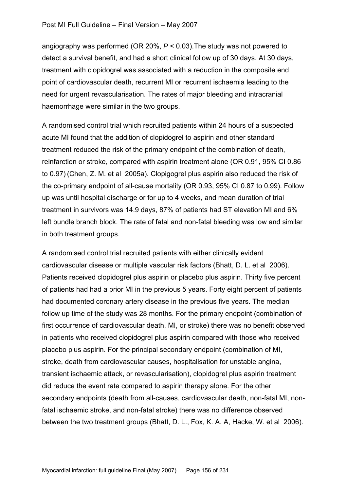angiography was performed (OR 20%, *P* < 0.03).The study was not powered to detect a survival benefit, and had a short clinical follow up of 30 days. At 30 days, treatment with clopidogrel was associated with a reduction in the composite end point of cardiovascular death, recurrent MI or recurrent ischaemia leading to the need for urgent revascularisation. The rates of major bleeding and intracranial haemorrhage were similar in the two groups.

A randomised control trial which recruited patients within 24 hours of a suspected acute MI found that the addition of clopidogrel to aspirin and other standard treatment reduced the risk of the primary endpoint of the combination of death, reinfarction or stroke, compared with aspirin treatment alone (OR 0.91, 95% CI 0.86 to 0.97) (Chen, Z. M. et al 2005a). Clopigogrel plus aspirin also reduced the risk of the co-primary endpoint of all-cause mortality (OR 0.93, 95% CI 0.87 to 0.99). Follow up was until hospital discharge or for up to 4 weeks, and mean duration of trial treatment in survivors was 14.9 days, 87% of patients had ST elevation MI and 6% left bundle branch block. The rate of fatal and non-fatal bleeding was low and similar in both treatment groups.

A randomised control trial recruited patients with either clinically evident cardiovascular disease or multiple vascular risk factors (Bhatt, D. L. et al 2006). Patients received clopidogrel plus aspirin or placebo plus aspirin. Thirty five percent of patients had had a prior MI in the previous 5 years. Forty eight percent of patients had documented coronary artery disease in the previous five years. The median follow up time of the study was 28 months. For the primary endpoint (combination of first occurrence of cardiovascular death, MI, or stroke) there was no benefit observed in patients who received clopidogrel plus aspirin compared with those who received placebo plus aspirin. For the principal secondary endpoint (combination of MI, stroke, death from cardiovascular causes, hospitalisation for unstable angina, transient ischaemic attack, or revascularisation), clopidogrel plus aspirin treatment did reduce the event rate compared to aspirin therapy alone. For the other secondary endpoints (death from all-causes, cardiovascular death, non-fatal MI, nonfatal ischaemic stroke, and non-fatal stroke) there was no difference observed between the two treatment groups (Bhatt, D. L., Fox, K. A. A, Hacke, W. et al 2006).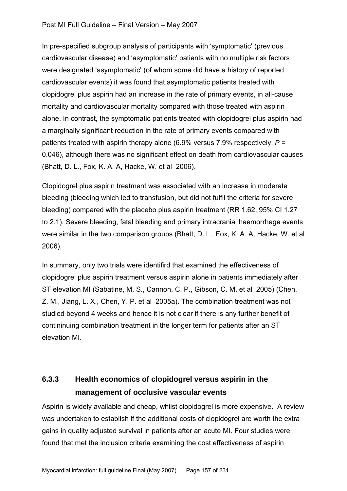In pre-specified subgroup analysis of participants with 'symptomatic' (previous cardiovascular disease) and 'asymptomatic' patients with no multiple risk factors were designated 'asymptomatic' (of whom some did have a history of reported cardiovascular events) it was found that asymptomatic patients treated with clopidogrel plus aspirin had an increase in the rate of primary events, in all-cause mortality and cardiovascular mortality compared with those treated with aspirin alone. In contrast, the symptomatic patients treated with clopidogrel plus aspirin had a marginally significant reduction in the rate of primary events compared with patients treated with aspirin therapy alone (6.9% versus 7.9% respectively, *P* = 0.046), although there was no significant effect on death from cardiovascular causes (Bhatt, D. L., Fox, K. A. A, Hacke, W. et al 2006).

Clopidogrel plus aspirin treatment was associated with an increase in moderate bleeding (bleeding which led to transfusion, but did not fulfil the criteria for severe bleeding) compared with the placebo plus aspirin treatment (RR 1.62, 95% CI 1.27 to 2.1). Severe bleeding, fatal bleeding and primary intracranial haemorrhage events were similar in the two comparison groups (Bhatt, D. L., Fox, K. A. A, Hacke, W. et al 2006).

In summary, only two trials were identifird that examined the effectiveness of clopidogrel plus aspirin treatment versus aspirin alone in patients immediately after ST elevation MI (Sabatine, M. S., Cannon, C. P., Gibson, C. M. et al 2005) (Chen, Z. M., Jiang, L. X., Chen, Y. P. et al 2005a). The combination treatment was not studied beyond 4 weeks and hence it is not clear if there is any further benefit of contininuing combination treatment in the longer term for patients after an ST elevation MI.

# **6.3.3 Health economics of clopidogrel versus aspirin in the management of occlusive vascular events**

Aspirin is widely available and cheap, whilst clopidogrel is more expensive. A review was undertaken to establish if the additional costs of clopidogrel are worth the extra gains in quality adjusted survival in patients after an acute MI. Four studies were found that met the inclusion criteria examining the cost effectiveness of aspirin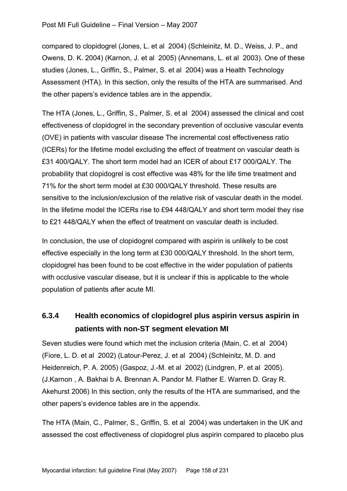compared to clopidogrel (Jones, L. et al 2004) (Schleinitz, M. D., Weiss, J. P., and Owens, D. K. 2004) (Karnon, J. et al 2005) (Annemans, L. et al 2003). One of these studies (Jones, L., Griffin, S., Palmer, S. et al 2004) was a Health Technology Assessment (HTA). In this section, only the results of the HTA are summarised. And the other papers's evidence tables are in the appendix.

The HTA (Jones, L., Griffin, S., Palmer, S. et al 2004) assessed the clinical and cost effectiveness of clopidogrel in the secondary prevention of occlusive vascular events (OVE) in patients with vascular disease The incremental cost effectiveness ratio (ICERs) for the lifetime model excluding the effect of treatment on vascular death is £31 400/QALY. The short term model had an ICER of about £17 000/QALY. The probability that clopidogrel is cost effective was 48% for the life time treatment and 71% for the short term model at £30 000/QALY threshold. These results are sensitive to the inclusion/exclusion of the relative risk of vascular death in the model. In the lifetime model the ICERs rise to £94 448/QALY and short term model they rise to £21 448/QALY when the effect of treatment on vascular death is included.

In conclusion, the use of clopidogrel compared with aspirin is unlikely to be cost effective especially in the long term at £30 000/QALY threshold. In the short term, clopidogrel has been found to be cost effective in the wider population of patients with occlusive vascular disease, but it is unclear if this is applicable to the whole population of patients after acute MI.

# **6.3.4 Health economics of clopidogrel plus aspirin versus aspirin in patients with non-ST segment elevation MI**

Seven studies were found which met the inclusion criteria (Main, C. et al 2004) (Fiore, L. D. et al 2002) (Latour-Perez, J. et al 2004) (Schleinitz, M. D. and Heidenreich, P. A. 2005) (Gaspoz, J.-M. et al 2002) (Lindgren, P. et al 2005). (J.Karnon , A. Bakhai b A. Brennan A. Pandor M. Flather E. Warren D. Gray R. Akehurst 2006) In this section, only the results of the HTA are summarised, and the other papers's evidence tables are in the appendix.

The HTA (Main, C., Palmer, S., Griffin, S. et al 2004) was undertaken in the UK and assessed the cost effectiveness of clopidogrel plus aspirin compared to placebo plus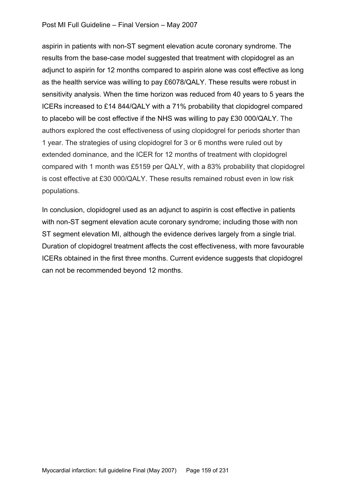aspirin in patients with non-ST segment elevation acute coronary syndrome. The results from the base-case model suggested that treatment with clopidogrel as an adjunct to aspirin for 12 months compared to aspirin alone was cost effective as long as the health service was willing to pay £6078/QALY. These results were robust in sensitivity analysis. When the time horizon was reduced from 40 years to 5 years the ICERs increased to £14 844/QALY with a 71% probability that clopidogrel compared to placebo will be cost effective if the NHS was willing to pay £30 000/QALY. The authors explored the cost effectiveness of using clopidogrel for periods shorter than 1 year. The strategies of using clopidogrel for 3 or 6 months were ruled out by extended dominance, and the ICER for 12 months of treatment with clopidogrel compared with 1 month was £5159 per QALY, with a 83% probability that clopidogrel is cost effective at £30 000/QALY. These results remained robust even in low risk populations.

In conclusion, clopidogrel used as an adjunct to aspirin is cost effective in patients with non-ST segment elevation acute coronary syndrome; including those with non ST segment elevation MI, although the evidence derives largely from a single trial. Duration of clopidogrel treatment affects the cost effectiveness, with more favourable ICERs obtained in the first three months. Current evidence suggests that clopidogrel can not be recommended beyond 12 months.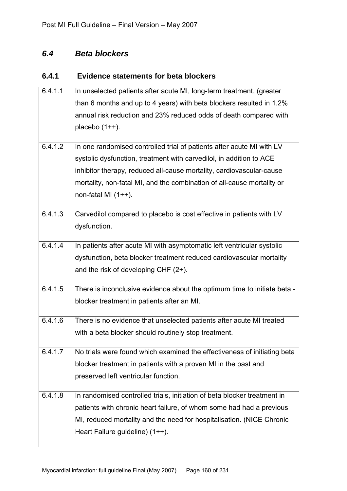# *6.4 Beta blockers*

### **6.4.1 Evidence statements for beta blockers**

- 6.4.1.1 In unselected patients after acute MI, long-term treatment, (greater than 6 months and up to 4 years) with beta blockers resulted in 1.2% annual risk reduction and 23% reduced odds of death compared with placebo (1++).
- 6.4.1.2 In one randomised controlled trial of patients after acute MI with LV systolic dysfunction, treatment with carvedilol, in addition to ACE inhibitor therapy, reduced all-cause mortality, cardiovascular-cause mortality, non-fatal MI, and the combination of all-cause mortality or non-fatal MI $(1++)$ .
- 6.4.1.3 Carvedilol compared to placebo is cost effective in patients with LV dysfunction.
- 6.4.1.4 In patients after acute MI with asymptomatic left ventricular systolic dysfunction, beta blocker treatment reduced cardiovascular mortality and the risk of developing CHF (2+).
- 6.4.1.5 There is inconclusive evidence about the optimum time to initiate beta blocker treatment in patients after an MI.
- 6.4.1.6 There is no evidence that unselected patients after acute MI treated with a beta blocker should routinely stop treatment.
- 6.4.1.7 No trials were found which examined the effectiveness of initiating beta blocker treatment in patients with a proven MI in the past and preserved left ventricular function.
- 6.4.1.8 In randomised controlled trials, initiation of beta blocker treatment in patients with chronic heart failure, of whom some had had a previous MI, reduced mortality and the need for hospitalisation. (NICE Chronic Heart Failure guideline) (1++).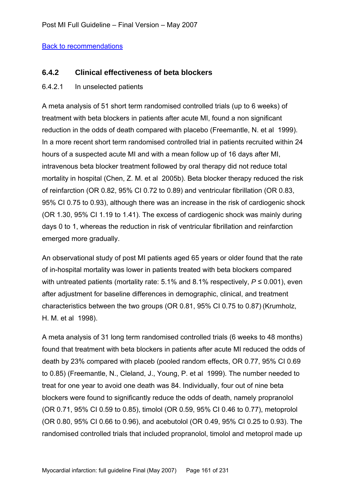## [Back to recommendations](#page-130-0)

# **6.4.2 Clinical effectiveness of beta blockers**

#### 6.4.2.1 In unselected patients

A meta analysis of 51 short term randomised controlled trials (up to 6 weeks) of treatment with beta blockers in patients after acute MI, found a non significant reduction in the odds of death compared with placebo (Freemantle, N. et al 1999). In a more recent short term randomised controlled trial in patients recruited within 24 hours of a suspected acute MI and with a mean follow up of 16 days after MI, intravenous beta blocker treatment followed by oral therapy did not reduce total mortality in hospital (Chen, Z. M. et al 2005b). Beta blocker therapy reduced the risk of reinfarction (OR 0.82, 95% CI 0.72 to 0.89) and ventricular fibrillation (OR 0.83, 95% CI 0.75 to 0.93), although there was an increase in the risk of cardiogenic shock (OR 1.30, 95% CI 1.19 to 1.41). The excess of cardiogenic shock was mainly during days 0 to 1, whereas the reduction in risk of ventricular fibrillation and reinfarction emerged more gradually.

An observational study of post MI patients aged 65 years or older found that the rate of in-hospital mortality was lower in patients treated with beta blockers compared with untreated patients (mortality rate: 5.1% and 8.1% respectively, *P* ≤ 0.001), even after adjustment for baseline differences in demographic, clinical, and treatment characteristics between the two groups (OR 0.81, 95% CI 0.75 to 0.87) (Krumholz, H. M. et al 1998).

A meta analysis of 31 long term randomised controlled trials (6 weeks to 48 months) found that treatment with beta blockers in patients after acute MI reduced the odds of death by 23% compared with placeb (pooled random effects, OR 0.77, 95% CI 0.69 to 0.85) (Freemantle, N., Cleland, J., Young, P. et al 1999). The number needed to treat for one year to avoid one death was 84. Individually, four out of nine beta blockers were found to significantly reduce the odds of death, namely propranolol (OR 0.71, 95% CI 0.59 to 0.85), timolol (OR 0.59, 95% CI 0.46 to 0.77), metoprolol (OR 0.80, 95% CI 0.66 to 0.96), and acebutolol (OR 0.49, 95% CI 0.25 to 0.93). The randomised controlled trials that included propranolol, timolol and metoprol made up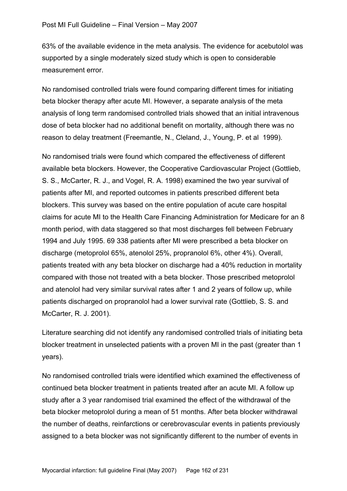63% of the available evidence in the meta analysis. The evidence for acebutolol was supported by a single moderately sized study which is open to considerable measurement error.

No randomised controlled trials were found comparing different times for initiating beta blocker therapy after acute MI. However, a separate analysis of the meta analysis of long term randomised controlled trials showed that an initial intravenous dose of beta blocker had no additional benefit on mortality, although there was no reason to delay treatment (Freemantle, N., Cleland, J., Young, P. et al 1999).

No randomised trials were found which compared the effectiveness of different available beta blockers. However, the Cooperative Cardiovascular Project (Gottlieb, S. S., McCarter, R. J., and Vogel, R. A. 1998) examined the two year survival of patients after MI, and reported outcomes in patients prescribed different beta blockers. This survey was based on the entire population of acute care hospital claims for acute MI to the Health Care Financing Administration for Medicare for an 8 month period, with data staggered so that most discharges fell between February 1994 and July 1995. 69 338 patients after MI were prescribed a beta blocker on discharge (metoprolol 65%, atenolol 25%, propranolol 6%, other 4%). Overall, patients treated with any beta blocker on discharge had a 40% reduction in mortality compared with those not treated with a beta blocker. Those prescribed metoprolol and atenolol had very similar survival rates after 1 and 2 years of follow up, while patients discharged on propranolol had a lower survival rate (Gottlieb, S. S. and McCarter, R. J. 2001).

Literature searching did not identify any randomised controlled trials of initiating beta blocker treatment in unselected patients with a proven MI in the past (greater than 1 years).

No randomised controlled trials were identified which examined the effectiveness of continued beta blocker treatment in patients treated after an acute MI. A follow up study after a 3 year randomised trial examined the effect of the withdrawal of the beta blocker metoprolol during a mean of 51 months. After beta blocker withdrawal the number of deaths, reinfarctions or cerebrovascular events in patients previously assigned to a beta blocker was not significantly different to the number of events in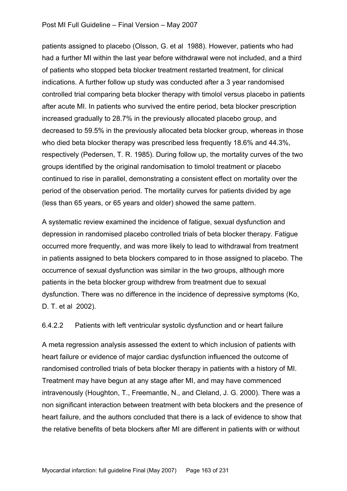#### Post MI Full Guideline – Final Version – May 2007

patients assigned to placebo (Olsson, G. et al 1988). However, patients who had had a further MI within the last year before withdrawal were not included, and a third of patients who stopped beta blocker treatment restarted treatment, for clinical indications. A further follow up study was conducted after a 3 year randomised controlled trial comparing beta blocker therapy with timolol versus placebo in patients after acute MI. In patients who survived the entire period, beta blocker prescription increased gradually to 28.7% in the previously allocated placebo group, and decreased to 59.5% in the previously allocated beta blocker group, whereas in those who died beta blocker therapy was prescribed less frequently 18.6% and 44.3%, respectively (Pedersen, T. R. 1985). During follow up, the mortality curves of the two groups identified by the original randomisation to timolol treatment or placebo continued to rise in parallel, demonstrating a consistent effect on mortality over the period of the observation period. The mortality curves for patients divided by age (less than 65 years, or 65 years and older) showed the same pattern.

A systematic review examined the incidence of fatigue, sexual dysfunction and depression in randomised placebo controlled trials of beta blocker therapy. Fatigue occurred more frequently, and was more likely to lead to withdrawal from treatment in patients assigned to beta blockers compared to in those assigned to placebo. The occurrence of sexual dysfunction was similar in the two groups, although more patients in the beta blocker group withdrew from treatment due to sexual dysfunction. There was no difference in the incidence of depressive symptoms (Ko, D. T. et al 2002).

6.4.2.2 Patients with left ventricular systolic dysfunction and or heart failure

A meta regression analysis assessed the extent to which inclusion of patients with heart failure or evidence of major cardiac dysfunction influenced the outcome of randomised controlled trials of beta blocker therapy in patients with a history of MI. Treatment may have begun at any stage after MI, and may have commenced intravenously (Houghton, T., Freemantle, N., and Cleland, J. G. 2000). There was a non significant interaction between treatment with beta blockers and the presence of heart failure, and the authors concluded that there is a lack of evidence to show that the relative benefits of beta blockers after MI are different in patients with or without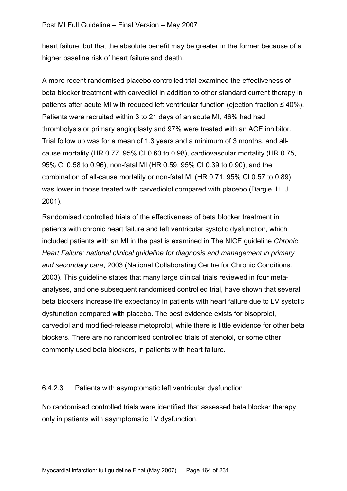heart failure, but that the absolute benefit may be greater in the former because of a higher baseline risk of heart failure and death.

A more recent randomised placebo controlled trial examined the effectiveness of beta blocker treatment with carvedilol in addition to other standard current therapy in patients after acute MI with reduced left ventricular function (ejection fraction ≤ 40%). Patients were recruited within 3 to 21 days of an acute MI, 46% had had thrombolysis or primary angioplasty and 97% were treated with an ACE inhibitor. Trial follow up was for a mean of 1.3 years and a minimum of 3 months, and allcause mortality (HR 0.77, 95% CI 0.60 to 0.98), cardiovascular mortality (HR 0.75, 95% CI 0.58 to 0.96), non-fatal MI (HR 0.59, 95% CI 0.39 to 0.90), and the combination of all-cause mortality or non-fatal MI (HR 0.71, 95% CI 0.57 to 0.89) was lower in those treated with carvediolol compared with placebo (Dargie, H. J. 2001).

Randomised controlled trials of the effectiveness of beta blocker treatment in patients with chronic heart failure and left ventricular systolic dysfunction, which included patients with an MI in the past is examined in The NICE guideline *Chronic Heart Failure: national clinical guideline for diagnosis and management in primary and secondary care*, 2003 (National Collaborating Centre for Chronic Conditions. 2003). This guideline states that many large clinical trials reviewed in four metaanalyses, and one subsequent randomised controlled trial, have shown that several beta blockers increase life expectancy in patients with heart failure due to LV systolic dysfunction compared with placebo. The best evidence exists for bisoprolol, carvediol and modified-release metoprolol, while there is little evidence for other beta blockers. There are no randomised controlled trials of atenolol, or some other commonly used beta blockers, in patients with heart failure**.** 

### 6.4.2.3 Patients with asymptomatic left ventricular dysfunction

No randomised controlled trials were identified that assessed beta blocker therapy only in patients with asymptomatic LV dysfunction.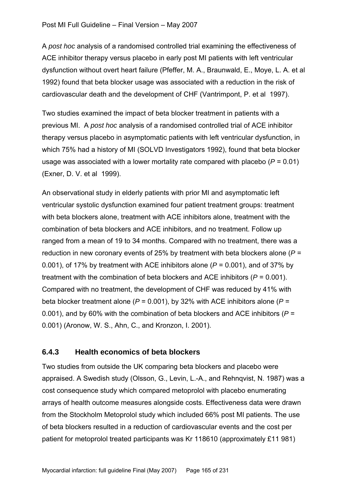A *post hoc* analysis of a randomised controlled trial examining the effectiveness of ACE inhibitor therapy versus placebo in early post MI patients with left ventricular dysfunction without overt heart failure (Pfeffer, M. A., Braunwald, E., Moye, L. A. et al 1992) found that beta blocker usage was associated with a reduction in the risk of cardiovascular death and the development of CHF (Vantrimpont, P. et al 1997).

Two studies examined the impact of beta blocker treatment in patients with a previous MI. A *post hoc* analysis of a randomised controlled trial of ACE inhibitor therapy versus placebo in asymptomatic patients with left ventricular dysfunction, in which 75% had a history of MI (SOLVD Investigators 1992), found that beta blocker usage was associated with a lower mortality rate compared with placebo (*P* = 0.01) (Exner, D. V. et al 1999).

An observational study in elderly patients with prior MI and asymptomatic left ventricular systolic dysfunction examined four patient treatment groups: treatment with beta blockers alone, treatment with ACE inhibitors alone, treatment with the combination of beta blockers and ACE inhibitors, and no treatment. Follow up ranged from a mean of 19 to 34 months. Compared with no treatment, there was a reduction in new coronary events of 25% by treatment with beta blockers alone (*P* = 0.001), of 17% by treatment with ACE inhibitors alone (*P* = 0.001), and of 37% by treatment with the combination of beta blockers and ACE inhibitors (*P* = 0.001). Compared with no treatment, the development of CHF was reduced by 41% with beta blocker treatment alone (*P* = 0.001), by 32% with ACE inhibitors alone (*P* = 0.001), and by 60% with the combination of beta blockers and ACE inhibitors (*P* = 0.001) (Aronow, W. S., Ahn, C., and Kronzon, I. 2001).

### **6.4.3 Health economics of beta blockers**

Two studies from outside the UK comparing beta blockers and placebo were appraised. A Swedish study (Olsson, G., Levin, L.-A., and Rehnqvist, N. 1987) was a cost consequence study which compared metoprolol with placebo enumerating arrays of health outcome measures alongside costs. Effectiveness data were drawn from the Stockholm Metoprolol study which included 66% post MI patients. The use of beta blockers resulted in a reduction of cardiovascular events and the cost per patient for metoprolol treated participants was Kr 118610 (approximately £11 981)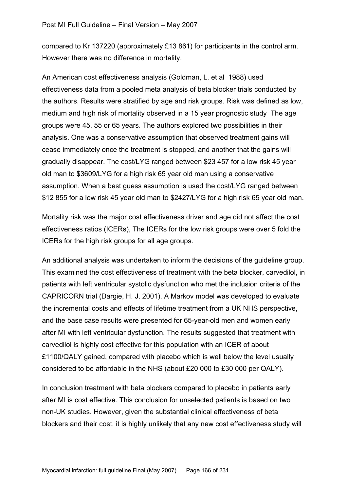compared to Kr 137220 (approximately £13 861) for participants in the control arm. However there was no difference in mortality.

An American cost effectiveness analysis (Goldman, L. et al 1988) used effectiveness data from a pooled meta analysis of beta blocker trials conducted by the authors. Results were stratified by age and risk groups. Risk was defined as low, medium and high risk of mortality observed in a 15 year prognostic study The age groups were 45, 55 or 65 years. The authors explored two possibilities in their analysis. One was a conservative assumption that observed treatment gains will cease immediately once the treatment is stopped, and another that the gains will gradually disappear. The cost/LYG ranged between \$23 457 for a low risk 45 year old man to \$3609/LYG for a high risk 65 year old man using a conservative assumption. When a best guess assumption is used the cost/LYG ranged between \$12 855 for a low risk 45 year old man to \$2427/LYG for a high risk 65 year old man.

Mortality risk was the major cost effectiveness driver and age did not affect the cost effectiveness ratios (ICERs), The ICERs for the low risk groups were over 5 fold the ICERs for the high risk groups for all age groups.

An additional analysis was undertaken to inform the decisions of the guideline group. This examined the cost effectiveness of treatment with the beta blocker, carvedilol, in patients with left ventricular systolic dysfunction who met the inclusion criteria of the CAPRICORN trial (Dargie, H. J. 2001). A Markov model was developed to evaluate the incremental costs and effects of lifetime treatment from a UK NHS perspective, and the base case results were presented for 65-year-old men and women early after MI with left ventricular dysfunction. The results suggested that treatment with carvedilol is highly cost effective for this population with an ICER of about £1100/QALY gained, compared with placebo which is well below the level usually considered to be affordable in the NHS (about £20 000 to £30 000 per QALY).

In conclusion treatment with beta blockers compared to placebo in patients early after MI is cost effective. This conclusion for unselected patients is based on two non-UK studies. However, given the substantial clinical effectiveness of beta blockers and their cost, it is highly unlikely that any new cost effectiveness study will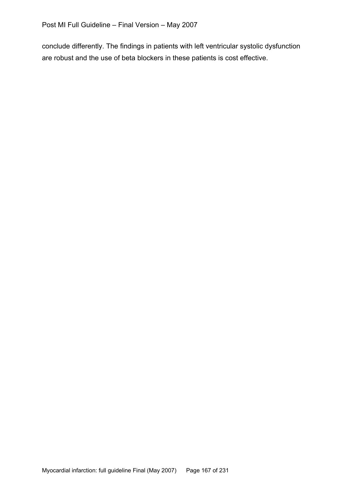conclude differently. The findings in patients with left ventricular systolic dysfunction are robust and the use of beta blockers in these patients is cost effective.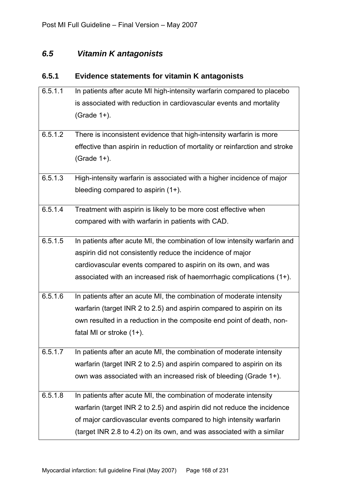# *6.5 [Vitamin K antagonists](#page-130-0)*

#### **6.5.1 Evidence statements for vitamin K antagonists**

- 6.5.1.1 In patients after acute MI high-intensity warfarin compared to placebo is associated with reduction in cardiovascular events and mortality (Grade 1+).
- 6.5.1.2 There is inconsistent evidence that high-intensity warfarin is more effective than aspirin in reduction of mortality or reinfarction and stroke (Grade 1+).
- 6.5.1.3 High-intensity warfarin is associated with a higher incidence of major bleeding compared to aspirin (1+).
- 6.5.1.4 Treatment with aspirin is likely to be more cost effective when compared with with warfarin in patients with CAD.
- 6.5.1.5 In patients after acute MI, the combination of low intensity warfarin and aspirin did not consistently reduce the incidence of major cardiovascular events compared to aspirin on its own, and was associated with an increased risk of haemorrhagic complications (1+).
- 6.5.1.6 In patients after an acute MI, the combination of moderate intensity warfarin (target INR 2 to 2.5) and aspirin compared to aspirin on its own resulted in a reduction in the composite end point of death, nonfatal MI or stroke (1+).
- 6.5.1.7 In patients after an acute MI, the combination of moderate intensity warfarin (target INR 2 to 2.5) and aspirin compared to aspirin on its own was associated with an increased risk of bleeding (Grade 1+).
- 6.5.1.8 In patients after acute MI, the combination of moderate intensity warfarin (target INR 2 to 2.5) and aspirin did not reduce the incidence of major cardiovascular events compared to high intensity warfarin (target INR 2.8 to 4.2) on its own, and was associated with a similar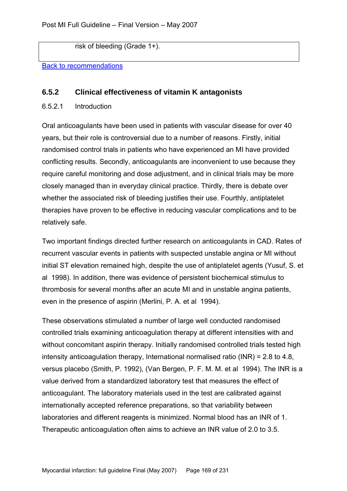risk of bleeding (Grade 1+).

[Back to recommendations](#page-130-0)

#### **6.5.2 Clinical effectiveness of vitamin K antagonists**

6.5.2.1 Introduction

Oral anticoagulants have been used in patients with vascular disease for over 40 years, but their role is controversial due to a number of reasons. Firstly, initial randomised control trials in patients who have experienced an MI have provided conflicting results. Secondly, anticoagulants are inconvenient to use because they require careful monitoring and dose adjustment, and in clinical trials may be more closely managed than in everyday clinical practice. Thirdly, there is debate over whether the associated risk of bleeding justifies their use. Fourthly, antiplatelet therapies have proven to be effective in reducing vascular complications and to be relatively safe.

Two important findings directed further research on anticoagulants in CAD. Rates of recurrent vascular events in patients with suspected unstable angina or MI without initial ST elevation remained high, despite the use of antiplatelet agents (Yusuf, S. et al 1998). In addition, there was evidence of persistent biochemical stimulus to thrombosis for several months after an acute MI and in unstable angina patients, even in the presence of aspirin (Merlini, P. A. et al 1994).

These observations stimulated a number of large well conducted randomised controlled trials examining anticoagulation therapy at different intensities with and without concomitant aspirin therapy. Initially randomised controlled trials tested high intensity anticoagulation therapy, International normalised ratio (INR) = 2.8 to 4.8, versus placebo (Smith, P. 1992), (Van Bergen, P. F. M. M. et al 1994). The INR is a value derived from a standardized laboratory test that measures the effect of anticoagulant. The laboratory materials used in the test are calibrated against internationally accepted reference preparations, so that variability between laboratories and different reagents is minimized. Normal blood has an INR of 1. Therapeutic anticoagulation often aims to achieve an INR value of 2.0 to 3.5.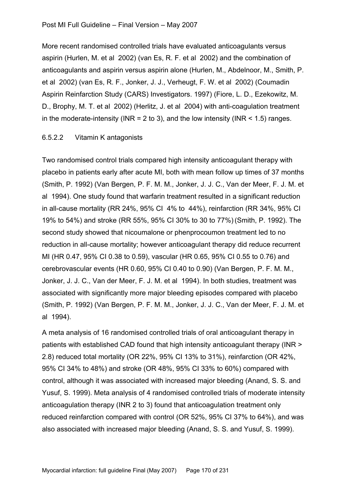More recent randomised controlled trials have evaluated anticoagulants versus aspirin (Hurlen, M. et al 2002) (van Es, R. F. et al 2002) and the combination of anticoagulants and aspirin versus aspirin alone (Hurlen, M., Abdelnoor, M., Smith, P. et al 2002) (van Es, R. F., Jonker, J. J., Verheugt, F. W. et al 2002) (Coumadin Aspirin Reinfarction Study (CARS) Investigators. 1997) (Fiore, L. D., Ezekowitz, M. D., Brophy, M. T. et al 2002) (Herlitz, J. et al 2004) with anti-coagulation treatment in the moderate-intensity (INR = 2 to 3), and the low intensity (INR  $\leq$  1.5) ranges.

#### 6.5.2.2 Vitamin K antagonists

Two randomised control trials compared high intensity anticoagulant therapy with placebo in patients early after acute MI, both with mean follow up times of 37 months (Smith, P. 1992) (Van Bergen, P. F. M. M., Jonker, J. J. C., Van der Meer, F. J. M. et al 1994). One study found that warfarin treatment resulted in a significant reduction in all-cause mortality (RR 24%, 95% CI 4% to 44%), reinfarction (RR 34%, 95% CI 19% to 54%) and stroke (RR 55%, 95% CI 30% to 30 to 77%) (Smith, P. 1992). The second study showed that nicoumalone or phenprocoumon treatment led to no reduction in all-cause mortality; however anticoagulant therapy did reduce recurrent MI (HR 0.47, 95% CI 0.38 to 0.59), vascular (HR 0.65, 95% CI 0.55 to 0.76) and cerebrovascular events (HR 0.60, 95% CI 0.40 to 0.90) (Van Bergen, P. F. M. M., Jonker, J. J. C., Van der Meer, F. J. M. et al 1994). In both studies, treatment was associated with significantly more major bleeding episodes compared with placebo (Smith, P. 1992) (Van Bergen, P. F. M. M., Jonker, J. J. C., Van der Meer, F. J. M. et al 1994).

A meta analysis of 16 randomised controlled trials of oral anticoagulant therapy in patients with established CAD found that high intensity anticoagulant therapy (INR > 2.8) reduced total mortality (OR 22%, 95% CI 13% to 31%), reinfarction (OR 42%, 95% CI 34% to 48%) and stroke (OR 48%, 95% CI 33% to 60%) compared with control, although it was associated with increased major bleeding (Anand, S. S. and Yusuf, S. 1999). Meta analysis of 4 randomised controlled trials of moderate intensity anticoagulation therapy (INR 2 to 3) found that anticoagulation treatment only reduced reinfarction compared with control (OR 52%, 95% CI 37% to 64%), and was also associated with increased major bleeding (Anand, S. S. and Yusuf, S. 1999).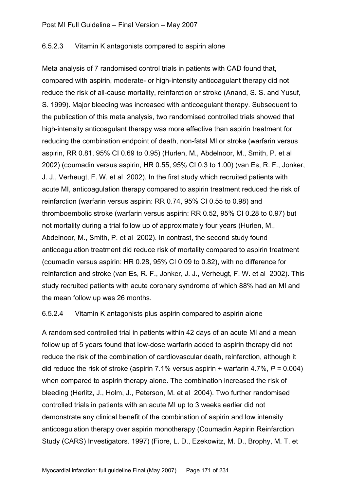#### 6.5.2.3 Vitamin K antagonists compared to aspirin alone

Meta analysis of 7 randomised control trials in patients with CAD found that, compared with aspirin, moderate- or high-intensity anticoagulant therapy did not reduce the risk of all-cause mortality, reinfarction or stroke (Anand, S. S. and Yusuf, S. 1999). Major bleeding was increased with anticoagulant therapy. Subsequent to the publication of this meta analysis, two randomised controlled trials showed that high-intensity anticoagulant therapy was more effective than aspirin treatment for reducing the combination endpoint of death, non-fatal MI or stroke (warfarin versus aspirin, RR 0.81, 95% CI 0.69 to 0.95) (Hurlen, M., Abdelnoor, M., Smith, P. et al 2002) (coumadin versus aspirin, HR 0.55, 95% CI 0.3 to 1.00) (van Es, R. F., Jonker, J. J., Verheugt, F. W. et al 2002). In the first study which recruited patients with acute MI, anticoagulation therapy compared to aspirin treatment reduced the risk of reinfarction (warfarin versus aspirin: RR 0.74, 95% CI 0.55 to 0.98) and thromboembolic stroke (warfarin versus aspirin: RR 0.52, 95% CI 0.28 to 0.97) but not mortality during a trial follow up of approximately four years (Hurlen, M., Abdelnoor, M., Smith, P. et al 2002). In contrast, the second study found anticoagulation treatment did reduce risk of mortality compared to aspirin treatment (coumadin versus aspirin: HR 0.28, 95% CI 0.09 to 0.82), with no difference for reinfarction and stroke (van Es, R. F., Jonker, J. J., Verheugt, F. W. et al 2002). This study recruited patients with acute coronary syndrome of which 88% had an MI and the mean follow up was 26 months.

#### 6.5.2.4 Vitamin K antagonists plus aspirin compared to aspirin alone

A randomised controlled trial in patients within 42 days of an acute MI and a mean follow up of 5 years found that low-dose warfarin added to aspirin therapy did not reduce the risk of the combination of cardiovascular death, reinfarction, although it did reduce the risk of stroke (aspirin 7.1% versus aspirin + warfarin 4.7%, *P* = 0.004) when compared to aspirin therapy alone. The combination increased the risk of bleeding (Herlitz, J., Holm, J., Peterson, M. et al 2004). Two further randomised controlled trials in patients with an acute MI up to 3 weeks earlier did not demonstrate any clinical benefit of the combination of aspirin and low intensity anticoagulation therapy over aspirin monotherapy (Coumadin Aspirin Reinfarction Study (CARS) Investigators. 1997) (Fiore, L. D., Ezekowitz, M. D., Brophy, M. T. et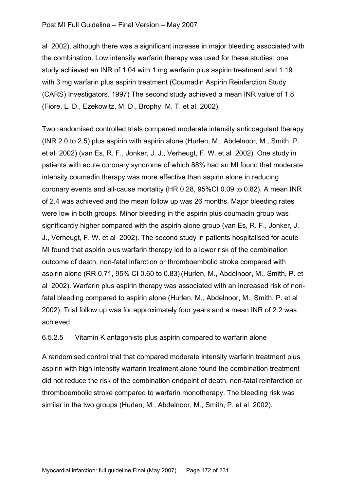al 2002), although there was a significant increase in major bleeding associated with the combination. Low intensity warfarin therapy was used for these studies: one study achieved an INR of 1.04 with 1 mg warfarin plus aspirin treatment and 1.19 with 3 mg warfarin plus aspirin treatment (Coumadin Aspirin Reinfarction Study (CARS) Investigators. 1997) The second study achieved a mean INR value of 1.8 (Fiore, L. D., Ezekowitz, M. D., Brophy, M. T. et al 2002).

Two randomised controlled trials compared moderate intensity anticoagulant therapy (INR 2.0 to 2.5) plus aspirin with aspirin alone (Hurlen, M., Abdelnoor, M., Smith, P. et al 2002) (van Es, R. F., Jonker, J. J., Verheugt, F. W. et al 2002). One study in patients with acute coronary syndrome of which 88% had an MI found that moderate intensity coumadin therapy was more effective than aspirin alone in reducing coronary events and all-cause mortality (HR 0.28, 95%CI 0.09 to 0.82). A mean INR of 2.4 was achieved and the mean follow up was 26 months. Major bleeding rates were low in both groups. Minor bleeding in the aspirin plus coumadin group was significantly higher compared with the aspirin alone group (van Es, R. F., Jonker, J. J., Verheugt, F. W. et al 2002). The second study in patients hospitalised for acute MI found that aspirin plus warfarin therapy led to a lower risk of the combination outcome of death, non-fatal infarction or thromboembolic stroke compared with aspirin alone (RR 0.71, 95% CI 0.60 to 0.83) (Hurlen, M., Abdelnoor, M., Smith, P. et al 2002). Warfarin plus aspirin therapy was associated with an increased risk of nonfatal bleeding compared to aspirin alone (Hurlen, M., Abdelnoor, M., Smith, P. et al 2002). Trial follow up was for approximately four years and a mean INR of 2.2 was achieved.

6.5.2.5 Vitamin K antagonists plus aspirin compared to warfarin alone

A randomised control trial that compared moderate intensity warfarin treatment plus aspirin with high intensity warfarin treatment alone found the combination treatment did not reduce the risk of the combination endpoint of death, non-fatal reinfarction or thromboembolic stroke compared to warfarin monotherapy. The bleeding risk was similar in the two groups (Hurlen, M., Abdelnoor, M., Smith, P. et al 2002).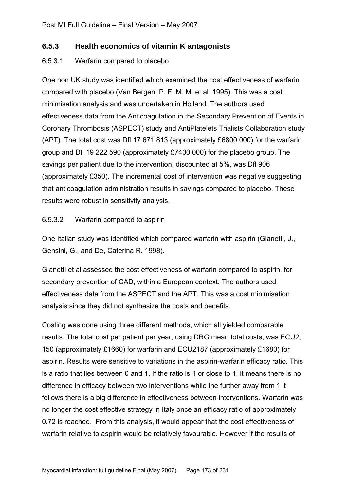# **6.5.3 Health economics of vitamin K antagonists**

#### 6.5.3.1 Warfarin compared to placebo

One non UK study was identified which examined the cost effectiveness of warfarin compared with placebo (Van Bergen, P. F. M. M. et al 1995). This was a cost minimisation analysis and was undertaken in Holland. The authors used effectiveness data from the Anticoagulation in the Secondary Prevention of Events in Coronary Thrombosis (ASPECT) study and AntiPlatelets Trialists Collaboration study (APT). The total cost was Dfl 17 671 813 (approximately £6800 000) for the warfarin group and Dfl 19 222 590 (approximately £7400 000) for the placebo group. The savings per patient due to the intervention, discounted at 5%, was Dfl 906 (approximately £350). The incremental cost of intervention was negative suggesting that anticoagulation administration results in savings compared to placebo. These results were robust in sensitivity analysis.

#### 6.5.3.2 Warfarin compared to aspirin

One Italian study was identified which compared warfarin with aspirin (Gianetti, J., Gensini, G., and De, Caterina R. 1998).

Gianetti et al assessed the cost effectiveness of warfarin compared to aspirin, for secondary prevention of CAD, within a European context. The authors used effectiveness data from the ASPECT and the APT. This was a cost minimisation analysis since they did not synthesize the costs and benefits.

Costing was done using three different methods, which all yielded comparable results. The total cost per patient per year, using DRG mean total costs, was ECU2, 150 (approximately £1660) for warfarin and ECU2187 (approximately £1680) for aspirin. Results were sensitive to variations in the aspirin-warfarin efficacy ratio. This is a ratio that lies between 0 and 1. If the ratio is 1 or close to 1, it means there is no difference in efficacy between two interventions while the further away from 1 it follows there is a big difference in effectiveness between interventions. Warfarin was no longer the cost effective strategy in Italy once an efficacy ratio of approximately 0.72 is reached. From this analysis, it would appear that the cost effectiveness of warfarin relative to aspirin would be relatively favourable. However if the results of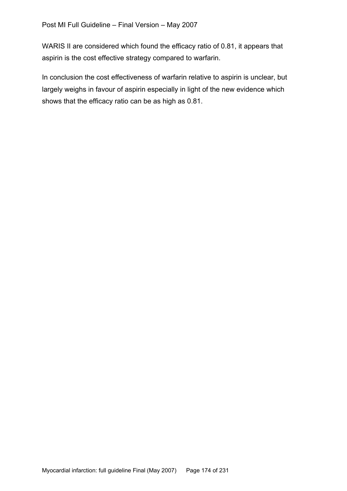WARIS II are considered which found the efficacy ratio of 0.81, it appears that aspirin is the cost effective strategy compared to warfarin.

In conclusion the cost effectiveness of warfarin relative to aspirin is unclear, but largely weighs in favour of aspirin especially in light of the new evidence which shows that the efficacy ratio can be as high as 0.81.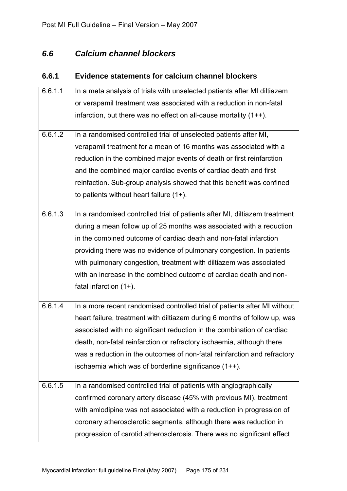# *6.6 [Calcium channel blockers](#page-131-0)*

#### **6.6.1 Evidence statements for calcium channel blockers**

- 6.6.1.1 In a meta analysis of trials with unselected patients after MI diltiazem or verapamil treatment was associated with a reduction in non-fatal infarction, but there was no effect on all-cause mortality  $(1++)$ .
- 6.6.1.2 In a randomised controlled trial of unselected patients after MI, verapamil treatment for a mean of 16 months was associated with a reduction in the combined major events of death or first reinfarction and the combined major cardiac events of cardiac death and first reinfaction. Sub-group analysis showed that this benefit was confined to patients without heart failure (1+).
- 6.6.1.3 In a randomised controlled trial of patients after MI, diltiazem treatment during a mean follow up of 25 months was associated with a reduction in the combined outcome of cardiac death and non-fatal infarction providing there was no evidence of pulmonary congestion. In patients with pulmonary congestion, treatment with diltiazem was associated with an increase in the combined outcome of cardiac death and nonfatal infarction (1+).
- 6.6.1.4 In a more recent randomised controlled trial of patients after MI without heart failure, treatment with diltiazem during 6 months of follow up, was associated with no significant reduction in the combination of cardiac death, non-fatal reinfarction or refractory ischaemia, although there was a reduction in the outcomes of non-fatal reinfarction and refractory ischaemia which was of borderline significance (1++).
- 6.6.1.5 In a randomised controlled trial of patients with angiographically confirmed coronary artery disease (45% with previous MI), treatment with amlodipine was not associated with a reduction in progression of coronary atherosclerotic segments, although there was reduction in progression of carotid atherosclerosis. There was no significant effect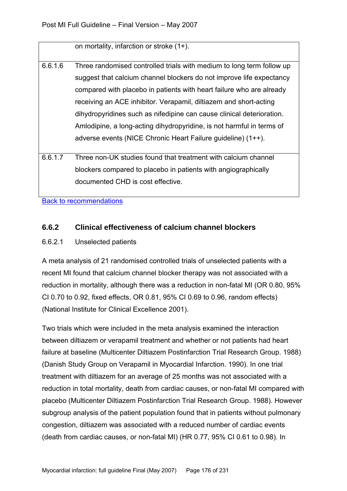on mortality, infarction or stroke (1+).

- 6.6.1.6 Three randomised controlled trials with medium to long term follow up suggest that calcium channel blockers do not improve life expectancy compared with placebo in patients with heart failure who are already receiving an ACE inhibitor. Verapamil, diltiazem and short-acting dihydropyridines such as nifedipine can cause clinical deterioration. Amlodipine, a long-acting dihydropyridine, is not harmful in terms of adverse events (NICE Chronic Heart Failure guideline) (1++).
- 6.6.1.7 Three non-UK studies found that treatment with calcium channel blockers compared to placebo in patients with angiographically documented CHD is cost effective.

Back to recommendations

# **6.6.2 Clinical effectiveness of calcium channel blockers**

6.6.2.1 Unselected patients

A meta analysis of 21 randomised controlled trials of unselected patients with a recent MI found that calcium channel blocker therapy was not associated with a reduction in mortality, although there was a reduction in non-fatal MI (OR 0.80, 95% CI 0.70 to 0.92, fixed effects, OR 0.81, 95% CI 0.69 to 0.96, random effects) (National Institute for Clinical Excellence 2001).

Two trials which were included in the meta analysis examined the interaction between diltiazem or verapamil treatment and whether or not patients had heart failure at baseline (Multicenter Diltiazem Postinfarction Trial Research Group. 1988) (Danish Study Group on Verapamil in Myocardial Infarction. 1990). In one trial treatment with diltiazem for an average of 25 months was not associated with a reduction in total mortality, death from cardiac causes, or non-fatal MI compared with placebo (Multicenter Diltiazem Postinfarction Trial Research Group. 1988). However subgroup analysis of the patient population found that in patients without pulmonary congestion, diltiazem was associated with a reduced number of cardiac events (death from cardiac causes, or non-fatal MI) (HR 0.77, 95% CI 0.61 to 0.98). In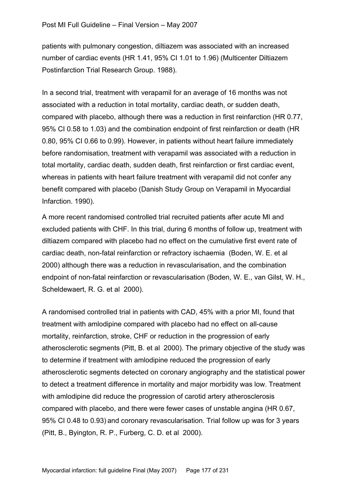patients with pulmonary congestion, diltiazem was associated with an increased number of cardiac events (HR 1.41, 95% CI 1.01 to 1.96) (Multicenter Diltiazem Postinfarction Trial Research Group. 1988).

In a second trial, treatment with verapamil for an average of 16 months was not associated with a reduction in total mortality, cardiac death, or sudden death, compared with placebo, although there was a reduction in first reinfarction (HR 0.77, 95% CI 0.58 to 1.03) and the combination endpoint of first reinfarction or death (HR 0.80, 95% CI 0.66 to 0.99). However, in patients without heart failure immediately before randomisation, treatment with verapamil was associated with a reduction in total mortality, cardiac death, sudden death, first reinfarction or first cardiac event, whereas in patients with heart failure treatment with verapamil did not confer any benefit compared with placebo (Danish Study Group on Verapamil in Myocardial Infarction. 1990).

A more recent randomised controlled trial recruited patients after acute MI and excluded patients with CHF. In this trial, during 6 months of follow up, treatment with diltiazem compared with placebo had no effect on the cumulative first event rate of cardiac death, non-fatal reinfarction or refractory ischaemia (Boden, W. E. et al 2000) although there was a reduction in revascularisation, and the combination endpoint of non-fatal reinfarction or revascularisation (Boden, W. E., van Gilst, W. H., Scheldewaert, R. G. et al 2000).

A randomised controlled trial in patients with CAD, 45% with a prior MI, found that treatment with amlodipine compared with placebo had no effect on all-cause mortality, reinfarction, stroke, CHF or reduction in the progression of early atherosclerotic segments (Pitt, B. et al 2000). The primary objective of the study was to determine if treatment with amlodipine reduced the progression of early atherosclerotic segments detected on coronary angiography and the statistical power to detect a treatment difference in mortality and major morbidity was low. Treatment with amlodipine did reduce the progression of carotid artery atherosclerosis compared with placebo, and there were fewer cases of unstable angina (HR 0.67, 95% CI 0.48 to 0.93) and coronary revascularisation. Trial follow up was for 3 years (Pitt, B., Byington, R. P., Furberg, C. D. et al 2000).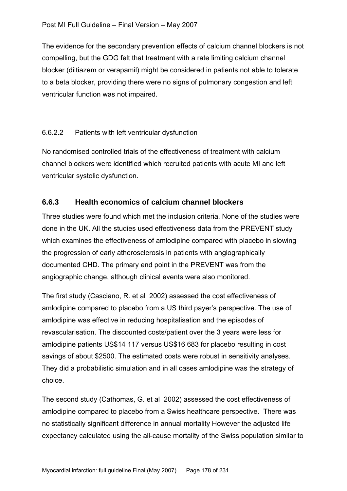The evidence for the secondary prevention effects of calcium channel blockers is not compelling, but the GDG felt that treatment with a rate limiting calcium channel blocker (diltiazem or verapamil) might be considered in patients not able to tolerate to a beta blocker, providing there were no signs of pulmonary congestion and left ventricular function was not impaired.

# 6.6.2.2 Patients with left ventricular dysfunction

No randomised controlled trials of the effectiveness of treatment with calcium channel blockers were identified which recruited patients with acute MI and left ventricular systolic dysfunction.

# **6.6.3 Health economics of calcium channel blockers**

Three studies were found which met the inclusion criteria. None of the studies were done in the UK. All the studies used effectiveness data from the PREVENT study which examines the effectiveness of amlodipine compared with placebo in slowing the progression of early atherosclerosis in patients with angiographically documented CHD. The primary end point in the PREVENT was from the angiographic change, although clinical events were also monitored.

The first study (Casciano, R. et al 2002) assessed the cost effectiveness of amlodipine compared to placebo from a US third payer's perspective. The use of amlodipine was effective in reducing hospitalisation and the episodes of revascularisation. The discounted costs/patient over the 3 years were less for amlodipine patients US\$14 117 versus US\$16 683 for placebo resulting in cost savings of about \$2500. The estimated costs were robust in sensitivity analyses. They did a probabilistic simulation and in all cases amlodipine was the strategy of choice.

The second study (Cathomas, G. et al 2002) assessed the cost effectiveness of amlodipine compared to placebo from a Swiss healthcare perspective. There was no statistically significant difference in annual mortality However the adjusted life expectancy calculated using the all-cause mortality of the Swiss population similar to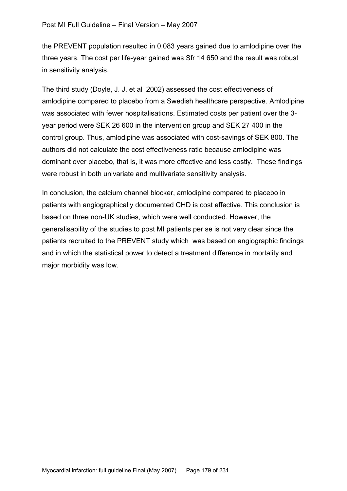the PREVENT population resulted in 0.083 years gained due to amlodipine over the three years. The cost per life-year gained was Sfr 14 650 and the result was robust in sensitivity analysis.

The third study (Doyle, J. J. et al 2002) assessed the cost effectiveness of amlodipine compared to placebo from a Swedish healthcare perspective. Amlodipine was associated with fewer hospitalisations. Estimated costs per patient over the 3 year period were SEK 26 600 in the intervention group and SEK 27 400 in the control group. Thus, amlodipine was associated with cost-savings of SEK 800. The authors did not calculate the cost effectiveness ratio because amlodipine was dominant over placebo, that is, it was more effective and less costly. These findings were robust in both univariate and multivariate sensitivity analysis.

In conclusion, the calcium channel blocker, amlodipine compared to placebo in patients with angiographically documented CHD is cost effective. This conclusion is based on three non-UK studies, which were well conducted. However, the generalisability of the studies to post MI patients per se is not very clear since the patients recruited to the PREVENT study which was based on angiographic findings and in which the statistical power to detect a treatment difference in mortality and major morbidity was low.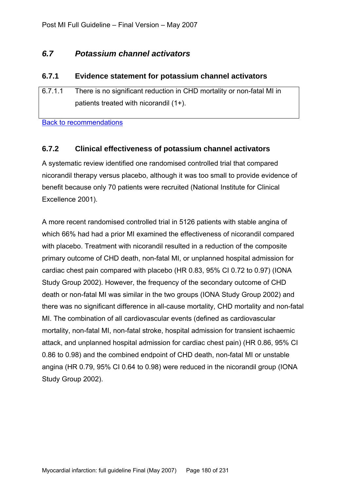# *6.7 [Potassium channel activators](#page-132-0)*

#### **6.7.1 Evidence statement for potassium channel activators**

6.7.1.1 There is no significant reduction in CHD mortality or non-fatal MI in patients treated with nicorandil (1+).

Back to recommendations

### **6.7.2 Clinical effectiveness of potassium channel activators**

A systematic review identified one randomised controlled trial that compared nicorandil therapy versus placebo, although it was too small to provide evidence of benefit because only 70 patients were recruited (National Institute for Clinical Excellence 2001).

A more recent randomised controlled trial in 5126 patients with stable angina of which 66% had had a prior MI examined the effectiveness of nicorandil compared with placebo. Treatment with nicorandil resulted in a reduction of the composite primary outcome of CHD death, non-fatal MI, or unplanned hospital admission for cardiac chest pain compared with placebo (HR 0.83, 95% CI 0.72 to 0.97) (IONA Study Group 2002). However, the frequency of the secondary outcome of CHD death or non-fatal MI was similar in the two groups (IONA Study Group 2002) and there was no significant difference in all-cause mortality, CHD mortality and non-fatal MI. The combination of all cardiovascular events (defined as cardiovascular mortality, non-fatal MI, non-fatal stroke, hospital admission for transient ischaemic attack, and unplanned hospital admission for cardiac chest pain) (HR 0.86, 95% CI 0.86 to 0.98) and the combined endpoint of CHD death, non-fatal MI or unstable angina (HR 0.79, 95% CI 0.64 to 0.98) were reduced in the nicorandil group (IONA Study Group 2002).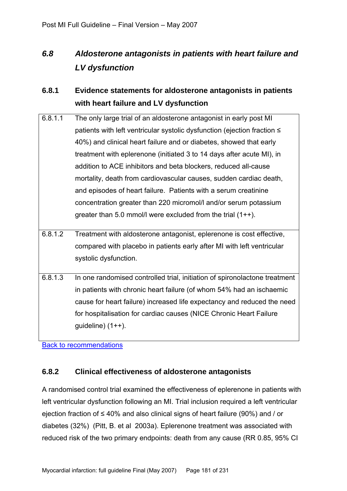# *6.8 [Aldosterone antagonists in patients with heart failure and](#page-132-0)  [LV dysfunction](#page-132-0)*

# **6.8.1 Evidence statements for aldosterone antagonists in patients with heart failure and LV dysfunction**

- 6.8.1.1 The only large trial of an aldosterone antagonist in early post MI patients with left ventricular systolic dysfunction (ejection fraction ≤ 40%) and clinical heart failure and or diabetes, showed that early treatment with eplerenone (initiated 3 to 14 days after acute MI), in addition to ACE inhibitors and beta blockers, reduced all-cause mortality, death from cardiovascular causes, sudden cardiac death, and episodes of heart failure. Patients with a serum creatinine concentration greater than 220 micromol/l and/or serum potassium greater than 5.0 mmol/l were excluded from the trial (1++).
- 6.8.1.2 Treatment with aldosterone antagonist, eplerenone is cost effective, compared with placebo in patients early after MI with left ventricular systolic dysfunction.
- 6.8.1.3 In one randomised controlled trial, initiation of spironolactone treatment in patients with chronic heart failure (of whom 54% had an ischaemic cause for heart failure) increased life expectancy and reduced the need for hospitalisation for cardiac causes (NICE Chronic Heart Failure quideline)  $(1++)$ .

Back to recommendations

## **6.8.2 Clinical effectiveness of aldosterone antagonists**

A randomised control trial examined the effectiveness of eplerenone in patients with left ventricular dysfunction following an MI. Trial inclusion required a left ventricular ejection fraction of ≤ 40% and also clinical signs of heart failure (90%) and / or diabetes (32%) (Pitt, B. et al 2003a). Eplerenone treatment was associated with reduced risk of the two primary endpoints: death from any cause (RR 0.85, 95% CI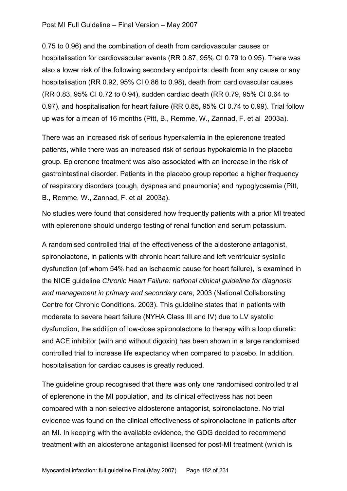#### Post MI Full Guideline – Final Version – May 2007

0.75 to 0.96) and the combination of death from cardiovascular causes or hospitalisation for cardiovascular events (RR 0.87, 95% CI 0.79 to 0.95). There was also a lower risk of the following secondary endpoints: death from any cause or any hospitalisation (RR 0.92, 95% CI 0.86 to 0.98), death from cardiovascular causes (RR 0.83, 95% CI 0.72 to 0.94), sudden cardiac death (RR 0.79, 95% CI 0.64 to 0.97), and hospitalisation for heart failure (RR 0.85, 95% CI 0.74 to 0.99). Trial follow up was for a mean of 16 months (Pitt, B., Remme, W., Zannad, F. et al 2003a).

There was an increased risk of serious hyperkalemia in the eplerenone treated patients, while there was an increased risk of serious hypokalemia in the placebo group. Eplerenone treatment was also associated with an increase in the risk of gastrointestinal disorder. Patients in the placebo group reported a higher frequency of respiratory disorders (cough, dyspnea and pneumonia) and hypoglycaemia (Pitt, B., Remme, W., Zannad, F. et al 2003a).

No studies were found that considered how frequently patients with a prior MI treated with eplerenone should undergo testing of renal function and serum potassium.

A randomised controlled trial of the effectiveness of the aldosterone antagonist, spironolactone, in patients with chronic heart failure and left ventricular systolic dysfunction (of whom 54% had an ischaemic cause for heart failure), is examined in the NICE guideline *Chronic Heart Failure: national clinical guideline for diagnosis and management in primary and secondary care*, 2003 (National Collaborating Centre for Chronic Conditions. 2003). This guideline states that in patients with moderate to severe heart failure (NYHA Class III and IV) due to LV systolic dysfunction, the addition of low-dose spironolactone to therapy with a loop diuretic and ACE inhibitor (with and without digoxin) has been shown in a large randomised controlled trial to increase life expectancy when compared to placebo. In addition, hospitalisation for cardiac causes is greatly reduced.

The guideline group recognised that there was only one randomised controlled trial of eplerenone in the MI population, and its clinical effectivess has not been compared with a non selective aldosterone antagonist, spironolactone. No trial evidence was found on the clinical effectiveness of spironolactone in patients after an MI. In keeping with the available evidence, the GDG decided to recommend treatment with an aldosterone antagonist licensed for post-MI treatment (which is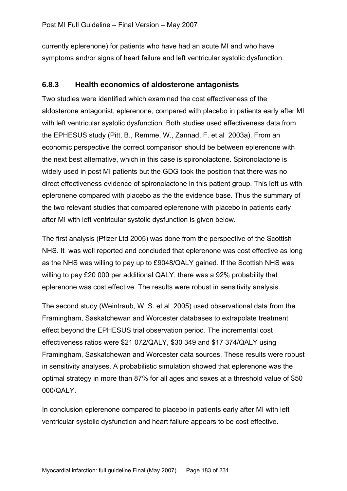currently eplerenone) for patients who have had an acute MI and who have symptoms and/or signs of heart failure and left ventricular systolic dysfunction.

### **6.8.3 Health economics of aldosterone antagonists**

Two studies were identified which examined the cost effectiveness of the aldosterone antagonist, eplerenone, compared with placebo in patients early after MI with left ventricular systolic dysfunction. Both studies used effectiveness data from the EPHESUS study (Pitt, B., Remme, W., Zannad, F. et al 2003a). From an economic perspective the correct comparison should be between eplerenone with the next best alternative, which in this case is spironolactone. Spironolactone is widely used in post MI patients but the GDG took the position that there was no direct effectiveness evidence of spironolactone in this patient group. This left us with epleronene compared with placebo as the the evidence base. Thus the summary of the two relevant studies that compared eplerenone with placebo in patients early after MI with left ventricular systolic dysfunction is given below.

The first analysis (Pfizer Ltd 2005) was done from the perspective of the Scottish NHS. It was well reported and concluded that eplerenone was cost effective as long as the NHS was willing to pay up to £9048/QALY gained. If the Scottish NHS was willing to pay £20 000 per additional QALY, there was a 92% probability that eplerenone was cost effective. The results were robust in sensitivity analysis.

The second study (Weintraub, W. S. et al 2005) used observational data from the Framingham, Saskatchewan and Worcester databases to extrapolate treatment effect beyond the EPHESUS trial observation period. The incremental cost effectiveness ratios were \$21 072/QALY, \$30 349 and \$17 374/QALY using Framingham, Saskatchewan and Worcester data sources. These results were robust in sensitivity analyses. A probabilistic simulation showed that eplerenone was the optimal strategy in more than 87% for all ages and sexes at a threshold value of \$50 000/QALY.

In conclusion eplerenone compared to placebo in patients early after MI with left ventricular systolic dysfunction and heart failure appears to be cost effective.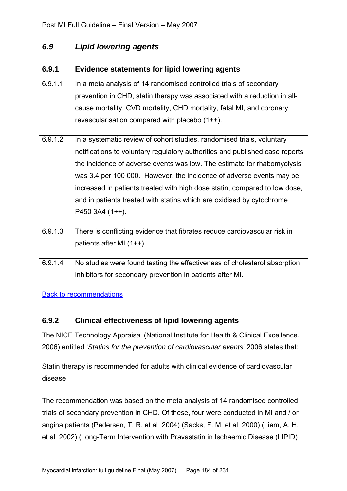## *6.9 Lipid lowering agents*

### **6.9.1 Evidence statements for lipid lowering agents**

6.9.1.1 In a meta analysis of 14 randomised controlled trials of secondary prevention in CHD, statin therapy was associated with a reduction in allcause mortality, CVD mortality, CHD mortality, fatal MI, and coronary revascularisation compared with placebo (1++).

6.9.1.2 In a systematic review of cohort studies, randomised trials, voluntary notifications to voluntary regulatory authorities and published case reports the incidence of adverse events was low. The estimate for rhabomyolysis was 3.4 per 100 000. However, the incidence of adverse events may be increased in patients treated with high dose statin, compared to low dose, and in patients treated with statins which are oxidised by cytochrome P450 3A4 (1++).

- 6.9.1.3 There is conflicting evidence that fibrates reduce cardiovascular risk in patients after MI (1++).
- 6.9.1.4 No studies were found testing the effectiveness of cholesterol absorption inhibitors for secondary prevention in patients after MI.

Back to recommendations

### **6.9.2 Clinical effectiveness of lipid lowering agents**

The NICE Technology Appraisal (National Institute for Health & Clinical Excellence. 2006) entitled '*Statins for the prevention of cardiovascular events*' 2006 states that:

Statin therapy is recommended for adults with clinical evidence of cardiovascular disease

The recommendation was based on the meta analysis of 14 randomised controlled trials of secondary prevention in CHD. Of these, four were conducted in MI and / or angina patients (Pedersen, T. R. et al 2004) (Sacks, F. M. et al 2000) (Liem, A. H. et al 2002) (Long-Term Intervention with Pravastatin in Ischaemic Disease (LIPID)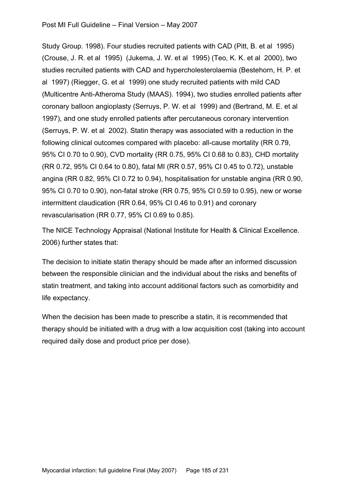Study Group. 1998). Four studies recruited patients with CAD (Pitt, B. et al 1995) (Crouse, J. R. et al 1995) (Jukema, J. W. et al 1995) (Teo, K. K. et al 2000), two studies recruited patients with CAD and hypercholesterolaemia (Bestehorn, H. P. et al 1997) (Riegger, G. et al 1999) one study recruited patients with mild CAD (Multicentre Anti-Atheroma Study (MAAS). 1994), two studies enrolled patients after coronary balloon angioplasty (Serruys, P. W. et al 1999) and (Bertrand, M. E. et al 1997), and one study enrolled patients after percutaneous coronary intervention (Serruys, P. W. et al 2002). Statin therapy was associated with a reduction in the following clinical outcomes compared with placebo: all-cause mortality (RR 0.79, 95% CI 0.70 to 0.90), CVD mortality (RR 0.75, 95% CI 0.68 to 0.83), CHD mortality (RR 0.72, 95% CI 0.64 to 0.80), fatal MI (RR 0.57, 95% CI 0.45 to 0.72), unstable angina (RR 0.82, 95% CI 0.72 to 0.94), hospitalisation for unstable angina (RR 0.90, 95% CI 0.70 to 0.90), non-fatal stroke (RR 0.75, 95% CI 0.59 to 0.95), new or worse intermittent claudication (RR 0.64, 95% CI 0.46 to 0.91) and coronary revascularisation (RR 0.77, 95% CI 0.69 to 0.85).

The NICE Technology Appraisal (National Institute for Health & Clinical Excellence. 2006) further states that:

The decision to initiate statin therapy should be made after an informed discussion between the responsible clinician and the individual about the risks and benefits of statin treatment, and taking into account additional factors such as comorbidity and life expectancy.

When the decision has been made to prescribe a statin, it is recommended that therapy should be initiated with a drug with a low acquisition cost (taking into account required daily dose and product price per dose).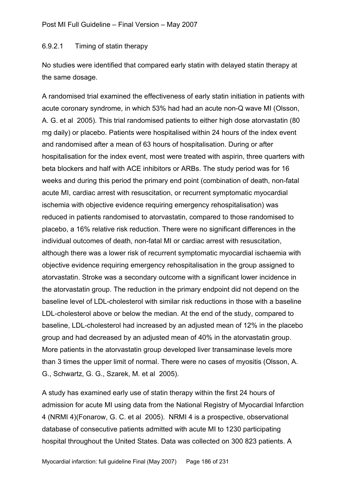#### 6.9.2.1 Timing of statin therapy

No studies were identified that compared early statin with delayed statin therapy at the same dosage.

A randomised trial examined the effectiveness of early statin initiation in patients with acute coronary syndrome, in which 53% had had an acute non-Q wave MI (Olsson, A. G. et al 2005). This trial randomised patients to either high dose atorvastatin (80 mg daily) or placebo. Patients were hospitalised within 24 hours of the index event and randomised after a mean of 63 hours of hospitalisation. During or after hospitalisation for the index event, most were treated with aspirin, three quarters with beta blockers and half with ACE inhibitors or ARBs. The study period was for 16 weeks and during this period the primary end point (combination of death, non-fatal acute MI, cardiac arrest with resuscitation, or recurrent symptomatic myocardial ischemia with objective evidence requiring emergency rehospitalisation) was reduced in patients randomised to atorvastatin, compared to those randomised to placebo, a 16% relative risk reduction. There were no significant differences in the individual outcomes of death, non-fatal MI or cardiac arrest with resuscitation, although there was a lower risk of recurrent symptomatic myocardial ischaemia with objective evidence requiring emergency rehospitalisation in the group assigned to atorvastatin. Stroke was a secondary outcome with a significant lower incidence in the atorvastatin group. The reduction in the primary endpoint did not depend on the baseline level of LDL-cholesterol with similar risk reductions in those with a baseline LDL-cholesterol above or below the median. At the end of the study, compared to baseline, LDL-cholesterol had increased by an adjusted mean of 12% in the placebo group and had decreased by an adjusted mean of 40% in the atorvastatin group. More patients in the atorvastatin group developed liver transaminase levels more than 3 times the upper limit of normal. There were no cases of myositis (Olsson, A. G., Schwartz, G. G., Szarek, M. et al 2005).

A study has examined early use of statin therapy within the first 24 hours of admission for acute MI using data from the National Registry of Myocardial Infarction 4 (NRMI 4)(Fonarow, G. C. et al 2005). NRMI 4 is a prospective, observational database of consecutive patients admitted with acute MI to 1230 participating hospital throughout the United States. Data was collected on 300 823 patients. A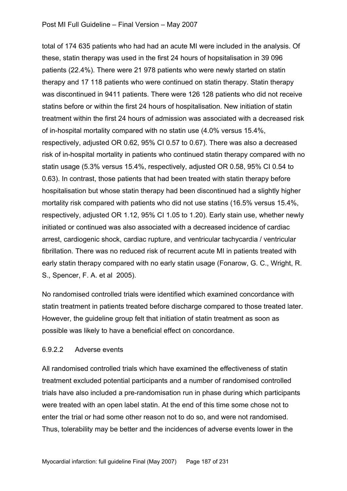total of 174 635 patients who had had an acute MI were included in the analysis. Of these, statin therapy was used in the first 24 hours of hopsitalisation in 39 096 patients (22.4%). There were 21 978 patients who were newly started on statin therapy and 17 118 patients who were continued on statin therapy. Statin therapy was discontinued in 9411 patients. There were 126 128 patients who did not receive statins before or within the first 24 hours of hospitalisation. New initiation of statin treatment within the first 24 hours of admission was associated with a decreased risk of in-hospital mortality compared with no statin use (4.0% versus 15.4%, respectively, adjusted OR 0.62, 95% CI 0.57 to 0.67). There was also a decreased risk of in-hospital mortality in patients who continued statin therapy compared with no statin usage (5.3% versus 15.4%, respectively, adjusted OR 0.58, 95% CI 0.54 to 0.63). In contrast, those patients that had been treated with statin therapy before hospitalisation but whose statin therapy had been discontinued had a slightly higher mortality risk compared with patients who did not use statins (16.5% versus 15.4%, respectively, adjusted OR 1.12, 95% CI 1.05 to 1.20). Early stain use, whether newly initiated or continued was also associated with a decreased incidence of cardiac arrest, cardiogenic shock, cardiac rupture, and ventricular tachycardia / ventricular fibrillation. There was no reduced risk of recurrent acute MI in patients treated with early statin therapy compared with no early statin usage (Fonarow, G. C., Wright, R. S., Spencer, F. A. et al 2005).

No randomised controlled trials were identified which examined concordance with statin treatment in patients treated before discharge compared to those treated later. However, the guideline group felt that initiation of statin treatment as soon as possible was likely to have a beneficial effect on concordance.

### 6.9.2.2 Adverse events

All randomised controlled trials which have examined the effectiveness of statin treatment excluded potential participants and a number of randomised controlled trials have also included a pre-randomisation run in phase during which participants were treated with an open label statin. At the end of this time some chose not to enter the trial or had some other reason not to do so, and were not randomised. Thus, tolerability may be better and the incidences of adverse events lower in the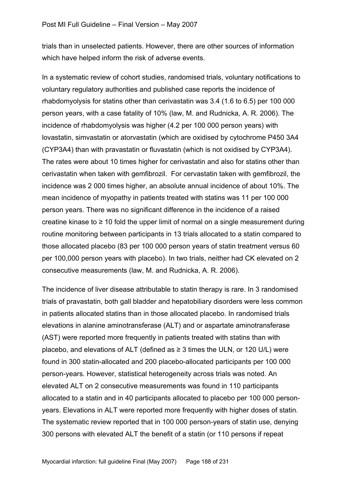trials than in unselected patients. However, there are other sources of information which have helped inform the risk of adverse events.

In a systematic review of cohort studies, randomised trials, voluntary notifications to voluntary regulatory authorities and published case reports the incidence of rhabdomyolysis for statins other than cerivastatin was 3.4 (1.6 to 6.5) per 100 000 person years, with a case fatality of 10% (law, M. and Rudnicka, A. R. 2006). The incidence of rhabdomyolysis was higher (4.2 per 100 000 person years) with lovastatin, simvastatin or atorvastatin (which are oxidised by cytochrome P450 3A4 (CYP3A4) than with pravastatin or fluvastatin (which is not oxidised by CYP3A4). The rates were about 10 times higher for cerivastatin and also for statins other than cerivastatin when taken with gemfibrozil. For cervastatin taken with gemfibrozil, the incidence was 2 000 times higher, an absolute annual incidence of about 10%. The mean incidence of myopathy in patients treated with statins was 11 per 100 000 person years. There was no significant difference in the incidence of a raised creatine kinase to  $\geq 10$  fold the upper limit of normal on a single measurement during routine monitoring between participants in 13 trials allocated to a statin compared to those allocated placebo (83 per 100 000 person years of statin treatment versus 60 per 100,000 person years with placebo). In two trials, neither had CK elevated on 2 consecutive measurements (law, M. and Rudnicka, A. R. 2006).

The incidence of liver disease attributable to statin therapy is rare. In 3 randomised trials of pravastatin, both gall bladder and hepatobiliary disorders were less common in patients allocated statins than in those allocated placebo. In randomised trials elevations in alanine aminotransferase (ALT) and or aspartate aminotransferase (AST) were reported more frequently in patients treated with statins than with placebo, and elevations of ALT (defined as  $\geq$  3 times the ULN, or 120 U/L) were found in 300 statin-allocated and 200 placebo-allocated participants per 100 000 person-years. However, statistical heterogeneity across trials was noted. An elevated ALT on 2 consecutive measurements was found in 110 participants allocated to a statin and in 40 participants allocated to placebo per 100 000 personyears. Elevations in ALT were reported more frequently with higher doses of statin. The systematic review reported that in 100 000 person-years of statin use, denying 300 persons with elevated ALT the benefit of a statin (or 110 persons if repeat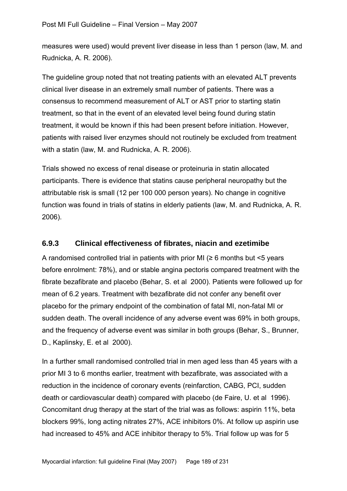measures were used) would prevent liver disease in less than 1 person (law, M. and Rudnicka, A. R. 2006).

The guideline group noted that not treating patients with an elevated ALT prevents clinical liver disease in an extremely small number of patients. There was a consensus to recommend measurement of ALT or AST prior to starting statin treatment, so that in the event of an elevated level being found during statin treatment, it would be known if this had been present before initiation. However, patients with raised liver enzymes should not routinely be excluded from treatment with a statin (law, M. and Rudnicka, A. R. 2006).

Trials showed no excess of renal disease or proteinuria in statin allocated participants. There is evidence that statins cause peripheral neuropathy but the attributable risk is small (12 per 100 000 person years). No change in cognitive function was found in trials of statins in elderly patients (law, M. and Rudnicka, A. R. 2006).

### **6.9.3 Clinical effectiveness of fibrates, niacin and ezetimibe**

A randomised controlled trial in patients with prior MI ( $\geq 6$  months but <5 years before enrolment: 78%), and or stable angina pectoris compared treatment with the fibrate bezafibrate and placebo (Behar, S. et al 2000). Patients were followed up for mean of 6.2 years. Treatment with bezafibrate did not confer any benefit over placebo for the primary endpoint of the combination of fatal MI, non-fatal MI or sudden death. The overall incidence of any adverse event was 69% in both groups, and the frequency of adverse event was similar in both groups (Behar, S., Brunner, D., Kaplinsky, E. et al 2000).

In a further small randomised controlled trial in men aged less than 45 years with a prior MI 3 to 6 months earlier, treatment with bezafibrate, was associated with a reduction in the incidence of coronary events (reinfarction, CABG, PCI, sudden death or cardiovascular death) compared with placebo (de Faire, U. et al 1996). Concomitant drug therapy at the start of the trial was as follows: aspirin 11%, beta blockers 99%, long acting nitrates 27%, ACE inhibitors 0%. At follow up aspirin use had increased to 45% and ACE inhibitor therapy to 5%. Trial follow up was for 5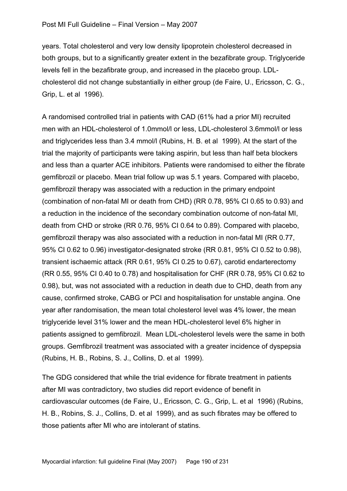years. Total cholesterol and very low density lipoprotein cholesterol decreased in both groups, but to a significantly greater extent in the bezafibrate group. Triglyceride levels fell in the bezafibrate group, and increased in the placebo group. LDLcholesterol did not change substantially in either group (de Faire, U., Ericsson, C. G., Grip, L. et al 1996).

A randomised controlled trial in patients with CAD (61% had a prior MI) recruited men with an HDL-cholesterol of 1.0mmol/l or less, LDL-cholesterol 3.6mmol/l or less and triglycerides less than 3.4 mmol/l (Rubins, H. B. et al 1999). At the start of the trial the majority of participants were taking aspirin, but less than half beta blockers and less than a quarter ACE inhibitors. Patients were randomised to either the fibrate gemfibrozil or placebo. Mean trial follow up was 5.1 years. Compared with placebo, gemfibrozil therapy was associated with a reduction in the primary endpoint (combination of non-fatal MI or death from CHD) (RR 0.78, 95% CI 0.65 to 0.93) and a reduction in the incidence of the secondary combination outcome of non-fatal MI, death from CHD or stroke (RR 0.76, 95% CI 0.64 to 0.89). Compared with placebo, gemfibrozil therapy was also associated with a reduction in non-fatal MI (RR 0.77, 95% CI 0.62 to 0.96) investigator-designated stroke (RR 0.81, 95% CI 0.52 to 0.98), transient ischaemic attack (RR 0.61, 95% CI 0.25 to 0.67), carotid endarterectomy (RR 0.55, 95% CI 0.40 to 0.78) and hospitalisation for CHF (RR 0.78, 95% CI 0.62 to 0.98), but, was not associated with a reduction in death due to CHD, death from any cause, confirmed stroke, CABG or PCI and hospitalisation for unstable angina. One year after randomisation, the mean total cholesterol level was 4% lower, the mean triglyceride level 31% lower and the mean HDL-cholesterol level 6% higher in patients assigned to gemfibrozil. Mean LDL-cholesterol levels were the same in both groups. Gemfibrozil treatment was associated with a greater incidence of dyspepsia (Rubins, H. B., Robins, S. J., Collins, D. et al 1999).

The GDG considered that while the trial evidence for fibrate treatment in patients after MI was contradictory, two studies did report evidence of benefit in cardiovascular outcomes (de Faire, U., Ericsson, C. G., Grip, L. et al 1996) (Rubins, H. B., Robins, S. J., Collins, D. et al 1999), and as such fibrates may be offered to those patients after MI who are intolerant of statins.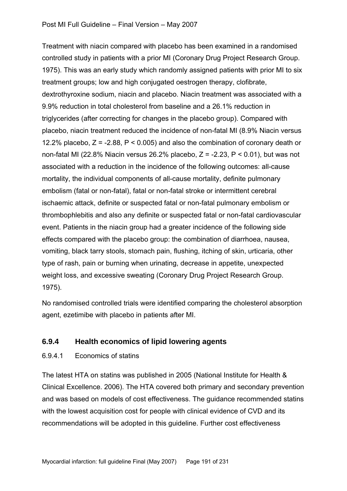Treatment with niacin compared with placebo has been examined in a randomised controlled study in patients with a prior MI (Coronary Drug Project Research Group. 1975). This was an early study which randomly assigned patients with prior MI to six treatment groups; low and high conjugated oestrogen therapy, clofibrate, dextrothyroxine sodium, niacin and placebo. Niacin treatment was associated with a 9.9% reduction in total cholesterol from baseline and a 26.1% reduction in triglycerides (after correcting for changes in the placebo group). Compared with placebo, niacin treatment reduced the incidence of non-fatal MI (8.9% Niacin versus 12.2% placebo,  $Z = -2.88$ ,  $P < 0.005$ ) and also the combination of coronary death or non-fatal MI (22.8% Niacin versus 26.2% placebo,  $Z = -2.23$ ,  $P < 0.01$ ), but was not associated with a reduction in the incidence of the following outcomes: all-cause mortality, the individual components of all-cause mortality, definite pulmonary embolism (fatal or non-fatal), fatal or non-fatal stroke or intermittent cerebral ischaemic attack, definite or suspected fatal or non-fatal pulmonary embolism or thrombophlebitis and also any definite or suspected fatal or non-fatal cardiovascular event. Patients in the niacin group had a greater incidence of the following side effects compared with the placebo group: the combination of diarrhoea, nausea, vomiting, black tarry stools, stomach pain, flushing, itching of skin, urticaria, other type of rash, pain or burning when urinating, decrease in appetite, unexpected weight loss, and excessive sweating (Coronary Drug Project Research Group. 1975).

No randomised controlled trials were identified comparing the cholesterol absorption agent, ezetimibe with placebo in patients after MI.

## **6.9.4 Health economics of lipid lowering agents**

#### 6.9.4.1 Economics of statins

The latest HTA on statins was published in 2005 (National Institute for Health & Clinical Excellence. 2006). The HTA covered both primary and secondary prevention and was based on models of cost effectiveness. The guidance recommended statins with the lowest acquisition cost for people with clinical evidence of CVD and its recommendations will be adopted in this guideline. Further cost effectiveness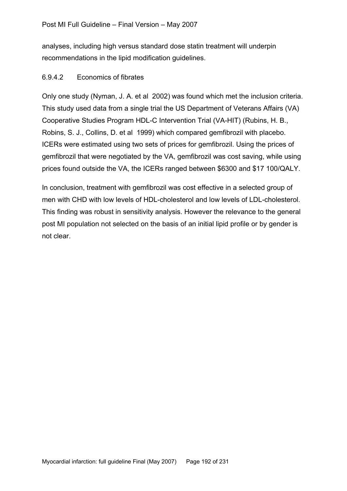analyses, including high versus standard dose statin treatment will underpin recommendations in the lipid modification guidelines.

### 6.9.4.2 Economics of fibrates

Only one study (Nyman, J. A. et al 2002) was found which met the inclusion criteria. This study used data from a single trial the US Department of Veterans Affairs (VA) Cooperative Studies Program HDL-C Intervention Trial (VA-HIT) (Rubins, H. B., Robins, S. J., Collins, D. et al 1999) which compared gemfibrozil with placebo. ICERs were estimated using two sets of prices for gemfibrozil. Using the prices of gemfibrozil that were negotiated by the VA, gemfibrozil was cost saving, while using prices found outside the VA, the ICERs ranged between \$6300 and \$17 100/QALY.

In conclusion, treatment with gemfibrozil was cost effective in a selected group of men with CHD with low levels of HDL-cholesterol and low levels of LDL-cholesterol. This finding was robust in sensitivity analysis. However the relevance to the general post MI population not selected on the basis of an initial lipid profile or by gender is not clear.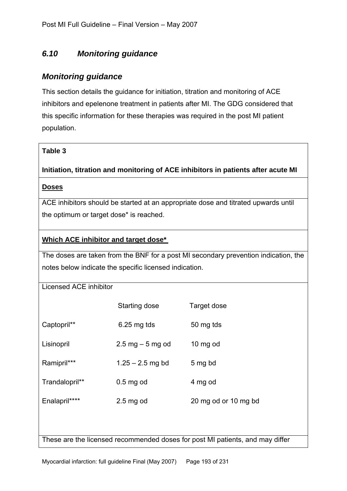## *6.10 Monitoring guidance*

## *Monitoring guidance*

**Table 3** 

This section details the guidance for initiation, titration and monitoring of ACE inhibitors and epelenone treatment in patients after MI. The GDG considered that this specific information for these therapies was required in the post MI patient population.

| Initiation, titration and monitoring of ACE inhibitors in patients after acute MI   |                                          |                      |  |
|-------------------------------------------------------------------------------------|------------------------------------------|----------------------|--|
| <b>Doses</b>                                                                        |                                          |                      |  |
| ACE inhibitors should be started at an appropriate dose and titrated upwards until  |                                          |                      |  |
| the optimum or target dose* is reached.                                             |                                          |                      |  |
| <b>Which ACE inhibitor and target dose*</b>                                         |                                          |                      |  |
| The doses are taken from the BNF for a post MI secondary prevention indication, the |                                          |                      |  |
| notes below indicate the specific licensed indication.                              |                                          |                      |  |
| <b>Licensed ACE inhibitor</b>                                                       |                                          |                      |  |
|                                                                                     | Starting dose                            | Target dose          |  |
| Captopril**                                                                         | $6.25$ mg tds                            | 50 mg tds            |  |
| Lisinopril                                                                          | $2.5 \,\mathrm{mg} - 5 \,\mathrm{mg}$ od | 10 mg od             |  |
| Ramipril***                                                                         | $1.25 - 2.5$ mg bd                       | 5 mg bd              |  |
| Trandalopril**                                                                      | $0.5$ mg od                              | 4 mg od              |  |
| Enalapril****                                                                       | $2.5$ mg od                              | 20 mg od or 10 mg bd |  |
|                                                                                     |                                          |                      |  |
| These are the licensed recommended doses for post MI patients, and may differ       |                                          |                      |  |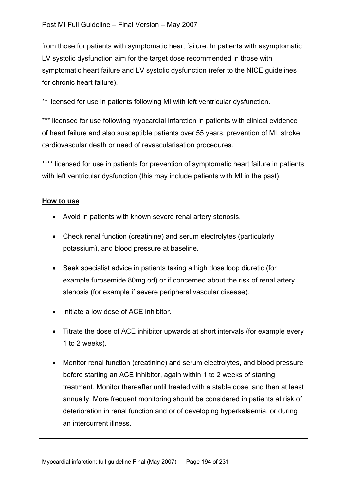from those for patients with symptomatic heart failure. In patients with asymptomatic LV systolic dysfunction aim for the target dose recommended in those with symptomatic heart failure and LV systolic dysfunction (refer to the NICE guidelines for chronic heart failure).

\*\* licensed for use in patients following MI with left ventricular dysfunction.

\*\*\* licensed for use following myocardial infarction in patients with clinical evidence of heart failure and also susceptible patients over 55 years, prevention of MI, stroke, cardiovascular death or need of revascularisation procedures.

\*\*\*\* licensed for use in patients for prevention of symptomatic heart failure in patients with left ventricular dysfunction (this may include patients with MI in the past).

### **How to use**

- Avoid in patients with known severe renal artery stenosis.
- Check renal function (creatinine) and serum electrolytes (particularly potassium), and blood pressure at baseline.
- Seek specialist advice in patients taking a high dose loop diuretic (for example furosemide 80mg od) or if concerned about the risk of renal artery stenosis (for example if severe peripheral vascular disease).
- Initiate a low dose of ACE inhibitor.
- Titrate the dose of ACE inhibitor upwards at short intervals (for example every 1 to 2 weeks).
- Monitor renal function (creatinine) and serum electrolytes, and blood pressure before starting an ACE inhibitor, again within 1 to 2 weeks of starting treatment. Monitor thereafter until treated with a stable dose, and then at least annually. More frequent monitoring should be considered in patients at risk of deterioration in renal function and or of developing hyperkalaemia, or during an intercurrent illness.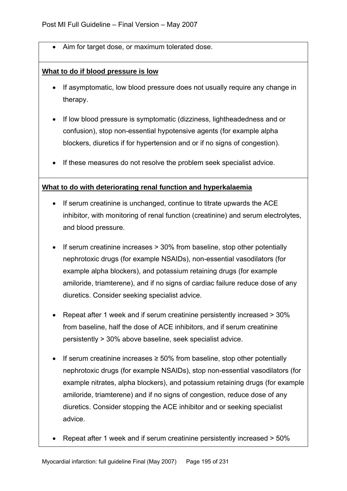• Aim for target dose, or maximum tolerated dose.

### **What to do if blood pressure is low**

- If asymptomatic, low blood pressure does not usually require any change in therapy.
- If low blood pressure is symptomatic (dizziness, lightheadedness and or confusion), stop non-essential hypotensive agents (for example alpha blockers, diuretics if for hypertension and or if no signs of congestion).
- If these measures do not resolve the problem seek specialist advice.

### **What to do with deteriorating renal function and hyperkalaemia**

- If serum creatinine is unchanged, continue to titrate upwards the ACE inhibitor, with monitoring of renal function (creatinine) and serum electrolytes, and blood pressure.
- If serum creatinine increases > 30% from baseline, stop other potentially nephrotoxic drugs (for example NSAIDs), non-essential vasodilators (for example alpha blockers), and potassium retaining drugs (for example amiloride, triamterene), and if no signs of cardiac failure reduce dose of any diuretics. Consider seeking specialist advice.
- Repeat after 1 week and if serum creatinine persistently increased > 30% from baseline, half the dose of ACE inhibitors, and if serum creatinine persistently > 30% above baseline, seek specialist advice.
- If serum creatinine increases  $\geq$  50% from baseline, stop other potentially nephrotoxic drugs (for example NSAIDs), stop non-essential vasodilators (for example nitrates, alpha blockers), and potassium retaining drugs (for example amiloride, triamterene) and if no signs of congestion, reduce dose of any diuretics. Consider stopping the ACE inhibitor and or seeking specialist advice.
- Repeat after 1 week and if serum creatinine persistently increased > 50%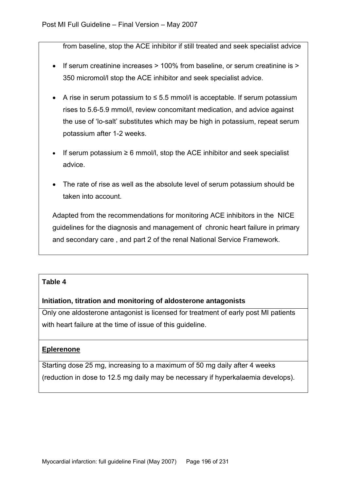from baseline, stop the ACE inhibitor if still treated and seek specialist advice

- If serum creatinine increases > 100% from baseline, or serum creatinine is > 350 micromol/l stop the ACE inhibitor and seek specialist advice.
- A rise in serum potassium to ≤ 5.5 mmol/l is acceptable. If serum potassium rises to 5.6-5.9 mmol/l, review concomitant medication, and advice against the use of 'lo-salt' substitutes which may be high in potassium, repeat serum potassium after 1-2 weeks.
- If serum potassium ≥ 6 mmol/l, stop the ACE inhibitor and seek specialist advice.
- The rate of rise as well as the absolute level of serum potassium should be taken into account.

Adapted from the recommendations for monitoring ACE inhibitors in the NICE guidelines for the diagnosis and management of chronic heart failure in primary and secondary care , and part 2 of the renal National Service Framework.

### **Table 4**

### **Initiation, titration and monitoring of aldosterone antagonists**

Only one aldosterone antagonist is licensed for treatment of early post MI patients with heart failure at the time of issue of this guideline.

#### **Eplerenone**

Starting dose 25 mg, increasing to a maximum of 50 mg daily after 4 weeks (reduction in dose to 12.5 mg daily may be necessary if hyperkalaemia develops).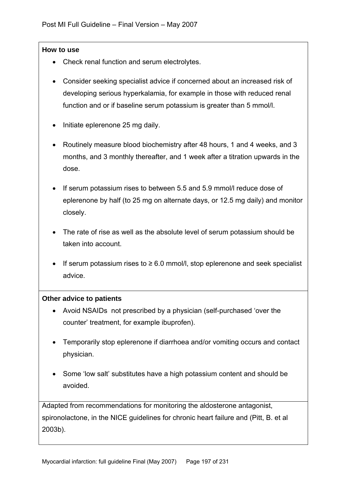#### **How to use**

- Check renal function and serum electrolytes.
- Consider seeking specialist advice if concerned about an increased risk of developing serious hyperkalamia, for example in those with reduced renal function and or if baseline serum potassium is greater than 5 mmol/l.
- Initiate eplerenone 25 mg daily.
- Routinely measure blood biochemistry after 48 hours, 1 and 4 weeks, and 3 months, and 3 monthly thereafter, and 1 week after a titration upwards in the dose.
- If serum potassium rises to between 5.5 and 5.9 mmol/l reduce dose of eplerenone by half (to 25 mg on alternate days, or 12.5 mg daily) and monitor closely.
- The rate of rise as well as the absolute level of serum potassium should be taken into account.
- If serum potassium rises to ≥ 6.0 mmol/l, stop eplerenone and seek specialist advice.

### **Other advice to patients**

- Avoid NSAIDs not prescribed by a physician (self-purchased 'over the counter' treatment, for example ibuprofen).
- Temporarily stop eplerenone if diarrhoea and/or vomiting occurs and contact physician.
- Some 'low salt' substitutes have a high potassium content and should be avoided.

Adapted from recommendations for monitoring the aldosterone antagonist, spironolactone, in the NICE guidelines for chronic heart failure and (Pitt, B. et al 2003b).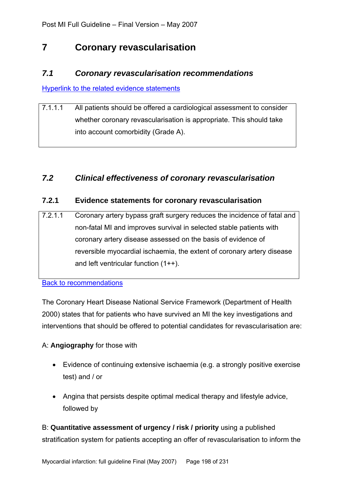# <span id="page-197-0"></span>**7 Coronary revascularisation**

## *7.1 Coronary revascularisation recommendations*

[Hyperlink to the related evidence statements](#page-56-0)

7.1.1.1 All patients should be offered a cardiological assessment to consider whether coronary revascularisation is appropriate. This should take into account comorbidity (Grade A).

## *7.2 Clinical effectiveness of coronary revascularisation*

### **7.2.1 Evidence statements for coronary revascularisation**

7.2.1.1 Coronary artery bypass graft surgery reduces the incidence of fatal and non-fatal MI and improves survival in selected stable patients with coronary artery disease assessed on the basis of evidence of reversible myocardial ischaemia, the extent of coronary artery disease and left ventricular function (1++).

[Back to recommendations](#page-197-0) 

The Coronary Heart Disease National Service Framework (Department of Health 2000) states that for patients who have survived an MI the key investigations and interventions that should be offered to potential candidates for revascularisation are:

### A: **Angiography** for those with

- Evidence of continuing extensive ischaemia (e.g. a strongly positive exercise test) and / or
- Angina that persists despite optimal medical therapy and lifestyle advice, followed by

B: **Quantitative assessment of urgency / risk / priority** using a published stratification system for patients accepting an offer of revascularisation to inform the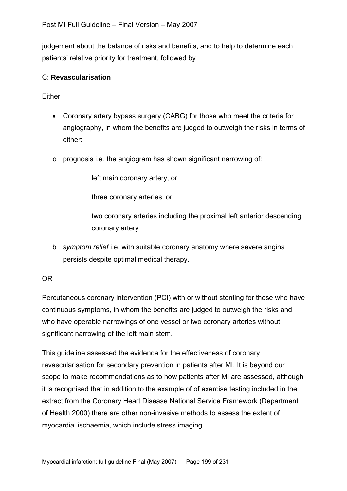judgement about the balance of risks and benefits, and to help to determine each patients' relative priority for treatment, followed by

### C: **Revascularisation**

**Either** 

- Coronary artery bypass surgery (CABG) for those who meet the criteria for angiography, in whom the benefits are judged to outweigh the risks in terms of either:
- o prognosis i.e. the angiogram has shown significant narrowing of:

left main coronary artery, or

three coronary arteries, or

two coronary arteries including the proximal left anterior descending coronary artery

b *symptom relief* i.e. with suitable coronary anatomy where severe angina persists despite optimal medical therapy.

OR

Percutaneous coronary intervention (PCI) with or without stenting for those who have continuous symptoms, in whom the benefits are judged to outweigh the risks and who have operable narrowings of one vessel or two coronary arteries without significant narrowing of the left main stem.

This guideline assessed the evidence for the effectiveness of coronary revascularisation for secondary prevention in patients after MI. It is beyond our scope to make recommendations as to how patients after MI are assessed, although it is recognised that in addition to the example of of exercise testing included in the extract from the Coronary Heart Disease National Service Framework (Department of Health 2000) there are other non-invasive methods to assess the extent of myocardial ischaemia, which include stress imaging.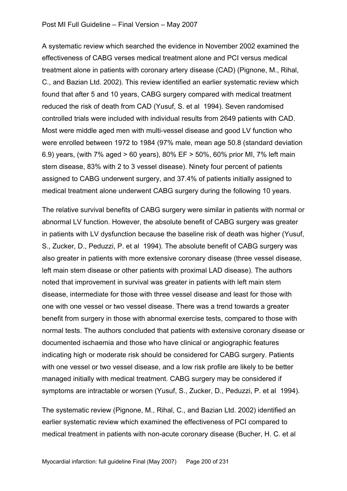A systematic review which searched the evidence in November 2002 examined the effectiveness of CABG verses medical treatment alone and PCI versus medical treatment alone in patients with coronary artery disease (CAD) (Pignone, M., Rihal, C., and Bazian Ltd. 2002). This review identified an earlier systematic review which found that after 5 and 10 years, CABG surgery compared with medical treatment reduced the risk of death from CAD (Yusuf, S. et al 1994). Seven randomised controlled trials were included with individual results from 2649 patients with CAD. Most were middle aged men with multi-vessel disease and good LV function who were enrolled between 1972 to 1984 (97% male, mean age 50.8 (standard deviation 6.9) years, (with 7% aged > 60 years), 80% EF > 50%, 60% prior MI, 7% left main stem disease, 83% with 2 to 3 vessel disease). Ninety four percent of patients assigned to CABG underwent surgery, and 37.4% of patients initially assigned to medical treatment alone underwent CABG surgery during the following 10 years.

The relative survival benefits of CABG surgery were similar in patients with normal or abnormal LV function. However, the absolute benefit of CABG surgery was greater in patients with LV dysfunction because the baseline risk of death was higher (Yusuf, S., Zucker, D., Peduzzi, P. et al 1994). The absolute benefit of CABG surgery was also greater in patients with more extensive coronary disease (three vessel disease, left main stem disease or other patients with proximal LAD disease). The authors noted that improvement in survival was greater in patients with left main stem disease, intermediate for those with three vessel disease and least for those with one with one vessel or two vessel disease. There was a trend towards a greater benefit from surgery in those with abnormal exercise tests, compared to those with normal tests. The authors concluded that patients with extensive coronary disease or documented ischaemia and those who have clinical or angiographic features indicating high or moderate risk should be considered for CABG surgery. Patients with one vessel or two vessel disease, and a low risk profile are likely to be better managed initially with medical treatment. CABG surgery may be considered if symptoms are intractable or worsen (Yusuf, S., Zucker, D., Peduzzi, P. et al 1994).

The systematic review (Pignone, M., Rihal, C., and Bazian Ltd. 2002) identified an earlier systematic review which examined the effectiveness of PCI compared to medical treatment in patients with non-acute coronary disease (Bucher, H. C. et al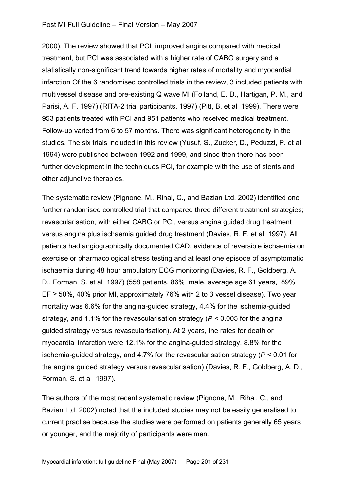2000). The review showed that PCI improved angina compared with medical treatment, but PCI was associated with a higher rate of CABG surgery and a statistically non-significant trend towards higher rates of mortality and myocardial infarction Of the 6 randomised controlled trials in the review, 3 included patients with multivessel disease and pre-existing Q wave MI (Folland, E. D., Hartigan, P. M., and Parisi, A. F. 1997) (RITA-2 trial participants. 1997) (Pitt, B. et al 1999). There were 953 patients treated with PCI and 951 patients who received medical treatment. Follow-up varied from 6 to 57 months. There was significant heterogeneity in the studies. The six trials included in this review (Yusuf, S., Zucker, D., Peduzzi, P. et al 1994) were published between 1992 and 1999, and since then there has been further development in the techniques PCI, for example with the use of stents and other adjunctive therapies.

The systematic review (Pignone, M., Rihal, C., and Bazian Ltd. 2002) identified one further randomised controlled trial that compared three different treatment strategies; revascularisation, with either CABG or PCI, versus angina guided drug treatment versus angina plus ischaemia guided drug treatment (Davies, R. F. et al 1997). All patients had angiographically documented CAD, evidence of reversible ischaemia on exercise or pharmacological stress testing and at least one episode of asymptomatic ischaemia during 48 hour ambulatory ECG monitoring (Davies, R. F., Goldberg, A. D., Forman, S. et al 1997) (558 patients, 86% male, average age 61 years, 89% EF ≥ 50%, 40% prior MI, approximately 76% with 2 to 3 vessel disease). Two year mortality was 6.6% for the angina-guided strategy, 4.4% for the ischemia-guided strategy, and 1.1% for the revascularisation strategy (*P* < 0.005 for the angina guided strategy versus revascularisation). At 2 years, the rates for death or myocardial infarction were 12.1% for the angina-guided strategy, 8.8% for the ischemia-guided strategy, and 4.7% for the revascularisation strategy (*P* < 0.01 for the angina guided strategy versus revascularisation) (Davies, R. F., Goldberg, A. D., Forman, S. et al 1997).

The authors of the most recent systematic review (Pignone, M., Rihal, C., and Bazian Ltd. 2002) noted that the included studies may not be easily generalised to current practise because the studies were performed on patients generally 65 years or younger, and the majority of participants were men.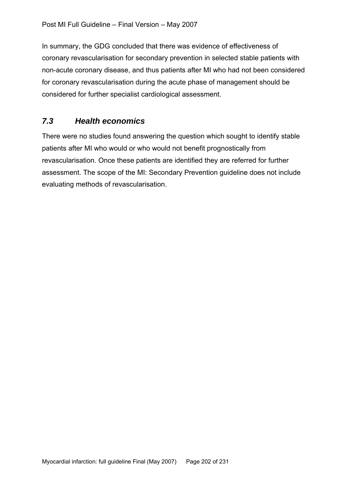In summary, the GDG concluded that there was evidence of effectiveness of coronary revascularisation for secondary prevention in selected stable patients with non-acute coronary disease, and thus patients after MI who had not been considered for coronary revascularisation during the acute phase of management should be considered for further specialist cardiological assessment.

## *7.3 Health economics*

There were no studies found answering the question which sought to identify stable patients after MI who would or who would not benefit prognostically from revascularisation. Once these patients are identified they are referred for further assessment. The scope of the MI: Secondary Prevention guideline does not include evaluating methods of revascularisation.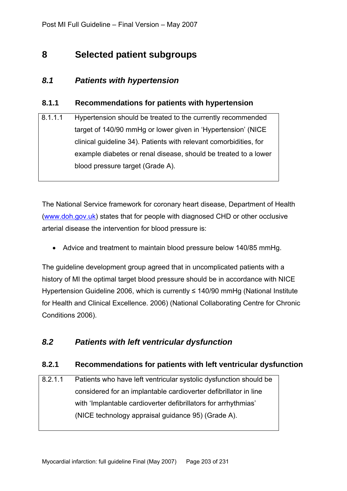# **8 Selected patient subgroups**

### *8.1 Patients with hypertension*

### **8.1.1 Recommendations for patients with hypertension**

8.1.1.1 Hypertension should be treated to the currently recommended target of 140/90 mmHg or lower given in 'Hypertension' (NICE clinical guideline 34). Patients with relevant comorbidities, for example diabetes or renal disease, should be treated to a lower blood pressure target (Grade A).

The National Service framework for coronary heart disease, Department of Health ([www.doh.gov.uk](http://www.doh.gov.uk/)) states that for people with diagnosed CHD or other occlusive arterial disease the intervention for blood pressure is:

• Advice and treatment to maintain blood pressure below 140/85 mmHg.

The guideline development group agreed that in uncomplicated patients with a history of MI the optimal target blood pressure should be in accordance with NICE Hypertension Guideline 2006, which is currently ≤ 140/90 mmHg (National Institute for Health and Clinical Excellence. 2006) (National Collaborating Centre for Chronic Conditions 2006).

## *8.2 Patients with left ventricular dysfunction*

### **8.2.1 Recommendations for patients with left ventricular dysfunction**

8.2.1.1 Patients who have left ventricular systolic dysfunction should be considered for an implantable cardioverter defibrillator in line with 'Implantable cardioverter defibrillators for arrhythmias' (NICE technology appraisal guidance 95) (Grade A).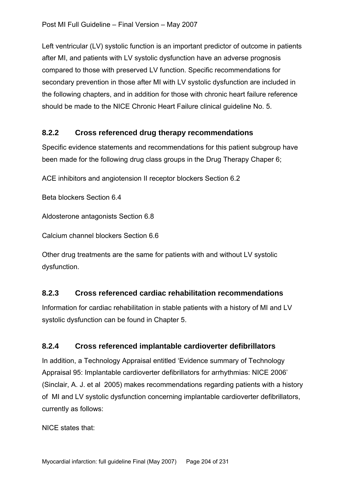Left ventricular (LV) systolic function is an important predictor of outcome in patients after MI, and patients with LV systolic dysfunction have an adverse prognosis compared to those with preserved LV function. Specific recommendations for secondary prevention in those after MI with LV systolic dysfunction are included in the following chapters, and in addition for those with chronic heart failure reference should be made to the NICE Chronic Heart Failure clinical guideline No. 5.

## **8.2.2 Cross referenced drug therapy recommendations**

Specific evidence statements and recommendations for this patient subgroup have been made for the following drug class groups in the Drug Therapy Chaper 6;

ACE inhibitors and angiotension II receptor blockers Section 6.2

Beta blockers Section 6.4

Aldosterone antagonists Section 6.8

Calcium channel blockers Section 6.6

Other drug treatments are the same for patients with and without LV systolic dysfunction.

## **8.2.3 Cross referenced cardiac rehabilitation recommendations**

Information for cardiac rehabilitation in stable patients with a history of MI and LV systolic dysfunction can be found in Chapter 5.

## **8.2.4 Cross referenced implantable cardioverter defibrillators**

In addition, a Technology Appraisal entitled 'Evidence summary of Technology Appraisal 95: Implantable cardioverter defibrillators for arrhythmias: NICE 2006' (Sinclair, A. J. et al 2005) makes recommendations regarding patients with a history of MI and LV systolic dysfunction concerning implantable cardioverter defibrillators, currently as follows:

NICE states that: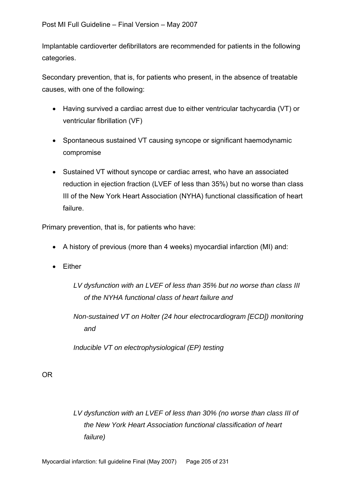Implantable cardioverter defibrillators are recommended for patients in the following categories.

Secondary prevention, that is, for patients who present, in the absence of treatable causes, with one of the following:

- Having survived a cardiac arrest due to either ventricular tachycardia (VT) or ventricular fibrillation (VF)
- Spontaneous sustained VT causing syncope or significant haemodynamic compromise
- Sustained VT without syncope or cardiac arrest, who have an associated reduction in ejection fraction (LVEF of less than 35%) but no worse than class III of the New York Heart Association (NYHA) functional classification of heart failure.

Primary prevention, that is, for patients who have:

- A history of previous (more than 4 weeks) myocardial infarction (MI) and:
- Either
	- *LV dysfunction with an LVEF of less than 35% but no worse than class III of the NYHA functional class of heart failure and*

*Non-sustained VT on Holter (24 hour electrocardiogram [ECD]) monitoring and* 

*Inducible VT on electrophysiological (EP) testing* 

OR

*LV dysfunction with an LVEF of less than 30% (no worse than class III of the New York Heart Association functional classification of heart failure)*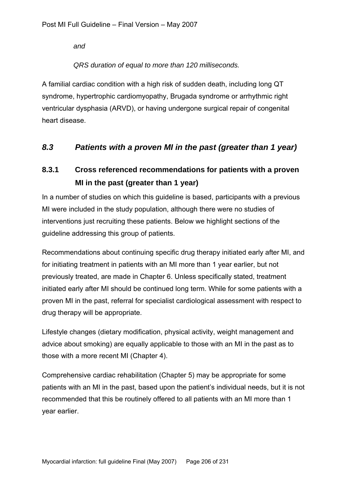*and* 

## *QRS duration of equal to more than 120 milliseconds.*

A familial cardiac condition with a high risk of sudden death, including long QT syndrome, hypertrophic cardiomyopathy, Brugada syndrome or arrhythmic right ventricular dysphasia (ARVD), or having undergone surgical repair of congenital heart disease.

## *8.3 Patients with a proven MI in the past (greater than 1 year)*

# **8.3.1 Cross referenced recommendations for patients with a proven MI in the past (greater than 1 year)**

In a number of studies on which this guideline is based, participants with a previous MI were included in the study population, although there were no studies of interventions just recruiting these patients. Below we highlight sections of the guideline addressing this group of patients.

Recommendations about continuing specific drug therapy initiated early after MI, and for initiating treatment in patients with an MI more than 1 year earlier, but not previously treated, are made in Chapter 6. Unless specifically stated, treatment initiated early after MI should be continued long term. While for some patients with a proven MI in the past, referral for specialist cardiological assessment with respect to drug therapy will be appropriate.

Lifestyle changes (dietary modification, physical activity, weight management and advice about smoking) are equally applicable to those with an MI in the past as to those with a more recent MI (Chapter 4).

Comprehensive cardiac rehabilitation (Chapter 5) may be appropriate for some patients with an MI in the past, based upon the patient's individual needs, but it is not recommended that this be routinely offered to all patients with an MI more than 1 year earlier.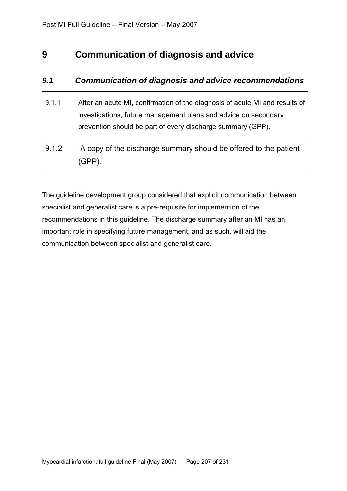$\Gamma$ 

# **9 Communication of diagnosis and advice**

### *9.1 Communication of diagnosis and advice recommendations*

| 9.1.1 | After an acute MI, confirmation of the diagnosis of acute MI and results of<br>investigations, future management plans and advice on secondary<br>prevention should be part of every discharge summary (GPP). |
|-------|---------------------------------------------------------------------------------------------------------------------------------------------------------------------------------------------------------------|
| 9.1.2 | A copy of the discharge summary should be offered to the patient<br>(GPP).                                                                                                                                    |

The guideline development group considered that explicit communication between specialist and generalist care is a pre-requisite for implemention of the recommendations in this guideline. The discharge summary after an MI has an important role in specifying future management, and as such, will aid the communication between specialist and generalist care.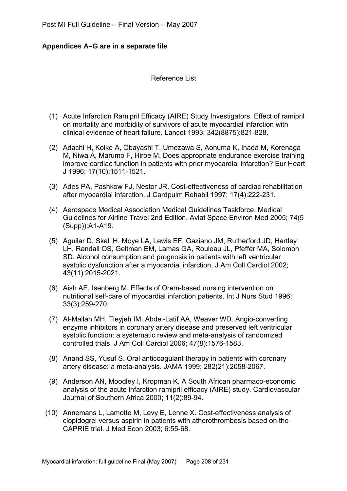### **Appendices A–G are in a separate file**

#### Reference List

- (1) Acute Infarction Ramipril Efficacy (AIRE) Study Investigators. Effect of ramipril on mortality and morbidity of survivors of acute myocardial infarction with clinical evidence of heart failure. Lancet 1993; 342(8875):821-828.
- (2) Adachi H, Koike A, Obayashi T, Umezawa S, Aonuma K, Inada M, Korenaga M, Niwa A, Marumo F, Hiroe M. Does appropriate endurance exercise training improve cardiac function in patients with prior myocardial infarction? Eur Heart J 1996; 17(10):1511-1521.
- (3) Ades PA, Pashkow FJ, Nestor JR. Cost-effectiveness of cardiac rehabilitation after myocardial infarction. J Cardpulm Rehabil 1997; 17(4):222-231.
- (4) Aerospace Medical Association Medical Guidelines Taskforce. Medical Guidelines for Airline Travel 2nd Edition. Aviat Space Environ Med 2005; 74(5 (Supp)):A1-A19.
- (5) Aguilar D, Skali H, Moye LA, Lewis EF, Gaziano JM, Rutherford JD, Hartley LH, Randall OS, Geltman EM, Lamas GA, Rouleau JL, Pfeffer MA, Solomon SD. Alcohol consumption and prognosis in patients with left ventricular systolic dysfunction after a myocardial infarction. J Am Coll Cardiol 2002; 43(11):2015-2021.
- (6) Aish AE, Isenberg M. Effects of Orem-based nursing intervention on nutritional self-care of myocardial infarction patients. Int J Nurs Stud 1996; 33(3):259-270.
- (7) Al-Mallah MH, Tleyjeh IM, Abdel-Latif AA, Weaver WD. Angio-converting enzyme inhibitors in coronary artery disease and preserved left ventricular systolic function: a systematic review and meta-analysis of randomized controlled trials. J Am Coll Cardiol 2006; 47(8):1576-1583.
- (8) Anand SS, Yusuf S. Oral anticoagulant therapy in patients with coronary artery disease: a meta-analysis. JAMA 1999; 282(21):2058-2067.
- (9) Anderson AN, Moodley I, Kropman K. A South African pharmaco-economic analysis of the acute infarction ramipril efficacy (AIRE) study. Cardiovascular Journal of Southern Africa 2000; 11(2):89-94.
- (10) Annemans L, Lamotte M, Levy E, Lenne X. Cost-effectiveness analysis of clopidogrel versus aspirin in patients with atherothrombosis based on the CAPRIE trial. J Med Econ 2003; 6:55-68.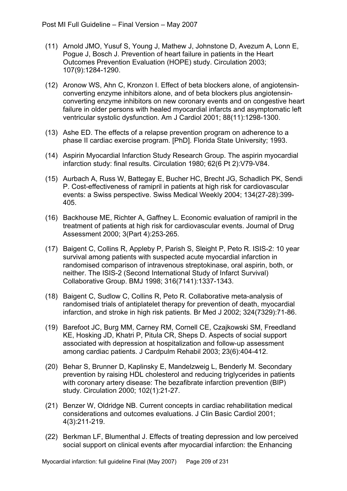- (11) Arnold JMO, Yusuf S, Young J, Mathew J, Johnstone D, Avezum A, Lonn E, Pogue J, Bosch J. Prevention of heart failure in patients in the Heart Outcomes Prevention Evaluation (HOPE) study. Circulation 2003; 107(9):1284-1290.
- (12) Aronow WS, Ahn C, Kronzon I. Effect of beta blockers alone, of angiotensinconverting enzyme inhibitors alone, and of beta blockers plus angiotensinconverting enzyme inhibitors on new coronary events and on congestive heart failure in older persons with healed myocardial infarcts and asymptomatic left ventricular systolic dysfunction. Am J Cardiol 2001; 88(11):1298-1300.
- (13) Ashe ED. The effects of a relapse prevention program on adherence to a phase II cardiac exercise program. [PhD]. Florida State University; 1993.
- (14) Aspirin Myocardial Infarction Study Research Group. The aspirin myocardial infarction study: final results. Circulation 1980; 62(6 Pt 2):V79-V84.
- (15) Aurbach A, Russ W, Battegay E, Bucher HC, Brecht JG, Schadlich PK, Sendi P. Cost-effectiveness of ramipril in patients at high risk for cardiovascular events: a Swiss perspective. Swiss Medical Weekly 2004; 134(27-28):399- 405.
- (16) Backhouse ME, Richter A, Gaffney L. Economic evaluation of ramipril in the treatment of patients at high risk for cardiovascular events. Journal of Drug Assessment 2000; 3(Part 4):253-265.
- (17) Baigent C, Collins R, Appleby P, Parish S, Sleight P, Peto R. ISIS-2: 10 year survival among patients with suspected acute myocardial infarction in randomised comparison of intravenous streptokinase, oral aspirin, both, or neither. The ISIS-2 (Second International Study of Infarct Survival) Collaborative Group. BMJ 1998; 316(7141):1337-1343.
- (18) Baigent C, Sudlow C, Collins R, Peto R. Collaborative meta-analysis of randomised trials of antiplatelet therapy for prevention of death, myocardial infarction, and stroke in high risk patients. Br Med J 2002; 324(7329):71-86.
- (19) Barefoot JC, Burg MM, Carney RM, Cornell CE, Czajkowski SM, Freedland KE, Hosking JD, Khatri P, Pitula CR, Sheps D. Aspects of social support associated with depression at hospitalization and follow-up assessment among cardiac patients. J Cardpulm Rehabil 2003; 23(6):404-412.
- (20) Behar S, Brunner D, Kaplinsky E, Mandelzweig L, Benderly M. Secondary prevention by raising HDL cholesterol and reducing triglycerides in patients with coronary artery disease: The bezafibrate infarction prevention (BIP) study. Circulation 2000; 102(1):21-27.
- (21) Benzer W, Oldridge NB. Current concepts in cardiac rehabilitation medical considerations and outcomes evaluations. J Clin Basic Cardiol 2001; 4(3):211-219.
- (22) Berkman LF, Blumenthal J. Effects of treating depression and low perceived social support on clinical events after myocardial infarction: the Enhancing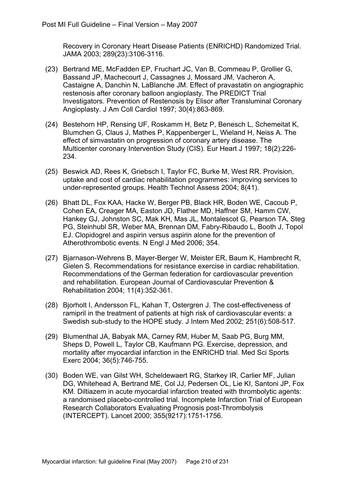Recovery in Coronary Heart Disease Patients (ENRICHD) Randomized Trial. JAMA 2003; 289(23):3106-3116.

- (23) Bertrand ME, McFadden EP, Fruchart JC, Van B, Commeau P, Grollier G, Bassand JP, Machecourt J, Cassagnes J, Mossard JM, Vacheron A, Castaigne A, Danchin N, LaBlanche JM. Effect of pravastatin on angiographic restenosis after coronary balloon angioplasty. The PREDICT Trial Investigators. Prevention of Restenosis by Elisor after Transluminal Coronary Angioplasty. J Am Coll Cardiol 1997; 30(4):863-869.
- (24) Bestehorn HP, Rensing UF, Roskamm H, Betz P, Benesch L, Schemeitat K, Blumchen G, Claus J, Mathes P, Kappenberger L, Wieland H, Neiss A. The effect of simvastatin on progression of coronary artery disease. The Multicenter coronary Intervention Study (CIS). Eur Heart J 1997; 18(2):226- 234.
- (25) Beswick AD, Rees K, Griebsch I, Taylor FC, Burke M, West RR. Provision, uptake and cost of cardiac rehabilitation programmes: improving services to under-represented groups. Health Technol Assess 2004; 8(41).
- (26) Bhatt DL, Fox KAA, Hacke W, Berger PB, Black HR, Boden WE, Cacoub P, Cohen EA, Creager MA, Easton JD, Flather MD, Haffner SM, Hamm CW, Hankey GJ, Johnston SC, Mak KH, Mas JL, Montalescot G, Pearson TA, Steg PG, Steinhubl SR, Weber MA, Brennan DM, Fabry-Ribaudo L, Booth J, Topol EJ. Clopidogrel and aspirin versus aspirin alone for the prevention of Atherothrombotic events. N Engl J Med 2006; 354.
- (27) Bjarnason-Wehrens B, Mayer-Berger W, Meister ER, Baum K, Hambrecht R, Gielen S. Recommendations for resistance exercise in cardiac rehabilitation. Recommendations of the German federation for cardiovascular prevention and rehabilitation. European Journal of Cardiovascular Prevention & Rehabilitation 2004; 11(4):352-361.
- (28) Bjorholt I, Andersson FL, Kahan T, Ostergren J. The cost-effectiveness of ramipril in the treatment of patients at high risk of cardiovascular events: a Swedish sub-study to the HOPE study. J Intern Med 2002; 251(6):508-517.
- (29) Blumenthal JA, Babyak MA, Carney RM, Huber M, Saab PG, Burg MM, Sheps D, Powell L, Taylor CB, Kaufmann PG. Exercise, depression, and mortality after myocardial infarction in the ENRICHD trial. Med Sci Sports Exerc 2004; 36(5):746-755.
- (30) Boden WE, van Gilst WH, Scheldewaert RG, Starkey IR, Carlier MF, Julian DG, Whitehead A, Bertrand ME, Col JJ, Pedersen OL, Lie KI, Santoni JP, Fox KM. Diltiazem in acute myocardial infarction treated with thrombolytic agents: a randomised placebo-controlled trial. Incomplete Infarction Trial of European Research Collaborators Evaluating Prognosis post-Thrombolysis (INTERCEPT). Lancet 2000; 355(9217):1751-1756.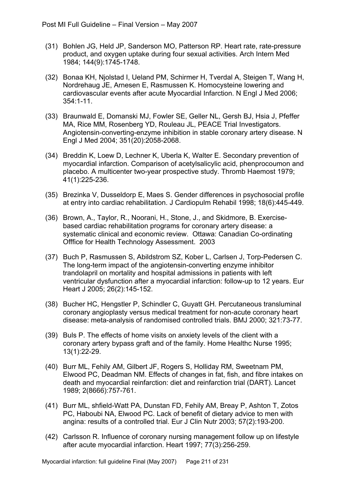- (31) Bohlen JG, Held JP, Sanderson MO, Patterson RP. Heart rate, rate-pressure product, and oxygen uptake during four sexual activities. Arch Intern Med 1984; 144(9):1745-1748.
- (32) Bonaa KH, Njolstad I, Ueland PM, Schirmer H, Tverdal A, Steigen T, Wang H, Nordrehaug JE, Arnesen E, Rasmussen K. Homocysteine lowering and cardiovascular events after acute Myocardial Infarction. N Engl J Med 2006; 354:1-11.
- (33) Braunwald E, Domanski MJ, Fowler SE, Geller NL, Gersh BJ, Hsia J, Pfeffer MA, Rice MM, Rosenberg YD, Rouleau JL, PEACE Trial Investigators. Angiotensin-converting-enzyme inhibition in stable coronary artery disease. N Engl J Med 2004; 351(20):2058-2068.
- (34) Breddin K, Loew D, Lechner K, Uberla K, Walter E. Secondary prevention of myocardial infarction. Comparison of acetylsalicylic acid, phenprocoumon and placebo. A multicenter two-year prospective study. Thromb Haemost 1979; 41(1):225-236.
- (35) Brezinka V, Dusseldorp E, Maes S. Gender differences in psychosocial profile at entry into cardiac rehabilitation. J Cardiopulm Rehabil 1998; 18(6):445-449.
- (36) Brown, A., Taylor, R., Noorani, H., Stone, J., and Skidmore, B. Exercisebased cardiac rehabilitation programs for coronary artery disease: a systematic clinical and economic review. Ottawa: Canadian Co-ordinating Offfice for Health Technology Assessment. 2003
- (37) Buch P, Rasmussen S, Abildstrom SZ, Kober L, Carlsen J, Torp-Pedersen C. The long-term impact of the angiotensin-converting enzyme inhibitor trandolapril on mortality and hospital admissions in patients with left ventricular dysfunction after a myocardial infarction: follow-up to 12 years. Eur Heart J 2005; 26(2):145-152.
- (38) Bucher HC, Hengstler P, Schindler C, Guyatt GH. Percutaneous transluminal coronary angioplasty versus medical treatment for non-acute coronary heart disease: meta-analysis of randomised controlled trials. BMJ 2000; 321:73-77.
- (39) Buls P. The effects of home visits on anxiety levels of the client with a coronary artery bypass graft and of the family. Home Healthc Nurse 1995; 13(1):22-29.
- (40) Burr ML, Fehily AM, Gilbert JF, Rogers S, Holliday RM, Sweetnam PM, Elwood PC, Deadman NM. Effects of changes in fat, fish, and fibre intakes on death and myocardial reinfarction: diet and reinfarction trial (DART). Lancet 1989; 2(8666):757-761.
- (41) Burr ML, shfield-Watt PA, Dunstan FD, Fehily AM, Breay P, Ashton T, Zotos PC, Haboubi NA, Elwood PC. Lack of benefit of dietary advice to men with angina: results of a controlled trial. Eur J Clin Nutr 2003; 57(2):193-200.
- (42) Carlsson R. Influence of coronary nursing management follow up on lifestyle after acute myocardial infarction. Heart 1997; 77(3):256-259.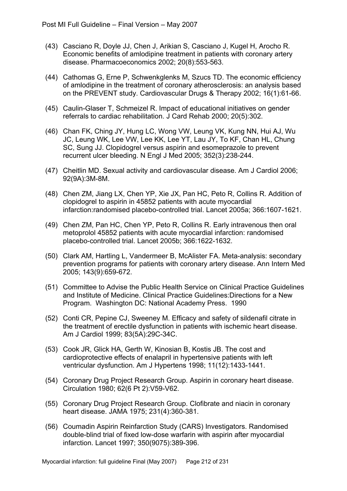- (43) Casciano R, Doyle JJ, Chen J, Arikian S, Casciano J, Kugel H, Arocho R. Economic benefits of amlodipine treatment in patients with coronary artery disease. Pharmacoeconomics 2002; 20(8):553-563.
- (44) Cathomas G, Erne P, Schwenkglenks M, Szucs TD. The economic efficiency of amlodipine in the treatment of coronary atherosclerosis: an analysis based on the PREVENT study. Cardiovascular Drugs & Therapy 2002; 16(1):61-66.
- (45) Caulin-Glaser T, Schmeizel R. Impact of educational initiatives on gender referrals to cardiac rehabilitation. J Card Rehab 2000; 20(5):302.
- (46) Chan FK, Ching JY, Hung LC, Wong VW, Leung VK, Kung NN, Hui AJ, Wu JC, Leung WK, Lee VW, Lee KK, Lee YT, Lau JY, To KF, Chan HL, Chung SC, Sung JJ. Clopidogrel versus aspirin and esomeprazole to prevent recurrent ulcer bleeding. N Engl J Med 2005; 352(3):238-244.
- (47) Cheitlin MD. Sexual activity and cardiovascular disease. Am J Cardiol 2006; 92(9A):3M-8M.
- (48) Chen ZM, Jiang LX, Chen YP, Xie JX, Pan HC, Peto R, Collins R. Addition of clopidogrel to aspirin in 45852 patients with acute myocardial infarction:randomised placebo-controlled trial. Lancet 2005a; 366:1607-1621.
- (49) Chen ZM, Pan HC, Chen YP, Peto R, Collins R. Early intravenous then oral metoprolol 45852 patients with acute myocardial infarction: randomised placebo-controlled trial. Lancet 2005b; 366:1622-1632.
- (50) Clark AM, Hartling L, Vandermeer B, McAlister FA. Meta-analysis: secondary prevention programs for patients with coronary artery disease. Ann Intern Med 2005; 143(9):659-672.
- (51) Committee to Advise the Public Health Service on Clinical Practice Guidelines and Institute of Medicine. Clinical Practice Guidelines:Directions for a New Program. Washington DC: National Academy Press. 1990
- (52) Conti CR, Pepine CJ, Sweeney M. Efficacy and safety of sildenafil citrate in the treatment of erectile dysfunction in patients with ischemic heart disease. Am J Cardiol 1999; 83(5A):29C-34C.
- (53) Cook JR, Glick HA, Gerth W, Kinosian B, Kostis JB. The cost and cardioprotective effects of enalapril in hypertensive patients with left ventricular dysfunction. Am J Hypertens 1998; 11(12):1433-1441.
- (54) Coronary Drug Project Research Group. Aspirin in coronary heart disease. Circulation 1980; 62(6 Pt 2):V59-V62.
- (55) Coronary Drug Project Research Group. Clofibrate and niacin in coronary heart disease. JAMA 1975; 231(4):360-381.
- (56) Coumadin Aspirin Reinfarction Study (CARS) Investigators. Randomised double-blind trial of fixed low-dose warfarin with aspirin after myocardial infarction. Lancet 1997; 350(9075):389-396.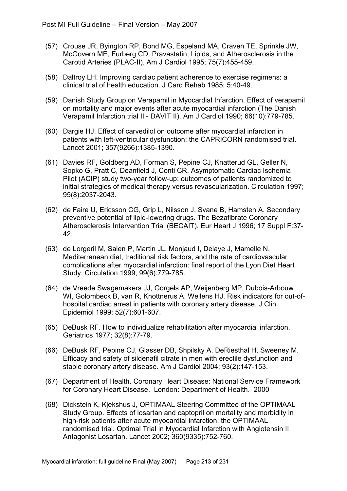- (57) Crouse JR, Byington RP, Bond MG, Espeland MA, Craven TE, Sprinkle JW, McGovern ME, Furberg CD. Pravastatin, Lipids, and Atherosclerosis in the Carotid Arteries (PLAC-II). Am J Cardiol 1995; 75(7):455-459.
- (58) Daltroy LH. Improving cardiac patient adherence to exercise regimens: a clinical trial of health education. J Card Rehab 1985; 5:40-49.
- (59) Danish Study Group on Verapamil in Myocardial Infarction. Effect of verapamil on mortality and major events after acute myocardial infarction (The Danish Verapamil Infarction trial II - DAVIT II). Am J Cardiol 1990; 66(10):779-785.
- (60) Dargie HJ. Effect of carvedilol on outcome after myocardial infarction in patients with left-ventricular dysfunction: the CAPRICORN randomised trial. Lancet 2001; 357(9266):1385-1390.
- (61) Davies RF, Goldberg AD, Forman S, Pepine CJ, Knatterud GL, Geller N, Sopko G, Pratt C, Deanfield J, Conti CR. Asymptomatic Cardiac Ischemia Pilot (ACIP) study two-year follow-up: outcomes of patients randomized to initial strategies of medical therapy versus revascularization. Circulation 1997; 95(8):2037-2043.
- (62) de Faire U, Ericsson CG, Grip L, Nilsson J, Svane B, Hamsten A. Secondary preventive potential of lipid-lowering drugs. The Bezafibrate Coronary Atherosclerosis Intervention Trial (BECAIT). Eur Heart J 1996; 17 Suppl F:37- 42.
- (63) de Lorgeril M, Salen P, Martin JL, Monjaud I, Delaye J, Mamelle N. Mediterranean diet, traditional risk factors, and the rate of cardiovascular complications after myocardial infarction: final report of the Lyon Diet Heart Study. Circulation 1999; 99(6):779-785.
- (64) de Vreede Swagemakers JJ, Gorgels AP, Weijenberg MP, Dubois-Arbouw WI, Golombeck B, van R, Knottnerus A, Wellens HJ. Risk indicators for out-ofhospital cardiac arrest in patients with coronary artery disease. J Clin Epidemiol 1999; 52(7):601-607.
- (65) DeBusk RF. How to individualize rehabilitation after myocardial infarction. Geriatrics 1977; 32(8):77-79.
- (66) DeBusk RF, Pepine CJ, Glasser DB, Shpilsky A, DeRiesthal H, Sweeney M. Efficacy and safety of sildenafil citrate in men with erectile dysfunction and stable coronary artery disease. Am J Cardiol 2004; 93(2):147-153.
- (67) Department of Health. Coronary Heart Disease: National Service Framework for Coronary Heart Disease. London: Department of Health. 2000
- (68) Dickstein K, Kjekshus J, OPTIMAAL Steering Committee of the OPTIMAAL Study Group. Effects of losartan and captopril on mortality and morbidity in high-risk patients after acute myocardial infarction: the OPTIMAAL randomised trial. Optimal Trial in Myocardial Infarction with Angiotensin II Antagonist Losartan. Lancet 2002; 360(9335):752-760.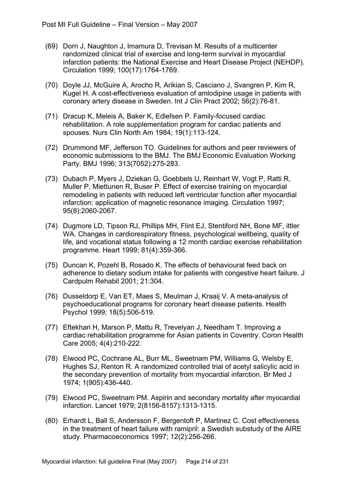- (69) Dorn J, Naughton J, Imamura D, Trevisan M. Results of a multicenter randomized clinical trial of exercise and long-term survival in myocardial infarction patients: the National Exercise and Heart Disease Project (NEHDP). Circulation 1999; 100(17):1764-1769.
- (70) Doyle JJ, McGuire A, Arocho R, Arikian S, Casciano J, Svangren P, Kim R, Kugel H. A cost-effectiveness evaluation of amlodipine usage in patients with coronary artery disease in Sweden. Int J Clin Pract 2002; 56(2):76-81.
- (71) Dracup K, Meleis A, Baker K, Edlefsen P. Family-focused cardiac rehabilitation. A role supplementation program for cardiac patients and spouses. Nurs Clin North Am 1984; 19(1):113-124.
- (72) Drummond MF, Jefferson TO. Guidelines for authors and peer reviewers of economic submissions to the BMJ. The BMJ Economic Evaluation Working Party. BMJ 1996; 313(7052):275-283.
- (73) Dubach P, Myers J, Dziekan G, Goebbels U, Reinhart W, Vogt P, Ratti R, Muller P, Miettunen R, Buser P. Effect of exercise training on myocardial remodeling in patients with reduced left ventricular function after myocardial infarction: application of magnetic resonance imaging. Circulation 1997; 95(8):2060-2067.
- (74) Dugmore LD, Tipson RJ, Phillips MH, Flint EJ, Stentiford NH, Bone MF, ittler WA. Changes in cardiorespiratory fitness, psychological wellbeing, quality of life, and vocational status following a 12 month cardiac exercise rehabilitation programme. Heart 1999; 81(4):359-366.
- (75) Duncan K, Pozehl B, Rosado K. The effects of behavioural feed back on adherence to dietary sodium intake for patients with congestive heart failure. J Cardpulm Rehabil 2001; 21:304.
- (76) Dusseldorp E, Van ET, Maes S, Meulman J, Kraaij V. A meta-analysis of psychoeducational programs for coronary heart disease patients. Health Psychol 1999; 18(5):506-519.
- (77) Eftekhari H, Marson P, Mattu R, Trevelyan J, Needham T. Improving a cardiac rehabilitation programme for Asian patients in Coventry. Coron Health Care 2005; 4(4):210-222.
- (78) Elwood PC, Cochrane AL, Burr ML, Sweetnam PM, Williams G, Welsby E, Hughes SJ, Renton R. A randomized controlled trial of acetyl salicylic acid in the secondary prevention of mortality from myocardial infarction. Br Med J 1974; 1(905):436-440.
- (79) Elwood PC, Sweetnam PM. Aspirin and secondary mortality after myocardial infarction. Lancet 1979; 2(8156-8157):1313-1315.
- (80) Erhardt L, Ball S, Andersson F, Bergentoft P, Martinez C. Cost effectiveness in the treatment of heart failure with ramipril: a Swedish substudy of the AIRE study. Pharmacoeconomics 1997; 12(2):256-266.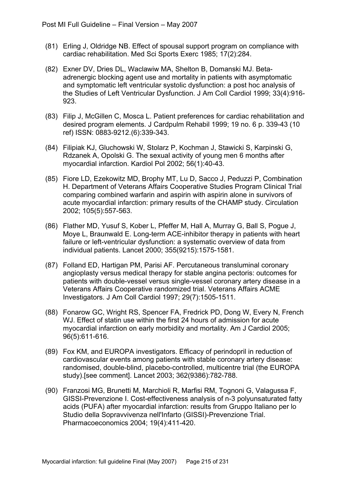- (81) Erling J, Oldridge NB. Effect of spousal support program on compliance with cardiac rehabilitation. Med Sci Sports Exerc 1985; 17(2):284.
- (82) Exner DV, Dries DL, Waclawiw MA, Shelton B, Domanski MJ. Betaadrenergic blocking agent use and mortality in patients with asymptomatic and symptomatic left ventricular systolic dysfunction: a post hoc analysis of the Studies of Left Ventricular Dysfunction. J Am Coll Cardiol 1999; 33(4):916- 923.
- (83) Filip J, McGillen C, Mosca L. Patient preferences for cardiac rehabilitation and desired program elements. J Cardpulm Rehabil 1999; 19 no. 6 p. 339-43 (10 ref) ISSN: 0883-9212.(6):339-343.
- (84) Filipiak KJ, Gluchowski W, Stolarz P, Kochman J, Stawicki S, Karpinski G, Rdzanek A, Opolski G. The sexual activity of young men 6 months after myocardial infarction. Kardiol Pol 2002; 56(1):40-43.
- (85) Fiore LD, Ezekowitz MD, Brophy MT, Lu D, Sacco J, Peduzzi P, Combination H. Department of Veterans Affairs Cooperative Studies Program Clinical Trial comparing combined warfarin and aspirin with aspirin alone in survivors of acute myocardial infarction: primary results of the CHAMP study. Circulation 2002; 105(5):557-563.
- (86) Flather MD, Yusuf S, Kober L, Pfeffer M, Hall A, Murray G, Ball S, Pogue J, Moye L, Braunwald E. Long-term ACE-inhibitor therapy in patients with heart failure or left-ventricular dysfunction: a systematic overview of data from individual patients. Lancet 2000; 355(9215):1575-1581.
- (87) Folland ED, Hartigan PM, Parisi AF. Percutaneous transluminal coronary angioplasty versus medical therapy for stable angina pectoris: outcomes for patients with double-vessel versus single-vessel coronary artery disease in a Veterans Affairs Cooperative randomized trial. Veterans Affairs ACME Investigators. J Am Coll Cardiol 1997; 29(7):1505-1511.
- (88) Fonarow GC, Wright RS, Spencer FA, Fredrick PD, Dong W, Every N, French WJ. Effect of statin use within the first 24 hours of admission for acute myocardial infarction on early morbidity and mortality. Am J Cardiol 2005; 96(5):611-616.
- (89) Fox KM, and EUROPA investigators. Efficacy of perindopril in reduction of cardiovascular events among patients with stable coronary artery disease: randomised, double-blind, placebo-controlled, multicentre trial (the EUROPA study).[see comment]. Lancet 2003; 362(9386):782-788.
- (90) Franzosi MG, Brunetti M, Marchioli R, Marfisi RM, Tognoni G, Valagussa F, GISSI-Prevenzione I. Cost-effectiveness analysis of n-3 polyunsaturated fatty acids (PUFA) after myocardial infarction: results from Gruppo Italiano per lo Studio della Sopravvivenza nell'Infarto (GISSI)-Prevenzione Trial. Pharmacoeconomics 2004; 19(4):411-420.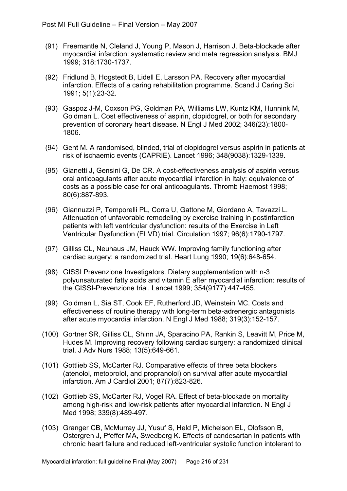- (91) Freemantle N, Cleland J, Young P, Mason J, Harrison J. Beta-blockade after myocardial infarction: systematic review and meta regression analysis. BMJ 1999; 318:1730-1737.
- (92) Fridlund B, Hogstedt B, Lidell E, Larsson PA. Recovery after myocardial infarction. Effects of a caring rehabilitation programme. Scand J Caring Sci 1991; 5(1):23-32.
- (93) Gaspoz J-M, Coxson PG, Goldman PA, Williams LW, Kuntz KM, Hunnink M, Goldman L. Cost effectiveness of aspirin, clopidogrel, or both for secondary prevention of coronary heart disease. N Engl J Med 2002; 346(23):1800- 1806.
- (94) Gent M. A randomised, blinded, trial of clopidogrel versus aspirin in patients at risk of ischaemic events (CAPRIE). Lancet 1996; 348(9038):1329-1339.
- (95) Gianetti J, Gensini G, De CR. A cost-effectiveness analysis of aspirin versus oral anticoagulants after acute myocardial infarction in Italy: equivalence of costs as a possible case for oral anticoagulants. Thromb Haemost 1998; 80(6):887-893.
- (96) Giannuzzi P, Temporelli PL, Corra U, Gattone M, Giordano A, Tavazzi L. Attenuation of unfavorable remodeling by exercise training in postinfarction patients with left ventricular dysfunction: results of the Exercise in Left Ventricular Dysfunction (ELVD) trial. Circulation 1997; 96(6):1790-1797.
- (97) Gilliss CL, Neuhaus JM, Hauck WW. Improving family functioning after cardiac surgery: a randomized trial. Heart Lung 1990; 19(6):648-654.
- (98) GISSI Prevenzione Investigators. Dietary supplementation with n-3 polyunsaturated fatty acids and vitamin E after myocardial infarction: results of the GISSI-Prevenzione trial. Lancet 1999; 354(9177):447-455.
- (99) Goldman L, Sia ST, Cook EF, Rutherford JD, Weinstein MC. Costs and effectiveness of routine therapy with long-term beta-adrenergic antagonists after acute myocardial infarction. N Engl J Med 1988; 319(3):152-157.
- (100) Gortner SR, Gilliss CL, Shinn JA, Sparacino PA, Rankin S, Leavitt M, Price M, Hudes M. Improving recovery following cardiac surgery: a randomized clinical trial. J Adv Nurs 1988; 13(5):649-661.
- (101) Gottlieb SS, McCarter RJ. Comparative effects of three beta blockers (atenolol, metoprolol, and propranolol) on survival after acute myocardial infarction. Am J Cardiol 2001; 87(7):823-826.
- (102) Gottlieb SS, McCarter RJ, Vogel RA. Effect of beta-blockade on mortality among high-risk and low-risk patients after myocardial infarction. N Engl J Med 1998; 339(8):489-497.
- (103) Granger CB, McMurray JJ, Yusuf S, Held P, Michelson EL, Olofsson B, Ostergren J, Pfeffer MA, Swedberg K. Effects of candesartan in patients with chronic heart failure and reduced left-ventricular systolic function intolerant to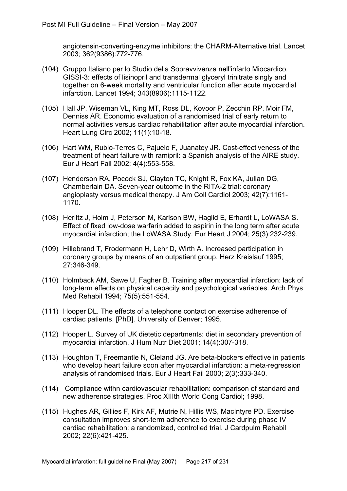angiotensin-converting-enzyme inhibitors: the CHARM-Alternative trial. Lancet 2003; 362(9386):772-776.

- (104) Gruppo Italiano per lo Studio della Sopravvivenza nell'infarto Miocardico. GISSI-3: effects of lisinopril and transdermal glyceryl trinitrate singly and together on 6-week mortality and ventricular function after acute myocardial infarction. Lancet 1994; 343(8906):1115-1122.
- (105) Hall JP, Wiseman VL, King MT, Ross DL, Kovoor P, Zecchin RP, Moir FM, Denniss AR. Economic evaluation of a randomised trial of early return to normal activities versus cardiac rehabilitation after acute myocardial infarction. Heart Lung Circ 2002; 11(1):10-18.
- (106) Hart WM, Rubio-Terres C, Pajuelo F, Juanatey JR. Cost-effectiveness of the treatment of heart failure with ramipril: a Spanish analysis of the AIRE study. Eur J Heart Fail 2002; 4(4):553-558.
- (107) Henderson RA, Pocock SJ, Clayton TC, Knight R, Fox KA, Julian DG, Chamberlain DA. Seven-year outcome in the RITA-2 trial: coronary angioplasty versus medical therapy. J Am Coll Cardiol 2003; 42(7):1161- 1170.
- (108) Herlitz J, Holm J, Peterson M, Karlson BW, Haglid E, Erhardt L, LoWASA S. Effect of fixed low-dose warfarin added to aspirin in the long term after acute myocardial infarction; the LoWASA Study. Eur Heart J 2004; 25(3):232-239.
- (109) Hillebrand T, Frodermann H, Lehr D, Wirth A. Increased participation in coronary groups by means of an outpatient group. Herz Kreislauf 1995; 27:346-349.
- (110) Holmback AM, Sawe U, Fagher B. Training after myocardial infarction: lack of long-term effects on physical capacity and psychological variables. Arch Phys Med Rehabil 1994; 75(5):551-554.
- (111) Hooper DL. The effects of a telephone contact on exercise adherence of cardiac patients. [PhD]. University of Denver; 1995.
- (112) Hooper L. Survey of UK dietetic departments: diet in secondary prevention of myocardial infarction. J Hum Nutr Diet 2001; 14(4):307-318.
- (113) Houghton T, Freemantle N, Cleland JG. Are beta-blockers effective in patients who develop heart failure soon after myocardial infarction: a meta-regression analysis of randomised trials. Eur J Heart Fail 2000; 2(3):333-340.
- (114) Compliance withn cardiovascular rehabilitation: comparison of standard and new adherence strategies. Proc XIIIth World Cong Cardiol; 1998.
- (115) Hughes AR, Gillies F, Kirk AF, Mutrie N, Hillis WS, MacIntyre PD. Exercise consultation improves short-term adherence to exercise during phase IV cardiac rehabilitation: a randomized, controlled trial. J Cardpulm Rehabil 2002; 22(6):421-425.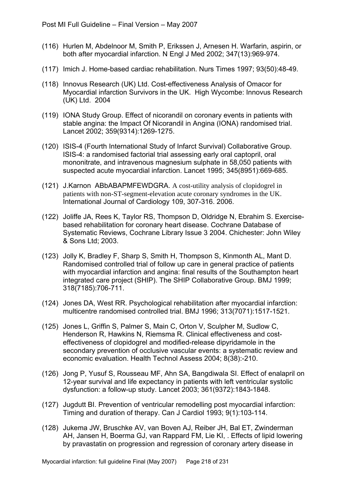- (116) Hurlen M, Abdelnoor M, Smith P, Erikssen J, Arnesen H. Warfarin, aspirin, or both after myocardial infarction. N Engl J Med 2002; 347(13):969-974.
- (117) Imich J. Home-based cardiac rehabilitation. Nurs Times 1997; 93(50):48-49.
- (118) Innovus Research (UK) Ltd. Cost-effectiveness Analysis of Omacor for Myocardial infarction Survivors in the UK. High Wycombe: Innovus Research (UK) Ltd. 2004
- (119) IONA Study Group. Effect of nicorandil on coronary events in patients with stable angina: the Impact Of Nicorandil in Angina (IONA) randomised trial. Lancet 2002; 359(9314):1269-1275.
- (120) ISIS-4 (Fourth International Study of Infarct Survival) Collaborative Group. ISIS-4: a randomised factorial trial assessing early oral captopril, oral mononitrate, and intravenous magnesium sulphate in 58,050 patients with suspected acute myocardial infarction. Lancet 1995; 345(8951):669-685.
- (121) J.Karnon ABbABAPMFEWDGRA. A cost-utility analysis of clopidogrel in patients with non-ST-segment-elevation acute coronary syndromes in the UK. International Journal of Cardiology 109, 307-316. 2006.
- (122) Joliffe JA, Rees K, Taylor RS, Thompson D, Oldridge N, Ebrahim S. Exercisebased rehabilitation for coronary heart disease. Cochrane Database of Systematic Reviews, Cochrane Library Issue 3 2004. Chichester: John Wiley & Sons Ltd; 2003.
- (123) Jolly K, Bradley F, Sharp S, Smith H, Thompson S, Kinmonth AL, Mant D. Randomised controlled trial of follow up care in general practice of patients with myocardial infarction and angina: final results of the Southampton heart integrated care project (SHIP). The SHIP Collaborative Group. BMJ 1999; 318(7185):706-711.
- (124) Jones DA, West RR. Psychological rehabilitation after myocardial infarction: multicentre randomised controlled trial. BMJ 1996; 313(7071):1517-1521.
- (125) Jones L, Griffin S, Palmer S, Main C, Orton V, Sculpher M, Sudlow C, Henderson R, Hawkins N, Riemsma R. Clinical effectiveness and costeffectiveness of clopidogrel and modified-release dipyridamole in the secondary prevention of occlusive vascular events: a systematic review and economic evaluation. Health Technol Assess 2004; 8(38):-210.
- (126) Jong P, Yusuf S, Rousseau MF, Ahn SA, Bangdiwala SI. Effect of enalapril on 12-year survival and life expectancy in patients with left ventricular systolic dysfunction: a follow-up study. Lancet 2003; 361(9372):1843-1848.
- (127) Jugdutt BI. Prevention of ventricular remodelling post myocardial infarction: Timing and duration of therapy. Can J Cardiol 1993; 9(1):103-114.
- (128) Jukema JW, Bruschke AV, van Boven AJ, Reiber JH, Bal ET, Zwinderman AH, Jansen H, Boerma GJ, van Rappard FM, Lie KI, . Effects of lipid lowering by pravastatin on progression and regression of coronary artery disease in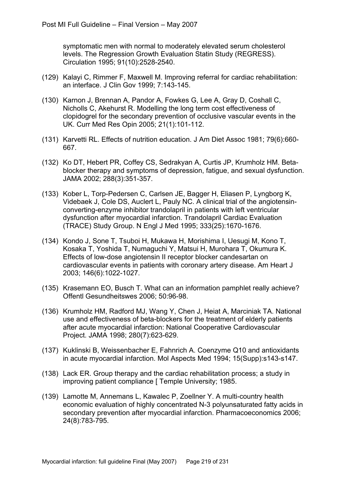symptomatic men with normal to moderately elevated serum cholesterol levels. The Regression Growth Evaluation Statin Study (REGRESS). Circulation 1995; 91(10):2528-2540.

- (129) Kalayi C, Rimmer F, Maxwell M. Improving referral for cardiac rehabilitation: an interface. J Clin Gov 1999; 7:143-145.
- (130) Karnon J, Brennan A, Pandor A, Fowkes G, Lee A, Gray D, Coshall C, Nicholls C, Akehurst R. Modelling the long term cost effectiveness of clopidogrel for the secondary prevention of occlusive vascular events in the UK. Curr Med Res Opin 2005; 21(1):101-112.
- (131) Karvetti RL. Effects of nutrition education. J Am Diet Assoc 1981; 79(6):660- 667.
- (132) Ko DT, Hebert PR, Coffey CS, Sedrakyan A, Curtis JP, Krumholz HM. Betablocker therapy and symptoms of depression, fatigue, and sexual dysfunction. JAMA 2002; 288(3):351-357.
- (133) Kober L, Torp-Pedersen C, Carlsen JE, Bagger H, Eliasen P, Lyngborg K, Videbaek J, Cole DS, Auclert L, Pauly NC. A clinical trial of the angiotensinconverting-enzyme inhibitor trandolapril in patients with left ventricular dysfunction after myocardial infarction. Trandolapril Cardiac Evaluation (TRACE) Study Group. N Engl J Med 1995; 333(25):1670-1676.
- (134) Kondo J, Sone T, Tsuboi H, Mukawa H, Morishima I, Uesugi M, Kono T, Kosaka T, Yoshida T, Numaguchi Y, Matsui H, Murohara T, Okumura K. Effects of low-dose angiotensin II receptor blocker candesartan on cardiovascular events in patients with coronary artery disease. Am Heart J 2003; 146(6):1022-1027.
- (135) Krasemann EO, Busch T. What can an information pamphlet really achieve? Offentl Gesundheitswes 2006; 50:96-98.
- (136) Krumholz HM, Radford MJ, Wang Y, Chen J, Heiat A, Marciniak TA. National use and effectiveness of beta-blockers for the treatment of elderly patients after acute myocardial infarction: National Cooperative Cardiovascular Project. JAMA 1998; 280(7):623-629.
- (137) Kuklinski B, Weissenbacher E, Fahnrich A. Coenzyme Q10 and antioxidants in acute myocardial infarction. Mol Aspects Med 1994; 15(Supp):s143-s147.
- (138) Lack ER. Group therapy and the cardiac rehabilitation process; a study in improving patient compliance [ Temple University; 1985.
- (139) Lamotte M, Annemans L, Kawalec P, Zoellner Y. A multi-country health economic evaluation of highly concentrated N-3 polyunsaturated fatty acids in secondary prevention after myocardial infarction. Pharmacoeconomics 2006; 24(8):783-795.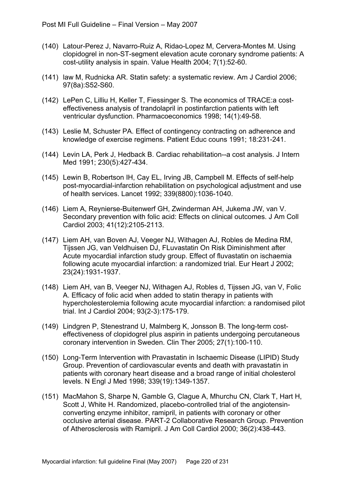- (140) Latour-Perez J, Navarro-Ruiz A, Ridao-Lopez M, Cervera-Montes M. Using clopidogrel in non-ST-segment elevation acute coronary syndrome patients: A cost-utility analysis in spain. Value Health 2004; 7(1):52-60.
- (141) law M, Rudnicka AR. Statin safety: a systematic review. Am J Cardiol 2006; 97(8a):S52-S60.
- (142) LePen C, Lilliu H, Keller T, Fiessinger S. The economics of TRACE:a costeffectiveness analysis of trandolapril in postinfarction patients with left ventricular dysfunction. Pharmacoeconomics 1998; 14(1):49-58.
- (143) Leslie M, Schuster PA. Effect of contingency contracting on adherence and knowledge of exercise regimens. Patient Educ couns 1991; 18:231-241.
- (144) Levin LA, Perk J, Hedback B. Cardiac rehabilitation--a cost analysis. J Intern Med 1991; 230(5): 427-434.
- (145) Lewin B, Robertson IH, Cay EL, Irving JB, Campbell M. Effects of self-help post-myocardial-infarction rehabilitation on psychological adjustment and use of health services. Lancet 1992; 339(8800):1036-1040.
- (146) Liem A, Reynierse-Buitenwerf GH, Zwinderman AH, Jukema JW, van V. Secondary prevention with folic acid: Effects on clinical outcomes. J Am Coll Cardiol 2003; 41(12):2105-2113.
- (147) Liem AH, van Boven AJ, Veeger NJ, Withagen AJ, Robles de Medina RM, Tijssen JG, van Veldhuisen DJ, FLuvastatin On Risk Diminishment after Acute myocardial infarction study group. Effect of fluvastatin on ischaemia following acute myocardial infarction: a randomized trial. Eur Heart J 2002; 23(24):1931-1937.
- (148) Liem AH, van B, Veeger NJ, Withagen AJ, Robles d, Tijssen JG, van V, Folic A. Efficacy of folic acid when added to statin therapy in patients with hypercholesterolemia following acute myocardial infarction: a randomised pilot trial. Int J Cardiol 2004; 93(2-3):175-179.
- (149) Lindgren P, Stenestrand U, Malmberg K, Jonsson B. The long-term costeffectiveness of clopidogrel plus aspirin in patients undergoing percutaneous coronary intervention in Sweden. Clin Ther 2005; 27(1):100-110.
- (150) Long-Term Intervention with Pravastatin in Ischaemic Disease (LIPID) Study Group. Prevention of cardiovascular events and death with pravastatin in patients with coronary heart disease and a broad range of initial cholesterol levels. N Engl J Med 1998; 339(19):1349-1357.
- (151) MacMahon S, Sharpe N, Gamble G, Clague A, Mhurchu CN, Clark T, Hart H, Scott J, White H. Randomized, placebo-controlled trial of the angiotensinconverting enzyme inhibitor, ramipril, in patients with coronary or other occlusive arterial disease. PART-2 Collaborative Research Group. Prevention of Atherosclerosis with Ramipril. J Am Coll Cardiol 2000; 36(2):438-443.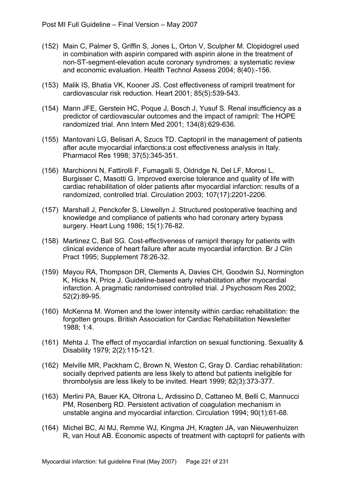- (152) Main C, Palmer S, Griffin S, Jones L, Orton V, Sculpher M. Clopidogrel used in combination with aspirin compared with aspirin alone in the treatment of non-ST-segment-elevation acute coronary syndromes: a systematic review and economic evaluation. Health Technol Assess 2004; 8(40):-156.
- (153) Malik IS, Bhatia VK, Kooner JS. Cost effectiveness of ramipril treatment for cardiovascular risk reduction. Heart 2001; 85(5):539-543.
- (154) Mann JFE, Gerstein HC, Poque J, Bosch J, Yusuf S. Renal insufficiency as a predictor of cardiovascular outcomes and the impact of ramipril: The HOPE randomized trial. Ann Intern Med 2001; 134(8):629-636.
- (155) Mantovani LG, Belisari A, Szucs TD. Captopril in the management of patients after acute myocardial infarctions:a cost effectiveness analysis in Italy. Pharmacol Res 1998; 37(5):345-351.
- (156) Marchionni N, Fattirolli F, Fumagalli S, Oldridge N, Del LF, Morosi L, Burgisser C, Masotti G. Improved exercise tolerance and quality of life with cardiac rehabilitation of older patients after myocardial infarction: results of a randomized, controlled trial. Circulation 2003; 107(17):2201-2206.
- (157) Marshall J, Penckofer S, Llewellyn J. Structured postoperative teaching and knowledge and compliance of patients who had coronary artery bypass surgery. Heart Lung 1986; 15(1):76-82.
- (158) Martinez C, Ball SG. Cost-effectiveness of ramipril therapy for patients with clinical evidence of heart failure after acute myocardial infarction. Br J Clin Pract 1995; Supplement 78:26-32.
- (159) Mayou RA, Thompson DR, Clements A, Davies CH, Goodwin SJ, Normington K, Hicks N, Price J. Guideline-based early rehabilitation after myocardial infarction. A pragmatic randomised controlled trial. J Psychosom Res 2002; 52(2):89-95.
- (160) McKenna M. Women and the lower intensity within cardiac rehabilitation: the forgotten groups. British Association for Cardiac Rehabilitation Newsletter 1988; 1:4.
- (161) Mehta J. The effect of myocardial infarction on sexual functioning. Sexuality & Disability 1979; 2(2):115-121.
- (162) Melville MR, Packham C, Brown N, Weston C, Gray D. Cardiac rehabilitation: socially deprived patients are less likely to attend but patients ineligible for thrombolysis are less likely to be invited. Heart 1999; 82(3):373-377.
- (163) Merlini PA, Bauer KA, Oltrona L, Ardissino D, Cattaneo M, Belli C, Mannucci PM, Rosenberg RD. Persistent activation of coagulation mechanism in unstable angina and myocardial infarction. Circulation 1994; 90(1):61-68.
- (164) Michel BC, Al MJ, Remme WJ, Kingma JH, Kragten JA, van Nieuwenhuizen R, van Hout AB. Economic aspects of treatment with captopril for patients with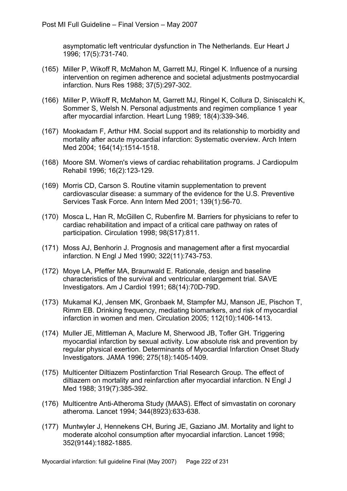asymptomatic left ventricular dysfunction in The Netherlands. Eur Heart J 1996; 17(5):731-740.

- (165) Miller P, Wikoff R, McMahon M, Garrett MJ, Ringel K. Influence of a nursing intervention on regimen adherence and societal adjustments postmyocardial infarction. Nurs Res 1988; 37(5):297-302.
- (166) Miller P, Wikoff R, McMahon M, Garrett MJ, Ringel K, Collura D, Siniscalchi K, Sommer S, Welsh N. Personal adjustments and regimen compliance 1 year after myocardial infarction. Heart Lung 1989; 18(4):339-346.
- (167) Mookadam F, Arthur HM. Social support and its relationship to morbidity and mortality after acute myocardial infarction: Systematic overview. Arch Intern Med 2004; 164(14):1514-1518.
- (168) Moore SM. Women's views of cardiac rehabilitation programs. J Cardiopulm Rehabil 1996; 16(2):123-129.
- (169) Morris CD, Carson S. Routine vitamin supplementation to prevent cardiovascular disease: a summary of the evidence for the U.S. Preventive Services Task Force. Ann Intern Med 2001; 139(1):56-70.
- (170) Mosca L, Han R, McGillen C, Rubenfire M. Barriers for physicians to refer to cardiac rehabilitation and impact of a critical care pathway on rates of participation. Circulation 1998; 98(S17):811.
- (171) Moss AJ, Benhorin J. Prognosis and management after a first myocardial infarction. N Engl J Med 1990; 322(11):743-753.
- (172) Moye LA, Pfeffer MA, Braunwald E. Rationale, design and baseline characteristics of the survival and ventricular enlargement trial. SAVE Investigators. Am J Cardiol 1991; 68(14):70D-79D.
- (173) Mukamal KJ, Jensen MK, Gronbaek M, Stampfer MJ, Manson JE, Pischon T, Rimm EB. Drinking frequency, mediating biomarkers, and risk of myocardial infarction in women and men. Circulation 2005; 112(10):1406-1413.
- (174) Muller JE, Mittleman A, Maclure M, Sherwood JB, Tofler GH. Triggering myocardial infarction by sexual activity. Low absolute risk and prevention by regular physical exertion. Determinants of Myocardial Infarction Onset Study Investigators. JAMA 1996; 275(18):1405-1409.
- (175) Multicenter Diltiazem Postinfarction Trial Research Group. The effect of diltiazem on mortality and reinfarction after myocardial infarction. N Engl J Med 1988; 319(7):385-392.
- (176) Multicentre Anti-Atheroma Study (MAAS). Effect of simvastatin on coronary atheroma. Lancet 1994; 344(8923):633-638.
- (177) Muntwyler J, Hennekens CH, Buring JE, Gaziano JM. Mortality and light to moderate alcohol consumption after myocardial infarction. Lancet 1998; 352(9144):1882-1885.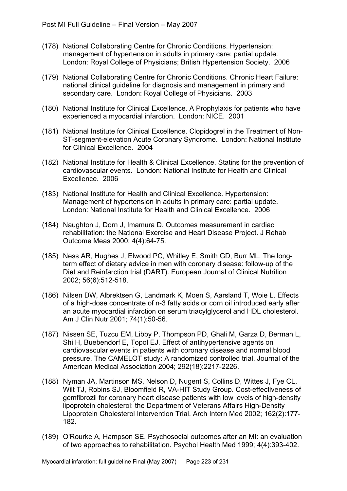- (178) National Collaborating Centre for Chronic Conditions. Hypertension: management of hypertension in adults in primary care; partial update. London: Royal College of Physicians; British Hypertension Society. 2006
- (179) National Collaborating Centre for Chronic Conditions. Chronic Heart Failure: national clinical guideline for diagnosis and management in primary and secondary care. London: Royal College of Physicians. 2003
- (180) National Institute for Clinical Excellence. A Prophylaxis for patients who have experienced a myocardial infarction. London: NICE. 2001
- (181) National Institute for Clinical Excellence. Clopidogrel in the Treatment of Non-ST-segment-elevation Acute Coronary Syndrome. London: National Institute for Clinical Excellence. 2004
- (182) National Institute for Health & Clinical Excellence. Statins for the prevention of cardiovascular events. London: National Institute for Health and Clinical Excellence. 2006
- (183) National Institute for Health and Clinical Excellence. Hypertension: Management of hypertension in adults in primary care: partial update. London: National Institute for Health and Clinical Excellence. 2006
- (184) Naughton J, Dorn J, Imamura D. Outcomes measurement in cardiac rehabilitation: the National Exercise and Heart Disease Project. J Rehab Outcome Meas 2000; 4(4):64-75.
- (185) Ness AR, Hughes J, Elwood PC, Whitley E, Smith GD, Burr ML. The longterm effect of dietary advice in men with coronary disease: follow-up of the Diet and Reinfarction trial (DART). European Journal of Clinical Nutrition 2002; 56(6):512-518.
- (186) Nilsen DW, Albrektsen G, Landmark K, Moen S, Aarsland T, Woie L. Effects of a high-dose concentrate of n-3 fatty acids or corn oil introduced early after an acute myocardial infarction on serum triacylglycerol and HDL cholesterol. Am J Clin Nutr 2001; 74(1):50-56.
- (187) Nissen SE, Tuzcu EM, Libby P, Thompson PD, Ghali M, Garza D, Berman L, Shi H, Buebendorf E, Topol EJ. Effect of antihypertensive agents on cardiovascular events in patients with coronary disease and normal blood pressure. The CAMELOT study: A randomized controlled trial. Journal of the American Medical Association 2004; 292(18):2217-2226.
- (188) Nyman JA, Martinson MS, Nelson D, Nugent S, Collins D, Wittes J, Fye CL, Wilt TJ, Robins SJ, Bloomfield R, VA-HIT Study Group. Cost-effectiveness of gemfibrozil for coronary heart disease patients with low levels of high-density lipoprotein cholesterol: the Department of Veterans Affairs High-Density Lipoprotein Cholesterol Intervention Trial. Arch Intern Med 2002; 162(2):177- 182.
- (189) O'Rourke A, Hampson SE. Psychosocial outcomes after an MI: an evaluation of two approaches to rehabilitation. Psychol Health Med 1999; 4(4):393-402.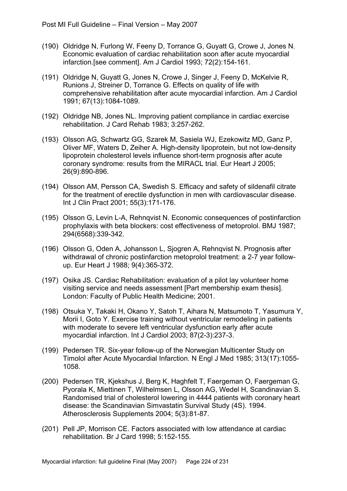- (190) Oldridge N, Furlong W, Feeny D, Torrance G, Guyatt G, Crowe J, Jones N. Economic evaluation of cardiac rehabilitation soon after acute myocardial infarction.[see comment]. Am J Cardiol 1993; 72(2):154-161.
- (191) Oldridge N, Guyatt G, Jones N, Crowe J, Singer J, Feeny D, McKelvie R, Runions J, Streiner D, Torrance G. Effects on quality of life with comprehensive rehabilitation after acute myocardial infarction. Am J Cardiol 1991; 67(13):1084-1089.
- (192) Oldridge NB, Jones NL. Improving patient compliance in cardiac exercise rehabilitation. J Card Rehab 1983; 3:257-262.
- (193) Olsson AG, Schwartz GG, Szarek M, Sasiela WJ, Ezekowitz MD, Ganz P, Oliver MF, Waters D, Zeiher A. High-density lipoprotein, but not low-density lipoprotein cholesterol levels influence short-term prognosis after acute coronary syndrome: results from the MIRACL trial. Eur Heart J 2005; 26(9):890-896.
- (194) Olsson AM, Persson CA, Swedish S. Efficacy and safety of sildenafil citrate for the treatment of erectile dysfunction in men with cardiovascular disease. Int J Clin Pract 2001; 55(3):171-176.
- (195) Olsson G, Levin L-A, Rehnqvist N. Economic consequences of postinfarction prophylaxis with beta blockers: cost effectiveness of metoprolol. BMJ 1987; 294(6568):339-342.
- (196) Olsson G, Oden A, Johansson L, Sjogren A, Rehnqvist N. Prognosis after withdrawal of chronic postinfarction metoprolol treatment: a 2-7 year followup. Eur Heart J 1988; 9(4):365-372.
- (197) Osika JS. Cardiac Rehabilitation: evaluation of a pilot lay volunteer home visiting service and needs assessment [Part membership exam thesis]. London: Faculty of Public Health Medicine; 2001.
- (198) Otsuka Y, Takaki H, Okano Y, Satoh T, Aihara N, Matsumoto T, Yasumura Y, Morii I, Goto Y. Exercise training without ventricular remodeling in patients with moderate to severe left ventricular dysfunction early after acute myocardial infarction. Int J Cardiol 2003; 87(2-3):237-3.
- (199) Pedersen TR. Six-year follow-up of the Norwegian Multicenter Study on Timolol after Acute Myocardial Infarction. N Engl J Med 1985; 313(17):1055- 1058.
- (200) Pedersen TR, Kjekshus J, Berg K, Haghfelt T, Faergeman O, Faergeman G, Pyorala K, Miettinen T, Wilhelmsen L, Olsson AG, Wedel H, Scandinavian S. Randomised trial of cholesterol lowering in 4444 patients with coronary heart disease: the Scandinavian Simvastatin Survival Study (4S). 1994. Atherosclerosis Supplements 2004; 5(3):81-87.
- (201) Pell JP, Morrison CE. Factors associated with low attendance at cardiac rehabilitation. Br J Card 1998; 5:152-155.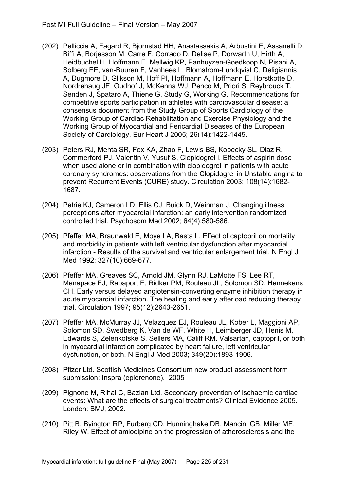- (202) Pelliccia A, Fagard R, Bjornstad HH, Anastassakis A, Arbustini E, Assanelli D, Biffi A, Borjesson M, Carre F, Corrado D, Delise P, Dorwarth U, Hirth A, Heidbuchel H, Hoffmann E, Mellwig KP, Panhuyzen-Goedkoop N, Pisani A, Solberg EE, van-Buuren F, Vanhees L, Blomstrom-Lundqvist C, Deligiannis A, Dugmore D, Glikson M, Hoff PI, Hoffmann A, Hoffmann E, Horstkotte D, Nordrehaug JE, Oudhof J, McKenna WJ, Penco M, Priori S, Reybrouck T, Senden J, Spataro A, Thiene G, Study G, Working G. Recommendations for competitive sports participation in athletes with cardiovascular disease: a consensus document from the Study Group of Sports Cardiology of the Working Group of Cardiac Rehabilitation and Exercise Physiology and the Working Group of Myocardial and Pericardial Diseases of the European Society of Cardiology. Eur Heart J 2005; 26(14):1422-1445.
- (203) Peters RJ, Mehta SR, Fox KA, Zhao F, Lewis BS, Kopecky SL, Diaz R, Commerford PJ, Valentin V, Yusuf S, Clopidogrel i. Effects of aspirin dose when used alone or in combination with clopidogrel in patients with acute coronary syndromes: observations from the Clopidogrel in Unstable angina to prevent Recurrent Events (CURE) study. Circulation 2003; 108(14):1682- 1687.
- (204) Petrie KJ, Cameron LD, Ellis CJ, Buick D, Weinman J. Changing illness perceptions after myocardial infarction: an early intervention randomized controlled trial. Psychosom Med 2002; 64(4):580-586.
- (205) Pfeffer MA, Braunwald E, Moye LA, Basta L. Effect of captopril on mortality and morbidity in patients with left ventricular dysfunction after myocardial infarction - Results of the survival and ventricular enlargement trial. N Engl J Med 1992; 327(10):669-677.
- (206) Pfeffer MA, Greaves SC, Arnold JM, Glynn RJ, LaMotte FS, Lee RT, Menapace FJ, Rapaport E, Ridker PM, Rouleau JL, Solomon SD, Hennekens CH. Early versus delayed angiotensin-converting enzyme inhibition therapy in acute myocardial infarction. The healing and early afterload reducing therapy trial. Circulation 1997; 95(12):2643-2651.
- (207) Pfeffer MA, McMurray JJ, Velazquez EJ, Rouleau JL, Kober L, Maggioni AP, Solomon SD, Swedberg K, Van de WF, White H, Leimberger JD, Henis M, Edwards S, Zelenkofske S, Sellers MA, Califf RM. Valsartan, captopril, or both in myocardial infarction complicated by heart failure, left ventricular dysfunction, or both. N Engl J Med 2003; 349(20):1893-1906.
- (208) Pfizer Ltd. Scottish Medicines Consortium new product assessment form submission: Inspra (eplerenone). 2005
- (209) Pignone M, Rihal C, Bazian Ltd. Secondary prevention of ischaemic cardiac events: What are the effects of surgical treatments? Clinical Evidence 2005. London: BMJ; 2002.
- (210) Pitt B, Byington RP, Furberg CD, Hunninghake DB, Mancini GB, Miller ME, Riley W. Effect of amlodipine on the progression of atherosclerosis and the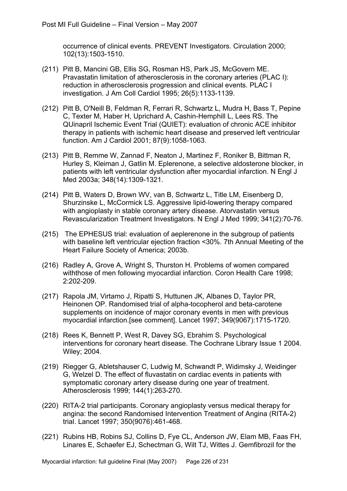occurrence of clinical events. PREVENT Investigators. Circulation 2000; 102(13):1503-1510.

- (211) Pitt B, Mancini GB, Ellis SG, Rosman HS, Park JS, McGovern ME. Pravastatin limitation of atherosclerosis in the coronary arteries (PLAC I): reduction in atherosclerosis progression and clinical events. PLAC I investigation. J Am Coll Cardiol 1995; 26(5):1133-1139.
- (212) Pitt B, O'Neill B, Feldman R, Ferrari R, Schwartz L, Mudra H, Bass T, Pepine C, Texter M, Haber H, Uprichard A, Cashin-Hemphill L, Lees RS. The QUinapril Ischemic Event Trial (QUIET): evaluation of chronic ACE inhibitor therapy in patients with ischemic heart disease and preserved left ventricular function. Am J Cardiol 2001; 87(9):1058-1063.
- (213) Pitt B, Remme W, Zannad F, Neaton J, Martinez F, Roniker B, Bittman R, Hurley S, Kleiman J, Gatlin M. Eplerenone, a selective aldosterone blocker, in patients with left ventricular dysfunction after myocardial infarction. N Engl J Med 2003a; 348(14):1309-1321.
- (214) Pitt B, Waters D, Brown WV, van B, Schwartz L, Title LM, Eisenberg D, Shurzinske L, McCormick LS. Aggressive lipid-lowering therapy compared with angioplasty in stable coronary artery disease. Atorvastatin versus Revascularization Treatment Investigators. N Engl J Med 1999; 341(2):70-76.
- (215) The EPHESUS trial: evaluation of aeplerenone in the subgroup of patients with baseline left ventricular ejection fraction <30%. 7th Annual Meeting of the Heart Failure Society of America; 2003b.
- (216) Radley A, Grove A, Wright S, Thurston H. Problems of women compared withthose of men following myocardial infarction. Coron Health Care 1998; 2:202-209.
- (217) Rapola JM, Virtamo J, Ripatti S, Huttunen JK, Albanes D, Taylor PR, Heinonen OP. Randomised trial of alpha-tocopherol and beta-carotene supplements on incidence of major coronary events in men with previous myocardial infarction.[see comment]. Lancet 1997; 349(9067):1715-1720.
- (218) Rees K, Bennett P, West R, Davey SG, Ebrahim S. Psychological interventions for coronary heart disease. The Cochrane Library Issue 1 2004. Wiley; 2004.
- (219) Riegger G, Abletshauser C, Ludwig M, Schwandt P, Widimsky J, Weidinger G, Welzel D. The effect of fluvastatin on cardiac events in patients with symptomatic coronary artery disease during one year of treatment. Atherosclerosis 1999; 144(1):263-270.
- (220) RITA-2 trial participants. Coronary angioplasty versus medical therapy for angina: the second Randomised Intervention Treatment of Angina (RITA-2) trial. Lancet 1997; 350(9076):461-468.
- (221) Rubins HB, Robins SJ, Collins D, Fye CL, Anderson JW, Elam MB, Faas FH, Linares E, Schaefer EJ, Schectman G, Wilt TJ, Wittes J. Gemfibrozil for the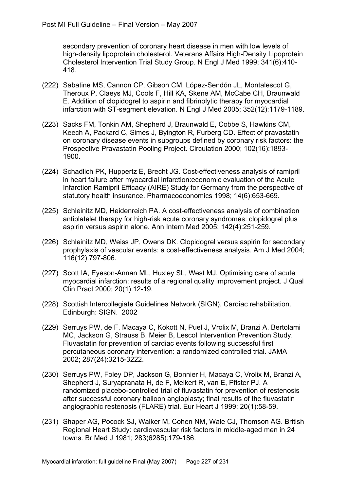secondary prevention of coronary heart disease in men with low levels of high-density lipoprotein cholesterol. Veterans Affairs High-Density Lipoprotein Cholesterol Intervention Trial Study Group. N Engl J Med 1999; 341(6):410- 418.

- (222) Sabatine MS, Cannon CP, Gibson CM, López-Sendón JL, Montalescot G, Theroux P, Claeys MJ, Cools F, Hill KA, Skene AM, McCabe CH, Braunwald E. Addition of clopidogrel to aspirin and fibrinolytic therapy for myocardial infarction with ST-segment elevation. N Engl J Med 2005; 352(12):1179-1189.
- (223) Sacks FM, Tonkin AM, Shepherd J, Braunwald E, Cobbe S, Hawkins CM, Keech A, Packard C, Simes J, Byington R, Furberg CD. Effect of pravastatin on coronary disease events in subgroups defined by coronary risk factors: the Prospective Pravastatin Pooling Project. Circulation 2000; 102(16):1893- 1900.
- (224) Schadlich PK, Huppertz E, Brecht JG. Cost-effectiveness analysis of ramipril in heart failure after myocardial infarction:economic evaluation of the Acute Infarction Ramipril Efficacy (AIRE) Study for Germany from the perspective of statutory health insurance. Pharmacoeconomics 1998; 14(6):653-669.
- (225) Schleinitz MD, Heidenreich PA. A cost-effectiveness analysis of combination antiplatelet therapy for high-risk acute coronary syndromes: clopidogrel plus aspirin versus aspirin alone. Ann Intern Med 2005; 142(4):251-259.
- (226) Schleinitz MD, Weiss JP, Owens DK. Clopidogrel versus aspirin for secondary prophylaxis of vascular events: a cost-effectiveness analysis. Am J Med 2004; 116(12):797-806.
- (227) Scott IA, Eyeson-Annan ML, Huxley SL, West MJ. Optimising care of acute myocardial infarction: results of a regional quality improvement project. J Qual Clin Pract 2000; 20(1):12-19.
- (228) Scottish Intercollegiate Guidelines Network (SIGN). Cardiac rehabilitation. Edinburgh: SIGN. 2002
- (229) Serruys PW, de F, Macaya C, Kokott N, Puel J, Vrolix M, Branzi A, Bertolami MC, Jackson G, Strauss B, Meier B, Lescol Intervention Prevention Study. Fluvastatin for prevention of cardiac events following successful first percutaneous coronary intervention: a randomized controlled trial. JAMA 2002; 287(24):3215-3222.
- (230) Serruys PW, Foley DP, Jackson G, Bonnier H, Macaya C, Vrolix M, Branzi A, Shepherd J, Suryapranata H, de F, Melkert R, van E, Pfister PJ. A randomized placebo-controlled trial of fluvastatin for prevention of restenosis after successful coronary balloon angioplasty; final results of the fluvastatin angiographic restenosis (FLARE) trial. Eur Heart J 1999; 20(1):58-59.
- (231) Shaper AG, Pocock SJ, Walker M, Cohen NM, Wale CJ, Thomson AG. British Regional Heart Study: cardiovascular risk factors in middle-aged men in 24 towns. Br Med J 1981; 283(6285):179-186.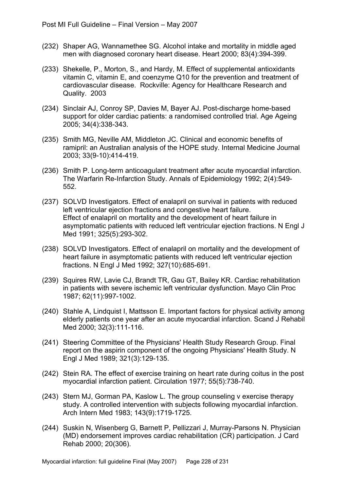- (232) Shaper AG, Wannamethee SG. Alcohol intake and mortality in middle aged men with diagnosed coronary heart disease. Heart 2000; 83(4):394-399.
- (233) Shekelle, P., Morton, S., and Hardy, M. Effect of supplemental antioxidants vitamin C, vitamin E, and coenzyme Q10 for the prevention and treatment of cardiovascular disease. Rockville: Agency for Healthcare Research and Quality. 2003
- (234) Sinclair AJ, Conroy SP, Davies M, Bayer AJ. Post-discharge home-based support for older cardiac patients: a randomised controlled trial. Age Ageing 2005; 34(4):338-343.
- (235) Smith MG, Neville AM, Middleton JC. Clinical and economic benefits of ramipril: an Australian analysis of the HOPE study. Internal Medicine Journal 2003; 33(9-10):414-419.
- (236) Smith P. Long-term anticoagulant treatment after acute myocardial infarction. The Warfarin Re-Infarction Study. Annals of Epidemiology 1992; 2(4):549- 552.
- (237) SOLVD Investigators. Effect of enalapril on survival in patients with reduced left ventricular ejection fractions and congestive heart failure. Effect of enalapril on mortality and the development of heart failure in asymptomatic patients with reduced left ventricular ejection fractions. N Engl J Med 1991; 325(5):293-302.
- (238) SOLVD Investigators. Effect of enalapril on mortality and the development of heart failure in asymptomatic patients with reduced left ventricular ejection fractions. N Engl J Med 1992; 327(10):685-691.
- (239) Squires RW, Lavie CJ, Brandt TR, Gau GT, Bailey KR. Cardiac rehabilitation in patients with severe ischemic left ventricular dysfunction. Mayo Clin Proc 1987; 62(11):997-1002.
- (240) Stahle A, Lindquist I, Mattsson E. Important factors for physical activity among elderly patients one year after an acute myocardial infarction. Scand J Rehabil Med 2000; 32(3):111-116.
- (241) Steering Committee of the Physicians' Health Study Research Group. Final report on the aspirin component of the ongoing Physicians' Health Study. N Engl J Med 1989; 321(3):129-135.
- (242) Stein RA. The effect of exercise training on heart rate during coitus in the post myocardial infarction patient. Circulation 1977; 55(5):738-740.
- (243) Stern MJ, Gorman PA, Kaslow L. The group counseling v exercise therapy study. A controlled intervention with subjects following myocardial infarction. Arch Intern Med 1983; 143(9):1719-1725.
- (244) Suskin N, Wisenberg G, Barnett P, Pellizzari J, Murray-Parsons N. Physician (MD) endorsement improves cardiac rehabilitation (CR) participation. J Card Rehab 2000; 20(306).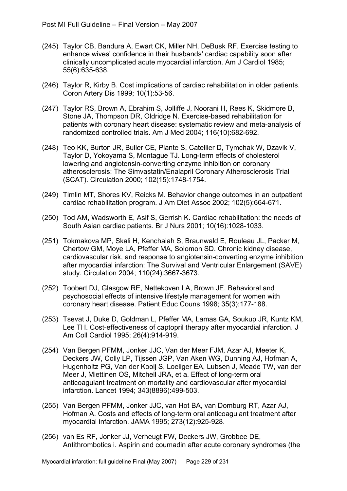- (245) Taylor CB, Bandura A, Ewart CK, Miller NH, DeBusk RF. Exercise testing to enhance wives' confidence in their husbands' cardiac capability soon after clinically uncomplicated acute myocardial infarction. Am J Cardiol 1985; 55(6):635-638.
- (246) Taylor R, Kirby B. Cost implications of cardiac rehabilitation in older patients. Coron Artery Dis 1999; 10(1):53-56.
- (247) Taylor RS, Brown A, Ebrahim S, Jolliffe J, Noorani H, Rees K, Skidmore B, Stone JA, Thompson DR, Oldridge N. Exercise-based rehabilitation for patients with coronary heart disease: systematic review and meta-analysis of randomized controlled trials. Am J Med 2004; 116(10):682-692.
- (248) Teo KK, Burton JR, Buller CE, Plante S, Catellier D, Tymchak W, Dzavik V, Taylor D, Yokoyama S, Montague TJ. Long-term effects of cholesterol lowering and angiotensin-converting enzyme inhibition on coronary atherosclerosis: The Simvastatin/Enalapril Coronary Atherosclerosis Trial (SCAT). Circulation 2000; 102(15):1748-1754.
- (249) Timlin MT, Shores KV, Reicks M. Behavior change outcomes in an outpatient cardiac rehabilitation program. J Am Diet Assoc 2002; 102(5):664-671.
- (250) Tod AM, Wadsworth E, Asif S, Gerrish K. Cardiac rehabilitation: the needs of South Asian cardiac patients. Br J Nurs 2001; 10(16):1028-1033.
- (251) Tokmakova MP, Skali H, Kenchaiah S, Braunwald E, Rouleau JL, Packer M, Chertow GM, Moye LA, Pfeffer MA, Solomon SD. Chronic kidney disease, cardiovascular risk, and response to angiotensin-converting enzyme inhibition after myocardial infarction: The Survival and Ventricular Enlargement (SAVE) study. Circulation 2004; 110(24):3667-3673.
- (252) Toobert DJ, Glasgow RE, Nettekoven LA, Brown JE. Behavioral and psychosocial effects of intensive lifestyle management for women with coronary heart disease. Patient Educ Couns 1998; 35(3):177-188.
- (253) Tsevat J, Duke D, Goldman L, Pfeffer MA, Lamas GA, Soukup JR, Kuntz KM, Lee TH. Cost-effectiveness of captopril therapy after myocardial infarction. J Am Coll Cardiol 1995; 26(4):914-919.
- (254) Van Bergen PFMM, Jonker JJC, Van der Meer FJM, Azar AJ, Meeter K, Deckers JW, Colly LP, Tijssen JGP, Van Aken WG, Dunning AJ, Hofman A, Hugenholtz PG, Van der Kooij S, Loeliger EA, Lubsen J, Meade TW, van der Meer J, Miettinen OS, Mitchell JRA, et a. Effect of long-term oral anticoagulant treatment on mortality and cardiovascular after myocardial infarction. Lancet 1994; 343(8896):499-503.
- (255) Van Bergen PFMM, Jonker JJC, van Hot BA, van Domburg RT, Azar AJ, Hofman A. Costs and effects of long-term oral anticoagulant treatment after myocardial infarction. JAMA 1995; 273(12):925-928.
- (256) van Es RF, Jonker JJ, Verheugt FW, Deckers JW, Grobbee DE, Antithrombotics i. Aspirin and coumadin after acute coronary syndromes (the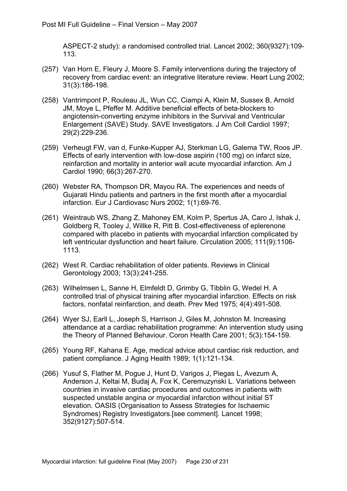ASPECT-2 study): a randomised controlled trial. Lancet 2002; 360(9327):109- 113.

- (257) Van Horn E, Fleury J, Moore S. Family interventions during the trajectory of recovery from cardiac event: an integrative literature review. Heart Lung 2002; 31(3):186-198.
- (258) Vantrimpont P, Rouleau JL, Wun CC, Ciampi A, Klein M, Sussex B, Arnold JM, Moye L, Pfeffer M. Additive beneficial effects of beta-blockers to angiotensin-converting enzyme inhibitors in the Survival and Ventricular Enlargement (SAVE) Study. SAVE Investigators. J Am Coll Cardiol 1997; 29(2):229-236.
- (259) Verheugt FW, van d, Funke-Kupper AJ, Sterkman LG, Galema TW, Roos JP. Effects of early intervention with low-dose aspirin (100 mg) on infarct size, reinfarction and mortality in anterior wall acute myocardial infarction. Am J Cardiol 1990; 66(3):267-270.
- (260) Webster RA, Thompson DR, Mayou RA. The experiences and needs of Gujarati Hindu patients and partners in the first month after a myocardial infarction. Eur J Cardiovasc Nurs 2002; 1(1):69-76.
- (261) Weintraub WS, Zhang Z, Mahoney EM, Kolm P, Spertus JA, Caro J, Ishak J, Goldberg R, Tooley J, Willke R, Pitt B. Cost-effectiveness of eplerenone compared with placebo in patients with myocardial infarction complicated by left ventricular dysfunction and heart failure. Circulation 2005; 111(9):1106- 1113.
- (262) West R. Cardiac rehabilitation of older patients. Reviews in Clinical Gerontology 2003; 13(3):241-255.
- (263) Wilhelmsen L, Sanne H, Elmfeldt D, Grimby G, Tibblin G, Wedel H. A controlled trial of physical training after myocardial infarction. Effects on risk factors, nonfatal reinfarction, and death. Prev Med 1975; 4(4):491-508.
- (264) Wyer SJ, Earll L, Joseph S, Harrison J, Giles M, Johnston M. Increasing attendance at a cardiac rehabilitation programme: An intervention study using the Theory of Planned Behaviour. Coron Health Care 2001; 5(3):154-159.
- (265) Young RF, Kahana E. Age, medical advice about cardiac risk reduction, and patient compliance. J Aging Health 1989; 1(1):121-134.
- (266) Yusuf S, Flather M, Pogue J, Hunt D, Varigos J, Piegas L, Avezum A, Anderson J, Keltai M, Budaj A, Fox K, Ceremuzynski L. Variations between countries in invasive cardiac procedures and outcomes in patients with suspected unstable angina or myocardial infarction without initial ST elevation. OASIS (Organisation to Assess Strategies for Ischaemic Syndromes) Registry Investigators.[see comment]. Lancet 1998; 352(9127):507-514.